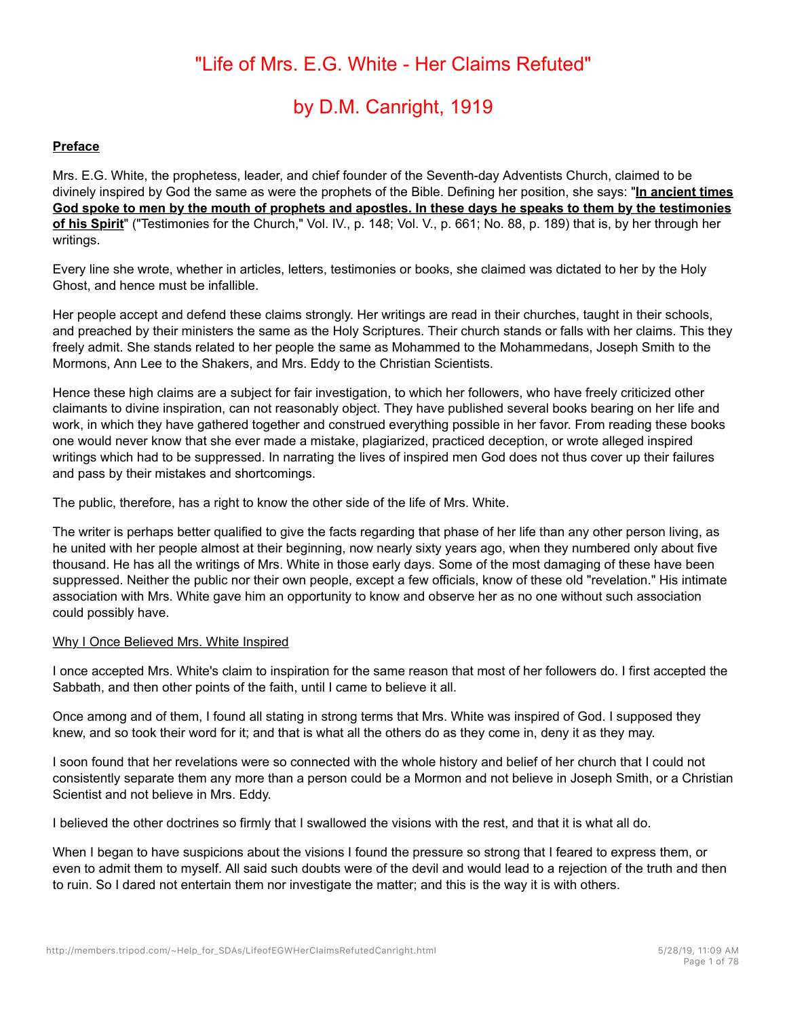# "Life of Mrs. E.G. White - Her Claims Refuted"

# by D.M. Canright, 1919

#### **Preface**

Mrs. E.G. White, the prophetess, leader, and chief founder of the Seventh-day Adventists Church, claimed to be divinely inspired by God the same as were the prophets of the Bible. Defining her position, she says: "**In ancient times God spoke to men by the mouth of prophets and apostles. In these days he speaks to them by the testimonies of his Spirit**" ("Testimonies for the Church," Vol. IV., p. 148; Vol. V., p. 661; No. 88, p. 189) that is, by her through her writings.

Every line she wrote, whether in articles, letters, testimonies or books, she claimed was dictated to her by the Holy Ghost, and hence must be infallible.

Her people accept and defend these claims strongly. Her writings are read in their churches, taught in their schools, and preached by their ministers the same as the Holy Scriptures. Their church stands or falls with her claims. This they freely admit. She stands related to her people the same as Mohammed to the Mohammedans, Joseph Smith to the Mormons, Ann Lee to the Shakers, and Mrs. Eddy to the Christian Scientists.

Hence these high claims are a subject for fair investigation, to which her followers, who have freely criticized other claimants to divine inspiration, can not reasonably object. They have published several books bearing on her life and work, in which they have gathered together and construed everything possible in her favor. From reading these books one would never know that she ever made a mistake, plagiarized, practiced deception, or wrote alleged inspired writings which had to be suppressed. In narrating the lives of inspired men God does not thus cover up their failures and pass by their mistakes and shortcomings.

The public, therefore, has a right to know the other side of the life of Mrs. White.

The writer is perhaps better qualified to give the facts regarding that phase of her life than any other person living, as he united with her people almost at their beginning, now nearly sixty years ago, when they numbered only about five thousand. He has all the writings of Mrs. White in those early days. Some of the most damaging of these have been suppressed. Neither the public nor their own people, except a few officials, know of these old "revelation." His intimate association with Mrs. White gave him an opportunity to know and observe her as no one without such association could possibly have.

#### Why I Once Believed Mrs. White Inspired

I once accepted Mrs. White's claim to inspiration for the same reason that most of her followers do. I first accepted the Sabbath, and then other points of the faith, until I came to believe it all.

Once among and of them, I found all stating in strong terms that Mrs. White was inspired of God. I supposed they knew, and so took their word for it; and that is what all the others do as they come in, deny it as they may.

I soon found that her revelations were so connected with the whole history and belief of her church that I could not consistently separate them any more than a person could be a Mormon and not believe in Joseph Smith, or a Christian Scientist and not believe in Mrs. Eddy.

I believed the other doctrines so firmly that I swallowed the visions with the rest, and that it is what all do.

When I began to have suspicions about the visions I found the pressure so strong that I feared to express them, or even to admit them to myself. All said such doubts were of the devil and would lead to a rejection of the truth and then to ruin. So I dared not entertain them nor investigate the matter; and this is the way it is with others.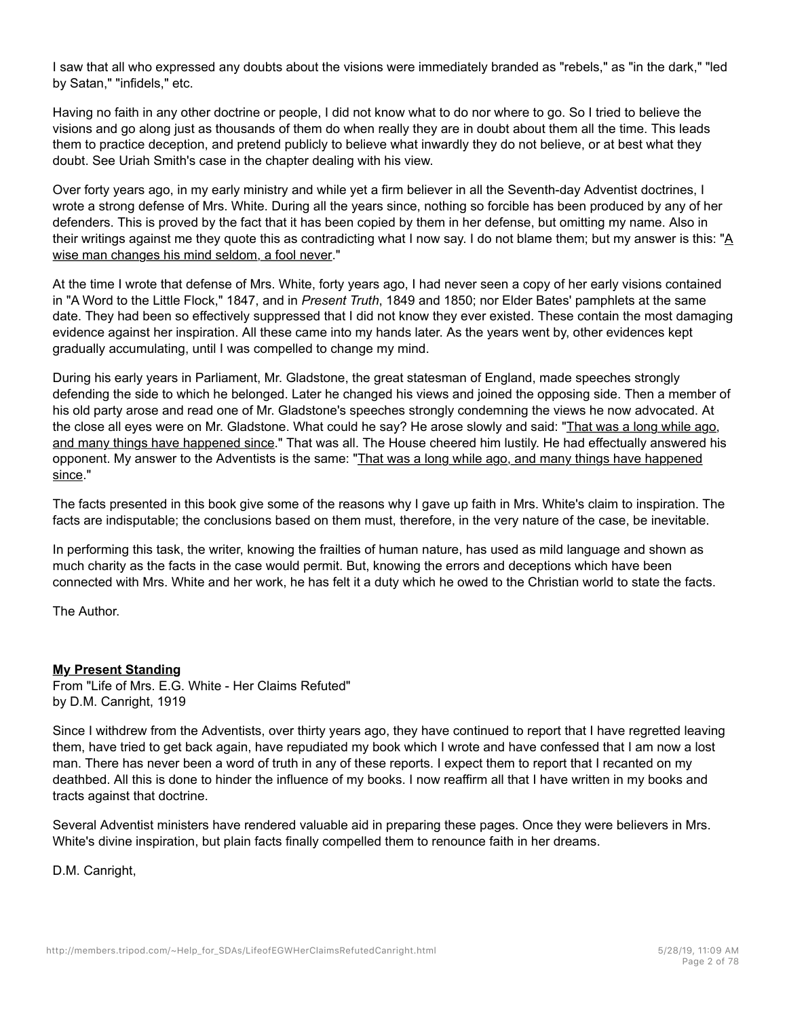I saw that all who expressed any doubts about the visions were immediately branded as "rebels," as "in the dark," "led by Satan," "infidels," etc.

Having no faith in any other doctrine or people, I did not know what to do nor where to go. So I tried to believe the visions and go along just as thousands of them do when really they are in doubt about them all the time. This leads them to practice deception, and pretend publicly to believe what inwardly they do not believe, or at best what they doubt. See Uriah Smith's case in the chapter dealing with his view.

Over forty years ago, in my early ministry and while yet a firm believer in all the Seventh-day Adventist doctrines, I wrote a strong defense of Mrs. White. During all the years since, nothing so forcible has been produced by any of her defenders. This is proved by the fact that it has been copied by them in her defense, but omitting my name. Also in their writings against me they quote this as contradicting what I now say. I do not blame them; but my answer is this: "A wise man changes his mind seldom, a fool never."

At the time I wrote that defense of Mrs. White, forty years ago, I had never seen a copy of her early visions contained in "A Word to the Little Flock," 1847, and in *Present Truth*, 1849 and 1850; nor Elder Bates' pamphlets at the same date. They had been so effectively suppressed that I did not know they ever existed. These contain the most damaging evidence against her inspiration. All these came into my hands later. As the years went by, other evidences kept gradually accumulating, until I was compelled to change my mind.

During his early years in Parliament, Mr. Gladstone, the great statesman of England, made speeches strongly defending the side to which he belonged. Later he changed his views and joined the opposing side. Then a member of his old party arose and read one of Mr. Gladstone's speeches strongly condemning the views he now advocated. At the close all eyes were on Mr. Gladstone. What could he say? He arose slowly and said: "That was a long while ago, and many things have happened since." That was all. The House cheered him lustily. He had effectually answered his opponent. My answer to the Adventists is the same: "That was a long while ago, and many things have happened since."

The facts presented in this book give some of the reasons why I gave up faith in Mrs. White's claim to inspiration. The facts are indisputable; the conclusions based on them must, therefore, in the very nature of the case, be inevitable.

In performing this task, the writer, knowing the frailties of human nature, has used as mild language and shown as much charity as the facts in the case would permit. But, knowing the errors and deceptions which have been connected with Mrs. White and her work, he has felt it a duty which he owed to the Christian world to state the facts.

The Author.

## **My Present Standing**

From "Life of Mrs. E.G. White - Her Claims Refuted" by D.M. Canright, 1919

Since I withdrew from the Adventists, over thirty years ago, they have continued to report that I have regretted leaving them, have tried to get back again, have repudiated my book which I wrote and have confessed that I am now a lost man. There has never been a word of truth in any of these reports. I expect them to report that I recanted on my deathbed. All this is done to hinder the influence of my books. I now reaffirm all that I have written in my books and tracts against that doctrine.

Several Adventist ministers have rendered valuable aid in preparing these pages. Once they were believers in Mrs. White's divine inspiration, but plain facts finally compelled them to renounce faith in her dreams.

D.M. Canright,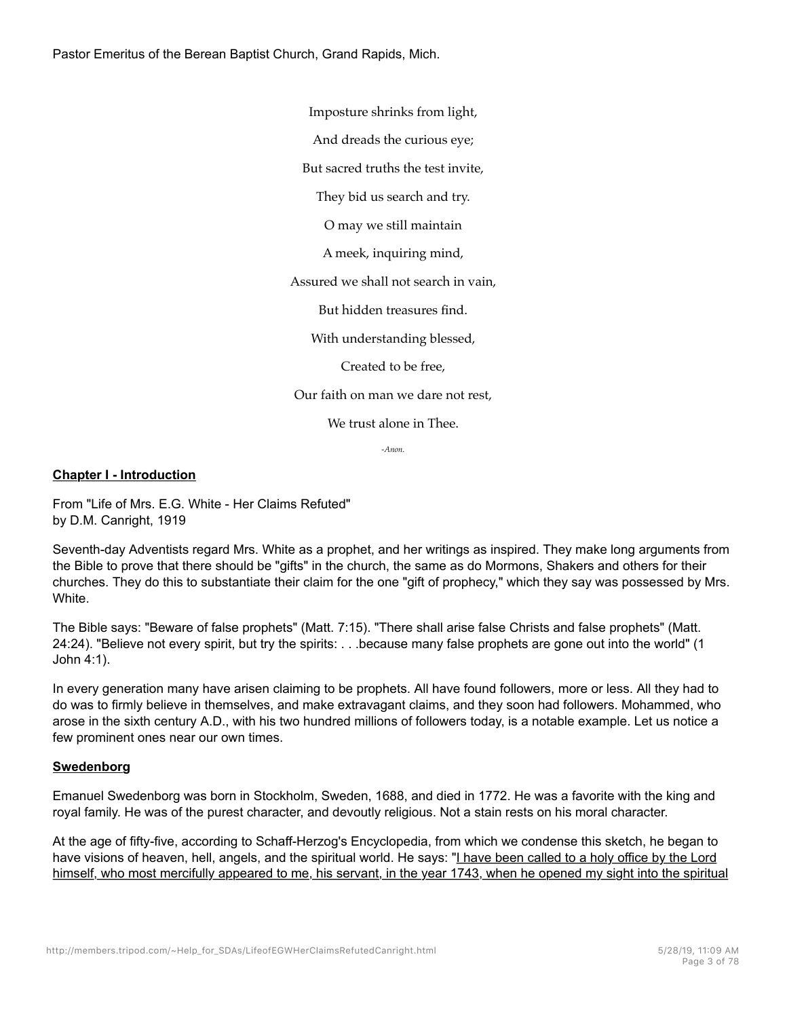Pastor Emeritus of the Berean Baptist Church, Grand Rapids, Mich.

Imposture shrinks from light,

And dreads the curious eye;

But sacred truths the test invite,

They bid us search and try.

O may we still maintain

A meek, inquiring mind,

Assured we shall not search in vain,

But hidden treasures find.

With understanding blessed,

Created to be free,

Our faith on man we dare not rest,

We trust alone in Thee.

*-Anon.*

#### **Chapter I - Introduction**

From "Life of Mrs. E.G. White - Her Claims Refuted" by D.M. Canright, 1919

Seventh-day Adventists regard Mrs. White as a prophet, and her writings as inspired. They make long arguments from the Bible to prove that there should be "gifts" in the church, the same as do Mormons, Shakers and others for their churches. They do this to substantiate their claim for the one "gift of prophecy," which they say was possessed by Mrs. **White** 

The Bible says: "Beware of false prophets" (Matt. 7:15). "There shall arise false Christs and false prophets" (Matt. 24:24). "Believe not every spirit, but try the spirits: . . .because many false prophets are gone out into the world" (1 John 4:1).

In every generation many have arisen claiming to be prophets. All have found followers, more or less. All they had to do was to firmly believe in themselves, and make extravagant claims, and they soon had followers. Mohammed, who arose in the sixth century A.D., with his two hundred millions of followers today, is a notable example. Let us notice a few prominent ones near our own times.

#### **Swedenborg**

Emanuel Swedenborg was born in Stockholm, Sweden, 1688, and died in 1772. He was a favorite with the king and royal family. He was of the purest character, and devoutly religious. Not a stain rests on his moral character.

At the age of fifty-five, according to Schaff-Herzog's Encyclopedia, from which we condense this sketch, he began to have visions of heaven, hell, angels, and the spiritual world. He says: "I have been called to a holy office by the Lord himself, who most mercifully appeared to me, his servant, in the year 1743, when he opened my sight into the spiritual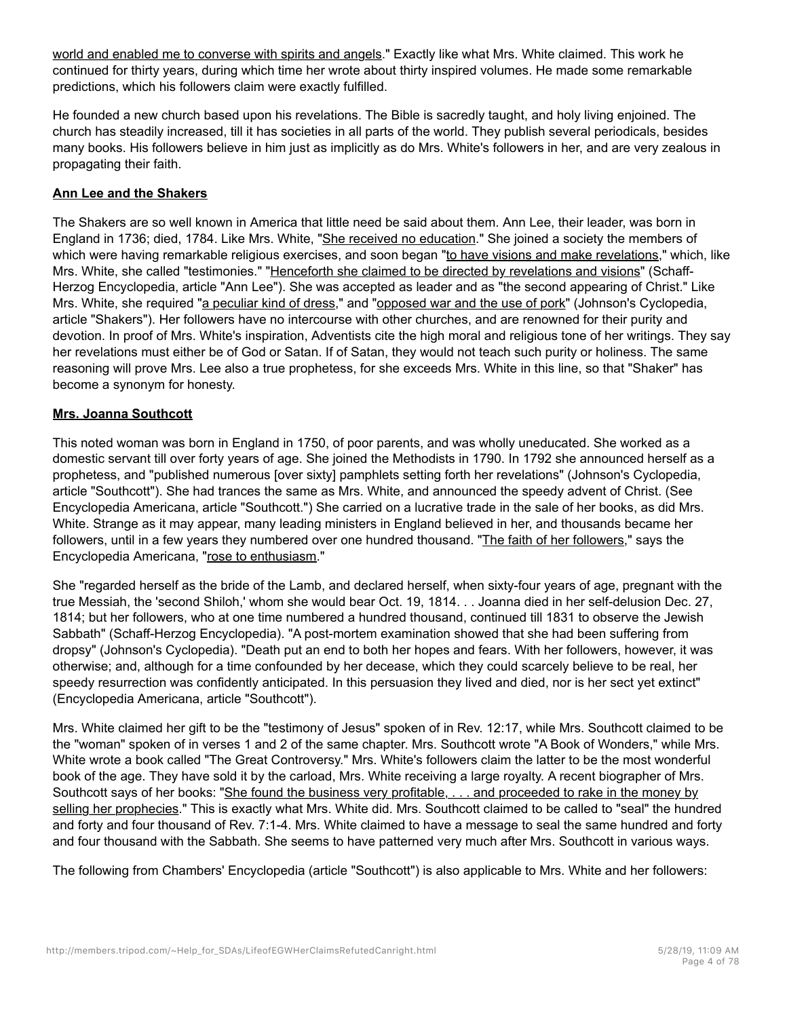world and enabled me to converse with spirits and angels." Exactly like what Mrs. White claimed. This work he continued for thirty years, during which time her wrote about thirty inspired volumes. He made some remarkable predictions, which his followers claim were exactly fulfilled.

He founded a new church based upon his revelations. The Bible is sacredly taught, and holy living enjoined. The church has steadily increased, till it has societies in all parts of the world. They publish several periodicals, besides many books. His followers believe in him just as implicitly as do Mrs. White's followers in her, and are very zealous in propagating their faith.

#### **Ann Lee and the Shakers**

The Shakers are so well known in America that little need be said about them. Ann Lee, their leader, was born in England in 1736; died, 1784. Like Mrs. White, "She received no education." She joined a society the members of which were having remarkable religious exercises, and soon began "to have visions and make revelations," which, like Mrs. White, she called "testimonies." "Henceforth she claimed to be directed by revelations and visions" (Schaff-Herzog Encyclopedia, article "Ann Lee"). She was accepted as leader and as "the second appearing of Christ." Like Mrs. White, she required "a peculiar kind of dress," and "opposed war and the use of pork" (Johnson's Cyclopedia, article "Shakers"). Her followers have no intercourse with other churches, and are renowned for their purity and devotion. In proof of Mrs. White's inspiration, Adventists cite the high moral and religious tone of her writings. They say her revelations must either be of God or Satan. If of Satan, they would not teach such purity or holiness. The same reasoning will prove Mrs. Lee also a true prophetess, for she exceeds Mrs. White in this line, so that "Shaker" has become a synonym for honesty.

#### **Mrs. Joanna Southcott**

This noted woman was born in England in 1750, of poor parents, and was wholly uneducated. She worked as a domestic servant till over forty years of age. She joined the Methodists in 1790. In 1792 she announced herself as a prophetess, and "published numerous [over sixty] pamphlets setting forth her revelations" (Johnson's Cyclopedia, article "Southcott"). She had trances the same as Mrs. White, and announced the speedy advent of Christ. (See Encyclopedia Americana, article "Southcott.") She carried on a lucrative trade in the sale of her books, as did Mrs. White. Strange as it may appear, many leading ministers in England believed in her, and thousands became her followers, until in a few years they numbered over one hundred thousand. "The faith of her followers," says the Encyclopedia Americana, "rose to enthusiasm."

She "regarded herself as the bride of the Lamb, and declared herself, when sixty-four years of age, pregnant with the true Messiah, the 'second Shiloh,' whom she would bear Oct. 19, 1814. . . Joanna died in her self-delusion Dec. 27, 1814; but her followers, who at one time numbered a hundred thousand, continued till 1831 to observe the Jewish Sabbath" (Schaff-Herzog Encyclopedia). "A post-mortem examination showed that she had been suffering from dropsy" (Johnson's Cyclopedia). "Death put an end to both her hopes and fears. With her followers, however, it was otherwise; and, although for a time confounded by her decease, which they could scarcely believe to be real, her speedy resurrection was confidently anticipated. In this persuasion they lived and died, nor is her sect yet extinct" (Encyclopedia Americana, article "Southcott").

Mrs. White claimed her gift to be the "testimony of Jesus" spoken of in Rev. 12:17, while Mrs. Southcott claimed to be the "woman" spoken of in verses 1 and 2 of the same chapter. Mrs. Southcott wrote "A Book of Wonders," while Mrs. White wrote a book called "The Great Controversy." Mrs. White's followers claim the latter to be the most wonderful book of the age. They have sold it by the carload, Mrs. White receiving a large royalty. A recent biographer of Mrs. Southcott says of her books: "She found the business very profitable, . . . and proceeded to rake in the money by selling her prophecies." This is exactly what Mrs. White did. Mrs. Southcott claimed to be called to "seal" the hundred and forty and four thousand of Rev. 7:1-4. Mrs. White claimed to have a message to seal the same hundred and forty and four thousand with the Sabbath. She seems to have patterned very much after Mrs. Southcott in various ways.

The following from Chambers' Encyclopedia (article "Southcott") is also applicable to Mrs. White and her followers: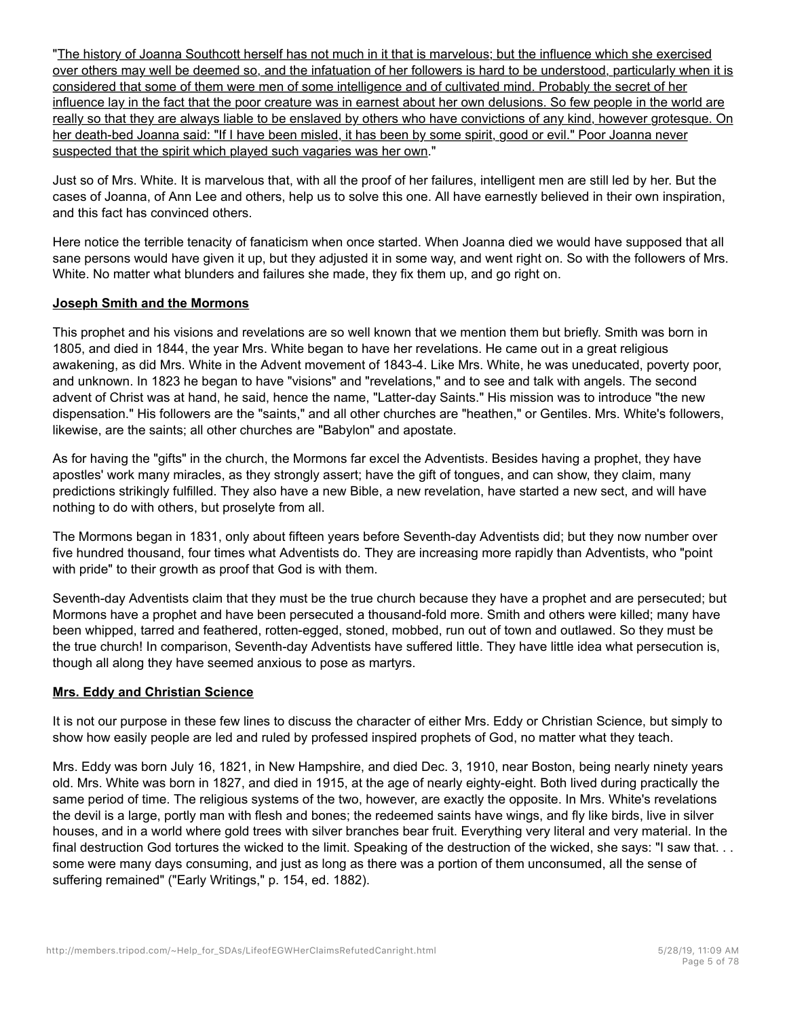"The history of Joanna Southcott herself has not much in it that is marvelous; but the influence which she exercised over others may well be deemed so, and the infatuation of her followers is hard to be understood, particularly when it is considered that some of them were men of some intelligence and of cultivated mind. Probably the secret of her influence lay in the fact that the poor creature was in earnest about her own delusions. So few people in the world are really so that they are always liable to be enslaved by others who have convictions of any kind, however grotesque. On her death-bed Joanna said: "If I have been misled, it has been by some spirit, good or evil." Poor Joanna never suspected that the spirit which played such vagaries was her own."

Just so of Mrs. White. It is marvelous that, with all the proof of her failures, intelligent men are still led by her. But the cases of Joanna, of Ann Lee and others, help us to solve this one. All have earnestly believed in their own inspiration, and this fact has convinced others.

Here notice the terrible tenacity of fanaticism when once started. When Joanna died we would have supposed that all sane persons would have given it up, but they adjusted it in some way, and went right on. So with the followers of Mrs. White. No matter what blunders and failures she made, they fix them up, and go right on.

## **Joseph Smith and the Mormons**

This prophet and his visions and revelations are so well known that we mention them but briefly. Smith was born in 1805, and died in 1844, the year Mrs. White began to have her revelations. He came out in a great religious awakening, as did Mrs. White in the Advent movement of 1843-4. Like Mrs. White, he was uneducated, poverty poor, and unknown. In 1823 he began to have "visions" and "revelations," and to see and talk with angels. The second advent of Christ was at hand, he said, hence the name, "Latter-day Saints." His mission was to introduce "the new dispensation." His followers are the "saints," and all other churches are "heathen," or Gentiles. Mrs. White's followers, likewise, are the saints; all other churches are "Babylon" and apostate.

As for having the "gifts" in the church, the Mormons far excel the Adventists. Besides having a prophet, they have apostles' work many miracles, as they strongly assert; have the gift of tongues, and can show, they claim, many predictions strikingly fulfilled. They also have a new Bible, a new revelation, have started a new sect, and will have nothing to do with others, but proselyte from all.

The Mormons began in 1831, only about fifteen years before Seventh-day Adventists did; but they now number over five hundred thousand, four times what Adventists do. They are increasing more rapidly than Adventists, who "point with pride" to their growth as proof that God is with them.

Seventh-day Adventists claim that they must be the true church because they have a prophet and are persecuted; but Mormons have a prophet and have been persecuted a thousand-fold more. Smith and others were killed; many have been whipped, tarred and feathered, rotten-egged, stoned, mobbed, run out of town and outlawed. So they must be the true church! In comparison, Seventh-day Adventists have suffered little. They have little idea what persecution is, though all along they have seemed anxious to pose as martyrs.

# **Mrs. Eddy and Christian Science**

It is not our purpose in these few lines to discuss the character of either Mrs. Eddy or Christian Science, but simply to show how easily people are led and ruled by professed inspired prophets of God, no matter what they teach.

Mrs. Eddy was born July 16, 1821, in New Hampshire, and died Dec. 3, 1910, near Boston, being nearly ninety years old. Mrs. White was born in 1827, and died in 1915, at the age of nearly eighty-eight. Both lived during practically the same period of time. The religious systems of the two, however, are exactly the opposite. In Mrs. White's revelations the devil is a large, portly man with flesh and bones; the redeemed saints have wings, and fly like birds, live in silver houses, and in a world where gold trees with silver branches bear fruit. Everything very literal and very material. In the final destruction God tortures the wicked to the limit. Speaking of the destruction of the wicked, she says: "I saw that... some were many days consuming, and just as long as there was a portion of them unconsumed, all the sense of suffering remained" ("Early Writings," p. 154, ed. 1882).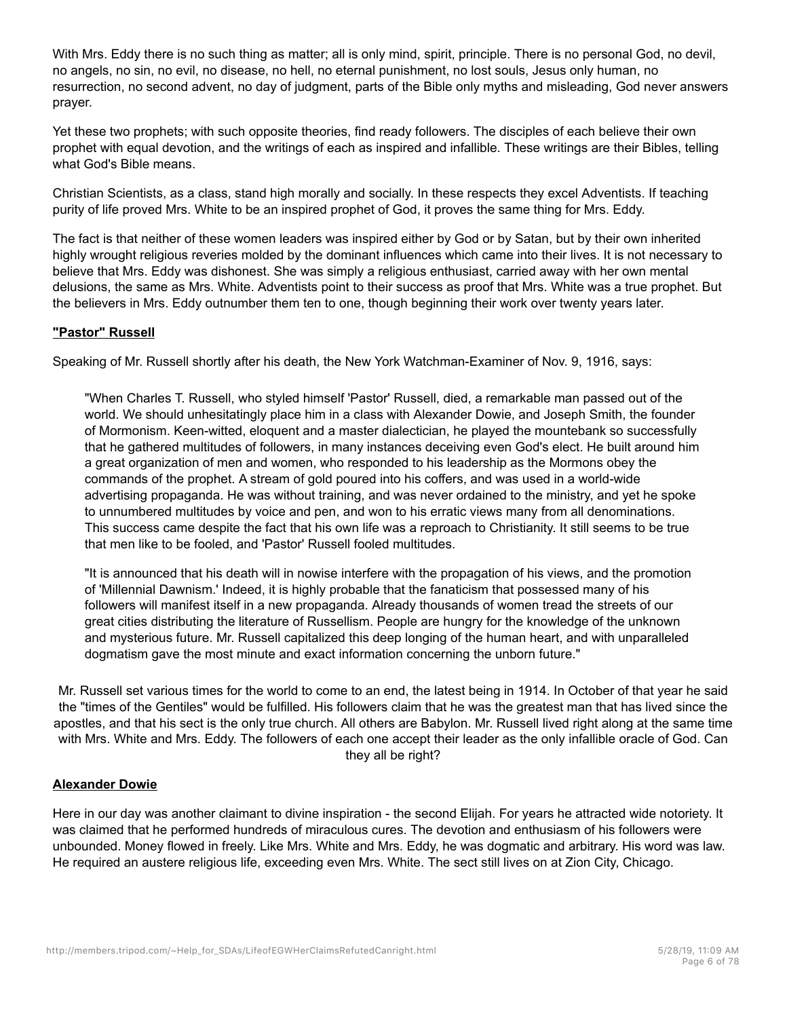With Mrs. Eddy there is no such thing as matter; all is only mind, spirit, principle. There is no personal God, no devil, no angels, no sin, no evil, no disease, no hell, no eternal punishment, no lost souls, Jesus only human, no resurrection, no second advent, no day of judgment, parts of the Bible only myths and misleading, God never answers prayer.

Yet these two prophets; with such opposite theories, find ready followers. The disciples of each believe their own prophet with equal devotion, and the writings of each as inspired and infallible. These writings are their Bibles, telling what God's Bible means.

Christian Scientists, as a class, stand high morally and socially. In these respects they excel Adventists. If teaching purity of life proved Mrs. White to be an inspired prophet of God, it proves the same thing for Mrs. Eddy.

The fact is that neither of these women leaders was inspired either by God or by Satan, but by their own inherited highly wrought religious reveries molded by the dominant influences which came into their lives. It is not necessary to believe that Mrs. Eddy was dishonest. She was simply a religious enthusiast, carried away with her own mental delusions, the same as Mrs. White. Adventists point to their success as proof that Mrs. White was a true prophet. But the believers in Mrs. Eddy outnumber them ten to one, though beginning their work over twenty years later.

## **"Pastor" Russell**

Speaking of Mr. Russell shortly after his death, the New York Watchman-Examiner of Nov. 9, 1916, says:

"When Charles T. Russell, who styled himself 'Pastor' Russell, died, a remarkable man passed out of the world. We should unhesitatingly place him in a class with Alexander Dowie, and Joseph Smith, the founder of Mormonism. Keen-witted, eloquent and a master dialectician, he played the mountebank so successfully that he gathered multitudes of followers, in many instances deceiving even God's elect. He built around him a great organization of men and women, who responded to his leadership as the Mormons obey the commands of the prophet. A stream of gold poured into his coffers, and was used in a world-wide advertising propaganda. He was without training, and was never ordained to the ministry, and yet he spoke to unnumbered multitudes by voice and pen, and won to his erratic views many from all denominations. This success came despite the fact that his own life was a reproach to Christianity. It still seems to be true that men like to be fooled, and 'Pastor' Russell fooled multitudes.

"It is announced that his death will in nowise interfere with the propagation of his views, and the promotion of 'Millennial Dawnism.' Indeed, it is highly probable that the fanaticism that possessed many of his followers will manifest itself in a new propaganda. Already thousands of women tread the streets of our great cities distributing the literature of Russellism. People are hungry for the knowledge of the unknown and mysterious future. Mr. Russell capitalized this deep longing of the human heart, and with unparalleled dogmatism gave the most minute and exact information concerning the unborn future."

Mr. Russell set various times for the world to come to an end, the latest being in 1914. In October of that year he said the "times of the Gentiles" would be fulfilled. His followers claim that he was the greatest man that has lived since the apostles, and that his sect is the only true church. All others are Babylon. Mr. Russell lived right along at the same time with Mrs. White and Mrs. Eddy. The followers of each one accept their leader as the only infallible oracle of God. Can they all be right?

#### **Alexander Dowie**

Here in our day was another claimant to divine inspiration - the second Elijah. For years he attracted wide notoriety. It was claimed that he performed hundreds of miraculous cures. The devotion and enthusiasm of his followers were unbounded. Money flowed in freely. Like Mrs. White and Mrs. Eddy, he was dogmatic and arbitrary. His word was law. He required an austere religious life, exceeding even Mrs. White. The sect still lives on at Zion City, Chicago.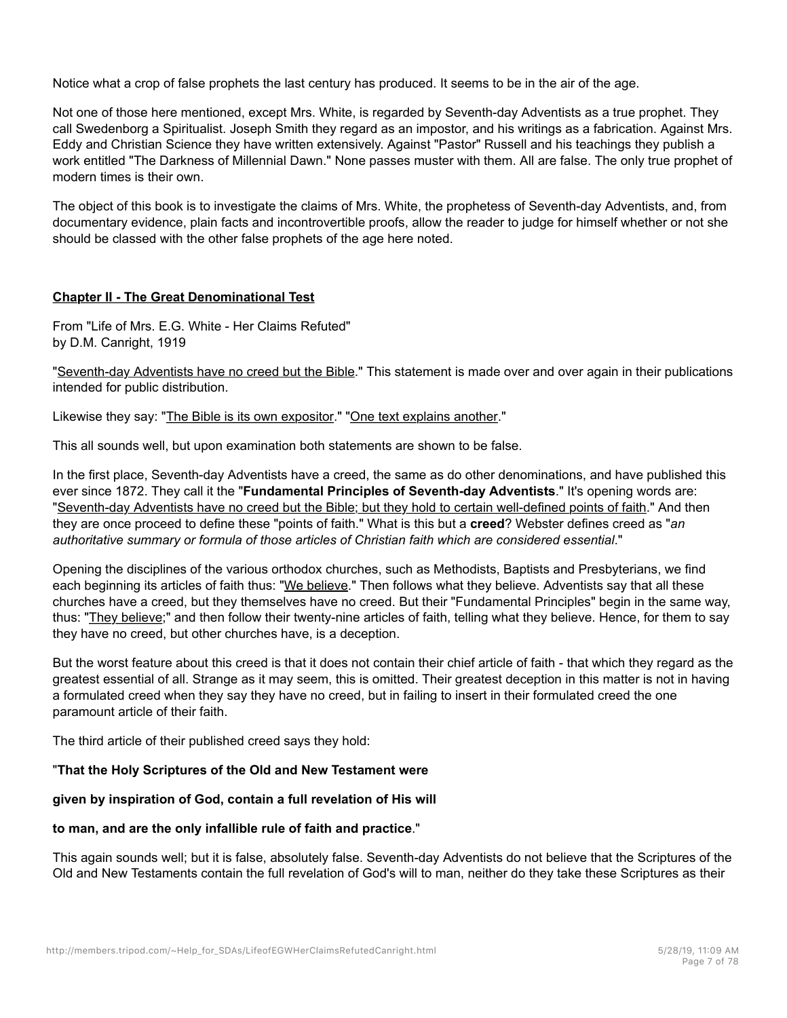Notice what a crop of false prophets the last century has produced. It seems to be in the air of the age.

Not one of those here mentioned, except Mrs. White, is regarded by Seventh-day Adventists as a true prophet. They call Swedenborg a Spiritualist. Joseph Smith they regard as an impostor, and his writings as a fabrication. Against Mrs. Eddy and Christian Science they have written extensively. Against "Pastor" Russell and his teachings they publish a work entitled "The Darkness of Millennial Dawn." None passes muster with them. All are false. The only true prophet of modern times is their own.

The object of this book is to investigate the claims of Mrs. White, the prophetess of Seventh-day Adventists, and, from documentary evidence, plain facts and incontrovertible proofs, allow the reader to judge for himself whether or not she should be classed with the other false prophets of the age here noted.

## **Chapter II - The Great Denominational Test**

From "Life of Mrs. E.G. White - Her Claims Refuted" by D.M. Canright, 1919

"Seventh-day Adventists have no creed but the Bible." This statement is made over and over again in their publications intended for public distribution.

Likewise they say: "The Bible is its own expositor." "One text explains another."

This all sounds well, but upon examination both statements are shown to be false.

In the first place, Seventh-day Adventists have a creed, the same as do other denominations, and have published this ever since 1872. They call it the "**Fundamental Principles of Seventh-day Adventists**." It's opening words are: "Seventh-day Adventists have no creed but the Bible; but they hold to certain well-defined points of faith." And then they are once proceed to define these "points of faith." What is this but a **creed**? Webster defines creed as "*an authoritative summary or formula of those articles of Christian faith which are considered essential*."

Opening the disciplines of the various orthodox churches, such as Methodists, Baptists and Presbyterians, we find each beginning its articles of faith thus: "We believe." Then follows what they believe. Adventists say that all these churches have a creed, but they themselves have no creed. But their "Fundamental Principles" begin in the same way, thus: "They believe;" and then follow their twenty-nine articles of faith, telling what they believe. Hence, for them to say they have no creed, but other churches have, is a deception.

But the worst feature about this creed is that it does not contain their chief article of faith - that which they regard as the greatest essential of all. Strange as it may seem, this is omitted. Their greatest deception in this matter is not in having a formulated creed when they say they have no creed, but in failing to insert in their formulated creed the one paramount article of their faith.

The third article of their published creed says they hold:

## "**That the Holy Scriptures of the Old and New Testament were**

# **given by inspiration of God, contain a full revelation of His will**

## **to man, and are the only infallible rule of faith and practice**."

This again sounds well; but it is false, absolutely false. Seventh-day Adventists do not believe that the Scriptures of the Old and New Testaments contain the full revelation of God's will to man, neither do they take these Scriptures as their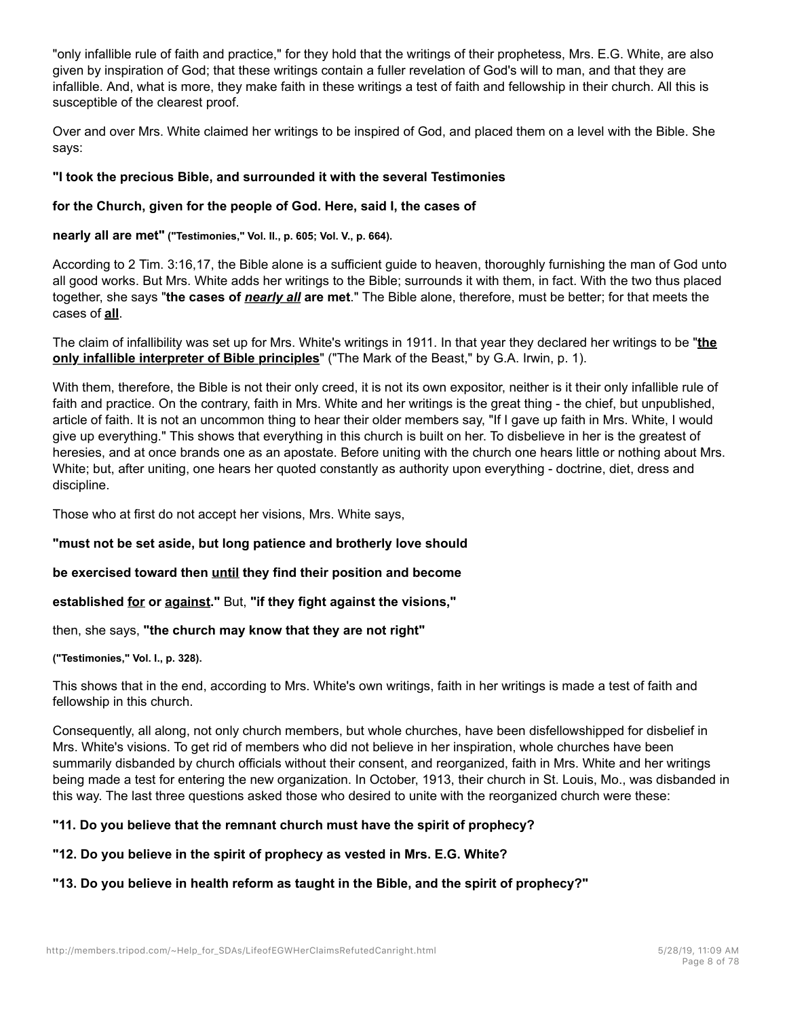"only infallible rule of faith and practice," for they hold that the writings of their prophetess, Mrs. E.G. White, are also given by inspiration of God; that these writings contain a fuller revelation of God's will to man, and that they are infallible. And, what is more, they make faith in these writings a test of faith and fellowship in their church. All this is susceptible of the clearest proof.

Over and over Mrs. White claimed her writings to be inspired of God, and placed them on a level with the Bible. She says:

## **"I took the precious Bible, and surrounded it with the several Testimonies**

## **for the Church, given for the people of God. Here, said I, the cases of**

**nearly all are met" ("Testimonies," Vol. II., p. 605; Vol. V., p. 664).**

According to 2 Tim. 3:16,17, the Bible alone is a sufficient guide to heaven, thoroughly furnishing the man of God unto all good works. But Mrs. White adds her writings to the Bible; surrounds it with them, in fact. With the two thus placed together, she says "**the cases of** *nearly all* **are met**." The Bible alone, therefore, must be better; for that meets the cases of **all**.

The claim of infallibility was set up for Mrs. White's writings in 1911. In that year they declared her writings to be "**the only infallible interpreter of Bible principles**" ("The Mark of the Beast," by G.A. Irwin, p. 1).

With them, therefore, the Bible is not their only creed, it is not its own expositor, neither is it their only infallible rule of faith and practice. On the contrary, faith in Mrs. White and her writings is the great thing - the chief, but unpublished, article of faith. It is not an uncommon thing to hear their older members say, "If I gave up faith in Mrs. White, I would give up everything." This shows that everything in this church is built on her. To disbelieve in her is the greatest of heresies, and at once brands one as an apostate. Before uniting with the church one hears little or nothing about Mrs. White; but, after uniting, one hears her quoted constantly as authority upon everything - doctrine, diet, dress and discipline.

Those who at first do not accept her visions, Mrs. White says,

**"must not be set aside, but long patience and brotherly love should**

**be exercised toward then until they find their position and become**

**established for or against."** But, **"if they fight against the visions,"**

then, she says, **"the church may know that they are not right"**

**("Testimonies," Vol. I., p. 328).**

This shows that in the end, according to Mrs. White's own writings, faith in her writings is made a test of faith and fellowship in this church.

Consequently, all along, not only church members, but whole churches, have been disfellowshipped for disbelief in Mrs. White's visions. To get rid of members who did not believe in her inspiration, whole churches have been summarily disbanded by church officials without their consent, and reorganized, faith in Mrs. White and her writings being made a test for entering the new organization. In October, 1913, their church in St. Louis, Mo., was disbanded in this way. The last three questions asked those who desired to unite with the reorganized church were these:

# **"11. Do you believe that the remnant church must have the spirit of prophecy?**

## **"12. Do you believe in the spirit of prophecy as vested in Mrs. E.G. White?**

# **"13. Do you believe in health reform as taught in the Bible, and the spirit of prophecy?"**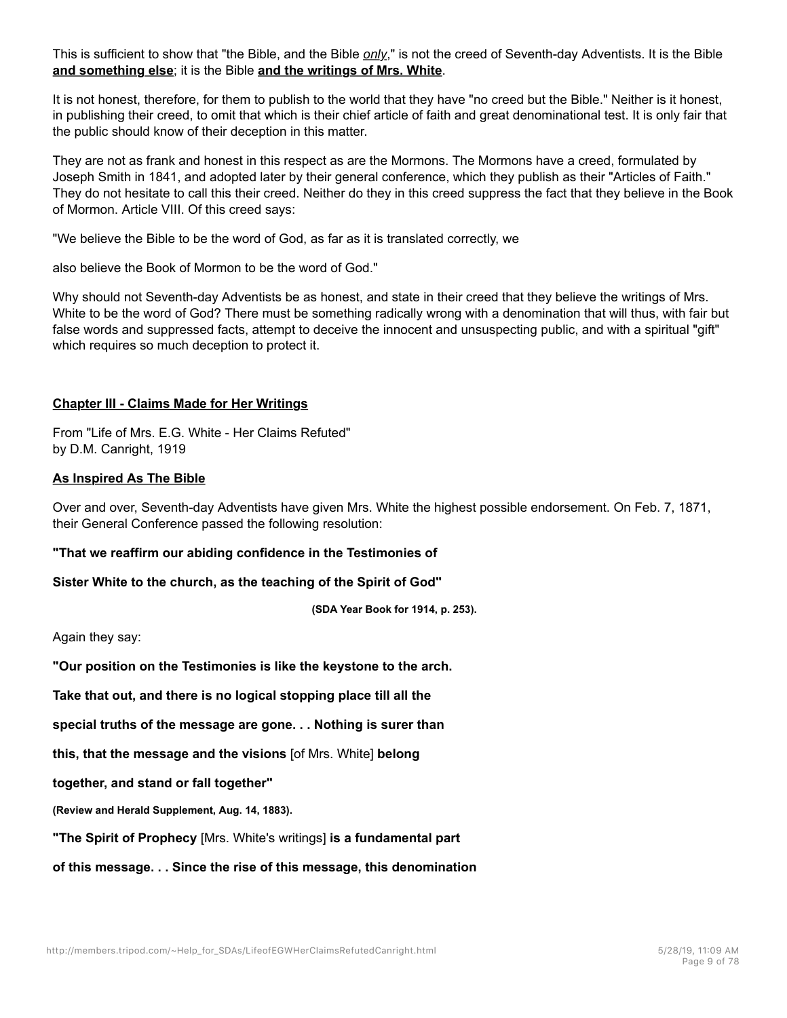This is sufficient to show that "the Bible, and the Bible *only*," is not the creed of Seventh-day Adventists. It is the Bible **and something else**; it is the Bible **and the writings of Mrs. White**.

It is not honest, therefore, for them to publish to the world that they have "no creed but the Bible." Neither is it honest, in publishing their creed, to omit that which is their chief article of faith and great denominational test. It is only fair that the public should know of their deception in this matter.

They are not as frank and honest in this respect as are the Mormons. The Mormons have a creed, formulated by Joseph Smith in 1841, and adopted later by their general conference, which they publish as their "Articles of Faith." They do not hesitate to call this their creed. Neither do they in this creed suppress the fact that they believe in the Book of Mormon. Article VIII. Of this creed says:

"We believe the Bible to be the word of God, as far as it is translated correctly, we

also believe the Book of Mormon to be the word of God."

Why should not Seventh-day Adventists be as honest, and state in their creed that they believe the writings of Mrs. White to be the word of God? There must be something radically wrong with a denomination that will thus, with fair but false words and suppressed facts, attempt to deceive the innocent and unsuspecting public, and with a spiritual "gift" which requires so much deception to protect it.

## **Chapter III - Claims Made for Her Writings**

From "Life of Mrs. E.G. White - Her Claims Refuted" by D.M. Canright, 1919

## **As Inspired As The Bible**

Over and over, Seventh-day Adventists have given Mrs. White the highest possible endorsement. On Feb. 7, 1871, their General Conference passed the following resolution:

## **"That we reaffirm our abiding confidence in the Testimonies of**

**Sister White to the church, as the teaching of the Spirit of God"**

**(SDA Year Book for 1914, p. 253).**

Again they say:

**"Our position on the Testimonies is like the keystone to the arch.**

**Take that out, and there is no logical stopping place till all the**

**special truths of the message are gone. . . Nothing is surer than**

**this, that the message and the visions** [of Mrs. White] **belong**

**together, and stand or fall together"**

**(Review and Herald Supplement, Aug. 14, 1883).**

**"The Spirit of Prophecy** [Mrs. White's writings] **is a fundamental part**

**of this message. . . Since the rise of this message, this denomination**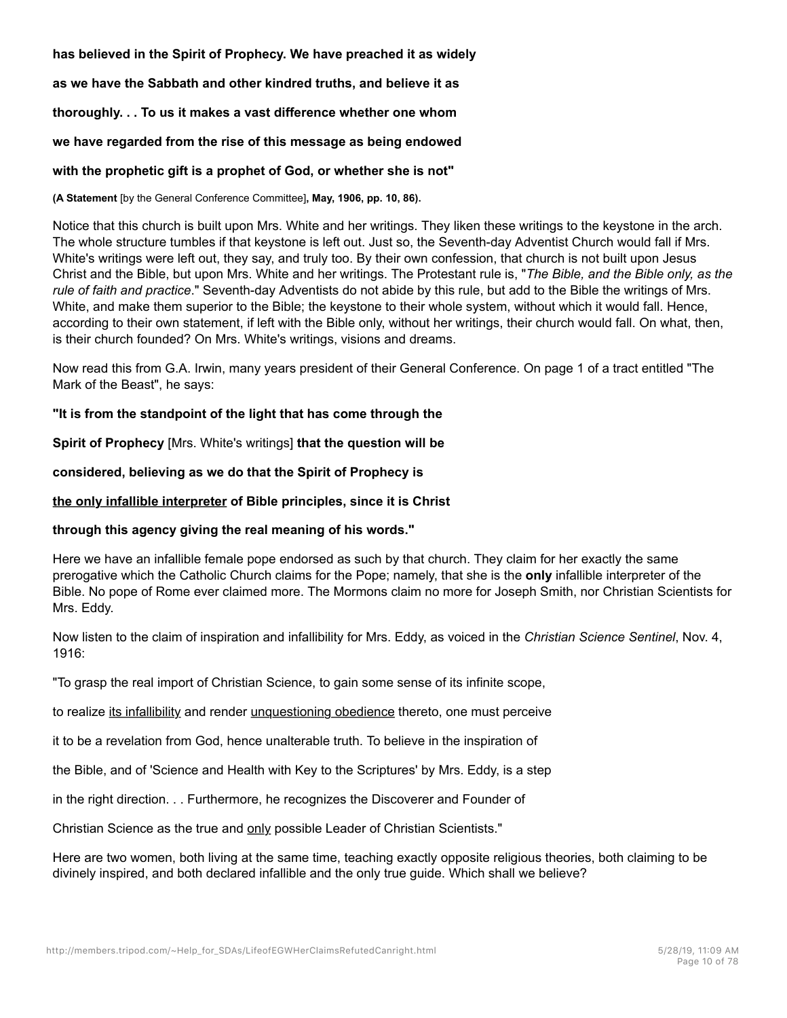**has believed in the Spirit of Prophecy. We have preached it as widely**

**as we have the Sabbath and other kindred truths, and believe it as**

**thoroughly. . . To us it makes a vast difference whether one whom**

#### **we have regarded from the rise of this message as being endowed**

#### **with the prophetic gift is a prophet of God, or whether she is not"**

**(A Statement** [by the General Conference Committee]**, May, 1906, pp. 10, 86).**

Notice that this church is built upon Mrs. White and her writings. They liken these writings to the keystone in the arch. The whole structure tumbles if that keystone is left out. Just so, the Seventh-day Adventist Church would fall if Mrs. White's writings were left out, they say, and truly too. By their own confession, that church is not built upon Jesus Christ and the Bible, but upon Mrs. White and her writings. The Protestant rule is, "*The Bible, and the Bible only, as the rule of faith and practice*." Seventh-day Adventists do not abide by this rule, but add to the Bible the writings of Mrs. White, and make them superior to the Bible; the keystone to their whole system, without which it would fall. Hence, according to their own statement, if left with the Bible only, without her writings, their church would fall. On what, then, is their church founded? On Mrs. White's writings, visions and dreams.

Now read this from G.A. Irwin, many years president of their General Conference. On page 1 of a tract entitled "The Mark of the Beast", he says:

#### **"It is from the standpoint of the light that has come through the**

**Spirit of Prophecy** [Mrs. White's writings] **that the question will be**

**considered, believing as we do that the Spirit of Prophecy is**

#### **the only infallible interpreter of Bible principles, since it is Christ**

#### **through this agency giving the real meaning of his words."**

Here we have an infallible female pope endorsed as such by that church. They claim for her exactly the same prerogative which the Catholic Church claims for the Pope; namely, that she is the **only** infallible interpreter of the Bible. No pope of Rome ever claimed more. The Mormons claim no more for Joseph Smith, nor Christian Scientists for Mrs. Eddy.

Now listen to the claim of inspiration and infallibility for Mrs. Eddy, as voiced in the *Christian Science Sentinel*, Nov. 4, 1916:

"To grasp the real import of Christian Science, to gain some sense of its infinite scope,

to realize its infallibility and render unquestioning obedience thereto, one must perceive

it to be a revelation from God, hence unalterable truth. To believe in the inspiration of

the Bible, and of 'Science and Health with Key to the Scriptures' by Mrs. Eddy, is a step

in the right direction. . . Furthermore, he recognizes the Discoverer and Founder of

Christian Science as the true and only possible Leader of Christian Scientists."

Here are two women, both living at the same time, teaching exactly opposite religious theories, both claiming to be divinely inspired, and both declared infallible and the only true guide. Which shall we believe?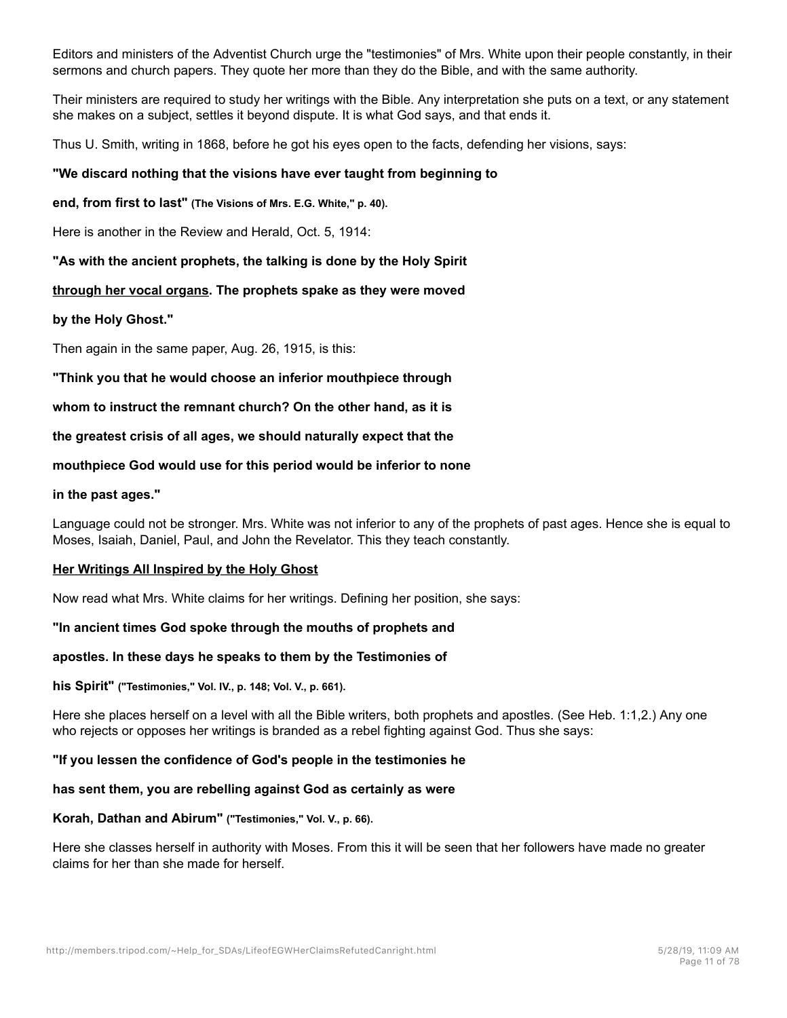Editors and ministers of the Adventist Church urge the "testimonies" of Mrs. White upon their people constantly, in their sermons and church papers. They quote her more than they do the Bible, and with the same authority.

Their ministers are required to study her writings with the Bible. Any interpretation she puts on a text, or any statement she makes on a subject, settles it beyond dispute. It is what God says, and that ends it.

Thus U. Smith, writing in 1868, before he got his eyes open to the facts, defending her visions, says:

# **"We discard nothing that the visions have ever taught from beginning to**

**end, from first to last" (The Visions of Mrs. E.G. White," p. 40).**

Here is another in the Review and Herald, Oct. 5, 1914:

**"As with the ancient prophets, the talking is done by the Holy Spirit**

# **through her vocal organs. The prophets spake as they were moved**

## **by the Holy Ghost."**

Then again in the same paper, Aug. 26, 1915, is this:

**"Think you that he would choose an inferior mouthpiece through**

**whom to instruct the remnant church? On the other hand, as it is**

**the greatest crisis of all ages, we should naturally expect that the**

## **mouthpiece God would use for this period would be inferior to none**

## **in the past ages."**

Language could not be stronger. Mrs. White was not inferior to any of the prophets of past ages. Hence she is equal to Moses, Isaiah, Daniel, Paul, and John the Revelator. This they teach constantly.

## **Her Writings All Inspired by the Holy Ghost**

Now read what Mrs. White claims for her writings. Defining her position, she says:

## **"In ancient times God spoke through the mouths of prophets and**

## **apostles. In these days he speaks to them by the Testimonies of**

## **his Spirit" ("Testimonies," Vol. IV., p. 148; Vol. V., p. 661).**

Here she places herself on a level with all the Bible writers, both prophets and apostles. (See Heb. 1:1,2.) Any one who rejects or opposes her writings is branded as a rebel fighting against God. Thus she says:

## **"If you lessen the confidence of God's people in the testimonies he**

## **has sent them, you are rebelling against God as certainly as were**

## **Korah, Dathan and Abirum" ("Testimonies," Vol. V., p. 66).**

Here she classes herself in authority with Moses. From this it will be seen that her followers have made no greater claims for her than she made for herself.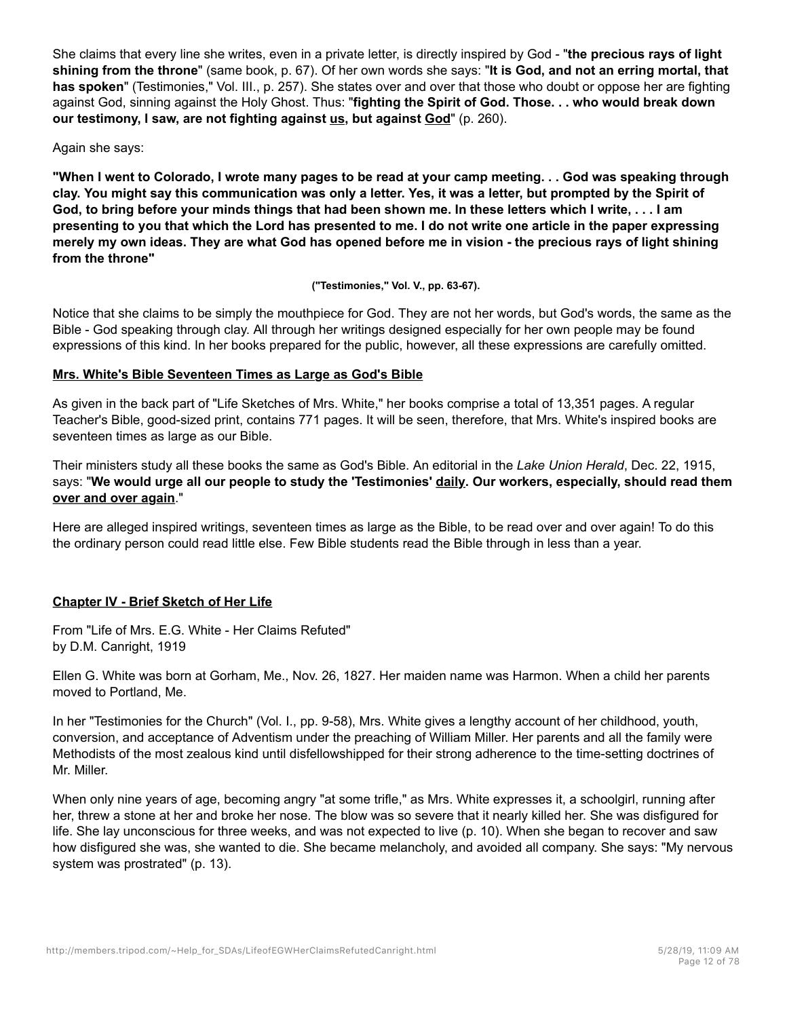She claims that every line she writes, even in a private letter, is directly inspired by God - "**the precious rays of light shining from the throne**" (same book, p. 67). Of her own words she says: "**It is God, and not an erring mortal, that has spoken**" (Testimonies," Vol. III., p. 257). She states over and over that those who doubt or oppose her are fighting against God, sinning against the Holy Ghost. Thus: "**fighting the Spirit of God. Those. . . who would break down our testimony, I saw, are not fighting against us, but against God**" (p. 260).

Again she says:

**"When I went to Colorado, I wrote many pages to be read at your camp meeting. . . God was speaking through clay. You might say this communication was only a letter. Yes, it was a letter, but prompted by the Spirit of God, to bring before your minds things that had been shown me. In these letters which I write, . . . I am presenting to you that which the Lord has presented to me. I do not write one article in the paper expressing merely my own ideas. They are what God has opened before me in vision - the precious rays of light shining from the throne"**

**("Testimonies," Vol. V., pp. 63-67).**

Notice that she claims to be simply the mouthpiece for God. They are not her words, but God's words, the same as the Bible - God speaking through clay. All through her writings designed especially for her own people may be found expressions of this kind. In her books prepared for the public, however, all these expressions are carefully omitted.

## **Mrs. White's Bible Seventeen Times as Large as God's Bible**

As given in the back part of "Life Sketches of Mrs. White," her books comprise a total of 13,351 pages. A regular Teacher's Bible, good-sized print, contains 771 pages. It will be seen, therefore, that Mrs. White's inspired books are seventeen times as large as our Bible.

Their ministers study all these books the same as God's Bible. An editorial in the *Lake Union Herald*, Dec. 22, 1915, says: "**We would urge all our people to study the 'Testimonies' daily. Our workers, especially, should read them over and over again**."

Here are alleged inspired writings, seventeen times as large as the Bible, to be read over and over again! To do this the ordinary person could read little else. Few Bible students read the Bible through in less than a year.

## **Chapter IV - Brief Sketch of Her Life**

From "Life of Mrs. E.G. White - Her Claims Refuted" by D.M. Canright, 1919

Ellen G. White was born at Gorham, Me., Nov. 26, 1827. Her maiden name was Harmon. When a child her parents moved to Portland, Me.

In her "Testimonies for the Church" (Vol. I., pp. 9-58), Mrs. White gives a lengthy account of her childhood, youth, conversion, and acceptance of Adventism under the preaching of William Miller. Her parents and all the family were Methodists of the most zealous kind until disfellowshipped for their strong adherence to the time-setting doctrines of Mr. Miller.

When only nine years of age, becoming angry "at some trifle," as Mrs. White expresses it, a schoolgirl, running after her, threw a stone at her and broke her nose. The blow was so severe that it nearly killed her. She was disfigured for life. She lay unconscious for three weeks, and was not expected to live (p. 10). When she began to recover and saw how disfigured she was, she wanted to die. She became melancholy, and avoided all company. She says: "My nervous system was prostrated" (p. 13).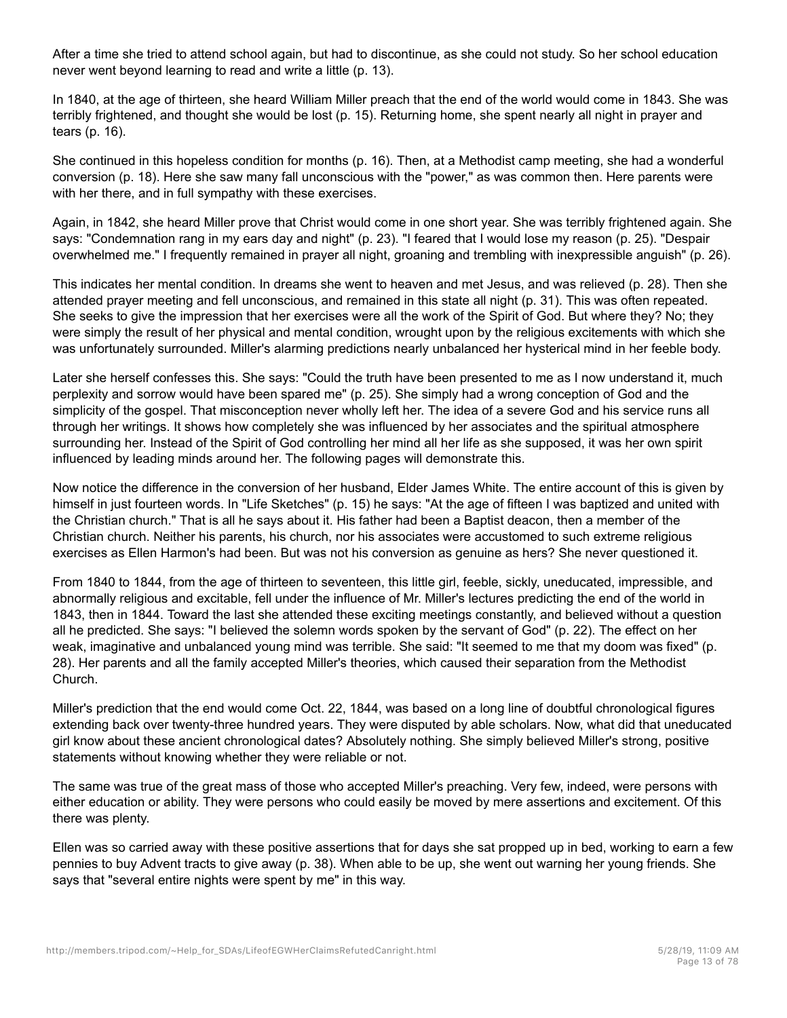After a time she tried to attend school again, but had to discontinue, as she could not study. So her school education never went beyond learning to read and write a little (p. 13).

In 1840, at the age of thirteen, she heard William Miller preach that the end of the world would come in 1843. She was terribly frightened, and thought she would be lost (p. 15). Returning home, she spent nearly all night in prayer and tears (p. 16).

She continued in this hopeless condition for months (p. 16). Then, at a Methodist camp meeting, she had a wonderful conversion (p. 18). Here she saw many fall unconscious with the "power," as was common then. Here parents were with her there, and in full sympathy with these exercises.

Again, in 1842, she heard Miller prove that Christ would come in one short year. She was terribly frightened again. She says: "Condemnation rang in my ears day and night" (p. 23). "I feared that I would lose my reason (p. 25). "Despair overwhelmed me." I frequently remained in prayer all night, groaning and trembling with inexpressible anguish" (p. 26).

This indicates her mental condition. In dreams she went to heaven and met Jesus, and was relieved (p. 28). Then she attended prayer meeting and fell unconscious, and remained in this state all night (p. 31). This was often repeated. She seeks to give the impression that her exercises were all the work of the Spirit of God. But where they? No; they were simply the result of her physical and mental condition, wrought upon by the religious excitements with which she was unfortunately surrounded. Miller's alarming predictions nearly unbalanced her hysterical mind in her feeble body.

Later she herself confesses this. She says: "Could the truth have been presented to me as I now understand it, much perplexity and sorrow would have been spared me" (p. 25). She simply had a wrong conception of God and the simplicity of the gospel. That misconception never wholly left her. The idea of a severe God and his service runs all through her writings. It shows how completely she was influenced by her associates and the spiritual atmosphere surrounding her. Instead of the Spirit of God controlling her mind all her life as she supposed, it was her own spirit influenced by leading minds around her. The following pages will demonstrate this.

Now notice the difference in the conversion of her husband, Elder James White. The entire account of this is given by himself in just fourteen words. In "Life Sketches" (p. 15) he says: "At the age of fifteen I was baptized and united with the Christian church." That is all he says about it. His father had been a Baptist deacon, then a member of the Christian church. Neither his parents, his church, nor his associates were accustomed to such extreme religious exercises as Ellen Harmon's had been. But was not his conversion as genuine as hers? She never questioned it.

From 1840 to 1844, from the age of thirteen to seventeen, this little girl, feeble, sickly, uneducated, impressible, and abnormally religious and excitable, fell under the influence of Mr. Miller's lectures predicting the end of the world in 1843, then in 1844. Toward the last she attended these exciting meetings constantly, and believed without a question all he predicted. She says: "I believed the solemn words spoken by the servant of God" (p. 22). The effect on her weak, imaginative and unbalanced young mind was terrible. She said: "It seemed to me that my doom was fixed" (p. 28). Her parents and all the family accepted Miller's theories, which caused their separation from the Methodist Church.

Miller's prediction that the end would come Oct. 22, 1844, was based on a long line of doubtful chronological figures extending back over twenty-three hundred years. They were disputed by able scholars. Now, what did that uneducated girl know about these ancient chronological dates? Absolutely nothing. She simply believed Miller's strong, positive statements without knowing whether they were reliable or not.

The same was true of the great mass of those who accepted Miller's preaching. Very few, indeed, were persons with either education or ability. They were persons who could easily be moved by mere assertions and excitement. Of this there was plenty.

Ellen was so carried away with these positive assertions that for days she sat propped up in bed, working to earn a few pennies to buy Advent tracts to give away (p. 38). When able to be up, she went out warning her young friends. She says that "several entire nights were spent by me" in this way.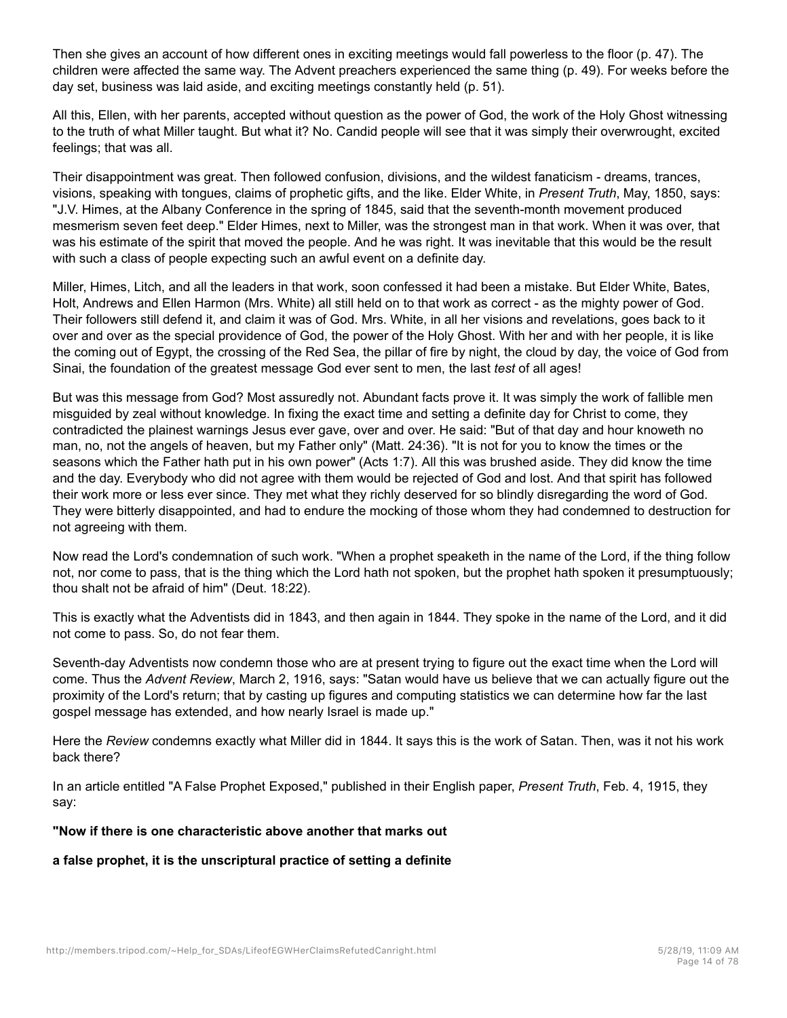Then she gives an account of how different ones in exciting meetings would fall powerless to the floor (p. 47). The children were affected the same way. The Advent preachers experienced the same thing (p. 49). For weeks before the day set, business was laid aside, and exciting meetings constantly held (p. 51).

All this, Ellen, with her parents, accepted without question as the power of God, the work of the Holy Ghost witnessing to the truth of what Miller taught. But what it? No. Candid people will see that it was simply their overwrought, excited feelings; that was all.

Their disappointment was great. Then followed confusion, divisions, and the wildest fanaticism - dreams, trances, visions, speaking with tongues, claims of prophetic gifts, and the like. Elder White, in *Present Truth*, May, 1850, says: "J.V. Himes, at the Albany Conference in the spring of 1845, said that the seventh-month movement produced mesmerism seven feet deep." Elder Himes, next to Miller, was the strongest man in that work. When it was over, that was his estimate of the spirit that moved the people. And he was right. It was inevitable that this would be the result with such a class of people expecting such an awful event on a definite day.

Miller, Himes, Litch, and all the leaders in that work, soon confessed it had been a mistake. But Elder White, Bates, Holt, Andrews and Ellen Harmon (Mrs. White) all still held on to that work as correct - as the mighty power of God. Their followers still defend it, and claim it was of God. Mrs. White, in all her visions and revelations, goes back to it over and over as the special providence of God, the power of the Holy Ghost. With her and with her people, it is like the coming out of Egypt, the crossing of the Red Sea, the pillar of fire by night, the cloud by day, the voice of God from Sinai, the foundation of the greatest message God ever sent to men, the last *test* of all ages!

But was this message from God? Most assuredly not. Abundant facts prove it. It was simply the work of fallible men misguided by zeal without knowledge. In fixing the exact time and setting a definite day for Christ to come, they contradicted the plainest warnings Jesus ever gave, over and over. He said: "But of that day and hour knoweth no man, no, not the angels of heaven, but my Father only" (Matt. 24:36). "It is not for you to know the times or the seasons which the Father hath put in his own power" (Acts 1:7). All this was brushed aside. They did know the time and the day. Everybody who did not agree with them would be rejected of God and lost. And that spirit has followed their work more or less ever since. They met what they richly deserved for so blindly disregarding the word of God. They were bitterly disappointed, and had to endure the mocking of those whom they had condemned to destruction for not agreeing with them.

Now read the Lord's condemnation of such work. "When a prophet speaketh in the name of the Lord, if the thing follow not, nor come to pass, that is the thing which the Lord hath not spoken, but the prophet hath spoken it presumptuously; thou shalt not be afraid of him" (Deut. 18:22).

This is exactly what the Adventists did in 1843, and then again in 1844. They spoke in the name of the Lord, and it did not come to pass. So, do not fear them.

Seventh-day Adventists now condemn those who are at present trying to figure out the exact time when the Lord will come. Thus the *Advent Review*, March 2, 1916, says: "Satan would have us believe that we can actually figure out the proximity of the Lord's return; that by casting up figures and computing statistics we can determine how far the last gospel message has extended, and how nearly Israel is made up."

Here the *Review* condemns exactly what Miller did in 1844. It says this is the work of Satan. Then, was it not his work back there?

In an article entitled "A False Prophet Exposed," published in their English paper, *Present Truth*, Feb. 4, 1915, they say:

## **"Now if there is one characteristic above another that marks out**

**a false prophet, it is the unscriptural practice of setting a definite**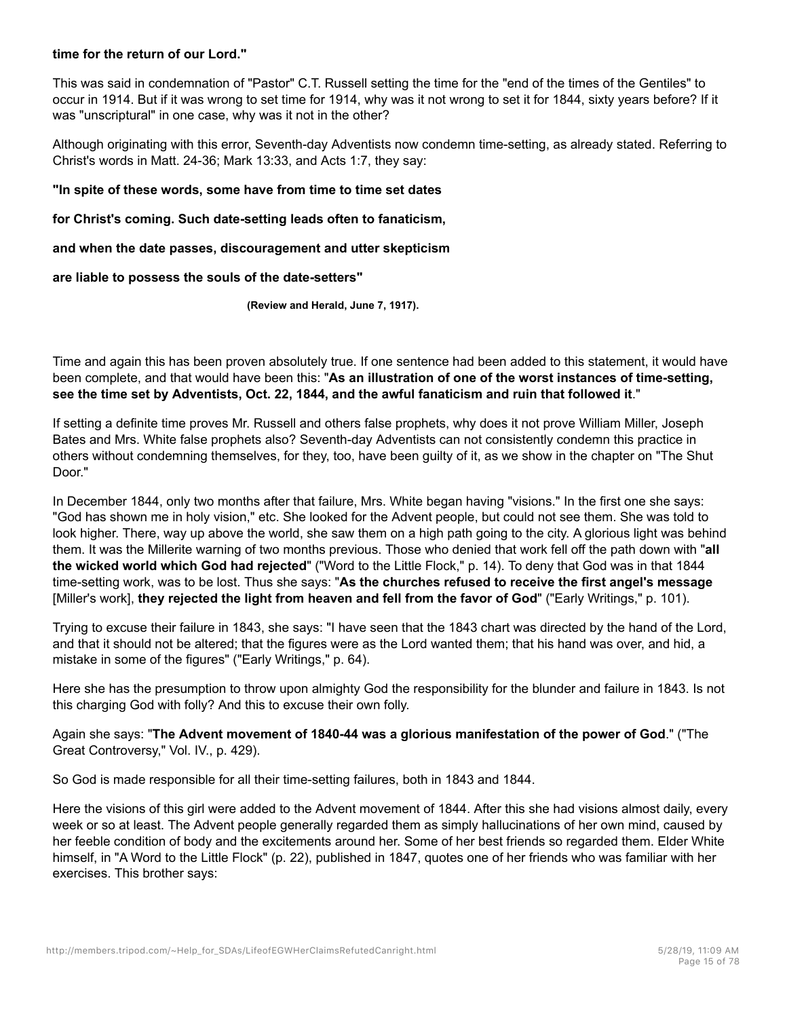#### **time for the return of our Lord."**

This was said in condemnation of "Pastor" C.T. Russell setting the time for the "end of the times of the Gentiles" to occur in 1914. But if it was wrong to set time for 1914, why was it not wrong to set it for 1844, sixty years before? If it was "unscriptural" in one case, why was it not in the other?

Although originating with this error, Seventh-day Adventists now condemn time-setting, as already stated. Referring to Christ's words in Matt. 24-36; Mark 13:33, and Acts 1:7, they say:

#### **"In spite of these words, some have from time to time set dates**

**for Christ's coming. Such date-setting leads often to fanaticism,**

**and when the date passes, discouragement and utter skepticism**

**are liable to possess the souls of the date-setters"**

**(Review and Herald, June 7, 1917).**

Time and again this has been proven absolutely true. If one sentence had been added to this statement, it would have been complete, and that would have been this: "**As an illustration of one of the worst instances of time-setting, see the time set by Adventists, Oct. 22, 1844, and the awful fanaticism and ruin that followed it**."

If setting a definite time proves Mr. Russell and others false prophets, why does it not prove William Miller, Joseph Bates and Mrs. White false prophets also? Seventh-day Adventists can not consistently condemn this practice in others without condemning themselves, for they, too, have been guilty of it, as we show in the chapter on "The Shut Door."

In December 1844, only two months after that failure, Mrs. White began having "visions." In the first one she says: "God has shown me in holy vision," etc. She looked for the Advent people, but could not see them. She was told to look higher. There, way up above the world, she saw them on a high path going to the city. A glorious light was behind them. It was the Millerite warning of two months previous. Those who denied that work fell off the path down with "**all the wicked world which God had rejected**" ("Word to the Little Flock," p. 14). To deny that God was in that 1844 time-setting work, was to be lost. Thus she says: "**As the churches refused to receive the first angel's message** [Miller's work], **they rejected the light from heaven and fell from the favor of God**" ("Early Writings," p. 101).

Trying to excuse their failure in 1843, she says: "I have seen that the 1843 chart was directed by the hand of the Lord, and that it should not be altered; that the figures were as the Lord wanted them; that his hand was over, and hid, a mistake in some of the figures" ("Early Writings," p. 64).

Here she has the presumption to throw upon almighty God the responsibility for the blunder and failure in 1843. Is not this charging God with folly? And this to excuse their own folly.

Again she says: "**The Advent movement of 1840-44 was a glorious manifestation of the power of God**." ("The Great Controversy," Vol. IV., p. 429).

So God is made responsible for all their time-setting failures, both in 1843 and 1844.

Here the visions of this girl were added to the Advent movement of 1844. After this she had visions almost daily, every week or so at least. The Advent people generally regarded them as simply hallucinations of her own mind, caused by her feeble condition of body and the excitements around her. Some of her best friends so regarded them. Elder White himself, in "A Word to the Little Flock" (p. 22), published in 1847, quotes one of her friends who was familiar with her exercises. This brother says: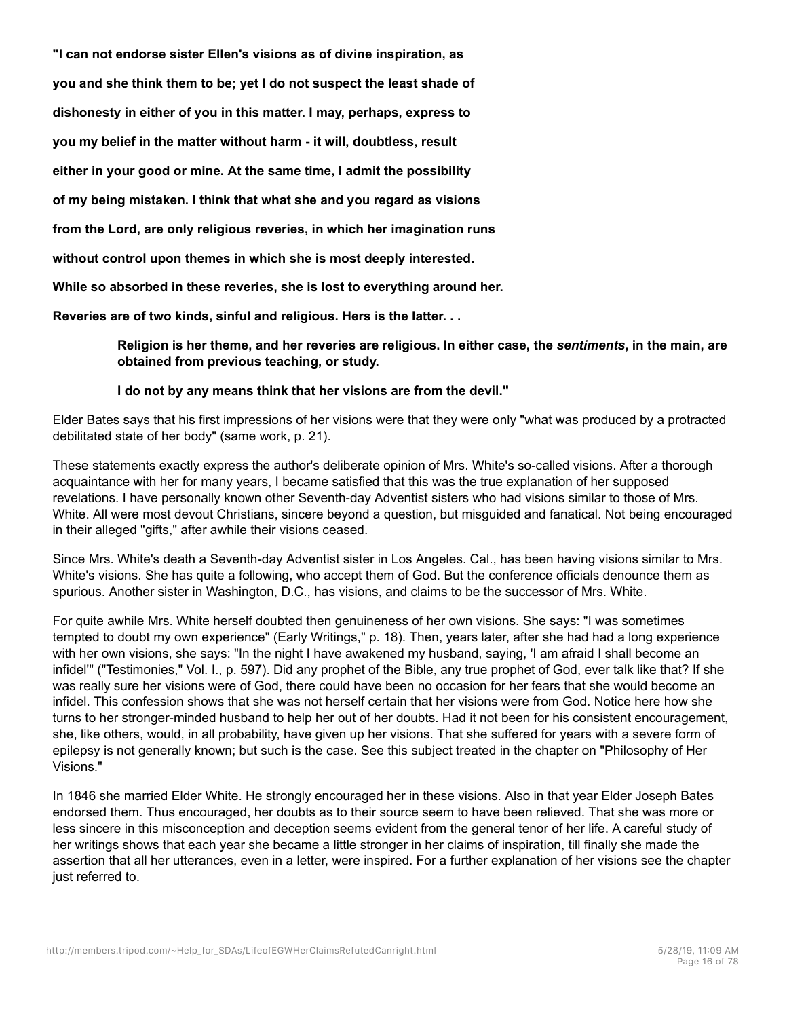**"I can not endorse sister Ellen's visions as of divine inspiration, as you and she think them to be; yet I do not suspect the least shade of dishonesty in either of you in this matter. I may, perhaps, express to you my belief in the matter without harm - it will, doubtless, result either in your good or mine. At the same time, I admit the possibility of my being mistaken. I think that what she and you regard as visions from the Lord, are only religious reveries, in which her imagination runs without control upon themes in which she is most deeply interested. While so absorbed in these reveries, she is lost to everything around her. Reveries are of two kinds, sinful and religious. Hers is the latter. . .**

> **Religion is her theme, and her reveries are religious. In either case, the** *sentiments***, in the main, are obtained from previous teaching, or study.**

#### **I do not by any means think that her visions are from the devil."**

Elder Bates says that his first impressions of her visions were that they were only "what was produced by a protracted debilitated state of her body" (same work, p. 21).

These statements exactly express the author's deliberate opinion of Mrs. White's so-called visions. After a thorough acquaintance with her for many years, I became satisfied that this was the true explanation of her supposed revelations. I have personally known other Seventh-day Adventist sisters who had visions similar to those of Mrs. White. All were most devout Christians, sincere beyond a question, but misguided and fanatical. Not being encouraged in their alleged "gifts," after awhile their visions ceased.

Since Mrs. White's death a Seventh-day Adventist sister in Los Angeles. Cal., has been having visions similar to Mrs. White's visions. She has quite a following, who accept them of God. But the conference officials denounce them as spurious. Another sister in Washington, D.C., has visions, and claims to be the successor of Mrs. White.

For quite awhile Mrs. White herself doubted then genuineness of her own visions. She says: "I was sometimes tempted to doubt my own experience" (Early Writings," p. 18). Then, years later, after she had had a long experience with her own visions, she says: "In the night I have awakened my husband, saying, 'I am afraid I shall become an infidel'" ("Testimonies," Vol. I., p. 597). Did any prophet of the Bible, any true prophet of God, ever talk like that? If she was really sure her visions were of God, there could have been no occasion for her fears that she would become an infidel. This confession shows that she was not herself certain that her visions were from God. Notice here how she turns to her stronger-minded husband to help her out of her doubts. Had it not been for his consistent encouragement, she, like others, would, in all probability, have given up her visions. That she suffered for years with a severe form of epilepsy is not generally known; but such is the case. See this subject treated in the chapter on "Philosophy of Her Visions."

In 1846 she married Elder White. He strongly encouraged her in these visions. Also in that year Elder Joseph Bates endorsed them. Thus encouraged, her doubts as to their source seem to have been relieved. That she was more or less sincere in this misconception and deception seems evident from the general tenor of her life. A careful study of her writings shows that each year she became a little stronger in her claims of inspiration, till finally she made the assertion that all her utterances, even in a letter, were inspired. For a further explanation of her visions see the chapter just referred to.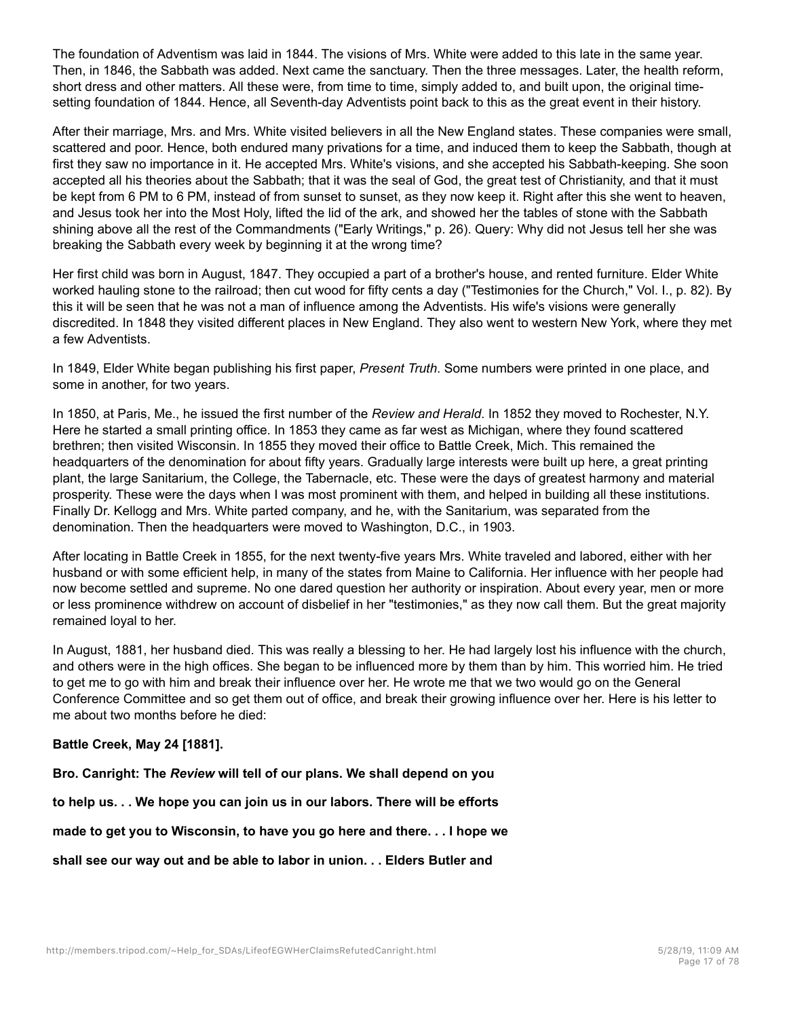The foundation of Adventism was laid in 1844. The visions of Mrs. White were added to this late in the same year. Then, in 1846, the Sabbath was added. Next came the sanctuary. Then the three messages. Later, the health reform, short dress and other matters. All these were, from time to time, simply added to, and built upon, the original timesetting foundation of 1844. Hence, all Seventh-day Adventists point back to this as the great event in their history.

After their marriage, Mrs. and Mrs. White visited believers in all the New England states. These companies were small, scattered and poor. Hence, both endured many privations for a time, and induced them to keep the Sabbath, though at first they saw no importance in it. He accepted Mrs. White's visions, and she accepted his Sabbath-keeping. She soon accepted all his theories about the Sabbath; that it was the seal of God, the great test of Christianity, and that it must be kept from 6 PM to 6 PM, instead of from sunset to sunset, as they now keep it. Right after this she went to heaven, and Jesus took her into the Most Holy, lifted the lid of the ark, and showed her the tables of stone with the Sabbath shining above all the rest of the Commandments ("Early Writings," p. 26). Query: Why did not Jesus tell her she was breaking the Sabbath every week by beginning it at the wrong time?

Her first child was born in August, 1847. They occupied a part of a brother's house, and rented furniture. Elder White worked hauling stone to the railroad; then cut wood for fifty cents a day ("Testimonies for the Church," Vol. I., p. 82). By this it will be seen that he was not a man of influence among the Adventists. His wife's visions were generally discredited. In 1848 they visited different places in New England. They also went to western New York, where they met a few Adventists.

In 1849, Elder White began publishing his first paper, *Present Truth*. Some numbers were printed in one place, and some in another, for two years.

In 1850, at Paris, Me., he issued the first number of the *Review and Herald*. In 1852 they moved to Rochester, N.Y. Here he started a small printing office. In 1853 they came as far west as Michigan, where they found scattered brethren; then visited Wisconsin. In 1855 they moved their office to Battle Creek, Mich. This remained the headquarters of the denomination for about fifty years. Gradually large interests were built up here, a great printing plant, the large Sanitarium, the College, the Tabernacle, etc. These were the days of greatest harmony and material prosperity. These were the days when I was most prominent with them, and helped in building all these institutions. Finally Dr. Kellogg and Mrs. White parted company, and he, with the Sanitarium, was separated from the denomination. Then the headquarters were moved to Washington, D.C., in 1903.

After locating in Battle Creek in 1855, for the next twenty-five years Mrs. White traveled and labored, either with her husband or with some efficient help, in many of the states from Maine to California. Her influence with her people had now become settled and supreme. No one dared question her authority or inspiration. About every year, men or more or less prominence withdrew on account of disbelief in her "testimonies," as they now call them. But the great majority remained loyal to her.

In August, 1881, her husband died. This was really a blessing to her. He had largely lost his influence with the church, and others were in the high offices. She began to be influenced more by them than by him. This worried him. He tried to get me to go with him and break their influence over her. He wrote me that we two would go on the General Conference Committee and so get them out of office, and break their growing influence over her. Here is his letter to me about two months before he died:

## **Battle Creek, May 24 [1881].**

**Bro. Canright: The** *Review* **will tell of our plans. We shall depend on you**

**to help us. . . We hope you can join us in our labors. There will be efforts**

**made to get you to Wisconsin, to have you go here and there. . . I hope we**

**shall see our way out and be able to labor in union. . . Elders Butler and**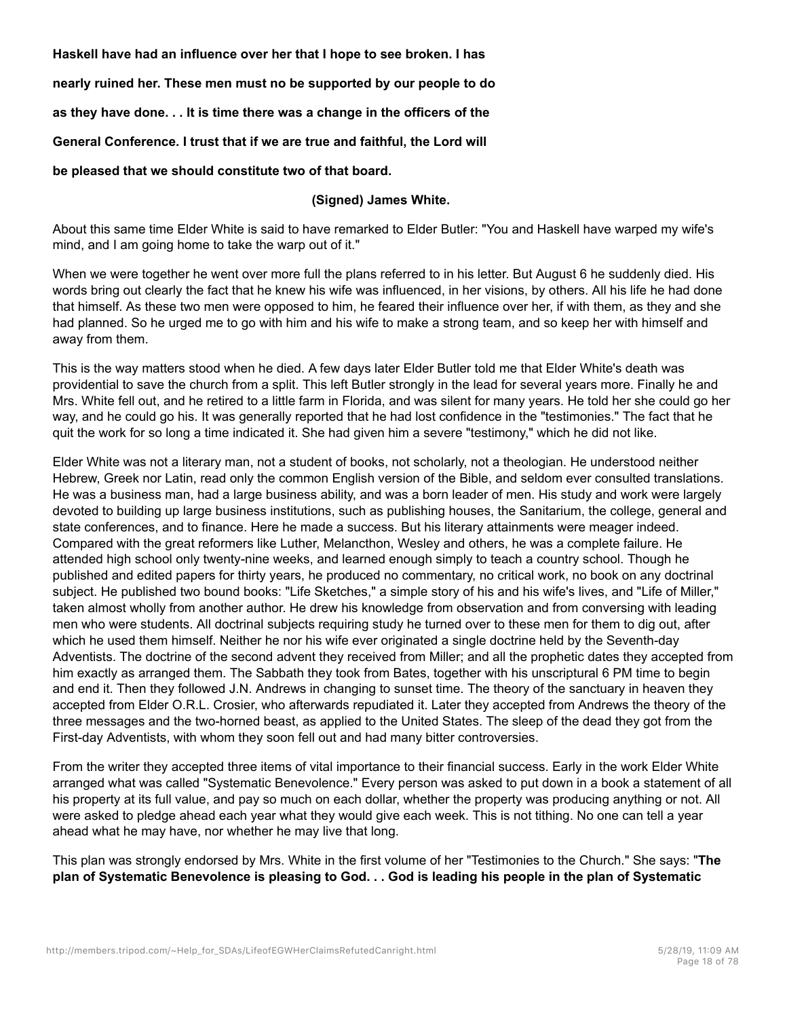**Haskell have had an influence over her that I hope to see broken. I has**

**nearly ruined her. These men must no be supported by our people to do**

**as they have done. . . It is time there was a change in the officers of the**

**General Conference. I trust that if we are true and faithful, the Lord will**

**be pleased that we should constitute two of that board.**

#### **(Signed) James White.**

About this same time Elder White is said to have remarked to Elder Butler: "You and Haskell have warped my wife's mind, and I am going home to take the warp out of it."

When we were together he went over more full the plans referred to in his letter. But August 6 he suddenly died. His words bring out clearly the fact that he knew his wife was influenced, in her visions, by others. All his life he had done that himself. As these two men were opposed to him, he feared their influence over her, if with them, as they and she had planned. So he urged me to go with him and his wife to make a strong team, and so keep her with himself and away from them.

This is the way matters stood when he died. A few days later Elder Butler told me that Elder White's death was providential to save the church from a split. This left Butler strongly in the lead for several years more. Finally he and Mrs. White fell out, and he retired to a little farm in Florida, and was silent for many years. He told her she could go her way, and he could go his. It was generally reported that he had lost confidence in the "testimonies." The fact that he quit the work for so long a time indicated it. She had given him a severe "testimony," which he did not like.

Elder White was not a literary man, not a student of books, not scholarly, not a theologian. He understood neither Hebrew, Greek nor Latin, read only the common English version of the Bible, and seldom ever consulted translations. He was a business man, had a large business ability, and was a born leader of men. His study and work were largely devoted to building up large business institutions, such as publishing houses, the Sanitarium, the college, general and state conferences, and to finance. Here he made a success. But his literary attainments were meager indeed. Compared with the great reformers like Luther, Melancthon, Wesley and others, he was a complete failure. He attended high school only twenty-nine weeks, and learned enough simply to teach a country school. Though he published and edited papers for thirty years, he produced no commentary, no critical work, no book on any doctrinal subject. He published two bound books: "Life Sketches," a simple story of his and his wife's lives, and "Life of Miller," taken almost wholly from another author. He drew his knowledge from observation and from conversing with leading men who were students. All doctrinal subjects requiring study he turned over to these men for them to dig out, after which he used them himself. Neither he nor his wife ever originated a single doctrine held by the Seventh-day Adventists. The doctrine of the second advent they received from Miller; and all the prophetic dates they accepted from him exactly as arranged them. The Sabbath they took from Bates, together with his unscriptural 6 PM time to begin and end it. Then they followed J.N. Andrews in changing to sunset time. The theory of the sanctuary in heaven they accepted from Elder O.R.L. Crosier, who afterwards repudiated it. Later they accepted from Andrews the theory of the three messages and the two-horned beast, as applied to the United States. The sleep of the dead they got from the First-day Adventists, with whom they soon fell out and had many bitter controversies.

From the writer they accepted three items of vital importance to their financial success. Early in the work Elder White arranged what was called "Systematic Benevolence." Every person was asked to put down in a book a statement of all his property at its full value, and pay so much on each dollar, whether the property was producing anything or not. All were asked to pledge ahead each year what they would give each week. This is not tithing. No one can tell a year ahead what he may have, nor whether he may live that long.

This plan was strongly endorsed by Mrs. White in the first volume of her "Testimonies to the Church." She says: "**The plan of Systematic Benevolence is pleasing to God. . . God is leading his people in the plan of Systematic**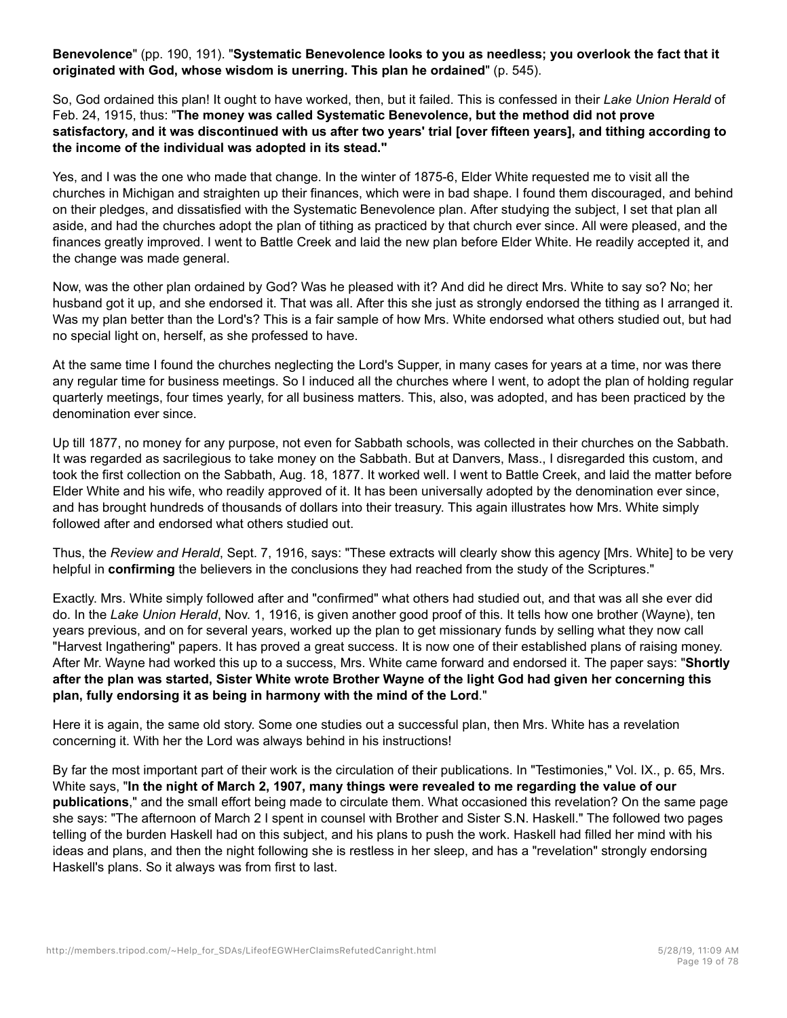**Benevolence**" (pp. 190, 191). "**Systematic Benevolence looks to you as needless; you overlook the fact that it originated with God, whose wisdom is unerring. This plan he ordained**" (p. 545).

So, God ordained this plan! It ought to have worked, then, but it failed. This is confessed in their *Lake Union Herald* of Feb. 24, 1915, thus: "**The money was called Systematic Benevolence, but the method did not prove satisfactory, and it was discontinued with us after two years' trial [over fifteen years], and tithing according to the income of the individual was adopted in its stead."**

Yes, and I was the one who made that change. In the winter of 1875-6, Elder White requested me to visit all the churches in Michigan and straighten up their finances, which were in bad shape. I found them discouraged, and behind on their pledges, and dissatisfied with the Systematic Benevolence plan. After studying the subject, I set that plan all aside, and had the churches adopt the plan of tithing as practiced by that church ever since. All were pleased, and the finances greatly improved. I went to Battle Creek and laid the new plan before Elder White. He readily accepted it, and the change was made general.

Now, was the other plan ordained by God? Was he pleased with it? And did he direct Mrs. White to say so? No; her husband got it up, and she endorsed it. That was all. After this she just as strongly endorsed the tithing as I arranged it. Was my plan better than the Lord's? This is a fair sample of how Mrs. White endorsed what others studied out, but had no special light on, herself, as she professed to have.

At the same time I found the churches neglecting the Lord's Supper, in many cases for years at a time, nor was there any regular time for business meetings. So I induced all the churches where I went, to adopt the plan of holding regular quarterly meetings, four times yearly, for all business matters. This, also, was adopted, and has been practiced by the denomination ever since.

Up till 1877, no money for any purpose, not even for Sabbath schools, was collected in their churches on the Sabbath. It was regarded as sacrilegious to take money on the Sabbath. But at Danvers, Mass., I disregarded this custom, and took the first collection on the Sabbath, Aug. 18, 1877. It worked well. I went to Battle Creek, and laid the matter before Elder White and his wife, who readily approved of it. It has been universally adopted by the denomination ever since, and has brought hundreds of thousands of dollars into their treasury. This again illustrates how Mrs. White simply followed after and endorsed what others studied out.

Thus, the *Review and Herald*, Sept. 7, 1916, says: "These extracts will clearly show this agency [Mrs. White] to be very helpful in **confirming** the believers in the conclusions they had reached from the study of the Scriptures."

Exactly. Mrs. White simply followed after and "confirmed" what others had studied out, and that was all she ever did do. In the *Lake Union Herald*, Nov. 1, 1916, is given another good proof of this. It tells how one brother (Wayne), ten years previous, and on for several years, worked up the plan to get missionary funds by selling what they now call "Harvest Ingathering" papers. It has proved a great success. It is now one of their established plans of raising money. After Mr. Wayne had worked this up to a success, Mrs. White came forward and endorsed it. The paper says: "**Shortly after the plan was started, Sister White wrote Brother Wayne of the light God had given her concerning this plan, fully endorsing it as being in harmony with the mind of the Lord**."

Here it is again, the same old story. Some one studies out a successful plan, then Mrs. White has a revelation concerning it. With her the Lord was always behind in his instructions!

By far the most important part of their work is the circulation of their publications. In "Testimonies," Vol. IX., p. 65, Mrs. White says, "**In the night of March 2, 1907, many things were revealed to me regarding the value of our publications**," and the small effort being made to circulate them. What occasioned this revelation? On the same page she says: "The afternoon of March 2 I spent in counsel with Brother and Sister S.N. Haskell." The followed two pages telling of the burden Haskell had on this subject, and his plans to push the work. Haskell had filled her mind with his ideas and plans, and then the night following she is restless in her sleep, and has a "revelation" strongly endorsing Haskell's plans. So it always was from first to last.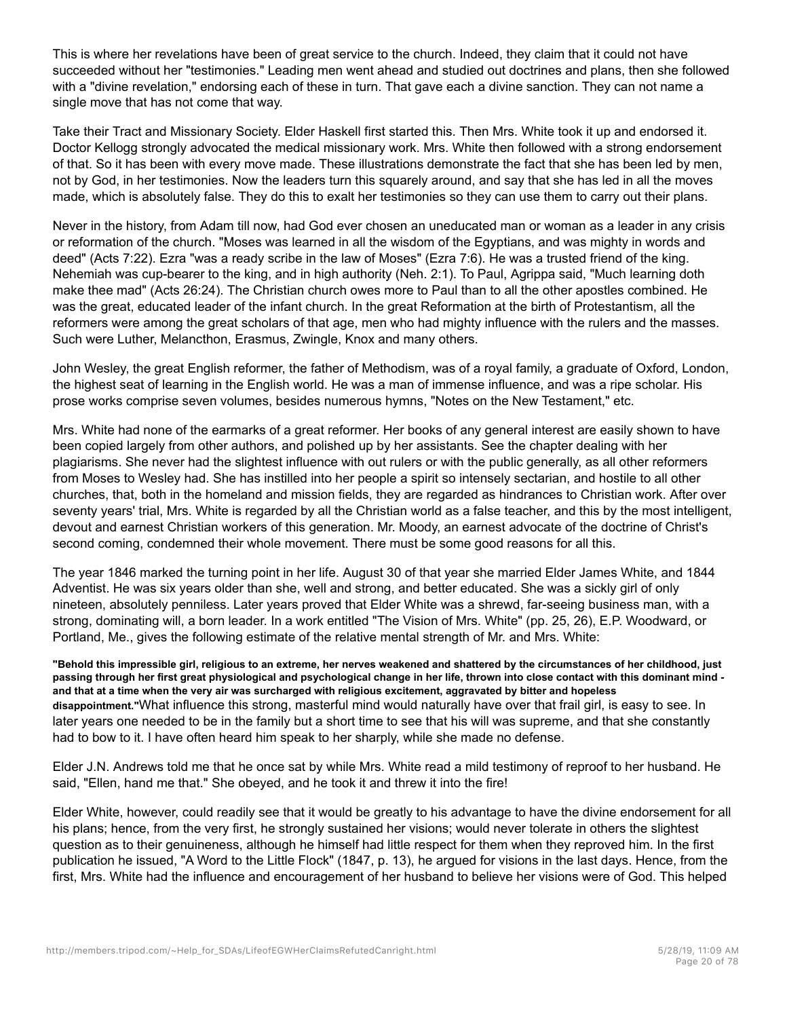This is where her revelations have been of great service to the church. Indeed, they claim that it could not have succeeded without her "testimonies." Leading men went ahead and studied out doctrines and plans, then she followed with a "divine revelation," endorsing each of these in turn. That gave each a divine sanction. They can not name a single move that has not come that way.

Take their Tract and Missionary Society. Elder Haskell first started this. Then Mrs. White took it up and endorsed it. Doctor Kellogg strongly advocated the medical missionary work. Mrs. White then followed with a strong endorsement of that. So it has been with every move made. These illustrations demonstrate the fact that she has been led by men, not by God, in her testimonies. Now the leaders turn this squarely around, and say that she has led in all the moves made, which is absolutely false. They do this to exalt her testimonies so they can use them to carry out their plans.

Never in the history, from Adam till now, had God ever chosen an uneducated man or woman as a leader in any crisis or reformation of the church. "Moses was learned in all the wisdom of the Egyptians, and was mighty in words and deed" (Acts 7:22). Ezra "was a ready scribe in the law of Moses" (Ezra 7:6). He was a trusted friend of the king. Nehemiah was cup-bearer to the king, and in high authority (Neh. 2:1). To Paul, Agrippa said, "Much learning doth make thee mad" (Acts 26:24). The Christian church owes more to Paul than to all the other apostles combined. He was the great, educated leader of the infant church. In the great Reformation at the birth of Protestantism, all the reformers were among the great scholars of that age, men who had mighty influence with the rulers and the masses. Such were Luther, Melancthon, Erasmus, Zwingle, Knox and many others.

John Wesley, the great English reformer, the father of Methodism, was of a royal family, a graduate of Oxford, London, the highest seat of learning in the English world. He was a man of immense influence, and was a ripe scholar. His prose works comprise seven volumes, besides numerous hymns, "Notes on the New Testament," etc.

Mrs. White had none of the earmarks of a great reformer. Her books of any general interest are easily shown to have been copied largely from other authors, and polished up by her assistants. See the chapter dealing with her plagiarisms. She never had the slightest influence with out rulers or with the public generally, as all other reformers from Moses to Wesley had. She has instilled into her people a spirit so intensely sectarian, and hostile to all other churches, that, both in the homeland and mission fields, they are regarded as hindrances to Christian work. After over seventy years' trial, Mrs. White is regarded by all the Christian world as a false teacher, and this by the most intelligent, devout and earnest Christian workers of this generation. Mr. Moody, an earnest advocate of the doctrine of Christ's second coming, condemned their whole movement. There must be some good reasons for all this.

The year 1846 marked the turning point in her life. August 30 of that year she married Elder James White, and 1844 Adventist. He was six years older than she, well and strong, and better educated. She was a sickly girl of only nineteen, absolutely penniless. Later years proved that Elder White was a shrewd, far-seeing business man, with a strong, dominating will, a born leader. In a work entitled "The Vision of Mrs. White" (pp. 25, 26), E.P. Woodward, or Portland, Me., gives the following estimate of the relative mental strength of Mr. and Mrs. White:

**"Behold this impressible girl, religious to an extreme, her nerves weakened and shattered by the circumstances of her childhood, just passing through her first great physiological and psychological change in her life, thrown into close contact with this dominant mind and that at a time when the very air was surcharged with religious excitement, aggravated by bitter and hopeless disappointment."**What influence this strong, masterful mind would naturally have over that frail girl, is easy to see. In later years one needed to be in the family but a short time to see that his will was supreme, and that she constantly had to bow to it. I have often heard him speak to her sharply, while she made no defense.

Elder J.N. Andrews told me that he once sat by while Mrs. White read a mild testimony of reproof to her husband. He said, "Ellen, hand me that." She obeyed, and he took it and threw it into the fire!

Elder White, however, could readily see that it would be greatly to his advantage to have the divine endorsement for all his plans; hence, from the very first, he strongly sustained her visions; would never tolerate in others the slightest question as to their genuineness, although he himself had little respect for them when they reproved him. In the first publication he issued, "A Word to the Little Flock" (1847, p. 13), he argued for visions in the last days. Hence, from the first, Mrs. White had the influence and encouragement of her husband to believe her visions were of God. This helped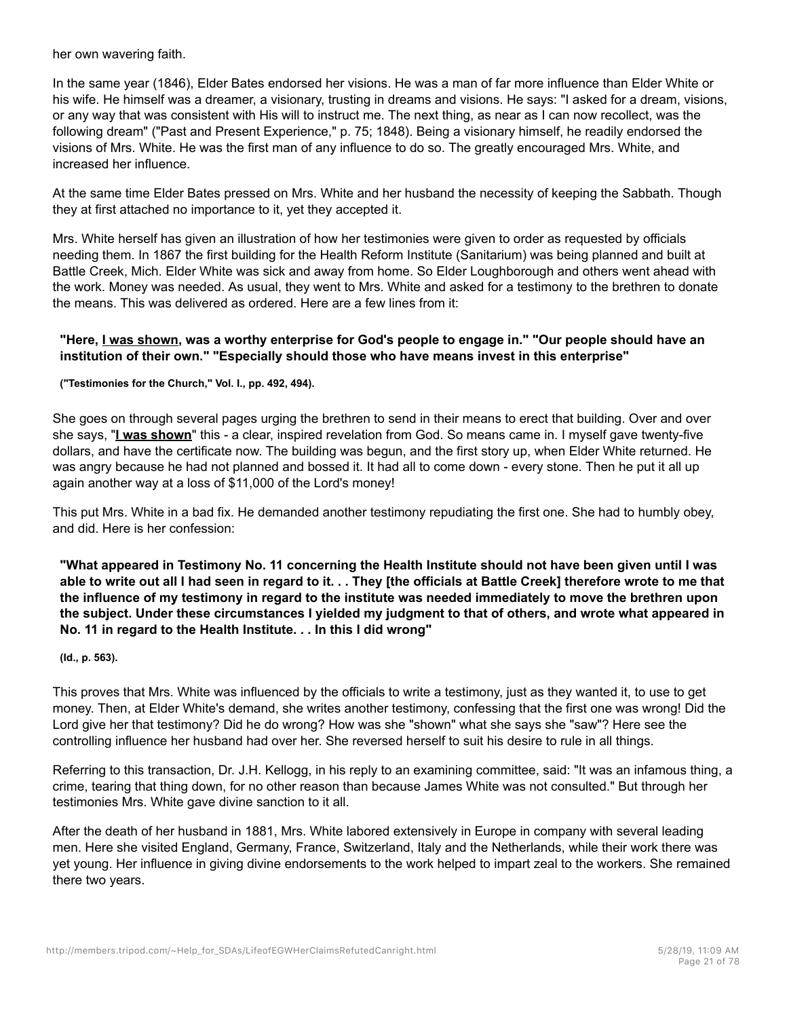her own wavering faith.

In the same year (1846), Elder Bates endorsed her visions. He was a man of far more influence than Elder White or his wife. He himself was a dreamer, a visionary, trusting in dreams and visions. He says: "I asked for a dream, visions, or any way that was consistent with His will to instruct me. The next thing, as near as I can now recollect, was the following dream" ("Past and Present Experience," p. 75; 1848). Being a visionary himself, he readily endorsed the visions of Mrs. White. He was the first man of any influence to do so. The greatly encouraged Mrs. White, and increased her influence.

At the same time Elder Bates pressed on Mrs. White and her husband the necessity of keeping the Sabbath. Though they at first attached no importance to it, yet they accepted it.

Mrs. White herself has given an illustration of how her testimonies were given to order as requested by officials needing them. In 1867 the first building for the Health Reform Institute (Sanitarium) was being planned and built at Battle Creek, Mich. Elder White was sick and away from home. So Elder Loughborough and others went ahead with the work. Money was needed. As usual, they went to Mrs. White and asked for a testimony to the brethren to donate the means. This was delivered as ordered. Here are a few lines from it:

#### **"Here, I was shown, was a worthy enterprise for God's people to engage in." "Our people should have an institution of their own." "Especially should those who have means invest in this enterprise"**

**("Testimonies for the Church," Vol. I., pp. 492, 494).**

She goes on through several pages urging the brethren to send in their means to erect that building. Over and over she says, "**I was shown**" this - a clear, inspired revelation from God. So means came in. I myself gave twenty-five dollars, and have the certificate now. The building was begun, and the first story up, when Elder White returned. He was angry because he had not planned and bossed it. It had all to come down - every stone. Then he put it all up again another way at a loss of \$11,000 of the Lord's money!

This put Mrs. White in a bad fix. He demanded another testimony repudiating the first one. She had to humbly obey, and did. Here is her confession:

**"What appeared in Testimony No. 11 concerning the Health Institute should not have been given until I was able to write out all I had seen in regard to it. . . They [the officials at Battle Creek] therefore wrote to me that the influence of my testimony in regard to the institute was needed immediately to move the brethren upon the subject. Under these circumstances I yielded my judgment to that of others, and wrote what appeared in No. 11 in regard to the Health Institute. . . In this I did wrong"**

#### **(Id., p. 563).**

This proves that Mrs. White was influenced by the officials to write a testimony, just as they wanted it, to use to get money. Then, at Elder White's demand, she writes another testimony, confessing that the first one was wrong! Did the Lord give her that testimony? Did he do wrong? How was she "shown" what she says she "saw"? Here see the controlling influence her husband had over her. She reversed herself to suit his desire to rule in all things.

Referring to this transaction, Dr. J.H. Kellogg, in his reply to an examining committee, said: "It was an infamous thing, a crime, tearing that thing down, for no other reason than because James White was not consulted." But through her testimonies Mrs. White gave divine sanction to it all.

After the death of her husband in 1881, Mrs. White labored extensively in Europe in company with several leading men. Here she visited England, Germany, France, Switzerland, Italy and the Netherlands, while their work there was yet young. Her influence in giving divine endorsements to the work helped to impart zeal to the workers. She remained there two years.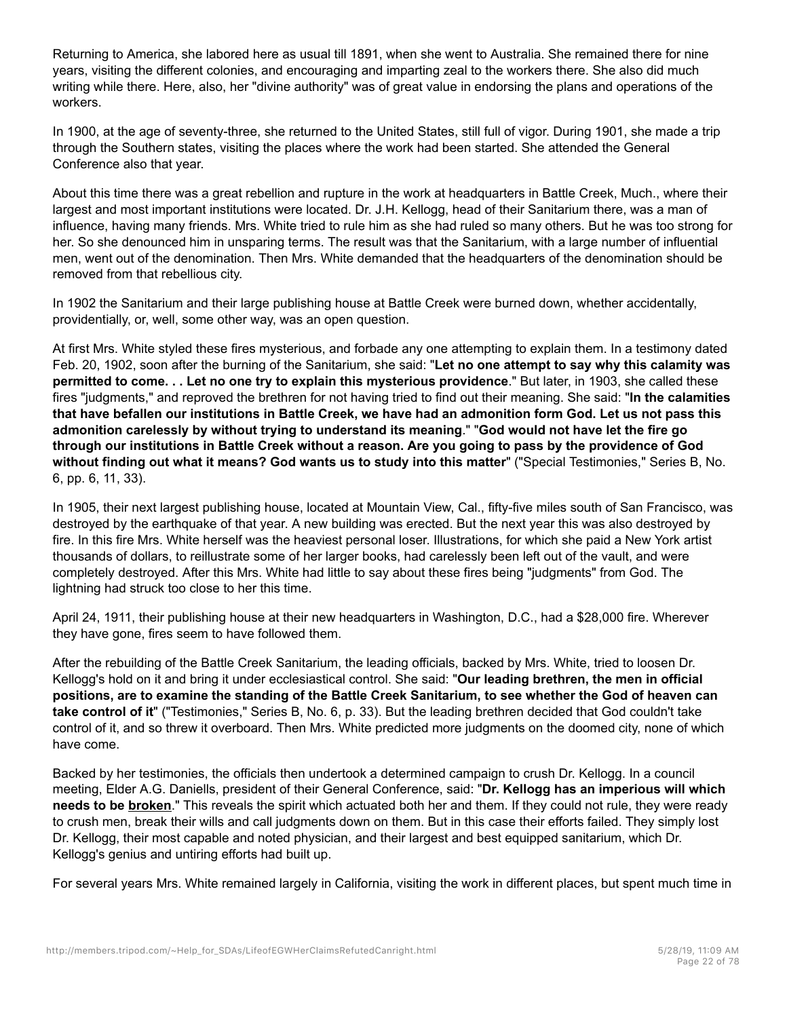Returning to America, she labored here as usual till 1891, when she went to Australia. She remained there for nine years, visiting the different colonies, and encouraging and imparting zeal to the workers there. She also did much writing while there. Here, also, her "divine authority" was of great value in endorsing the plans and operations of the workers.

In 1900, at the age of seventy-three, she returned to the United States, still full of vigor. During 1901, she made a trip through the Southern states, visiting the places where the work had been started. She attended the General Conference also that year.

About this time there was a great rebellion and rupture in the work at headquarters in Battle Creek, Much., where their largest and most important institutions were located. Dr. J.H. Kellogg, head of their Sanitarium there, was a man of influence, having many friends. Mrs. White tried to rule him as she had ruled so many others. But he was too strong for her. So she denounced him in unsparing terms. The result was that the Sanitarium, with a large number of influential men, went out of the denomination. Then Mrs. White demanded that the headquarters of the denomination should be removed from that rebellious city.

In 1902 the Sanitarium and their large publishing house at Battle Creek were burned down, whether accidentally, providentially, or, well, some other way, was an open question.

At first Mrs. White styled these fires mysterious, and forbade any one attempting to explain them. In a testimony dated Feb. 20, 1902, soon after the burning of the Sanitarium, she said: "**Let no one attempt to say why this calamity was permitted to come. . . Let no one try to explain this mysterious providence**." But later, in 1903, she called these fires "judgments," and reproved the brethren for not having tried to find out their meaning. She said: "**In the calamities that have befallen our institutions in Battle Creek, we have had an admonition form God. Let us not pass this admonition carelessly by without trying to understand its meaning**." "**God would not have let the fire go through our institutions in Battle Creek without a reason. Are you going to pass by the providence of God without finding out what it means? God wants us to study into this matter**" ("Special Testimonies," Series B, No. 6, pp. 6, 11, 33).

In 1905, their next largest publishing house, located at Mountain View, Cal., fifty-five miles south of San Francisco, was destroyed by the earthquake of that year. A new building was erected. But the next year this was also destroyed by fire. In this fire Mrs. White herself was the heaviest personal loser. Illustrations, for which she paid a New York artist thousands of dollars, to reillustrate some of her larger books, had carelessly been left out of the vault, and were completely destroyed. After this Mrs. White had little to say about these fires being "judgments" from God. The lightning had struck too close to her this time.

April 24, 1911, their publishing house at their new headquarters in Washington, D.C., had a \$28,000 fire. Wherever they have gone, fires seem to have followed them.

After the rebuilding of the Battle Creek Sanitarium, the leading officials, backed by Mrs. White, tried to loosen Dr. Kellogg's hold on it and bring it under ecclesiastical control. She said: "**Our leading brethren, the men in official positions, are to examine the standing of the Battle Creek Sanitarium, to see whether the God of heaven can take control of it**" ("Testimonies," Series B, No. 6, p. 33). But the leading brethren decided that God couldn't take control of it, and so threw it overboard. Then Mrs. White predicted more judgments on the doomed city, none of which have come.

Backed by her testimonies, the officials then undertook a determined campaign to crush Dr. Kellogg. In a council meeting, Elder A.G. Daniells, president of their General Conference, said: "**Dr. Kellogg has an imperious will which needs to be broken**." This reveals the spirit which actuated both her and them. If they could not rule, they were ready to crush men, break their wills and call judgments down on them. But in this case their efforts failed. They simply lost Dr. Kellogg, their most capable and noted physician, and their largest and best equipped sanitarium, which Dr. Kellogg's genius and untiring efforts had built up.

For several years Mrs. White remained largely in California, visiting the work in different places, but spent much time in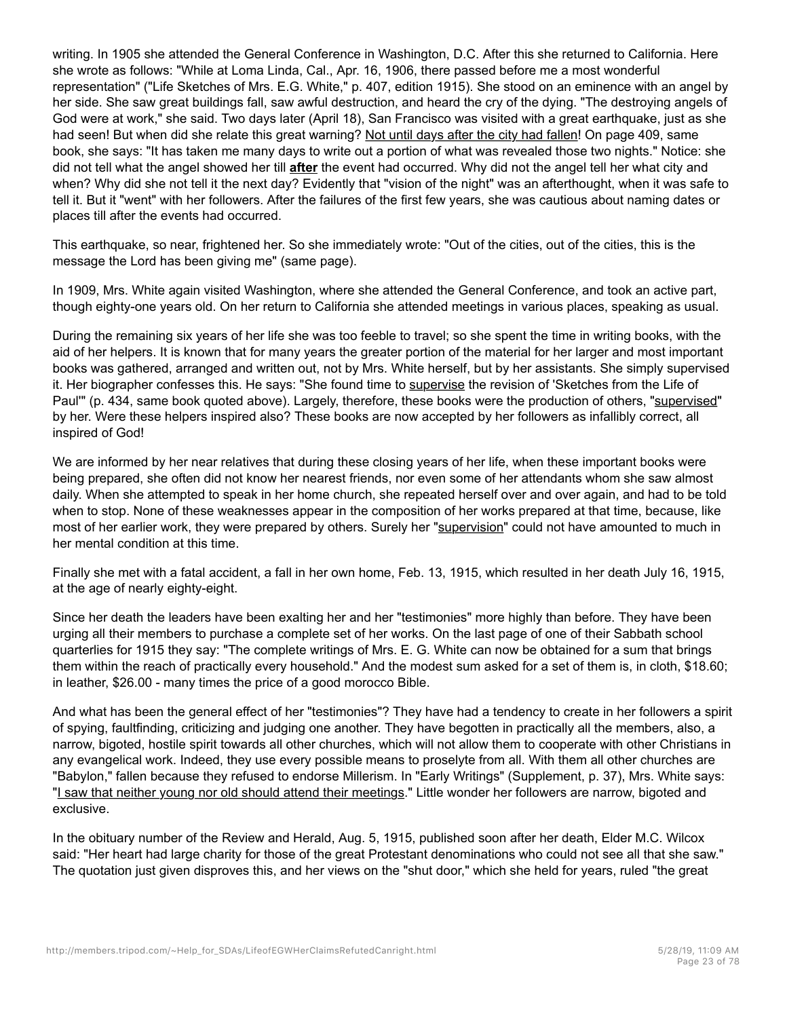writing. In 1905 she attended the General Conference in Washington, D.C. After this she returned to California. Here she wrote as follows: "While at Loma Linda, Cal., Apr. 16, 1906, there passed before me a most wonderful representation" ("Life Sketches of Mrs. E.G. White," p. 407, edition 1915). She stood on an eminence with an angel by her side. She saw great buildings fall, saw awful destruction, and heard the cry of the dying. "The destroying angels of God were at work," she said. Two days later (April 18), San Francisco was visited with a great earthquake, just as she had seen! But when did she relate this great warning? Not until days after the city had fallen! On page 409, same book, she says: "It has taken me many days to write out a portion of what was revealed those two nights." Notice: she did not tell what the angel showed her till **after** the event had occurred. Why did not the angel tell her what city and when? Why did she not tell it the next day? Evidently that "vision of the night" was an afterthought, when it was safe to tell it. But it "went" with her followers. After the failures of the first few years, she was cautious about naming dates or places till after the events had occurred.

This earthquake, so near, frightened her. So she immediately wrote: "Out of the cities, out of the cities, this is the message the Lord has been giving me" (same page).

In 1909, Mrs. White again visited Washington, where she attended the General Conference, and took an active part, though eighty-one years old. On her return to California she attended meetings in various places, speaking as usual.

During the remaining six years of her life she was too feeble to travel; so she spent the time in writing books, with the aid of her helpers. It is known that for many years the greater portion of the material for her larger and most important books was gathered, arranged and written out, not by Mrs. White herself, but by her assistants. She simply supervised it. Her biographer confesses this. He says: "She found time to supervise the revision of 'Sketches from the Life of Paul'" (p. 434, same book quoted above). Largely, therefore, these books were the production of others, "supervised" by her. Were these helpers inspired also? These books are now accepted by her followers as infallibly correct, all inspired of God!

We are informed by her near relatives that during these closing years of her life, when these important books were being prepared, she often did not know her nearest friends, nor even some of her attendants whom she saw almost daily. When she attempted to speak in her home church, she repeated herself over and over again, and had to be told when to stop. None of these weaknesses appear in the composition of her works prepared at that time, because, like most of her earlier work, they were prepared by others. Surely her "supervision" could not have amounted to much in her mental condition at this time.

Finally she met with a fatal accident, a fall in her own home, Feb. 13, 1915, which resulted in her death July 16, 1915, at the age of nearly eighty-eight.

Since her death the leaders have been exalting her and her "testimonies" more highly than before. They have been urging all their members to purchase a complete set of her works. On the last page of one of their Sabbath school quarterlies for 1915 they say: "The complete writings of Mrs. E. G. White can now be obtained for a sum that brings them within the reach of practically every household." And the modest sum asked for a set of them is, in cloth, \$18.60; in leather, \$26.00 - many times the price of a good morocco Bible.

And what has been the general effect of her "testimonies"? They have had a tendency to create in her followers a spirit of spying, faultfinding, criticizing and judging one another. They have begotten in practically all the members, also, a narrow, bigoted, hostile spirit towards all other churches, which will not allow them to cooperate with other Christians in any evangelical work. Indeed, they use every possible means to proselyte from all. With them all other churches are "Babylon," fallen because they refused to endorse Millerism. In "Early Writings" (Supplement, p. 37), Mrs. White says: "I saw that neither young nor old should attend their meetings." Little wonder her followers are narrow, bigoted and exclusive.

In the obituary number of the Review and Herald, Aug. 5, 1915, published soon after her death, Elder M.C. Wilcox said: "Her heart had large charity for those of the great Protestant denominations who could not see all that she saw." The quotation just given disproves this, and her views on the "shut door," which she held for years, ruled "the great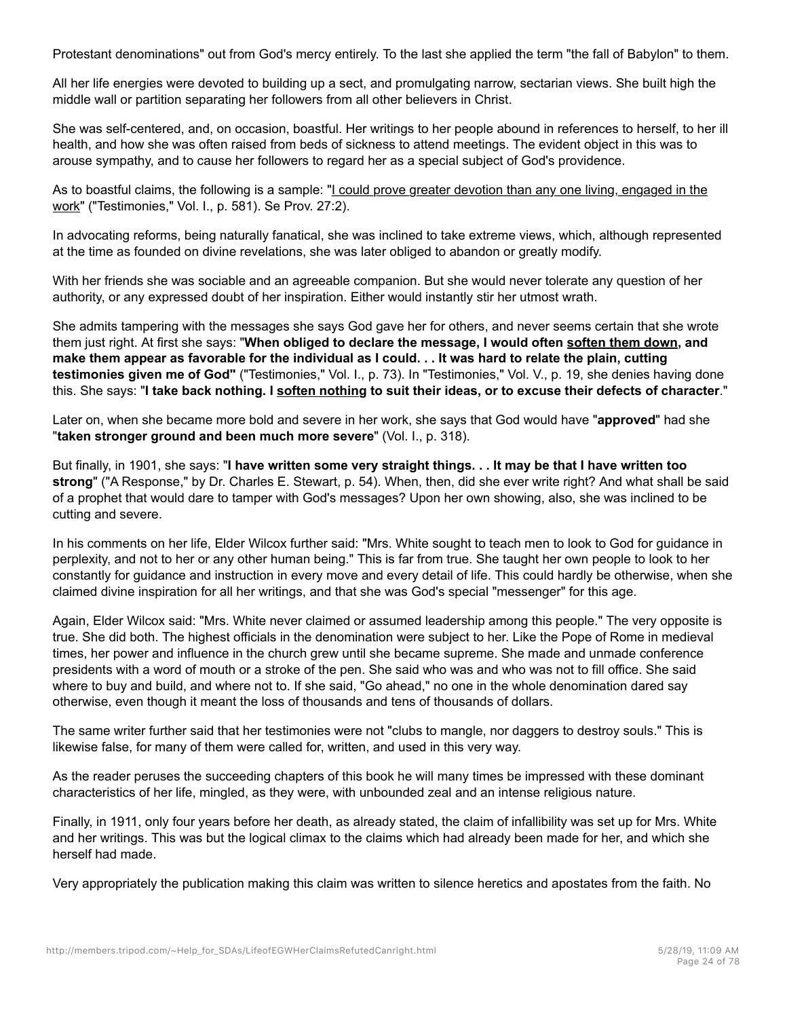Protestant denominations" out from God's mercy entirely. To the last she applied the term "the fall of Babylon" to them.

All her life energies were devoted to building up a sect, and promulgating narrow, sectarian views. She built high the middle wall or partition separating her followers from all other believers in Christ.

She was self-centered, and, on occasion, boastful. Her writings to her people abound in references to herself, to her ill health, and how she was often raised from beds of sickness to attend meetings. The evident object in this was to arouse sympathy, and to cause her followers to regard her as a special subject of God's providence.

As to boastful claims, the following is a sample: "I could prove greater devotion than any one living, engaged in the work" ("Testimonies," Vol. I., p. 581). Se Prov. 27:2).

In advocating reforms, being naturally fanatical, she was inclined to take extreme views, which, although represented at the time as founded on divine revelations, she was later obliged to abandon or greatly modify.

With her friends she was sociable and an agreeable companion. But she would never tolerate any question of her authority, or any expressed doubt of her inspiration. Either would instantly stir her utmost wrath.

She admits tampering with the messages she says God gave her for others, and never seems certain that she wrote them just right. At first she says: "**When obliged to declare the message, I would often soften them down, and make them appear as favorable for the individual as I could. . . It was hard to relate the plain, cutting testimonies given me of God"** ("Testimonies," Vol. I., p. 73). In "Testimonies," Vol. V., p. 19, she denies having done this. She says: "**I take back nothing. I soften nothing to suit their ideas, or to excuse their defects of character**."

Later on, when she became more bold and severe in her work, she says that God would have "**approved**" had she "**taken stronger ground and been much more severe**" (Vol. I., p. 318).

But finally, in 1901, she says: "**I have written some very straight things. . . It may be that I have written too strong**" ("A Response," by Dr. Charles E. Stewart, p. 54). When, then, did she ever write right? And what shall be said of a prophet that would dare to tamper with God's messages? Upon her own showing, also, she was inclined to be cutting and severe.

In his comments on her life, Elder Wilcox further said: "Mrs. White sought to teach men to look to God for guidance in perplexity, and not to her or any other human being." This is far from true. She taught her own people to look to her constantly for guidance and instruction in every move and every detail of life. This could hardly be otherwise, when she claimed divine inspiration for all her writings, and that she was God's special "messenger" for this age.

Again, Elder Wilcox said: "Mrs. White never claimed or assumed leadership among this people." The very opposite is true. She did both. The highest officials in the denomination were subject to her. Like the Pope of Rome in medieval times, her power and influence in the church grew until she became supreme. She made and unmade conference presidents with a word of mouth or a stroke of the pen. She said who was and who was not to fill office. She said where to buy and build, and where not to. If she said, "Go ahead," no one in the whole denomination dared say otherwise, even though it meant the loss of thousands and tens of thousands of dollars.

The same writer further said that her testimonies were not "clubs to mangle, nor daggers to destroy souls." This is likewise false, for many of them were called for, written, and used in this very way.

As the reader peruses the succeeding chapters of this book he will many times be impressed with these dominant characteristics of her life, mingled, as they were, with unbounded zeal and an intense religious nature.

Finally, in 1911, only four years before her death, as already stated, the claim of infallibility was set up for Mrs. White and her writings. This was but the logical climax to the claims which had already been made for her, and which she herself had made.

Very appropriately the publication making this claim was written to silence heretics and apostates from the faith. No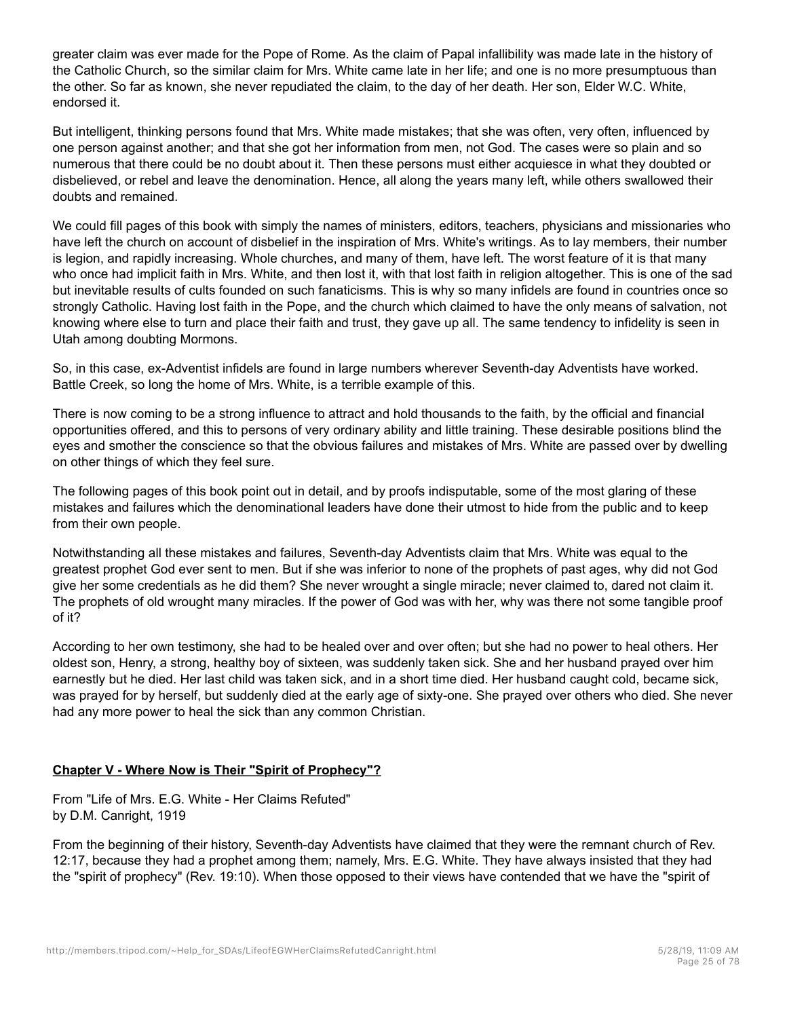greater claim was ever made for the Pope of Rome. As the claim of Papal infallibility was made late in the history of the Catholic Church, so the similar claim for Mrs. White came late in her life; and one is no more presumptuous than the other. So far as known, she never repudiated the claim, to the day of her death. Her son, Elder W.C. White, endorsed it.

But intelligent, thinking persons found that Mrs. White made mistakes; that she was often, very often, influenced by one person against another; and that she got her information from men, not God. The cases were so plain and so numerous that there could be no doubt about it. Then these persons must either acquiesce in what they doubted or disbelieved, or rebel and leave the denomination. Hence, all along the years many left, while others swallowed their doubts and remained.

We could fill pages of this book with simply the names of ministers, editors, teachers, physicians and missionaries who have left the church on account of disbelief in the inspiration of Mrs. White's writings. As to lay members, their number is legion, and rapidly increasing. Whole churches, and many of them, have left. The worst feature of it is that many who once had implicit faith in Mrs. White, and then lost it, with that lost faith in religion altogether. This is one of the sad but inevitable results of cults founded on such fanaticisms. This is why so many infidels are found in countries once so strongly Catholic. Having lost faith in the Pope, and the church which claimed to have the only means of salvation, not knowing where else to turn and place their faith and trust, they gave up all. The same tendency to infidelity is seen in Utah among doubting Mormons.

So, in this case, ex-Adventist infidels are found in large numbers wherever Seventh-day Adventists have worked. Battle Creek, so long the home of Mrs. White, is a terrible example of this.

There is now coming to be a strong influence to attract and hold thousands to the faith, by the official and financial opportunities offered, and this to persons of very ordinary ability and little training. These desirable positions blind the eyes and smother the conscience so that the obvious failures and mistakes of Mrs. White are passed over by dwelling on other things of which they feel sure.

The following pages of this book point out in detail, and by proofs indisputable, some of the most glaring of these mistakes and failures which the denominational leaders have done their utmost to hide from the public and to keep from their own people.

Notwithstanding all these mistakes and failures, Seventh-day Adventists claim that Mrs. White was equal to the greatest prophet God ever sent to men. But if she was inferior to none of the prophets of past ages, why did not God give her some credentials as he did them? She never wrought a single miracle; never claimed to, dared not claim it. The prophets of old wrought many miracles. If the power of God was with her, why was there not some tangible proof of it?

According to her own testimony, she had to be healed over and over often; but she had no power to heal others. Her oldest son, Henry, a strong, healthy boy of sixteen, was suddenly taken sick. She and her husband prayed over him earnestly but he died. Her last child was taken sick, and in a short time died. Her husband caught cold, became sick, was prayed for by herself, but suddenly died at the early age of sixty-one. She prayed over others who died. She never had any more power to heal the sick than any common Christian.

## **Chapter V - Where Now is Their "Spirit of Prophecy"?**

From "Life of Mrs. E.G. White - Her Claims Refuted" by D.M. Canright, 1919

From the beginning of their history, Seventh-day Adventists have claimed that they were the remnant church of Rev. 12:17, because they had a prophet among them; namely, Mrs. E.G. White. They have always insisted that they had the "spirit of prophecy" (Rev. 19:10). When those opposed to their views have contended that we have the "spirit of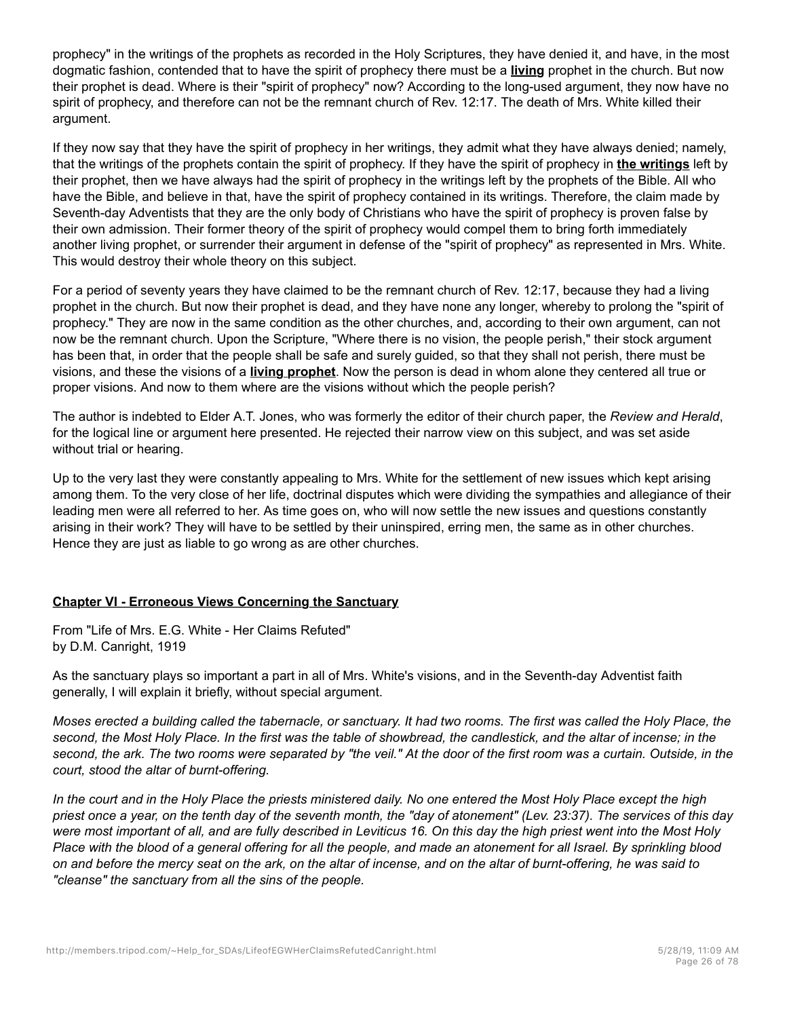prophecy" in the writings of the prophets as recorded in the Holy Scriptures, they have denied it, and have, in the most dogmatic fashion, contended that to have the spirit of prophecy there must be a **living** prophet in the church. But now their prophet is dead. Where is their "spirit of prophecy" now? According to the long-used argument, they now have no spirit of prophecy, and therefore can not be the remnant church of Rev. 12:17. The death of Mrs. White killed their argument.

If they now say that they have the spirit of prophecy in her writings, they admit what they have always denied; namely, that the writings of the prophets contain the spirit of prophecy. If they have the spirit of prophecy in **the writings** left by their prophet, then we have always had the spirit of prophecy in the writings left by the prophets of the Bible. All who have the Bible, and believe in that, have the spirit of prophecy contained in its writings. Therefore, the claim made by Seventh-day Adventists that they are the only body of Christians who have the spirit of prophecy is proven false by their own admission. Their former theory of the spirit of prophecy would compel them to bring forth immediately another living prophet, or surrender their argument in defense of the "spirit of prophecy" as represented in Mrs. White. This would destroy their whole theory on this subject.

For a period of seventy years they have claimed to be the remnant church of Rev. 12:17, because they had a living prophet in the church. But now their prophet is dead, and they have none any longer, whereby to prolong the "spirit of prophecy." They are now in the same condition as the other churches, and, according to their own argument, can not now be the remnant church. Upon the Scripture, "Where there is no vision, the people perish," their stock argument has been that, in order that the people shall be safe and surely guided, so that they shall not perish, there must be visions, and these the visions of a **living prophet**. Now the person is dead in whom alone they centered all true or proper visions. And now to them where are the visions without which the people perish?

The author is indebted to Elder A.T. Jones, who was formerly the editor of their church paper, the *Review and Herald*, for the logical line or argument here presented. He rejected their narrow view on this subject, and was set aside without trial or hearing.

Up to the very last they were constantly appealing to Mrs. White for the settlement of new issues which kept arising among them. To the very close of her life, doctrinal disputes which were dividing the sympathies and allegiance of their leading men were all referred to her. As time goes on, who will now settle the new issues and questions constantly arising in their work? They will have to be settled by their uninspired, erring men, the same as in other churches. Hence they are just as liable to go wrong as are other churches.

## **Chapter VI - Erroneous Views Concerning the Sanctuary**

From "Life of Mrs. E.G. White - Her Claims Refuted" by D.M. Canright, 1919

As the sanctuary plays so important a part in all of Mrs. White's visions, and in the Seventh-day Adventist faith generally, I will explain it briefly, without special argument.

*Moses erected a building called the tabernacle, or sanctuary. It had two rooms. The first was called the Holy Place, the second, the Most Holy Place. In the first was the table of showbread, the candlestick, and the altar of incense; in the second, the ark. The two rooms were separated by "the veil." At the door of the first room was a curtain. Outside, in the court, stood the altar of burnt-offering.*

*In the court and in the Holy Place the priests ministered daily. No one entered the Most Holy Place except the high priest once a year, on the tenth day of the seventh month, the "day of atonement" (Lev. 23:37). The services of this day were most important of all, and are fully described in Leviticus 16. On this day the high priest went into the Most Holy Place with the blood of a general offering for all the people, and made an atonement for all Israel. By sprinkling blood on and before the mercy seat on the ark, on the altar of incense, and on the altar of burnt-offering, he was said to "cleanse" the sanctuary from all the sins of the people.*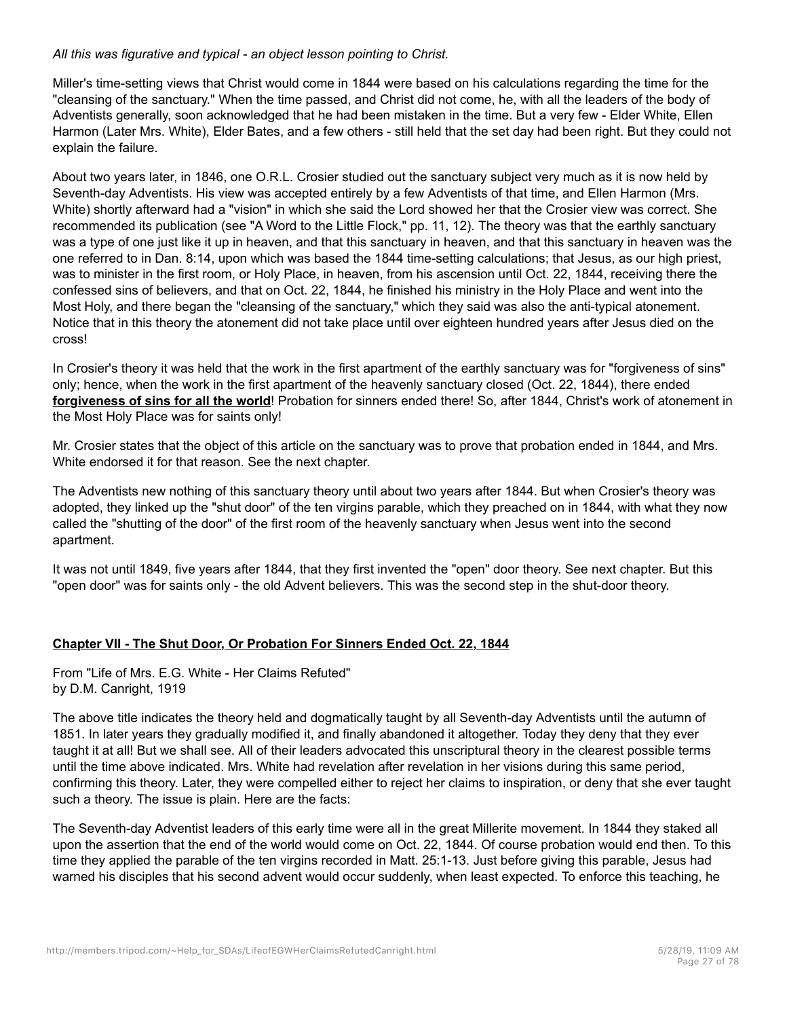#### *All this was figurative and typical - an object lesson pointing to Christ.*

Miller's time-setting views that Christ would come in 1844 were based on his calculations regarding the time for the "cleansing of the sanctuary." When the time passed, and Christ did not come, he, with all the leaders of the body of Adventists generally, soon acknowledged that he had been mistaken in the time. But a very few - Elder White, Ellen Harmon (Later Mrs. White), Elder Bates, and a few others - still held that the set day had been right. But they could not explain the failure.

About two years later, in 1846, one O.R.L. Crosier studied out the sanctuary subject very much as it is now held by Seventh-day Adventists. His view was accepted entirely by a few Adventists of that time, and Ellen Harmon (Mrs. White) shortly afterward had a "vision" in which she said the Lord showed her that the Crosier view was correct. She recommended its publication (see "A Word to the Little Flock," pp. 11, 12). The theory was that the earthly sanctuary was a type of one just like it up in heaven, and that this sanctuary in heaven, and that this sanctuary in heaven was the one referred to in Dan. 8:14, upon which was based the 1844 time-setting calculations; that Jesus, as our high priest, was to minister in the first room, or Holy Place, in heaven, from his ascension until Oct. 22, 1844, receiving there the confessed sins of believers, and that on Oct. 22, 1844, he finished his ministry in the Holy Place and went into the Most Holy, and there began the "cleansing of the sanctuary," which they said was also the anti-typical atonement. Notice that in this theory the atonement did not take place until over eighteen hundred years after Jesus died on the cross!

In Crosier's theory it was held that the work in the first apartment of the earthly sanctuary was for "forgiveness of sins" only; hence, when the work in the first apartment of the heavenly sanctuary closed (Oct. 22, 1844), there ended **forgiveness of sins for all the world**! Probation for sinners ended there! So, after 1844, Christ's work of atonement in the Most Holy Place was for saints only!

Mr. Crosier states that the object of this article on the sanctuary was to prove that probation ended in 1844, and Mrs. White endorsed it for that reason. See the next chapter.

The Adventists new nothing of this sanctuary theory until about two years after 1844. But when Crosier's theory was adopted, they linked up the "shut door" of the ten virgins parable, which they preached on in 1844, with what they now called the "shutting of the door" of the first room of the heavenly sanctuary when Jesus went into the second apartment.

It was not until 1849, five years after 1844, that they first invented the "open" door theory. See next chapter. But this "open door" was for saints only - the old Advent believers. This was the second step in the shut-door theory.

## **Chapter VII - The Shut Door, Or Probation For Sinners Ended Oct. 22, 1844**

From "Life of Mrs. E.G. White - Her Claims Refuted" by D.M. Canright, 1919

The above title indicates the theory held and dogmatically taught by all Seventh-day Adventists until the autumn of 1851. In later years they gradually modified it, and finally abandoned it altogether. Today they deny that they ever taught it at all! But we shall see. All of their leaders advocated this unscriptural theory in the clearest possible terms until the time above indicated. Mrs. White had revelation after revelation in her visions during this same period, confirming this theory. Later, they were compelled either to reject her claims to inspiration, or deny that she ever taught such a theory. The issue is plain. Here are the facts:

The Seventh-day Adventist leaders of this early time were all in the great Millerite movement. In 1844 they staked all upon the assertion that the end of the world would come on Oct. 22, 1844. Of course probation would end then. To this time they applied the parable of the ten virgins recorded in Matt. 25:1-13. Just before giving this parable, Jesus had warned his disciples that his second advent would occur suddenly, when least expected. To enforce this teaching, he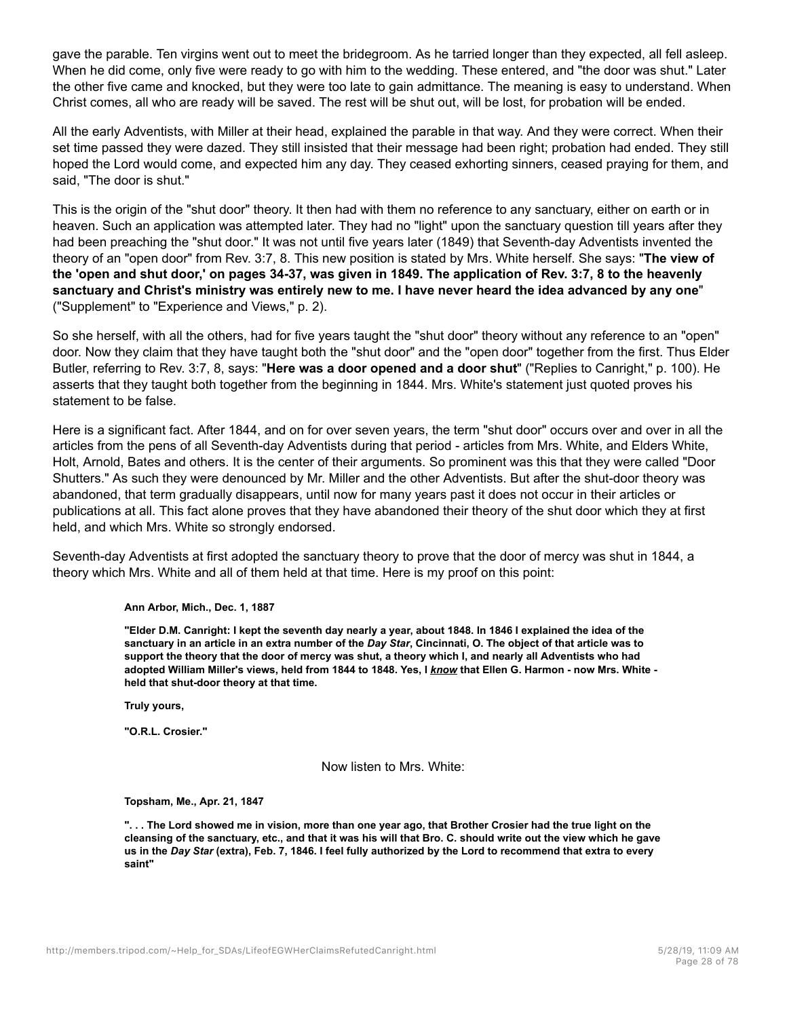gave the parable. Ten virgins went out to meet the bridegroom. As he tarried longer than they expected, all fell asleep. When he did come, only five were ready to go with him to the wedding. These entered, and "the door was shut." Later the other five came and knocked, but they were too late to gain admittance. The meaning is easy to understand. When Christ comes, all who are ready will be saved. The rest will be shut out, will be lost, for probation will be ended.

All the early Adventists, with Miller at their head, explained the parable in that way. And they were correct. When their set time passed they were dazed. They still insisted that their message had been right; probation had ended. They still hoped the Lord would come, and expected him any day. They ceased exhorting sinners, ceased praying for them, and said, "The door is shut."

This is the origin of the "shut door" theory. It then had with them no reference to any sanctuary, either on earth or in heaven. Such an application was attempted later. They had no "light" upon the sanctuary question till years after they had been preaching the "shut door." It was not until five years later (1849) that Seventh-day Adventists invented the theory of an "open door" from Rev. 3:7, 8. This new position is stated by Mrs. White herself. She says: "**The view of the 'open and shut door,' on pages 34-37, was given in 1849. The application of Rev. 3:7, 8 to the heavenly sanctuary and Christ's ministry was entirely new to me. I have never heard the idea advanced by any one**" ("Supplement" to "Experience and Views," p. 2).

So she herself, with all the others, had for five years taught the "shut door" theory without any reference to an "open" door. Now they claim that they have taught both the "shut door" and the "open door" together from the first. Thus Elder Butler, referring to Rev. 3:7, 8, says: "**Here was a door opened and a door shut**" ("Replies to Canright," p. 100). He asserts that they taught both together from the beginning in 1844. Mrs. White's statement just quoted proves his statement to be false.

Here is a significant fact. After 1844, and on for over seven years, the term "shut door" occurs over and over in all the articles from the pens of all Seventh-day Adventists during that period - articles from Mrs. White, and Elders White, Holt, Arnold, Bates and others. It is the center of their arguments. So prominent was this that they were called "Door Shutters." As such they were denounced by Mr. Miller and the other Adventists. But after the shut-door theory was abandoned, that term gradually disappears, until now for many years past it does not occur in their articles or publications at all. This fact alone proves that they have abandoned their theory of the shut door which they at first held, and which Mrs. White so strongly endorsed.

Seventh-day Adventists at first adopted the sanctuary theory to prove that the door of mercy was shut in 1844, a theory which Mrs. White and all of them held at that time. Here is my proof on this point:

**Ann Arbor, Mich., Dec. 1, 1887**

**"Elder D.M. Canright: I kept the seventh day nearly a year, about 1848. In 1846 I explained the idea of the sanctuary in an article in an extra number of the** *Day Star***, Cincinnati, O. The object of that article was to support the theory that the door of mercy was shut, a theory which I, and nearly all Adventists who had adopted William Miller's views, held from 1844 to 1848. Yes, I** *know* **that Ellen G. Harmon - now Mrs. White held that shut-door theory at that time.**

**Truly yours,**

**"O.R.L. Crosier."**

Now listen to Mrs. White:

**Topsham, Me., Apr. 21, 1847**

**". . . The Lord showed me in vision, more than one year ago, that Brother Crosier had the true light on the cleansing of the sanctuary, etc., and that it was his will that Bro. C. should write out the view which he gave us in the** *Day Star* **(extra), Feb. 7, 1846. I feel fully authorized by the Lord to recommend that extra to every saint"**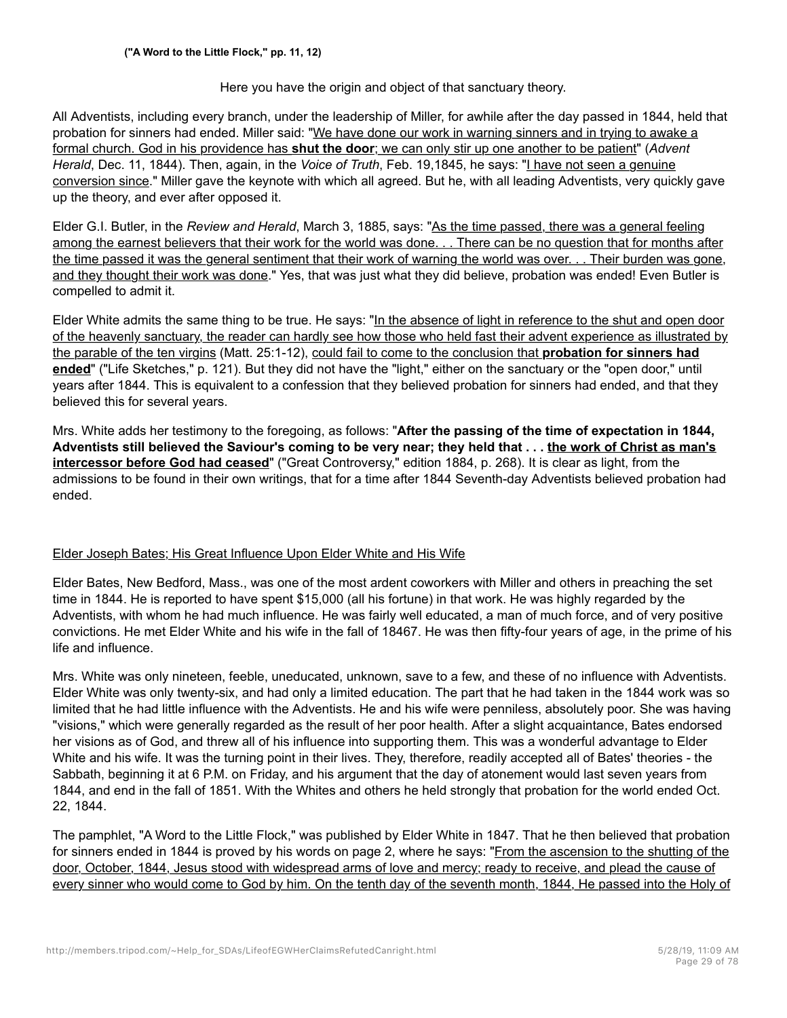## Here you have the origin and object of that sanctuary theory.

All Adventists, including every branch, under the leadership of Miller, for awhile after the day passed in 1844, held that probation for sinners had ended. Miller said: "We have done our work in warning sinners and in trying to awake a formal church. God in his providence has **shut the door**; we can only stir up one another to be patient" (*Advent Herald*, Dec. 11, 1844). Then, again, in the *Voice of Truth*, Feb. 19,1845, he says: "I have not seen a genuine conversion since." Miller gave the keynote with which all agreed. But he, with all leading Adventists, very quickly gave up the theory, and ever after opposed it.

Elder G.I. Butler, in the *Review and Herald*, March 3, 1885, says: "As the time passed, there was a general feeling among the earnest believers that their work for the world was done. . . There can be no question that for months after the time passed it was the general sentiment that their work of warning the world was over. . . Their burden was gone, and they thought their work was done." Yes, that was just what they did believe, probation was ended! Even Butler is compelled to admit it.

Elder White admits the same thing to be true. He says: "In the absence of light in reference to the shut and open door of the heavenly sanctuary, the reader can hardly see how those who held fast their advent experience as illustrated by the parable of the ten virgins (Matt. 25:1-12), could fail to come to the conclusion that **probation for sinners had ended**" ("Life Sketches," p. 121). But they did not have the "light," either on the sanctuary or the "open door," until years after 1844. This is equivalent to a confession that they believed probation for sinners had ended, and that they believed this for several years.

Mrs. White adds her testimony to the foregoing, as follows: "**After the passing of the time of expectation in 1844, Adventists still believed the Saviour's coming to be very near; they held that . . . the work of Christ as man's intercessor before God had ceased**" ("Great Controversy," edition 1884, p. 268). It is clear as light, from the admissions to be found in their own writings, that for a time after 1844 Seventh-day Adventists believed probation had ended.

## Elder Joseph Bates; His Great Influence Upon Elder White and His Wife

Elder Bates, New Bedford, Mass., was one of the most ardent coworkers with Miller and others in preaching the set time in 1844. He is reported to have spent \$15,000 (all his fortune) in that work. He was highly regarded by the Adventists, with whom he had much influence. He was fairly well educated, a man of much force, and of very positive convictions. He met Elder White and his wife in the fall of 18467. He was then fifty-four years of age, in the prime of his life and influence.

Mrs. White was only nineteen, feeble, uneducated, unknown, save to a few, and these of no influence with Adventists. Elder White was only twenty-six, and had only a limited education. The part that he had taken in the 1844 work was so limited that he had little influence with the Adventists. He and his wife were penniless, absolutely poor. She was having "visions," which were generally regarded as the result of her poor health. After a slight acquaintance, Bates endorsed her visions as of God, and threw all of his influence into supporting them. This was a wonderful advantage to Elder White and his wife. It was the turning point in their lives. They, therefore, readily accepted all of Bates' theories - the Sabbath, beginning it at 6 P.M. on Friday, and his argument that the day of atonement would last seven years from 1844, and end in the fall of 1851. With the Whites and others he held strongly that probation for the world ended Oct. 22, 1844.

The pamphlet, "A Word to the Little Flock," was published by Elder White in 1847. That he then believed that probation for sinners ended in 1844 is proved by his words on page 2, where he says: "From the ascension to the shutting of the door, October, 1844, Jesus stood with widespread arms of love and mercy; ready to receive, and plead the cause of every sinner who would come to God by him. On the tenth day of the seventh month, 1844, He passed into the Holy of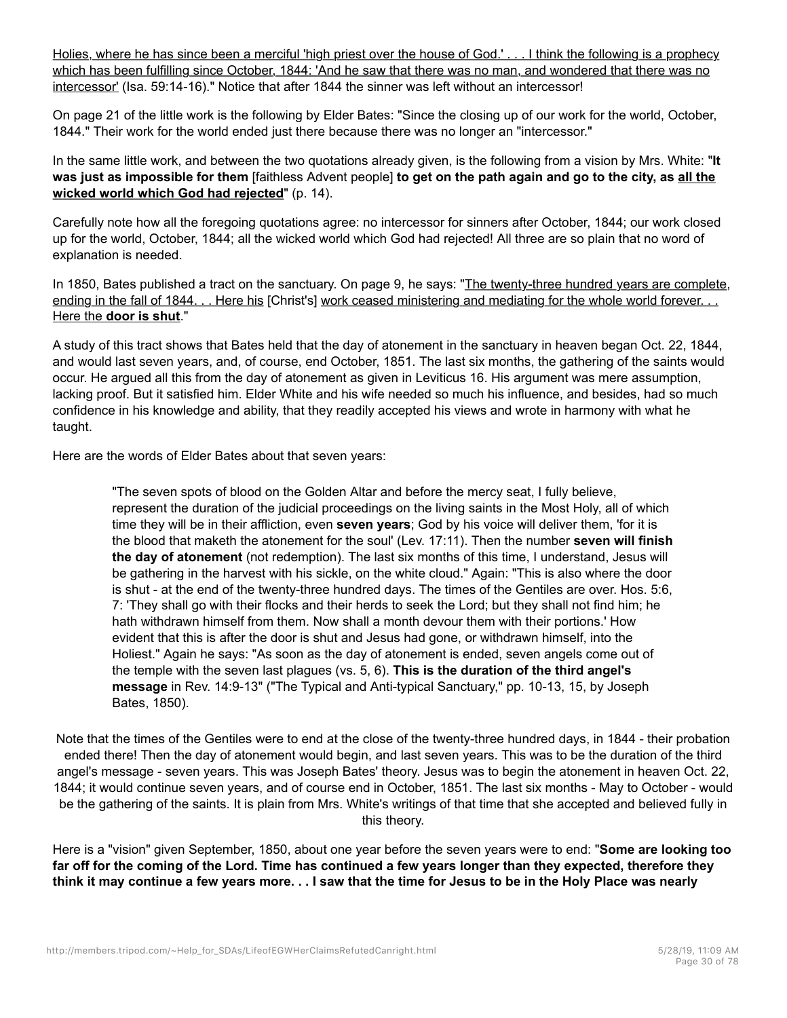Holies, where he has since been a merciful 'high priest over the house of God.' . . . I think the following is a prophecy which has been fulfilling since October, 1844: 'And he saw that there was no man, and wondered that there was no intercessor' (Isa. 59:14-16)." Notice that after 1844 the sinner was left without an intercessor!

On page 21 of the little work is the following by Elder Bates: "Since the closing up of our work for the world, October, 1844." Their work for the world ended just there because there was no longer an "intercessor."

In the same little work, and between the two quotations already given, is the following from a vision by Mrs. White: "**It was just as impossible for them** [faithless Advent people] **to get on the path again and go to the city, as all the wicked world which God had rejected**" (p. 14).

Carefully note how all the foregoing quotations agree: no intercessor for sinners after October, 1844; our work closed up for the world, October, 1844; all the wicked world which God had rejected! All three are so plain that no word of explanation is needed.

In 1850, Bates published a tract on the sanctuary. On page 9, he says: "The twenty-three hundred years are complete, ending in the fall of 1844. . . Here his [Christ's] work ceased ministering and mediating for the whole world forever. . . Here the **door is shut**."

A study of this tract shows that Bates held that the day of atonement in the sanctuary in heaven began Oct. 22, 1844, and would last seven years, and, of course, end October, 1851. The last six months, the gathering of the saints would occur. He argued all this from the day of atonement as given in Leviticus 16. His argument was mere assumption, lacking proof. But it satisfied him. Elder White and his wife needed so much his influence, and besides, had so much confidence in his knowledge and ability, that they readily accepted his views and wrote in harmony with what he taught.

Here are the words of Elder Bates about that seven years:

"The seven spots of blood on the Golden Altar and before the mercy seat, I fully believe, represent the duration of the judicial proceedings on the living saints in the Most Holy, all of which time they will be in their affliction, even **seven years**; God by his voice will deliver them, 'for it is the blood that maketh the atonement for the soul' (Lev. 17:11). Then the number **seven will finish the day of atonement** (not redemption). The last six months of this time, I understand, Jesus will be gathering in the harvest with his sickle, on the white cloud." Again: "This is also where the door is shut - at the end of the twenty-three hundred days. The times of the Gentiles are over. Hos. 5:6, 7: 'They shall go with their flocks and their herds to seek the Lord; but they shall not find him; he hath withdrawn himself from them. Now shall a month devour them with their portions.' How evident that this is after the door is shut and Jesus had gone, or withdrawn himself, into the Holiest." Again he says: "As soon as the day of atonement is ended, seven angels come out of the temple with the seven last plagues (vs. 5, 6). **This is the duration of the third angel's message** in Rev. 14:9-13" ("The Typical and Anti-typical Sanctuary," pp. 10-13, 15, by Joseph Bates, 1850).

Note that the times of the Gentiles were to end at the close of the twenty-three hundred days, in 1844 - their probation ended there! Then the day of atonement would begin, and last seven years. This was to be the duration of the third angel's message - seven years. This was Joseph Bates' theory. Jesus was to begin the atonement in heaven Oct. 22, 1844; it would continue seven years, and of course end in October, 1851. The last six months - May to October - would be the gathering of the saints. It is plain from Mrs. White's writings of that time that she accepted and believed fully in this theory.

Here is a "vision" given September, 1850, about one year before the seven years were to end: "**Some are looking too far off for the coming of the Lord. Time has continued a few years longer than they expected, therefore they think it may continue a few years more. . . I saw that the time for Jesus to be in the Holy Place was nearly**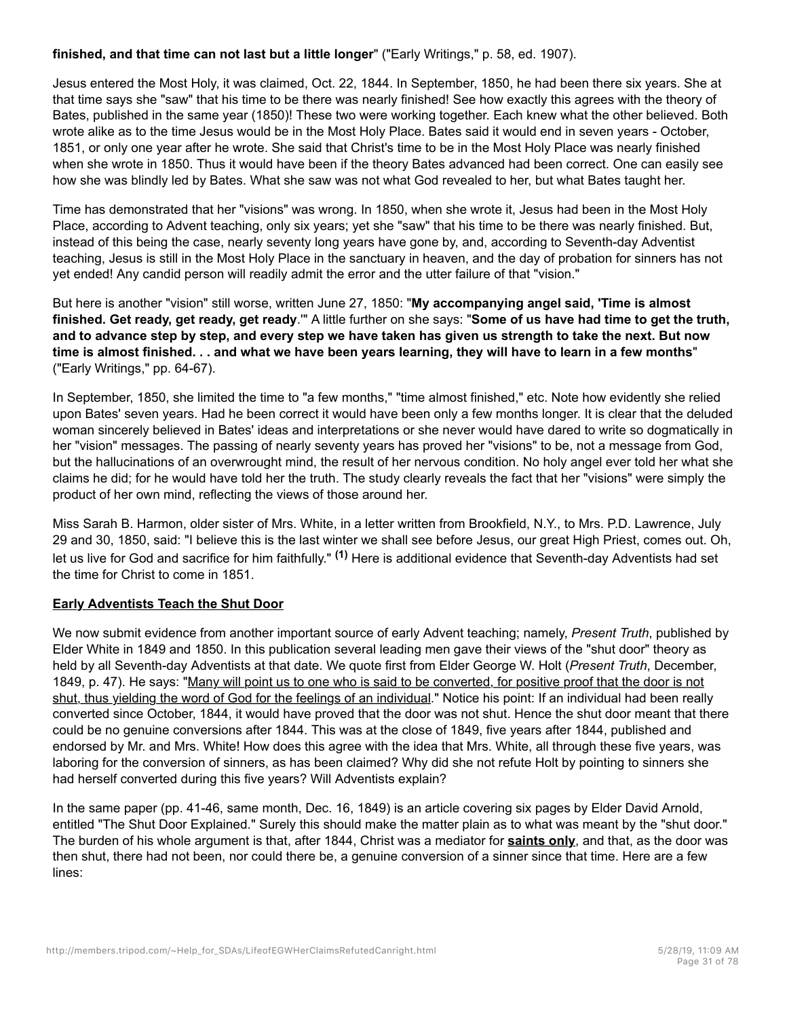## **finished, and that time can not last but a little longer**" ("Early Writings," p. 58, ed. 1907).

Jesus entered the Most Holy, it was claimed, Oct. 22, 1844. In September, 1850, he had been there six years. She at that time says she "saw" that his time to be there was nearly finished! See how exactly this agrees with the theory of Bates, published in the same year (1850)! These two were working together. Each knew what the other believed. Both wrote alike as to the time Jesus would be in the Most Holy Place. Bates said it would end in seven years - October, 1851, or only one year after he wrote. She said that Christ's time to be in the Most Holy Place was nearly finished when she wrote in 1850. Thus it would have been if the theory Bates advanced had been correct. One can easily see how she was blindly led by Bates. What she saw was not what God revealed to her, but what Bates taught her.

Time has demonstrated that her "visions" was wrong. In 1850, when she wrote it, Jesus had been in the Most Holy Place, according to Advent teaching, only six years; yet she "saw" that his time to be there was nearly finished. But, instead of this being the case, nearly seventy long years have gone by, and, according to Seventh-day Adventist teaching, Jesus is still in the Most Holy Place in the sanctuary in heaven, and the day of probation for sinners has not yet ended! Any candid person will readily admit the error and the utter failure of that "vision."

But here is another "vision" still worse, written June 27, 1850: "**My accompanying angel said, 'Time is almost finished. Get ready, get ready, get ready**.'" A little further on she says: "**Some of us have had time to get the truth, and to advance step by step, and every step we have taken has given us strength to take the next. But now time is almost finished. . . and what we have been years learning, they will have to learn in a few months**" ("Early Writings," pp. 64-67).

In September, 1850, she limited the time to "a few months," "time almost finished," etc. Note how evidently she relied upon Bates' seven years. Had he been correct it would have been only a few months longer. It is clear that the deluded woman sincerely believed in Bates' ideas and interpretations or she never would have dared to write so dogmatically in her "vision" messages. The passing of nearly seventy years has proved her "visions" to be, not a message from God, but the hallucinations of an overwrought mind, the result of her nervous condition. No holy angel ever told her what she claims he did; for he would have told her the truth. The study clearly reveals the fact that her "visions" were simply the product of her own mind, reflecting the views of those around her.

Miss Sarah B. Harmon, older sister of Mrs. White, in a letter written from Brookfield, N.Y., to Mrs. P.D. Lawrence, July 29 and 30, 1850, said: "I believe this is the last winter we shall see before Jesus, our great High Priest, comes out. Oh, let us live for God and sacrifice for him faithfully." **(1)** Here is additional evidence that Seventh-day Adventists had set the time for Christ to come in 1851.

## **Early Adventists Teach the Shut Door**

We now submit evidence from another important source of early Advent teaching; namely, *Present Truth*, published by Elder White in 1849 and 1850. In this publication several leading men gave their views of the "shut door" theory as held by all Seventh-day Adventists at that date. We quote first from Elder George W. Holt (*Present Truth*, December, 1849, p. 47). He says: "Many will point us to one who is said to be converted, for positive proof that the door is not shut, thus yielding the word of God for the feelings of an individual." Notice his point: If an individual had been really converted since October, 1844, it would have proved that the door was not shut. Hence the shut door meant that there could be no genuine conversions after 1844. This was at the close of 1849, five years after 1844, published and endorsed by Mr. and Mrs. White! How does this agree with the idea that Mrs. White, all through these five years, was laboring for the conversion of sinners, as has been claimed? Why did she not refute Holt by pointing to sinners she had herself converted during this five years? Will Adventists explain?

In the same paper (pp. 41-46, same month, Dec. 16, 1849) is an article covering six pages by Elder David Arnold, entitled "The Shut Door Explained." Surely this should make the matter plain as to what was meant by the "shut door." The burden of his whole argument is that, after 1844, Christ was a mediator for **saints only**, and that, as the door was then shut, there had not been, nor could there be, a genuine conversion of a sinner since that time. Here are a few lines: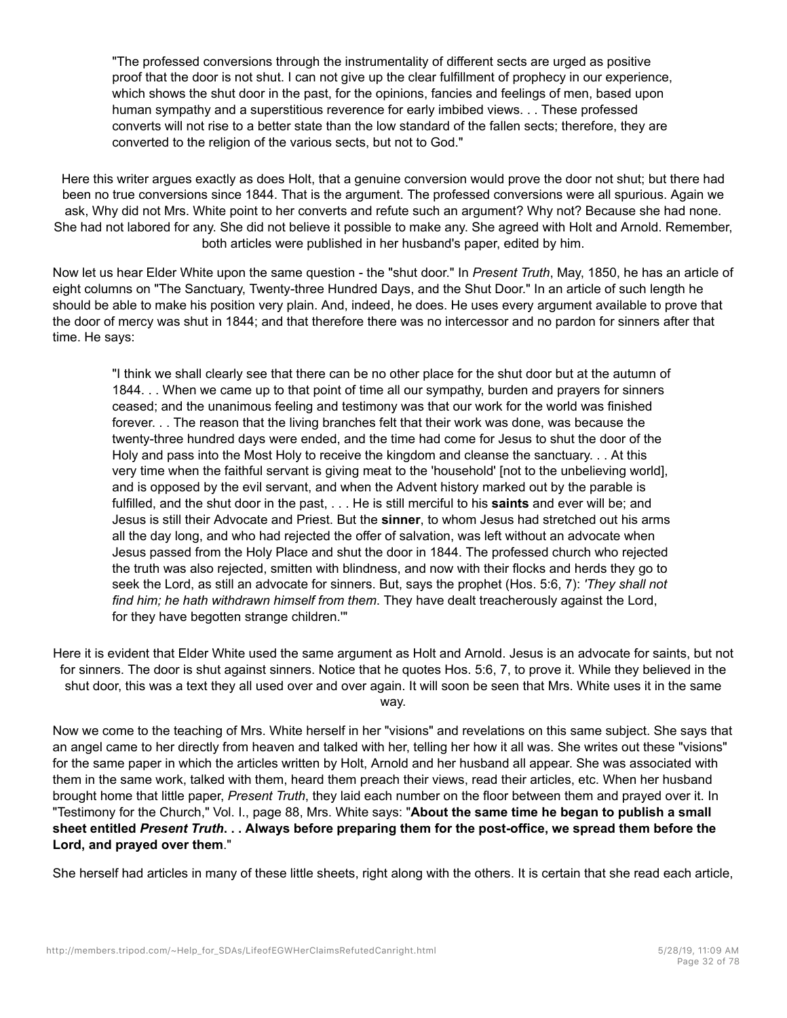"The professed conversions through the instrumentality of different sects are urged as positive proof that the door is not shut. I can not give up the clear fulfillment of prophecy in our experience, which shows the shut door in the past, for the opinions, fancies and feelings of men, based upon human sympathy and a superstitious reverence for early imbibed views. . . These professed converts will not rise to a better state than the low standard of the fallen sects; therefore, they are converted to the religion of the various sects, but not to God."

Here this writer argues exactly as does Holt, that a genuine conversion would prove the door not shut; but there had been no true conversions since 1844. That is the argument. The professed conversions were all spurious. Again we ask, Why did not Mrs. White point to her converts and refute such an argument? Why not? Because she had none. She had not labored for any. She did not believe it possible to make any. She agreed with Holt and Arnold. Remember, both articles were published in her husband's paper, edited by him.

Now let us hear Elder White upon the same question - the "shut door." In *Present Truth*, May, 1850, he has an article of eight columns on "The Sanctuary, Twenty-three Hundred Days, and the Shut Door." In an article of such length he should be able to make his position very plain. And, indeed, he does. He uses every argument available to prove that the door of mercy was shut in 1844; and that therefore there was no intercessor and no pardon for sinners after that time. He says:

"I think we shall clearly see that there can be no other place for the shut door but at the autumn of 1844. . . When we came up to that point of time all our sympathy, burden and prayers for sinners ceased; and the unanimous feeling and testimony was that our work for the world was finished forever. . . The reason that the living branches felt that their work was done, was because the twenty-three hundred days were ended, and the time had come for Jesus to shut the door of the Holy and pass into the Most Holy to receive the kingdom and cleanse the sanctuary. . . At this very time when the faithful servant is giving meat to the 'household' [not to the unbelieving world], and is opposed by the evil servant, and when the Advent history marked out by the parable is fulfilled, and the shut door in the past, . . . He is still merciful to his **saints** and ever will be; and Jesus is still their Advocate and Priest. But the **sinner**, to whom Jesus had stretched out his arms all the day long, and who had rejected the offer of salvation, was left without an advocate when Jesus passed from the Holy Place and shut the door in 1844. The professed church who rejected the truth was also rejected, smitten with blindness, and now with their flocks and herds they go to seek the Lord, as still an advocate for sinners. But, says the prophet (Hos. 5:6, 7): *'They shall not find him; he hath withdrawn himself from them*. They have dealt treacherously against the Lord, for they have begotten strange children.'"

Here it is evident that Elder White used the same argument as Holt and Arnold. Jesus is an advocate for saints, but not for sinners. The door is shut against sinners. Notice that he quotes Hos. 5:6, 7, to prove it. While they believed in the shut door, this was a text they all used over and over again. It will soon be seen that Mrs. White uses it in the same way.

Now we come to the teaching of Mrs. White herself in her "visions" and revelations on this same subject. She says that an angel came to her directly from heaven and talked with her, telling her how it all was. She writes out these "visions" for the same paper in which the articles written by Holt, Arnold and her husband all appear. She was associated with them in the same work, talked with them, heard them preach their views, read their articles, etc. When her husband brought home that little paper, *Present Truth*, they laid each number on the floor between them and prayed over it. In "Testimony for the Church," Vol. I., page 88, Mrs. White says: "**About the same time he began to publish a small sheet entitled** *Present Truth***. . . Always before preparing them for the post-office, we spread them before the Lord, and prayed over them**."

She herself had articles in many of these little sheets, right along with the others. It is certain that she read each article,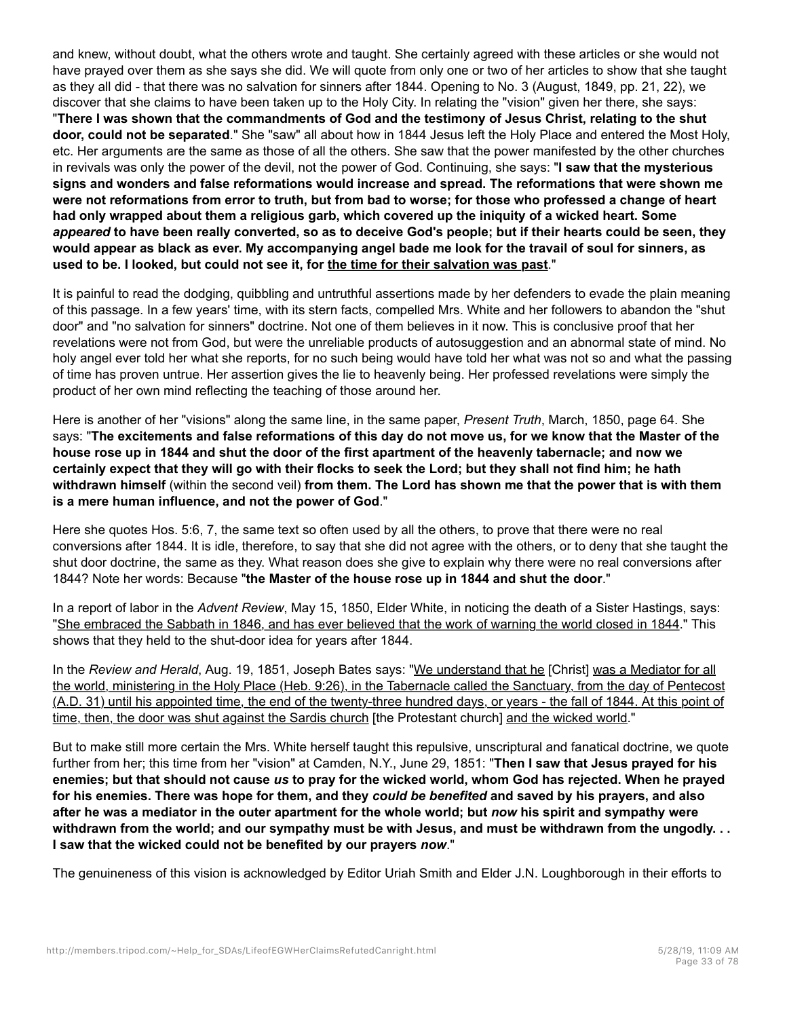and knew, without doubt, what the others wrote and taught. She certainly agreed with these articles or she would not have prayed over them as she says she did. We will quote from only one or two of her articles to show that she taught as they all did - that there was no salvation for sinners after 1844. Opening to No. 3 (August, 1849, pp. 21, 22), we discover that she claims to have been taken up to the Holy City. In relating the "vision" given her there, she says: "**There I was shown that the commandments of God and the testimony of Jesus Christ, relating to the shut door, could not be separated**." She "saw" all about how in 1844 Jesus left the Holy Place and entered the Most Holy, etc. Her arguments are the same as those of all the others. She saw that the power manifested by the other churches in revivals was only the power of the devil, not the power of God. Continuing, she says: "**I saw that the mysterious signs and wonders and false reformations would increase and spread. The reformations that were shown me were not reformations from error to truth, but from bad to worse; for those who professed a change of heart had only wrapped about them a religious garb, which covered up the iniquity of a wicked heart. Some** *appeared* **to have been really converted, so as to deceive God's people; but if their hearts could be seen, they would appear as black as ever. My accompanying angel bade me look for the travail of soul for sinners, as used to be. I looked, but could not see it, for the time for their salvation was past**."

It is painful to read the dodging, quibbling and untruthful assertions made by her defenders to evade the plain meaning of this passage. In a few years' time, with its stern facts, compelled Mrs. White and her followers to abandon the "shut door" and "no salvation for sinners" doctrine. Not one of them believes in it now. This is conclusive proof that her revelations were not from God, but were the unreliable products of autosuggestion and an abnormal state of mind. No holy angel ever told her what she reports, for no such being would have told her what was not so and what the passing of time has proven untrue. Her assertion gives the lie to heavenly being. Her professed revelations were simply the product of her own mind reflecting the teaching of those around her.

Here is another of her "visions" along the same line, in the same paper, *Present Truth*, March, 1850, page 64. She says: "**The excitements and false reformations of this day do not move us, for we know that the Master of the house rose up in 1844 and shut the door of the first apartment of the heavenly tabernacle; and now we certainly expect that they will go with their flocks to seek the Lord; but they shall not find him; he hath withdrawn himself** (within the second veil) **from them. The Lord has shown me that the power that is with them is a mere human influence, and not the power of God**."

Here she quotes Hos. 5:6, 7, the same text so often used by all the others, to prove that there were no real conversions after 1844. It is idle, therefore, to say that she did not agree with the others, or to deny that she taught the shut door doctrine, the same as they. What reason does she give to explain why there were no real conversions after 1844? Note her words: Because "**the Master of the house rose up in 1844 and shut the door**."

In a report of labor in the *Advent Review*, May 15, 1850, Elder White, in noticing the death of a Sister Hastings, says: "She embraced the Sabbath in 1846, and has ever believed that the work of warning the world closed in 1844." This shows that they held to the shut-door idea for years after 1844.

In the *Review and Herald*, Aug. 19, 1851, Joseph Bates says: "We understand that he [Christ] was a Mediator for all the world, ministering in the Holy Place (Heb. 9:26), in the Tabernacle called the Sanctuary, from the day of Pentecost (A.D. 31) until his appointed time, the end of the twenty-three hundred days, or years - the fall of 1844. At this point of time, then, the door was shut against the Sardis church [the Protestant church] and the wicked world."

But to make still more certain the Mrs. White herself taught this repulsive, unscriptural and fanatical doctrine, we quote further from her; this time from her "vision" at Camden, N.Y., June 29, 1851: "**Then I saw that Jesus prayed for his enemies; but that should not cause** *us* **to pray for the wicked world, whom God has rejected. When he prayed for his enemies. There was hope for them, and they** *could be benefited* **and saved by his prayers, and also after he was a mediator in the outer apartment for the whole world; but** *now* **his spirit and sympathy were withdrawn from the world; and our sympathy must be with Jesus, and must be withdrawn from the ungodly. . . I saw that the wicked could not be benefited by our prayers** *now*."

The genuineness of this vision is acknowledged by Editor Uriah Smith and Elder J.N. Loughborough in their efforts to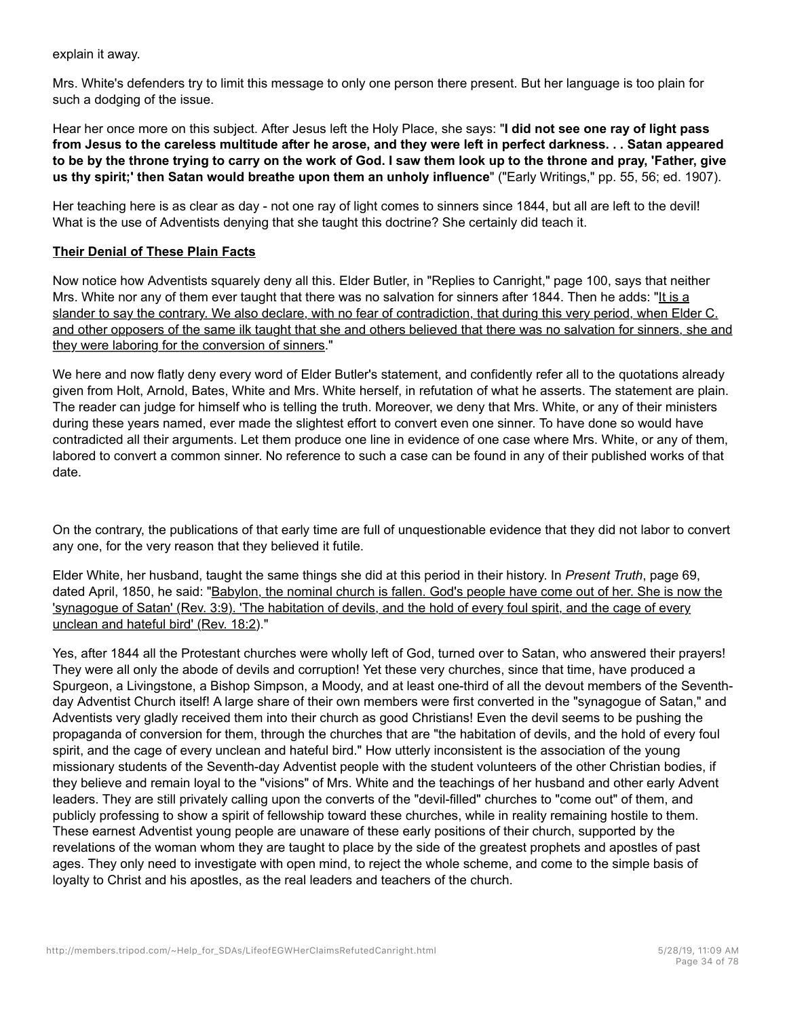explain it away.

Mrs. White's defenders try to limit this message to only one person there present. But her language is too plain for such a dodging of the issue.

Hear her once more on this subject. After Jesus left the Holy Place, she says: "**I did not see one ray of light pass from Jesus to the careless multitude after he arose, and they were left in perfect darkness. . . Satan appeared to be by the throne trying to carry on the work of God. I saw them look up to the throne and pray, 'Father, give us thy spirit;' then Satan would breathe upon them an unholy influence**" ("Early Writings," pp. 55, 56; ed. 1907).

Her teaching here is as clear as day - not one ray of light comes to sinners since 1844, but all are left to the devil! What is the use of Adventists denying that she taught this doctrine? She certainly did teach it.

#### **Their Denial of These Plain Facts**

Now notice how Adventists squarely deny all this. Elder Butler, in "Replies to Canright," page 100, says that neither Mrs. White nor any of them ever taught that there was no salvation for sinners after 1844. Then he adds: "It is a slander to say the contrary. We also declare, with no fear of contradiction, that during this very period, when Elder C. and other opposers of the same ilk taught that she and others believed that there was no salvation for sinners, she and they were laboring for the conversion of sinners."

We here and now flatly deny every word of Elder Butler's statement, and confidently refer all to the quotations already given from Holt, Arnold, Bates, White and Mrs. White herself, in refutation of what he asserts. The statement are plain. The reader can judge for himself who is telling the truth. Moreover, we deny that Mrs. White, or any of their ministers during these years named, ever made the slightest effort to convert even one sinner. To have done so would have contradicted all their arguments. Let them produce one line in evidence of one case where Mrs. White, or any of them, labored to convert a common sinner. No reference to such a case can be found in any of their published works of that date.

On the contrary, the publications of that early time are full of unquestionable evidence that they did not labor to convert any one, for the very reason that they believed it futile.

Elder White, her husband, taught the same things she did at this period in their history. In *Present Truth*, page 69, dated April, 1850, he said: "Babylon, the nominal church is fallen. God's people have come out of her. She is now the 'synagogue of Satan' (Rev. 3:9). 'The habitation of devils, and the hold of every foul spirit, and the cage of every unclean and hateful bird' (Rev. 18:2)."

Yes, after 1844 all the Protestant churches were wholly left of God, turned over to Satan, who answered their prayers! They were all only the abode of devils and corruption! Yet these very churches, since that time, have produced a Spurgeon, a Livingstone, a Bishop Simpson, a Moody, and at least one-third of all the devout members of the Seventhday Adventist Church itself! A large share of their own members were first converted in the "synagogue of Satan," and Adventists very gladly received them into their church as good Christians! Even the devil seems to be pushing the propaganda of conversion for them, through the churches that are "the habitation of devils, and the hold of every foul spirit, and the cage of every unclean and hateful bird." How utterly inconsistent is the association of the young missionary students of the Seventh-day Adventist people with the student volunteers of the other Christian bodies, if they believe and remain loyal to the "visions" of Mrs. White and the teachings of her husband and other early Advent leaders. They are still privately calling upon the converts of the "devil-filled" churches to "come out" of them, and publicly professing to show a spirit of fellowship toward these churches, while in reality remaining hostile to them. These earnest Adventist young people are unaware of these early positions of their church, supported by the revelations of the woman whom they are taught to place by the side of the greatest prophets and apostles of past ages. They only need to investigate with open mind, to reject the whole scheme, and come to the simple basis of loyalty to Christ and his apostles, as the real leaders and teachers of the church.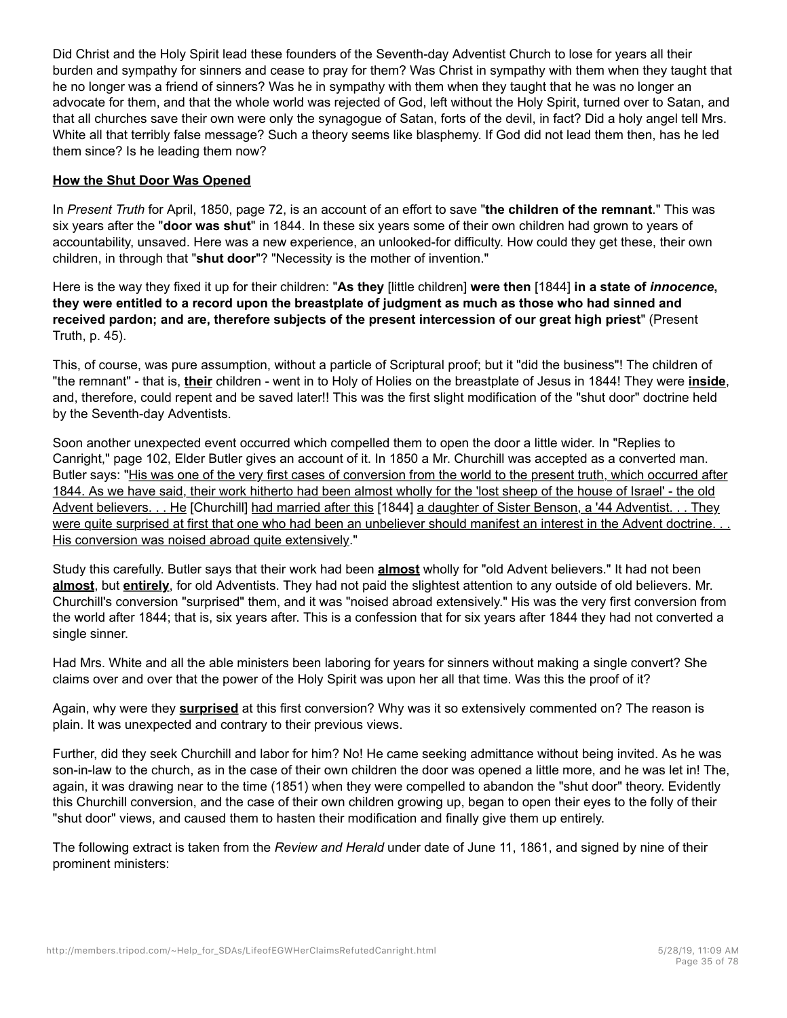Did Christ and the Holy Spirit lead these founders of the Seventh-day Adventist Church to lose for years all their burden and sympathy for sinners and cease to pray for them? Was Christ in sympathy with them when they taught that he no longer was a friend of sinners? Was he in sympathy with them when they taught that he was no longer an advocate for them, and that the whole world was rejected of God, left without the Holy Spirit, turned over to Satan, and that all churches save their own were only the synagogue of Satan, forts of the devil, in fact? Did a holy angel tell Mrs. White all that terribly false message? Such a theory seems like blasphemy. If God did not lead them then, has he led them since? Is he leading them now?

## **How the Shut Door Was Opened**

In *Present Truth* for April, 1850, page 72, is an account of an effort to save "**the children of the remnant**." This was six years after the "**door was shut**" in 1844. In these six years some of their own children had grown to years of accountability, unsaved. Here was a new experience, an unlooked-for difficulty. How could they get these, their own children, in through that "**shut door**"? "Necessity is the mother of invention."

Here is the way they fixed it up for their children: "**As they** [little children] **were then** [1844] **in a state of** *innocence***, they were entitled to a record upon the breastplate of judgment as much as those who had sinned and received pardon; and are, therefore subjects of the present intercession of our great high priest**" (Present Truth, p. 45).

This, of course, was pure assumption, without a particle of Scriptural proof; but it "did the business"! The children of "the remnant" - that is, **their** children - went in to Holy of Holies on the breastplate of Jesus in 1844! They were **inside**, and, therefore, could repent and be saved later!! This was the first slight modification of the "shut door" doctrine held by the Seventh-day Adventists.

Soon another unexpected event occurred which compelled them to open the door a little wider. In "Replies to Canright," page 102, Elder Butler gives an account of it. In 1850 a Mr. Churchill was accepted as a converted man. Butler says: "His was one of the very first cases of conversion from the world to the present truth, which occurred after 1844. As we have said, their work hitherto had been almost wholly for the 'lost sheep of the house of Israel' - the old Advent believers. . . He [Churchill] had married after this [1844] a daughter of Sister Benson, a '44 Adventist. . . They were quite surprised at first that one who had been an unbeliever should manifest an interest in the Advent doctrine. . . His conversion was noised abroad quite extensively."

Study this carefully. Butler says that their work had been **almost** wholly for "old Advent believers." It had not been **almost**, but **entirely**, for old Adventists. They had not paid the slightest attention to any outside of old believers. Mr. Churchill's conversion "surprised" them, and it was "noised abroad extensively." His was the very first conversion from the world after 1844; that is, six years after. This is a confession that for six years after 1844 they had not converted a single sinner.

Had Mrs. White and all the able ministers been laboring for years for sinners without making a single convert? She claims over and over that the power of the Holy Spirit was upon her all that time. Was this the proof of it?

Again, why were they **surprised** at this first conversion? Why was it so extensively commented on? The reason is plain. It was unexpected and contrary to their previous views.

Further, did they seek Churchill and labor for him? No! He came seeking admittance without being invited. As he was son-in-law to the church, as in the case of their own children the door was opened a little more, and he was let in! The, again, it was drawing near to the time (1851) when they were compelled to abandon the "shut door" theory. Evidently this Churchill conversion, and the case of their own children growing up, began to open their eyes to the folly of their "shut door" views, and caused them to hasten their modification and finally give them up entirely.

The following extract is taken from the *Review and Herald* under date of June 11, 1861, and signed by nine of their prominent ministers: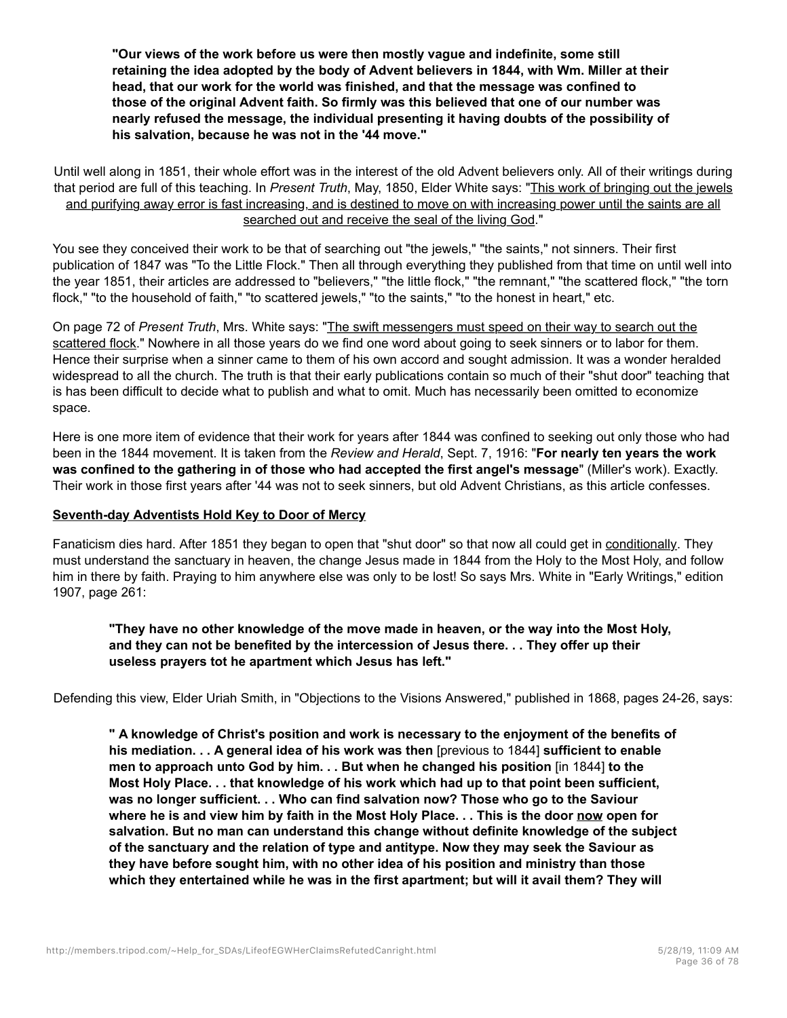**"Our views of the work before us were then mostly vague and indefinite, some still retaining the idea adopted by the body of Advent believers in 1844, with Wm. Miller at their head, that our work for the world was finished, and that the message was confined to those of the original Advent faith. So firmly was this believed that one of our number was nearly refused the message, the individual presenting it having doubts of the possibility of his salvation, because he was not in the '44 move."**

Until well along in 1851, their whole effort was in the interest of the old Advent believers only. All of their writings during that period are full of this teaching. In *Present Truth*, May, 1850, Elder White says: "This work of bringing out the jewels and purifying away error is fast increasing, and is destined to move on with increasing power until the saints are all searched out and receive the seal of the living God."

You see they conceived their work to be that of searching out "the jewels," "the saints," not sinners. Their first publication of 1847 was "To the Little Flock." Then all through everything they published from that time on until well into the year 1851, their articles are addressed to "believers," "the little flock," "the remnant," "the scattered flock," "the torn flock," "to the household of faith," "to scattered jewels," "to the saints," "to the honest in heart," etc.

On page 72 of *Present Truth*, Mrs. White says: "The swift messengers must speed on their way to search out the scattered flock." Nowhere in all those years do we find one word about going to seek sinners or to labor for them. Hence their surprise when a sinner came to them of his own accord and sought admission. It was a wonder heralded widespread to all the church. The truth is that their early publications contain so much of their "shut door" teaching that is has been difficult to decide what to publish and what to omit. Much has necessarily been omitted to economize space.

Here is one more item of evidence that their work for years after 1844 was confined to seeking out only those who had been in the 1844 movement. It is taken from the *Review and Herald*, Sept. 7, 1916: "**For nearly ten years the work was confined to the gathering in of those who had accepted the first angel's message**" (Miller's work). Exactly. Their work in those first years after '44 was not to seek sinners, but old Advent Christians, as this article confesses.

#### **Seventh-day Adventists Hold Key to Door of Mercy**

Fanaticism dies hard. After 1851 they began to open that "shut door" so that now all could get in conditionally. They must understand the sanctuary in heaven, the change Jesus made in 1844 from the Holy to the Most Holy, and follow him in there by faith. Praying to him anywhere else was only to be lost! So says Mrs. White in "Early Writings," edition 1907, page 261:

**"They have no other knowledge of the move made in heaven, or the way into the Most Holy, and they can not be benefited by the intercession of Jesus there. . . They offer up their useless prayers tot he apartment which Jesus has left."**

Defending this view, Elder Uriah Smith, in "Objections to the Visions Answered," published in 1868, pages 24-26, says:

**" A knowledge of Christ's position and work is necessary to the enjoyment of the benefits of his mediation. . . A general idea of his work was then** [previous to 1844] **sufficient to enable men to approach unto God by him. . . But when he changed his position** [in 1844] **to the Most Holy Place. . . that knowledge of his work which had up to that point been sufficient, was no longer sufficient. . . Who can find salvation now? Those who go to the Saviour where he is and view him by faith in the Most Holy Place. . . This is the door now open for salvation. But no man can understand this change without definite knowledge of the subject of the sanctuary and the relation of type and antitype. Now they may seek the Saviour as they have before sought him, with no other idea of his position and ministry than those which they entertained while he was in the first apartment; but will it avail them? They will**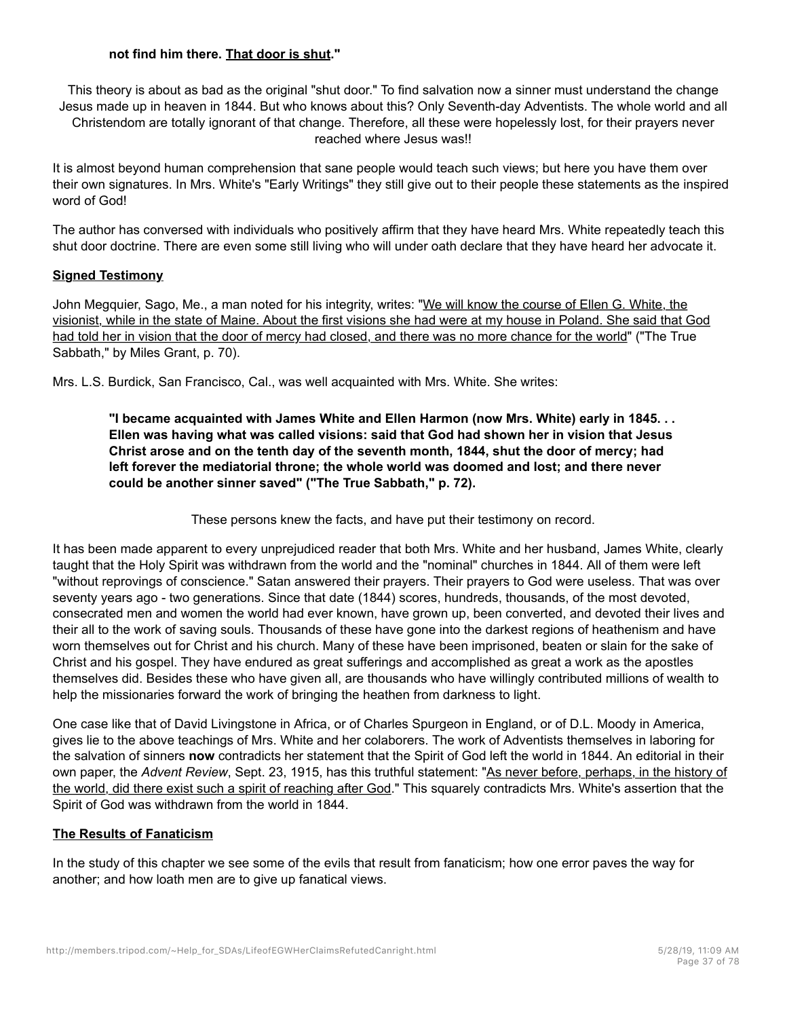## **not find him there. That door is shut."**

This theory is about as bad as the original "shut door." To find salvation now a sinner must understand the change Jesus made up in heaven in 1844. But who knows about this? Only Seventh-day Adventists. The whole world and all Christendom are totally ignorant of that change. Therefore, all these were hopelessly lost, for their prayers never reached where Jesus was!!

It is almost beyond human comprehension that sane people would teach such views; but here you have them over their own signatures. In Mrs. White's "Early Writings" they still give out to their people these statements as the inspired word of God!

The author has conversed with individuals who positively affirm that they have heard Mrs. White repeatedly teach this shut door doctrine. There are even some still living who will under oath declare that they have heard her advocate it.

### **Signed Testimony**

John Megquier, Sago, Me., a man noted for his integrity, writes: "We will know the course of Ellen G. White, the visionist, while in the state of Maine. About the first visions she had were at my house in Poland. She said that God had told her in vision that the door of mercy had closed, and there was no more chance for the world" ("The True Sabbath," by Miles Grant, p. 70).

Mrs. L.S. Burdick, San Francisco, Cal., was well acquainted with Mrs. White. She writes:

**"I became acquainted with James White and Ellen Harmon (now Mrs. White) early in 1845. . . Ellen was having what was called visions: said that God had shown her in vision that Jesus Christ arose and on the tenth day of the seventh month, 1844, shut the door of mercy; had left forever the mediatorial throne; the whole world was doomed and lost; and there never could be another sinner saved" ("The True Sabbath," p. 72).**

These persons knew the facts, and have put their testimony on record.

It has been made apparent to every unprejudiced reader that both Mrs. White and her husband, James White, clearly taught that the Holy Spirit was withdrawn from the world and the "nominal" churches in 1844. All of them were left "without reprovings of conscience." Satan answered their prayers. Their prayers to God were useless. That was over seventy years ago - two generations. Since that date (1844) scores, hundreds, thousands, of the most devoted, consecrated men and women the world had ever known, have grown up, been converted, and devoted their lives and their all to the work of saving souls. Thousands of these have gone into the darkest regions of heathenism and have worn themselves out for Christ and his church. Many of these have been imprisoned, beaten or slain for the sake of Christ and his gospel. They have endured as great sufferings and accomplished as great a work as the apostles themselves did. Besides these who have given all, are thousands who have willingly contributed millions of wealth to help the missionaries forward the work of bringing the heathen from darkness to light.

One case like that of David Livingstone in Africa, or of Charles Spurgeon in England, or of D.L. Moody in America, gives lie to the above teachings of Mrs. White and her colaborers. The work of Adventists themselves in laboring for the salvation of sinners **now** contradicts her statement that the Spirit of God left the world in 1844. An editorial in their own paper, the *Advent Review*, Sept. 23, 1915, has this truthful statement: "As never before, perhaps, in the history of the world, did there exist such a spirit of reaching after God." This squarely contradicts Mrs. White's assertion that the Spirit of God was withdrawn from the world in 1844.

# **The Results of Fanaticism**

In the study of this chapter we see some of the evils that result from fanaticism; how one error paves the way for another; and how loath men are to give up fanatical views.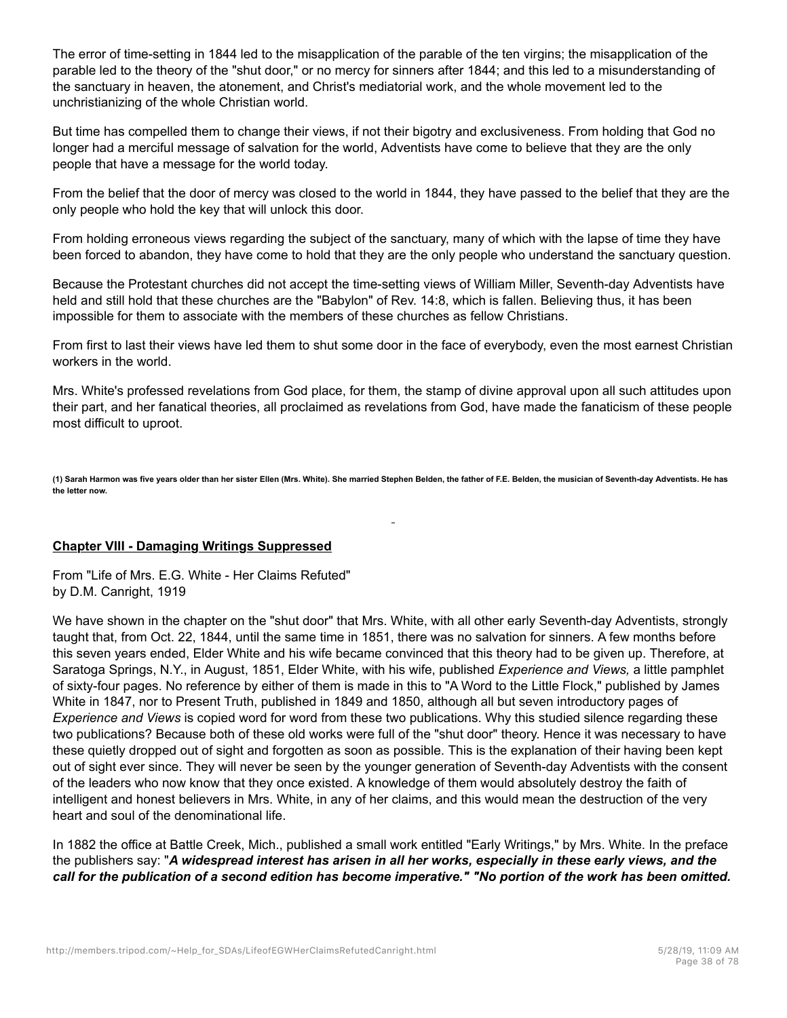The error of time-setting in 1844 led to the misapplication of the parable of the ten virgins; the misapplication of the parable led to the theory of the "shut door," or no mercy for sinners after 1844; and this led to a misunderstanding of the sanctuary in heaven, the atonement, and Christ's mediatorial work, and the whole movement led to the unchristianizing of the whole Christian world.

But time has compelled them to change their views, if not their bigotry and exclusiveness. From holding that God no longer had a merciful message of salvation for the world, Adventists have come to believe that they are the only people that have a message for the world today.

From the belief that the door of mercy was closed to the world in 1844, they have passed to the belief that they are the only people who hold the key that will unlock this door.

From holding erroneous views regarding the subject of the sanctuary, many of which with the lapse of time they have been forced to abandon, they have come to hold that they are the only people who understand the sanctuary question.

Because the Protestant churches did not accept the time-setting views of William Miller, Seventh-day Adventists have held and still hold that these churches are the "Babylon" of Rev. 14:8, which is fallen. Believing thus, it has been impossible for them to associate with the members of these churches as fellow Christians.

From first to last their views have led them to shut some door in the face of everybody, even the most earnest Christian workers in the world.

Mrs. White's professed revelations from God place, for them, the stamp of divine approval upon all such attitudes upon their part, and her fanatical theories, all proclaimed as revelations from God, have made the fanaticism of these people most difficult to uproot.

**(1) Sarah Harmon was five years older than her sister Ellen (Mrs. White). She married Stephen Belden, the father of F.E. Belden, the musician of Seventh-day Adventists. He has the letter now.**

### **Chapter VIII - Damaging Writings Suppressed**

From "Life of Mrs. E.G. White - Her Claims Refuted" by D.M. Canright, 1919

We have shown in the chapter on the "shut door" that Mrs. White, with all other early Seventh-day Adventists, strongly taught that, from Oct. 22, 1844, until the same time in 1851, there was no salvation for sinners. A few months before this seven years ended, Elder White and his wife became convinced that this theory had to be given up. Therefore, at Saratoga Springs, N.Y., in August, 1851, Elder White, with his wife, published *Experience and Views,* a little pamphlet of sixty-four pages. No reference by either of them is made in this to "A Word to the Little Flock," published by James White in 1847, nor to Present Truth, published in 1849 and 1850, although all but seven introductory pages of *Experience and Views* is copied word for word from these two publications. Why this studied silence regarding these two publications? Because both of these old works were full of the "shut door" theory. Hence it was necessary to have these quietly dropped out of sight and forgotten as soon as possible. This is the explanation of their having been kept out of sight ever since. They will never be seen by the younger generation of Seventh-day Adventists with the consent of the leaders who now know that they once existed. A knowledge of them would absolutely destroy the faith of intelligent and honest believers in Mrs. White, in any of her claims, and this would mean the destruction of the very heart and soul of the denominational life.

In 1882 the office at Battle Creek, Mich., published a small work entitled "Early Writings," by Mrs. White. In the preface the publishers say: "*A widespread interest has arisen in all her works, especially in these early views, and the call for the publication of a second edition has become imperative." "No portion of the work has been omitted.*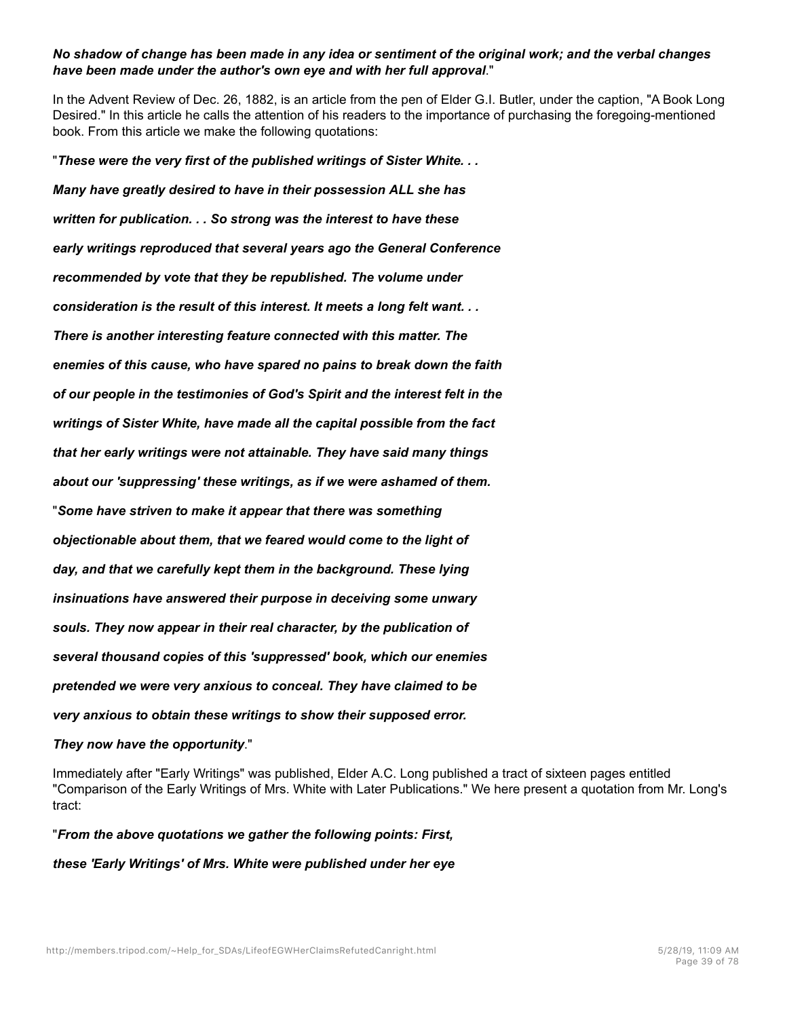# *No shadow of change has been made in any idea or sentiment of the original work; and the verbal changes have been made under the author's own eye and with her full approval*."

In the Advent Review of Dec. 26, 1882, is an article from the pen of Elder G.I. Butler, under the caption, "A Book Long Desired." In this article he calls the attention of his readers to the importance of purchasing the foregoing-mentioned book. From this article we make the following quotations:

"*These were the very first of the published writings of Sister White. . . Many have greatly desired to have in their possession ALL she has written for publication. . . So strong was the interest to have these early writings reproduced that several years ago the General Conference recommended by vote that they be republished. The volume under consideration is the result of this interest. It meets a long felt want. . . There is another interesting feature connected with this matter. The enemies of this cause, who have spared no pains to break down the faith of our people in the testimonies of God's Spirit and the interest felt in the writings of Sister White, have made all the capital possible from the fact that her early writings were not attainable. They have said many things about our 'suppressing' these writings, as if we were ashamed of them.* "*Some have striven to make it appear that there was something objectionable about them, that we feared would come to the light of day, and that we carefully kept them in the background. These lying insinuations have answered their purpose in deceiving some unwary souls. They now appear in their real character, by the publication of several thousand copies of this 'suppressed' book, which our enemies pretended we were very anxious to conceal. They have claimed to be very anxious to obtain these writings to show their supposed error.*

# *They now have the opportunity*."

Immediately after "Early Writings" was published, Elder A.C. Long published a tract of sixteen pages entitled "Comparison of the Early Writings of Mrs. White with Later Publications." We here present a quotation from Mr. Long's tract:

"*From the above quotations we gather the following points: First, these 'Early Writings' of Mrs. White were published under her eye*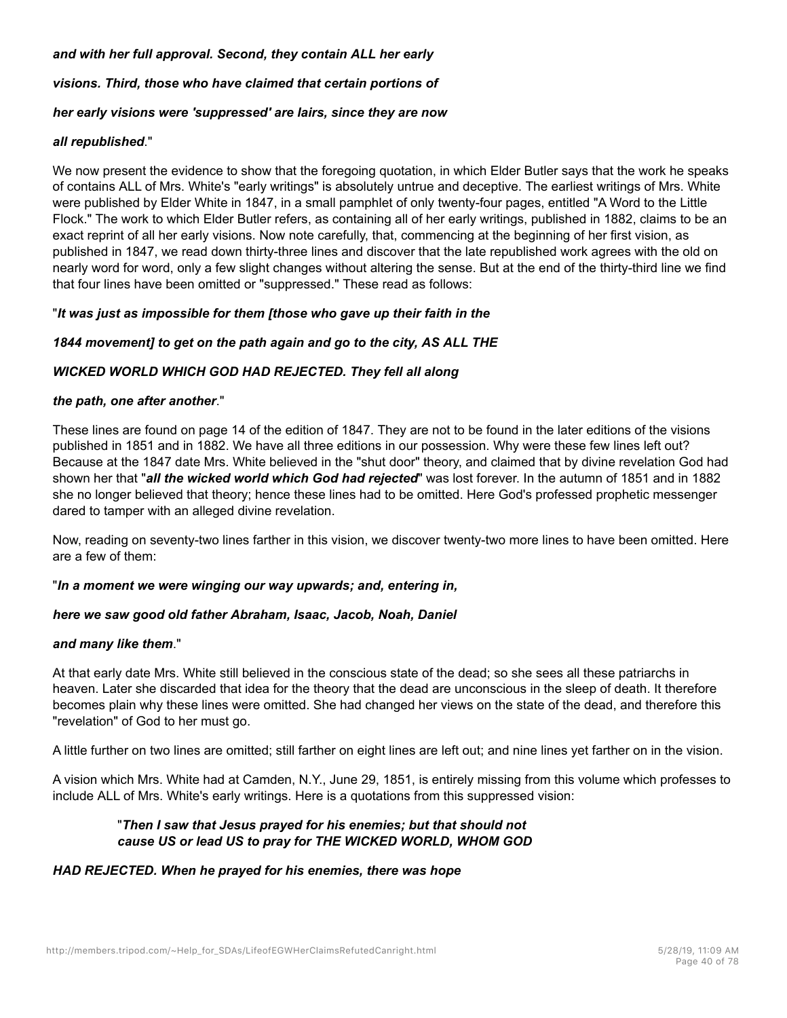### *and with her full approval. Second, they contain ALL her early*

*visions. Third, those who have claimed that certain portions of*

### *her early visions were 'suppressed' are lairs, since they are now*

### *all republished*."

We now present the evidence to show that the foregoing quotation, in which Elder Butler says that the work he speaks of contains ALL of Mrs. White's "early writings" is absolutely untrue and deceptive. The earliest writings of Mrs. White were published by Elder White in 1847, in a small pamphlet of only twenty-four pages, entitled "A Word to the Little Flock." The work to which Elder Butler refers, as containing all of her early writings, published in 1882, claims to be an exact reprint of all her early visions. Now note carefully, that, commencing at the beginning of her first vision, as published in 1847, we read down thirty-three lines and discover that the late republished work agrees with the old on nearly word for word, only a few slight changes without altering the sense. But at the end of the thirty-third line we find that four lines have been omitted or "suppressed." These read as follows:

### "*It was just as impossible for them [those who gave up their faith in the*

# *1844 movement] to get on the path again and go to the city, AS ALL THE*

# *WICKED WORLD WHICH GOD HAD REJECTED. They fell all along*

### *the path, one after another*."

These lines are found on page 14 of the edition of 1847. They are not to be found in the later editions of the visions published in 1851 and in 1882. We have all three editions in our possession. Why were these few lines left out? Because at the 1847 date Mrs. White believed in the "shut door" theory, and claimed that by divine revelation God had shown her that "*all the wicked world which God had rejected*" was lost forever. In the autumn of 1851 and in 1882 she no longer believed that theory; hence these lines had to be omitted. Here God's professed prophetic messenger dared to tamper with an alleged divine revelation.

Now, reading on seventy-two lines farther in this vision, we discover twenty-two more lines to have been omitted. Here are a few of them:

### "*In a moment we were winging our way upwards; and, entering in,*

### *here we saw good old father Abraham, Isaac, Jacob, Noah, Daniel*

### *and many like them*."

At that early date Mrs. White still believed in the conscious state of the dead; so she sees all these patriarchs in heaven. Later she discarded that idea for the theory that the dead are unconscious in the sleep of death. It therefore becomes plain why these lines were omitted. She had changed her views on the state of the dead, and therefore this "revelation" of God to her must go.

A little further on two lines are omitted; still farther on eight lines are left out; and nine lines yet farther on in the vision.

A vision which Mrs. White had at Camden, N.Y., June 29, 1851, is entirely missing from this volume which professes to include ALL of Mrs. White's early writings. Here is a quotations from this suppressed vision:

# "*Then I saw that Jesus prayed for his enemies; but that should not cause US or lead US to pray for THE WICKED WORLD, WHOM GOD*

# *HAD REJECTED. When he prayed for his enemies, there was hope*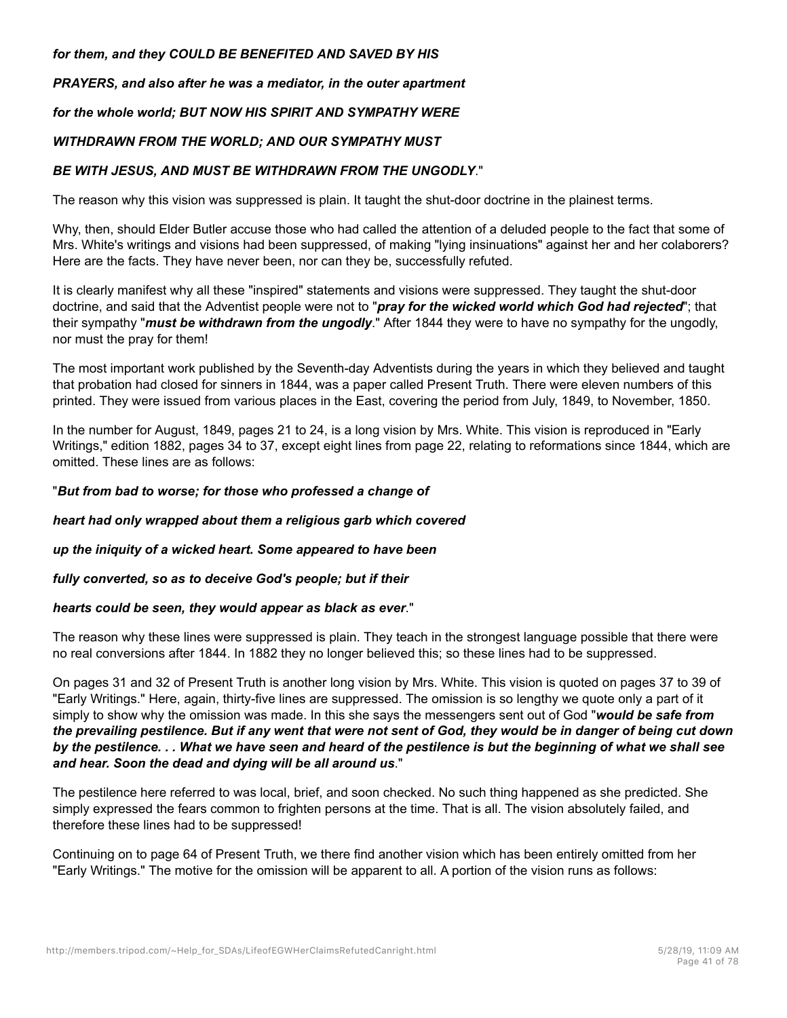### *for them, and they COULD BE BENEFITED AND SAVED BY HIS*

# *PRAYERS, and also after he was a mediator, in the outer apartment*

# *for the whole world; BUT NOW HIS SPIRIT AND SYMPATHY WERE*

# *WITHDRAWN FROM THE WORLD; AND OUR SYMPATHY MUST*

# *BE WITH JESUS, AND MUST BE WITHDRAWN FROM THE UNGODLY*."

The reason why this vision was suppressed is plain. It taught the shut-door doctrine in the plainest terms.

Why, then, should Elder Butler accuse those who had called the attention of a deluded people to the fact that some of Mrs. White's writings and visions had been suppressed, of making "lying insinuations" against her and her colaborers? Here are the facts. They have never been, nor can they be, successfully refuted.

It is clearly manifest why all these "inspired" statements and visions were suppressed. They taught the shut-door doctrine, and said that the Adventist people were not to "*pray for the wicked world which God had rejected*"; that their sympathy "*must be withdrawn from the ungodly*." After 1844 they were to have no sympathy for the ungodly, nor must the pray for them!

The most important work published by the Seventh-day Adventists during the years in which they believed and taught that probation had closed for sinners in 1844, was a paper called Present Truth. There were eleven numbers of this printed. They were issued from various places in the East, covering the period from July, 1849, to November, 1850.

In the number for August, 1849, pages 21 to 24, is a long vision by Mrs. White. This vision is reproduced in "Early Writings," edition 1882, pages 34 to 37, except eight lines from page 22, relating to reformations since 1844, which are omitted. These lines are as follows:

# "*But from bad to worse; for those who professed a change of*

# *heart had only wrapped about them a religious garb which covered*

# *up the iniquity of a wicked heart. Some appeared to have been*

# *fully converted, so as to deceive God's people; but if their*

# *hearts could be seen, they would appear as black as ever*."

The reason why these lines were suppressed is plain. They teach in the strongest language possible that there were no real conversions after 1844. In 1882 they no longer believed this; so these lines had to be suppressed.

On pages 31 and 32 of Present Truth is another long vision by Mrs. White. This vision is quoted on pages 37 to 39 of "Early Writings." Here, again, thirty-five lines are suppressed. The omission is so lengthy we quote only a part of it simply to show why the omission was made. In this she says the messengers sent out of God "*would be safe from the prevailing pestilence. But if any went that were not sent of God, they would be in danger of being cut down by the pestilence. . . What we have seen and heard of the pestilence is but the beginning of what we shall see and hear. Soon the dead and dying will be all around us*."

The pestilence here referred to was local, brief, and soon checked. No such thing happened as she predicted. She simply expressed the fears common to frighten persons at the time. That is all. The vision absolutely failed, and therefore these lines had to be suppressed!

Continuing on to page 64 of Present Truth, we there find another vision which has been entirely omitted from her "Early Writings." The motive for the omission will be apparent to all. A portion of the vision runs as follows: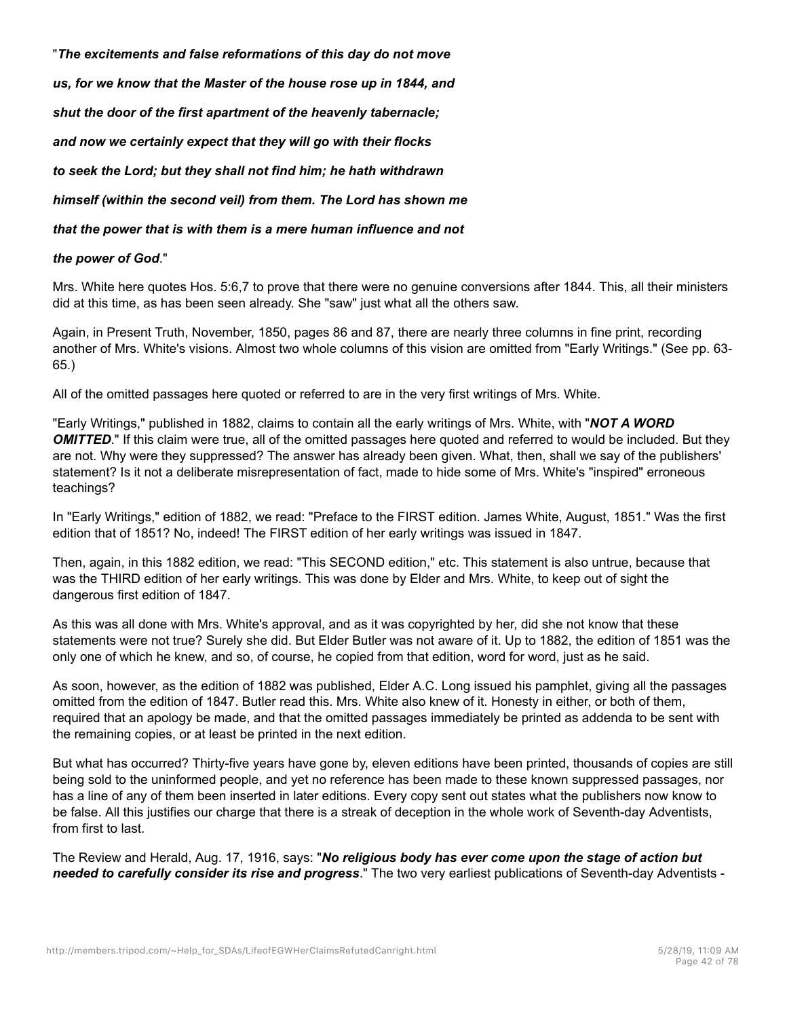"*The excitements and false reformations of this day do not move us, for we know that the Master of the house rose up in 1844, and shut the door of the first apartment of the heavenly tabernacle; and now we certainly expect that they will go with their flocks to seek the Lord; but they shall not find him; he hath withdrawn*

*himself (within the second veil) from them. The Lord has shown me*

*that the power that is with them is a mere human influence and not*

### *the power of God*."

Mrs. White here quotes Hos. 5:6,7 to prove that there were no genuine conversions after 1844. This, all their ministers did at this time, as has been seen already. She "saw" just what all the others saw.

Again, in Present Truth, November, 1850, pages 86 and 87, there are nearly three columns in fine print, recording another of Mrs. White's visions. Almost two whole columns of this vision are omitted from "Early Writings." (See pp. 63- 65.)

All of the omitted passages here quoted or referred to are in the very first writings of Mrs. White.

"Early Writings," published in 1882, claims to contain all the early writings of Mrs. White, with "*NOT A WORD OMITTED*." If this claim were true, all of the omitted passages here quoted and referred to would be included. But they are not. Why were they suppressed? The answer has already been given. What, then, shall we say of the publishers' statement? Is it not a deliberate misrepresentation of fact, made to hide some of Mrs. White's "inspired" erroneous teachings?

In "Early Writings," edition of 1882, we read: "Preface to the FIRST edition. James White, August, 1851." Was the first edition that of 1851? No, indeed! The FIRST edition of her early writings was issued in 1847.

Then, again, in this 1882 edition, we read: "This SECOND edition," etc. This statement is also untrue, because that was the THIRD edition of her early writings. This was done by Elder and Mrs. White, to keep out of sight the dangerous first edition of 1847.

As this was all done with Mrs. White's approval, and as it was copyrighted by her, did she not know that these statements were not true? Surely she did. But Elder Butler was not aware of it. Up to 1882, the edition of 1851 was the only one of which he knew, and so, of course, he copied from that edition, word for word, just as he said.

As soon, however, as the edition of 1882 was published, Elder A.C. Long issued his pamphlet, giving all the passages omitted from the edition of 1847. Butler read this. Mrs. White also knew of it. Honesty in either, or both of them, required that an apology be made, and that the omitted passages immediately be printed as addenda to be sent with the remaining copies, or at least be printed in the next edition.

But what has occurred? Thirty-five years have gone by, eleven editions have been printed, thousands of copies are still being sold to the uninformed people, and yet no reference has been made to these known suppressed passages, nor has a line of any of them been inserted in later editions. Every copy sent out states what the publishers now know to be false. All this justifies our charge that there is a streak of deception in the whole work of Seventh-day Adventists, from first to last.

The Review and Herald, Aug. 17, 1916, says: "*No religious body has ever come upon the stage of action but needed to carefully consider its rise and progress*." The two very earliest publications of Seventh-day Adventists -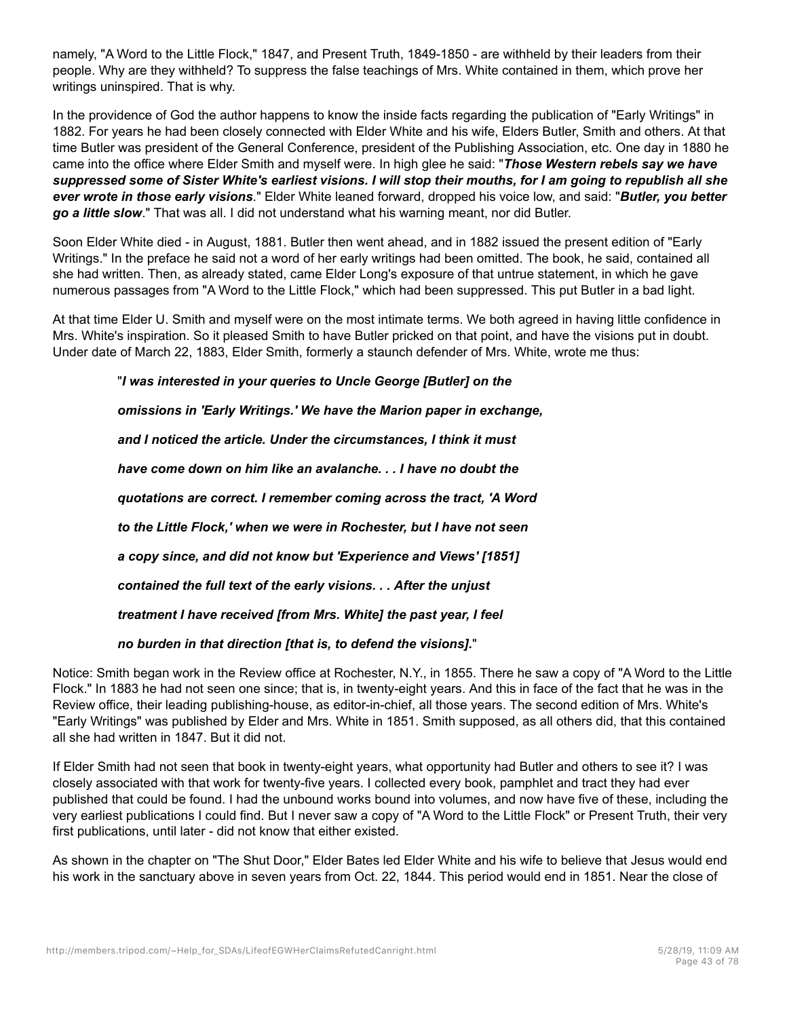namely, "A Word to the Little Flock," 1847, and Present Truth, 1849-1850 - are withheld by their leaders from their people. Why are they withheld? To suppress the false teachings of Mrs. White contained in them, which prove her writings uninspired. That is why.

In the providence of God the author happens to know the inside facts regarding the publication of "Early Writings" in 1882. For years he had been closely connected with Elder White and his wife, Elders Butler, Smith and others. At that time Butler was president of the General Conference, president of the Publishing Association, etc. One day in 1880 he came into the office where Elder Smith and myself were. In high glee he said: "*Those Western rebels say we have suppressed some of Sister White's earliest visions. I will stop their mouths, for I am going to republish all she ever wrote in those early visions*." Elder White leaned forward, dropped his voice low, and said: "*Butler, you better go a little slow*." That was all. I did not understand what his warning meant, nor did Butler.

Soon Elder White died - in August, 1881. Butler then went ahead, and in 1882 issued the present edition of "Early Writings." In the preface he said not a word of her early writings had been omitted. The book, he said, contained all she had written. Then, as already stated, came Elder Long's exposure of that untrue statement, in which he gave numerous passages from "A Word to the Little Flock," which had been suppressed. This put Butler in a bad light.

At that time Elder U. Smith and myself were on the most intimate terms. We both agreed in having little confidence in Mrs. White's inspiration. So it pleased Smith to have Butler pricked on that point, and have the visions put in doubt. Under date of March 22, 1883, Elder Smith, formerly a staunch defender of Mrs. White, wrote me thus:

"*I was interested in your queries to Uncle George [Butler] on the*

*omissions in 'Early Writings.' We have the Marion paper in exchange,*

*and I noticed the article. Under the circumstances, I think it must have come down on him like an avalanche. . . I have no doubt the quotations are correct. I remember coming across the tract, 'A Word to the Little Flock,' when we were in Rochester, but I have not seen a copy since, and did not know but 'Experience and Views' [1851] contained the full text of the early visions. . . After the unjust treatment I have received [from Mrs. White] the past year, I feel*

*no burden in that direction [that is, to defend the visions].*"

Notice: Smith began work in the Review office at Rochester, N.Y., in 1855. There he saw a copy of "A Word to the Little Flock." In 1883 he had not seen one since; that is, in twenty-eight years. And this in face of the fact that he was in the Review office, their leading publishing-house, as editor-in-chief, all those years. The second edition of Mrs. White's "Early Writings" was published by Elder and Mrs. White in 1851. Smith supposed, as all others did, that this contained all she had written in 1847. But it did not.

If Elder Smith had not seen that book in twenty-eight years, what opportunity had Butler and others to see it? I was closely associated with that work for twenty-five years. I collected every book, pamphlet and tract they had ever published that could be found. I had the unbound works bound into volumes, and now have five of these, including the very earliest publications I could find. But I never saw a copy of "A Word to the Little Flock" or Present Truth, their very first publications, until later - did not know that either existed.

As shown in the chapter on "The Shut Door," Elder Bates led Elder White and his wife to believe that Jesus would end his work in the sanctuary above in seven years from Oct. 22, 1844. This period would end in 1851. Near the close of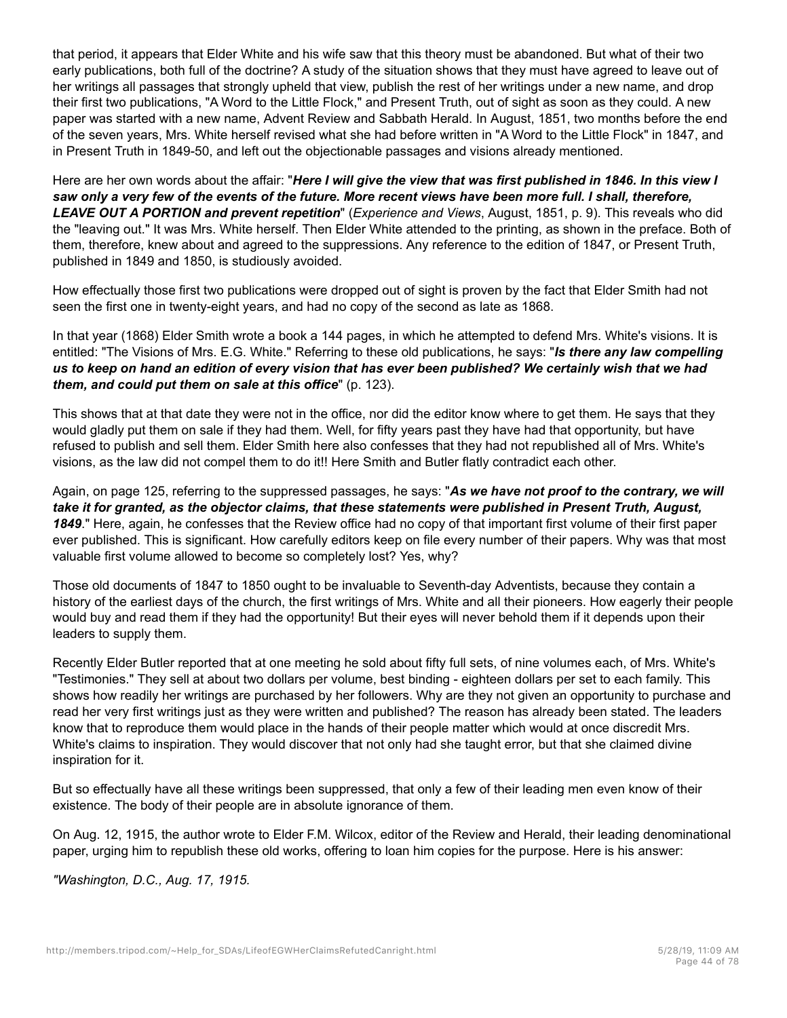that period, it appears that Elder White and his wife saw that this theory must be abandoned. But what of their two early publications, both full of the doctrine? A study of the situation shows that they must have agreed to leave out of her writings all passages that strongly upheld that view, publish the rest of her writings under a new name, and drop their first two publications, "A Word to the Little Flock," and Present Truth, out of sight as soon as they could. A new paper was started with a new name, Advent Review and Sabbath Herald. In August, 1851, two months before the end of the seven years, Mrs. White herself revised what she had before written in "A Word to the Little Flock" in 1847, and in Present Truth in 1849-50, and left out the objectionable passages and visions already mentioned.

Here are her own words about the affair: "*Here I will give the view that was first published in 1846. In this view I saw only a very few of the events of the future. More recent views have been more full. I shall, therefore, LEAVE OUT A PORTION and prevent repetition*" (*Experience and Views*, August, 1851, p. 9). This reveals who did the "leaving out." It was Mrs. White herself. Then Elder White attended to the printing, as shown in the preface. Both of them, therefore, knew about and agreed to the suppressions. Any reference to the edition of 1847, or Present Truth, published in 1849 and 1850, is studiously avoided.

How effectually those first two publications were dropped out of sight is proven by the fact that Elder Smith had not seen the first one in twenty-eight years, and had no copy of the second as late as 1868.

In that year (1868) Elder Smith wrote a book a 144 pages, in which he attempted to defend Mrs. White's visions. It is entitled: "The Visions of Mrs. E.G. White." Referring to these old publications, he says: "*Is there any law compelling us to keep on hand an edition of every vision that has ever been published? We certainly wish that we had them, and could put them on sale at this office*" (p. 123).

This shows that at that date they were not in the office, nor did the editor know where to get them. He says that they would gladly put them on sale if they had them. Well, for fifty years past they have had that opportunity, but have refused to publish and sell them. Elder Smith here also confesses that they had not republished all of Mrs. White's visions, as the law did not compel them to do it!! Here Smith and Butler flatly contradict each other.

Again, on page 125, referring to the suppressed passages, he says: "*As we have not proof to the contrary, we will take it for granted, as the objector claims, that these statements were published in Present Truth, August, 1849*." Here, again, he confesses that the Review office had no copy of that important first volume of their first paper ever published. This is significant. How carefully editors keep on file every number of their papers. Why was that most valuable first volume allowed to become so completely lost? Yes, why?

Those old documents of 1847 to 1850 ought to be invaluable to Seventh-day Adventists, because they contain a history of the earliest days of the church, the first writings of Mrs. White and all their pioneers. How eagerly their people would buy and read them if they had the opportunity! But their eyes will never behold them if it depends upon their leaders to supply them.

Recently Elder Butler reported that at one meeting he sold about fifty full sets, of nine volumes each, of Mrs. White's "Testimonies." They sell at about two dollars per volume, best binding - eighteen dollars per set to each family. This shows how readily her writings are purchased by her followers. Why are they not given an opportunity to purchase and read her very first writings just as they were written and published? The reason has already been stated. The leaders know that to reproduce them would place in the hands of their people matter which would at once discredit Mrs. White's claims to inspiration. They would discover that not only had she taught error, but that she claimed divine inspiration for it.

But so effectually have all these writings been suppressed, that only a few of their leading men even know of their existence. The body of their people are in absolute ignorance of them.

On Aug. 12, 1915, the author wrote to Elder F.M. Wilcox, editor of the Review and Herald, their leading denominational paper, urging him to republish these old works, offering to loan him copies for the purpose. Here is his answer:

*"Washington, D.C., Aug. 17, 1915.*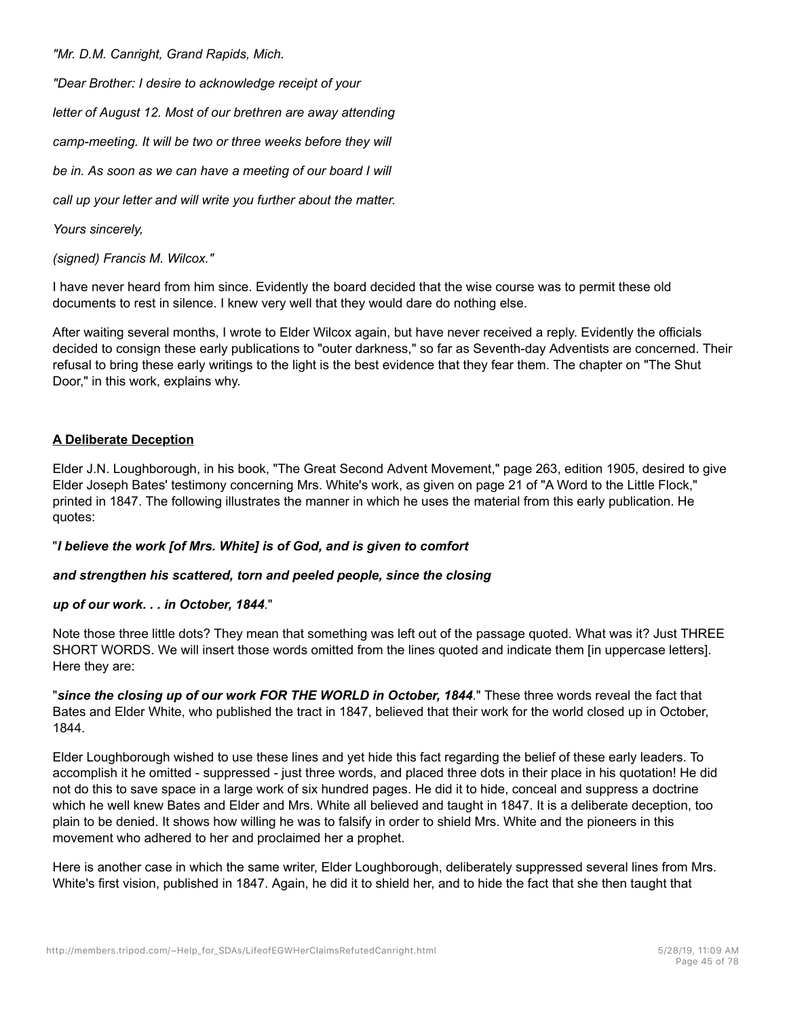*"Mr. D.M. Canright, Grand Rapids, Mich.*

*"Dear Brother: I desire to acknowledge receipt of your*

*letter of August 12. Most of our brethren are away attending*

*camp-meeting. It will be two or three weeks before they will*

*be in. As soon as we can have a meeting of our board I will*

*call up your letter and will write you further about the matter.*

*Yours sincerely,*

*(signed) Francis M. Wilcox."*

I have never heard from him since. Evidently the board decided that the wise course was to permit these old documents to rest in silence. I knew very well that they would dare do nothing else.

After waiting several months, I wrote to Elder Wilcox again, but have never received a reply. Evidently the officials decided to consign these early publications to "outer darkness," so far as Seventh-day Adventists are concerned. Their refusal to bring these early writings to the light is the best evidence that they fear them. The chapter on "The Shut Door," in this work, explains why.

# **A Deliberate Deception**

Elder J.N. Loughborough, in his book, "The Great Second Advent Movement," page 263, edition 1905, desired to give Elder Joseph Bates' testimony concerning Mrs. White's work, as given on page 21 of "A Word to the Little Flock," printed in 1847. The following illustrates the manner in which he uses the material from this early publication. He quotes:

### "*I believe the work [of Mrs. White] is of God, and is given to comfort*

### *and strengthen his scattered, torn and peeled people, since the closing*

### *up of our work. . . in October, 1844*."

Note those three little dots? They mean that something was left out of the passage quoted. What was it? Just THREE SHORT WORDS. We will insert those words omitted from the lines quoted and indicate them [in uppercase letters]. Here they are:

"*since the closing up of our work FOR THE WORLD in October, 1844*." These three words reveal the fact that Bates and Elder White, who published the tract in 1847, believed that their work for the world closed up in October, 1844.

Elder Loughborough wished to use these lines and yet hide this fact regarding the belief of these early leaders. To accomplish it he omitted - suppressed - just three words, and placed three dots in their place in his quotation! He did not do this to save space in a large work of six hundred pages. He did it to hide, conceal and suppress a doctrine which he well knew Bates and Elder and Mrs. White all believed and taught in 1847. It is a deliberate deception, too plain to be denied. It shows how willing he was to falsify in order to shield Mrs. White and the pioneers in this movement who adhered to her and proclaimed her a prophet.

Here is another case in which the same writer, Elder Loughborough, deliberately suppressed several lines from Mrs. White's first vision, published in 1847. Again, he did it to shield her, and to hide the fact that she then taught that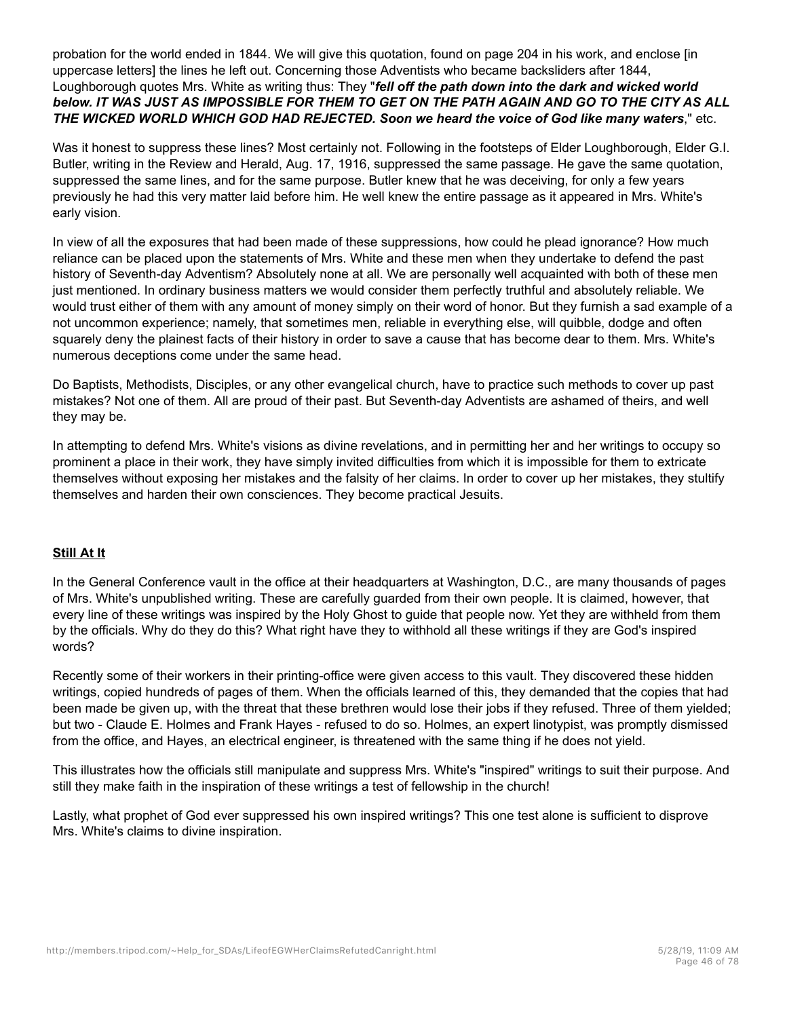probation for the world ended in 1844. We will give this quotation, found on page 204 in his work, and enclose [in uppercase letters] the lines he left out. Concerning those Adventists who became backsliders after 1844, Loughborough quotes Mrs. White as writing thus: They "*fell off the path down into the dark and wicked world below. IT WAS JUST AS IMPOSSIBLE FOR THEM TO GET ON THE PATH AGAIN AND GO TO THE CITY AS ALL THE WICKED WORLD WHICH GOD HAD REJECTED. Soon we heard the voice of God like many waters*," etc.

Was it honest to suppress these lines? Most certainly not. Following in the footsteps of Elder Loughborough, Elder G.I. Butler, writing in the Review and Herald, Aug. 17, 1916, suppressed the same passage. He gave the same quotation, suppressed the same lines, and for the same purpose. Butler knew that he was deceiving, for only a few years previously he had this very matter laid before him. He well knew the entire passage as it appeared in Mrs. White's early vision.

In view of all the exposures that had been made of these suppressions, how could he plead ignorance? How much reliance can be placed upon the statements of Mrs. White and these men when they undertake to defend the past history of Seventh-day Adventism? Absolutely none at all. We are personally well acquainted with both of these men just mentioned. In ordinary business matters we would consider them perfectly truthful and absolutely reliable. We would trust either of them with any amount of money simply on their word of honor. But they furnish a sad example of a not uncommon experience; namely, that sometimes men, reliable in everything else, will quibble, dodge and often squarely deny the plainest facts of their history in order to save a cause that has become dear to them. Mrs. White's numerous deceptions come under the same head.

Do Baptists, Methodists, Disciples, or any other evangelical church, have to practice such methods to cover up past mistakes? Not one of them. All are proud of their past. But Seventh-day Adventists are ashamed of theirs, and well they may be.

In attempting to defend Mrs. White's visions as divine revelations, and in permitting her and her writings to occupy so prominent a place in their work, they have simply invited difficulties from which it is impossible for them to extricate themselves without exposing her mistakes and the falsity of her claims. In order to cover up her mistakes, they stultify themselves and harden their own consciences. They become practical Jesuits.

# **Still At It**

In the General Conference vault in the office at their headquarters at Washington, D.C., are many thousands of pages of Mrs. White's unpublished writing. These are carefully guarded from their own people. It is claimed, however, that every line of these writings was inspired by the Holy Ghost to guide that people now. Yet they are withheld from them by the officials. Why do they do this? What right have they to withhold all these writings if they are God's inspired words?

Recently some of their workers in their printing-office were given access to this vault. They discovered these hidden writings, copied hundreds of pages of them. When the officials learned of this, they demanded that the copies that had been made be given up, with the threat that these brethren would lose their jobs if they refused. Three of them yielded; but two - Claude E. Holmes and Frank Hayes - refused to do so. Holmes, an expert linotypist, was promptly dismissed from the office, and Hayes, an electrical engineer, is threatened with the same thing if he does not yield.

This illustrates how the officials still manipulate and suppress Mrs. White's "inspired" writings to suit their purpose. And still they make faith in the inspiration of these writings a test of fellowship in the church!

Lastly, what prophet of God ever suppressed his own inspired writings? This one test alone is sufficient to disprove Mrs. White's claims to divine inspiration.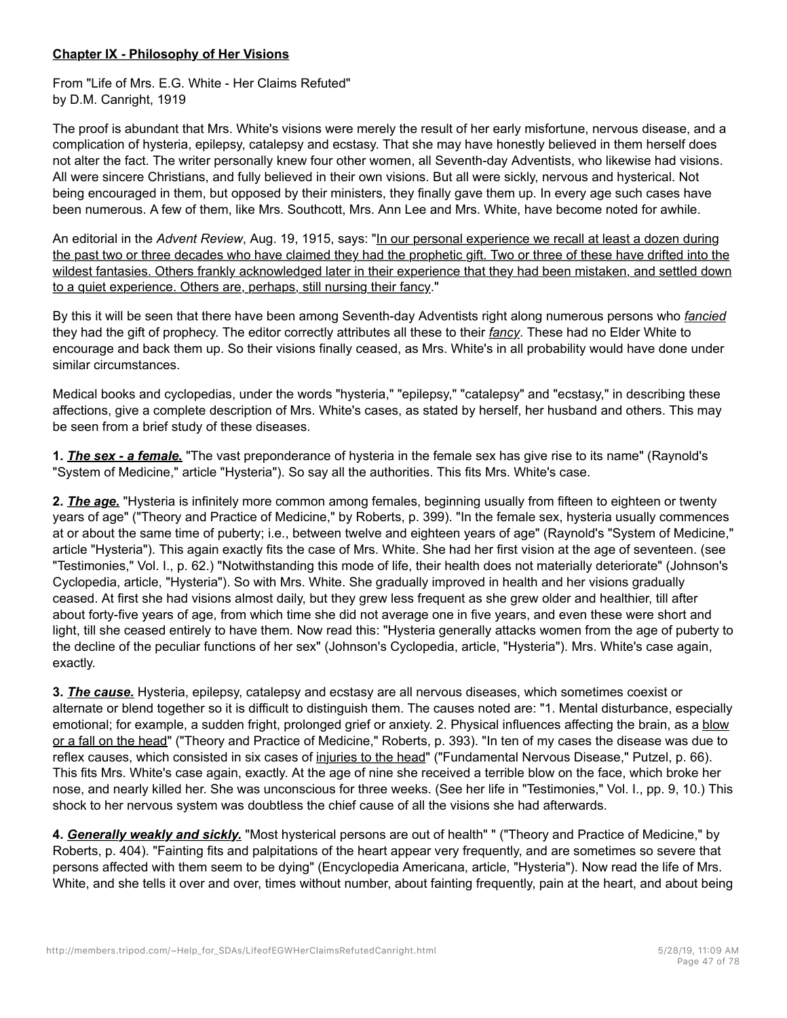# **Chapter IX - Philosophy of Her Visions**

From "Life of Mrs. E.G. White - Her Claims Refuted" by D.M. Canright, 1919

The proof is abundant that Mrs. White's visions were merely the result of her early misfortune, nervous disease, and a complication of hysteria, epilepsy, catalepsy and ecstasy. That she may have honestly believed in them herself does not alter the fact. The writer personally knew four other women, all Seventh-day Adventists, who likewise had visions. All were sincere Christians, and fully believed in their own visions. But all were sickly, nervous and hysterical. Not being encouraged in them, but opposed by their ministers, they finally gave them up. In every age such cases have been numerous. A few of them, like Mrs. Southcott, Mrs. Ann Lee and Mrs. White, have become noted for awhile.

An editorial in the *Advent Review*, Aug. 19, 1915, says: "In our personal experience we recall at least a dozen during the past two or three decades who have claimed they had the prophetic gift. Two or three of these have drifted into the wildest fantasies. Others frankly acknowledged later in their experience that they had been mistaken, and settled down to a quiet experience. Others are, perhaps, still nursing their fancy."

By this it will be seen that there have been among Seventh-day Adventists right along numerous persons who *fancied* they had the gift of prophecy. The editor correctly attributes all these to their *fancy*. These had no Elder White to encourage and back them up. So their visions finally ceased, as Mrs. White's in all probability would have done under similar circumstances.

Medical books and cyclopedias, under the words "hysteria," "epilepsy," "catalepsy" and "ecstasy," in describing these affections, give a complete description of Mrs. White's cases, as stated by herself, her husband and others. This may be seen from a brief study of these diseases.

**1.** *The sex - a female.* "The vast preponderance of hysteria in the female sex has give rise to its name" (Raynold's "System of Medicine," article "Hysteria"). So say all the authorities. This fits Mrs. White's case.

**2.** *The age.* "Hysteria is infinitely more common among females, beginning usually from fifteen to eighteen or twenty years of age" ("Theory and Practice of Medicine," by Roberts, p. 399). "In the female sex, hysteria usually commences at or about the same time of puberty; i.e., between twelve and eighteen years of age" (Raynold's "System of Medicine," article "Hysteria"). This again exactly fits the case of Mrs. White. She had her first vision at the age of seventeen. (see "Testimonies," Vol. I., p. 62.) "Notwithstanding this mode of life, their health does not materially deteriorate" (Johnson's Cyclopedia, article, "Hysteria"). So with Mrs. White. She gradually improved in health and her visions gradually ceased. At first she had visions almost daily, but they grew less frequent as she grew older and healthier, till after about forty-five years of age, from which time she did not average one in five years, and even these were short and light, till she ceased entirely to have them. Now read this: "Hysteria generally attacks women from the age of puberty to the decline of the peculiar functions of her sex" (Johnson's Cyclopedia, article, "Hysteria"). Mrs. White's case again, exactly.

**3.** *The cause.* Hysteria, epilepsy, catalepsy and ecstasy are all nervous diseases, which sometimes coexist or alternate or blend together so it is difficult to distinguish them. The causes noted are: "1. Mental disturbance, especially emotional; for example, a sudden fright, prolonged grief or anxiety. 2. Physical influences affecting the brain, as a blow or a fall on the head" ("Theory and Practice of Medicine," Roberts, p. 393). "In ten of my cases the disease was due to reflex causes, which consisted in six cases of injuries to the head" ("Fundamental Nervous Disease," Putzel, p. 66). This fits Mrs. White's case again, exactly. At the age of nine she received a terrible blow on the face, which broke her nose, and nearly killed her. She was unconscious for three weeks. (See her life in "Testimonies," Vol. I., pp. 9, 10.) This shock to her nervous system was doubtless the chief cause of all the visions she had afterwards.

**4.** *Generally weakly and sickly.* "Most hysterical persons are out of health" " ("Theory and Practice of Medicine," by Roberts, p. 404). "Fainting fits and palpitations of the heart appear very frequently, and are sometimes so severe that persons affected with them seem to be dying" (Encyclopedia Americana, article, "Hysteria"). Now read the life of Mrs. White, and she tells it over and over, times without number, about fainting frequently, pain at the heart, and about being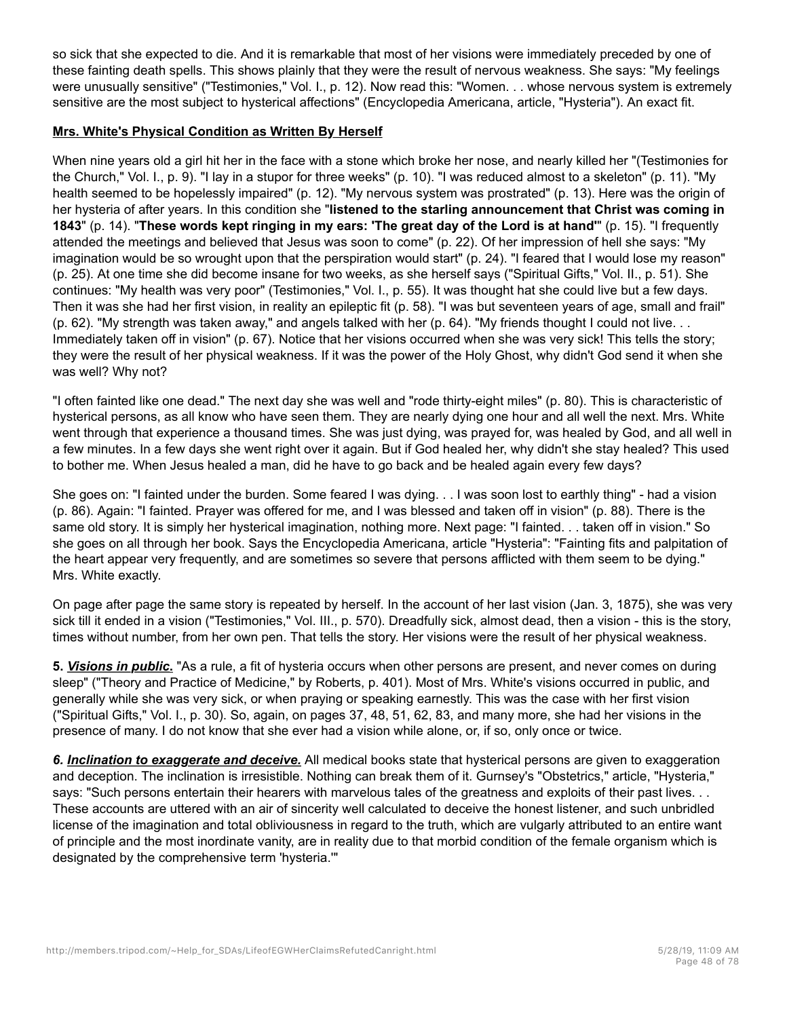so sick that she expected to die. And it is remarkable that most of her visions were immediately preceded by one of these fainting death spells. This shows plainly that they were the result of nervous weakness. She says: "My feelings were unusually sensitive" ("Testimonies," Vol. I., p. 12). Now read this: "Women. . . whose nervous system is extremely sensitive are the most subject to hysterical affections" (Encyclopedia Americana, article, "Hysteria"). An exact fit.

# **Mrs. White's Physical Condition as Written By Herself**

When nine years old a girl hit her in the face with a stone which broke her nose, and nearly killed her "(Testimonies for the Church," Vol. I., p. 9). "I lay in a stupor for three weeks" (p. 10). "I was reduced almost to a skeleton" (p. 11). "My health seemed to be hopelessly impaired" (p. 12). "My nervous system was prostrated" (p. 13). Here was the origin of her hysteria of after years. In this condition she "**listened to the starling announcement that Christ was coming in 1843**" (p. 14). "**These words kept ringing in my ears: 'The great day of the Lord is at hand'**" (p. 15). "I frequently attended the meetings and believed that Jesus was soon to come" (p. 22). Of her impression of hell she says: "My imagination would be so wrought upon that the perspiration would start" (p. 24). "I feared that I would lose my reason" (p. 25). At one time she did become insane for two weeks, as she herself says ("Spiritual Gifts," Vol. II., p. 51). She continues: "My health was very poor" (Testimonies," Vol. I., p. 55). It was thought hat she could live but a few days. Then it was she had her first vision, in reality an epileptic fit (p. 58). "I was but seventeen years of age, small and frail" (p. 62). "My strength was taken away," and angels talked with her (p. 64). "My friends thought I could not live. . . Immediately taken off in vision" (p. 67). Notice that her visions occurred when she was very sick! This tells the story; they were the result of her physical weakness. If it was the power of the Holy Ghost, why didn't God send it when she was well? Why not?

"I often fainted like one dead." The next day she was well and "rode thirty-eight miles" (p. 80). This is characteristic of hysterical persons, as all know who have seen them. They are nearly dying one hour and all well the next. Mrs. White went through that experience a thousand times. She was just dying, was prayed for, was healed by God, and all well in a few minutes. In a few days she went right over it again. But if God healed her, why didn't she stay healed? This used to bother me. When Jesus healed a man, did he have to go back and be healed again every few days?

She goes on: "I fainted under the burden. Some feared I was dying. . . I was soon lost to earthly thing" - had a vision (p. 86). Again: "I fainted. Prayer was offered for me, and I was blessed and taken off in vision" (p. 88). There is the same old story. It is simply her hysterical imagination, nothing more. Next page: "I fainted. . . taken off in vision." So she goes on all through her book. Says the Encyclopedia Americana, article "Hysteria": "Fainting fits and palpitation of the heart appear very frequently, and are sometimes so severe that persons afflicted with them seem to be dying." Mrs. White exactly.

On page after page the same story is repeated by herself. In the account of her last vision (Jan. 3, 1875), she was very sick till it ended in a vision ("Testimonies," Vol. III., p. 570). Dreadfully sick, almost dead, then a vision - this is the story, times without number, from her own pen. That tells the story. Her visions were the result of her physical weakness.

**5.** *Visions in public***.** "As a rule, a fit of hysteria occurs when other persons are present, and never comes on during sleep" ("Theory and Practice of Medicine," by Roberts, p. 401). Most of Mrs. White's visions occurred in public, and generally while she was very sick, or when praying or speaking earnestly. This was the case with her first vision ("Spiritual Gifts," Vol. I., p. 30). So, again, on pages 37, 48, 51, 62, 83, and many more, she had her visions in the presence of many. I do not know that she ever had a vision while alone, or, if so, only once or twice.

*6. Inclination to exaggerate and deceive.* All medical books state that hysterical persons are given to exaggeration and deception. The inclination is irresistible. Nothing can break them of it. Gurnsey's "Obstetrics," article, "Hysteria," says: "Such persons entertain their hearers with marvelous tales of the greatness and exploits of their past lives. . . These accounts are uttered with an air of sincerity well calculated to deceive the honest listener, and such unbridled license of the imagination and total obliviousness in regard to the truth, which are vulgarly attributed to an entire want of principle and the most inordinate vanity, are in reality due to that morbid condition of the female organism which is designated by the comprehensive term 'hysteria.'"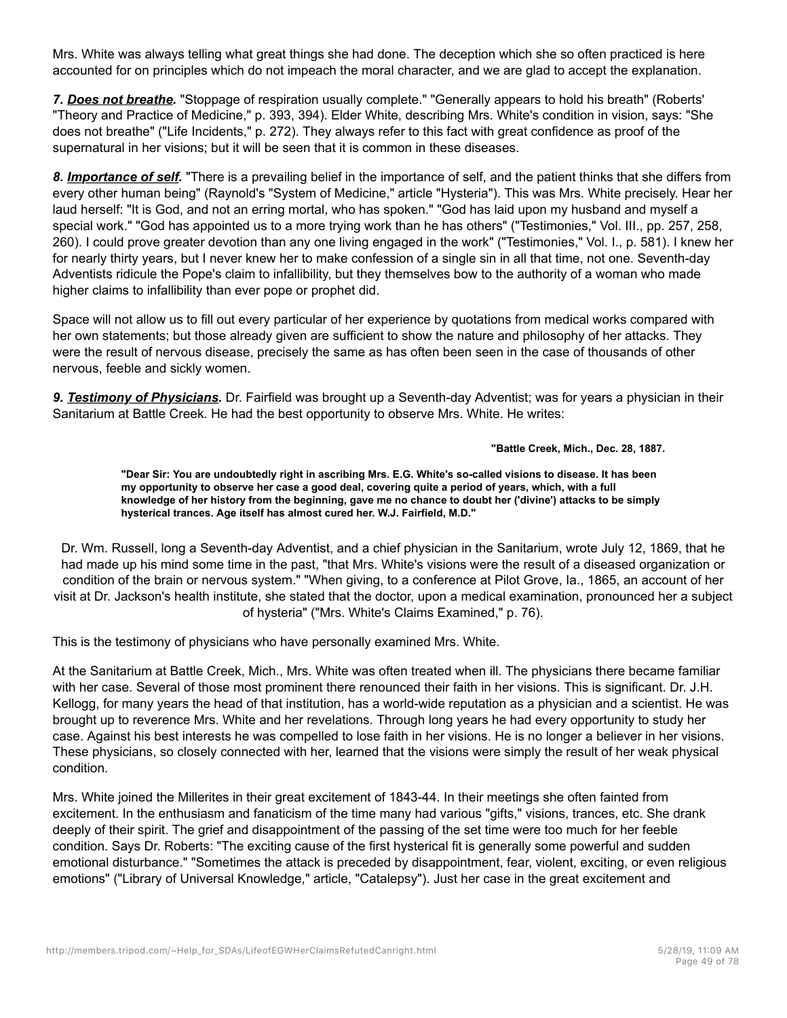Mrs. White was always telling what great things she had done. The deception which she so often practiced is here accounted for on principles which do not impeach the moral character, and we are glad to accept the explanation.

*7. Does not breathe.* "Stoppage of respiration usually complete." "Generally appears to hold his breath" (Roberts' "Theory and Practice of Medicine," p. 393, 394). Elder White, describing Mrs. White's condition in vision, says: "She does not breathe" ("Life Incidents," p. 272). They always refer to this fact with great confidence as proof of the supernatural in her visions; but it will be seen that it is common in these diseases.

*8. Importance of self.* "There is a prevailing belief in the importance of self, and the patient thinks that she differs from every other human being" (Raynold's "System of Medicine," article "Hysteria"). This was Mrs. White precisely. Hear her laud herself: "It is God, and not an erring mortal, who has spoken." "God has laid upon my husband and myself a special work." "God has appointed us to a more trying work than he has others" ("Testimonies," Vol. III., pp. 257, 258, 260). I could prove greater devotion than any one living engaged in the work" ("Testimonies," Vol. I., p. 581). I knew her for nearly thirty years, but I never knew her to make confession of a single sin in all that time, not one. Seventh-day Adventists ridicule the Pope's claim to infallibility, but they themselves bow to the authority of a woman who made higher claims to infallibility than ever pope or prophet did.

Space will not allow us to fill out every particular of her experience by quotations from medical works compared with her own statements; but those already given are sufficient to show the nature and philosophy of her attacks. They were the result of nervous disease, precisely the same as has often been seen in the case of thousands of other nervous, feeble and sickly women.

*9. Testimony of Physicians.* Dr. Fairfield was brought up a Seventh-day Adventist; was for years a physician in their Sanitarium at Battle Creek. He had the best opportunity to observe Mrs. White. He writes:

**"Battle Creek, Mich., Dec. 28, 1887.**

**"Dear Sir: You are undoubtedly right in ascribing Mrs. E.G. White's so-called visions to disease. It has been my opportunity to observe her case a good deal, covering quite a period of years, which, with a full knowledge of her history from the beginning, gave me no chance to doubt her ('divine') attacks to be simply hysterical trances. Age itself has almost cured her. W.J. Fairfield, M.D."**

Dr. Wm. Russell, long a Seventh-day Adventist, and a chief physician in the Sanitarium, wrote July 12, 1869, that he had made up his mind some time in the past, "that Mrs. White's visions were the result of a diseased organization or condition of the brain or nervous system." "When giving, to a conference at Pilot Grove, Ia., 1865, an account of her visit at Dr. Jackson's health institute, she stated that the doctor, upon a medical examination, pronounced her a subject of hysteria" ("Mrs. White's Claims Examined," p. 76).

This is the testimony of physicians who have personally examined Mrs. White.

At the Sanitarium at Battle Creek, Mich., Mrs. White was often treated when ill. The physicians there became familiar with her case. Several of those most prominent there renounced their faith in her visions. This is significant. Dr. J.H. Kellogg, for many years the head of that institution, has a world-wide reputation as a physician and a scientist. He was brought up to reverence Mrs. White and her revelations. Through long years he had every opportunity to study her case. Against his best interests he was compelled to lose faith in her visions. He is no longer a believer in her visions. These physicians, so closely connected with her, learned that the visions were simply the result of her weak physical condition.

Mrs. White joined the Millerites in their great excitement of 1843-44. In their meetings she often fainted from excitement. In the enthusiasm and fanaticism of the time many had various "gifts," visions, trances, etc. She drank deeply of their spirit. The grief and disappointment of the passing of the set time were too much for her feeble condition. Says Dr. Roberts: "The exciting cause of the first hysterical fit is generally some powerful and sudden emotional disturbance." "Sometimes the attack is preceded by disappointment, fear, violent, exciting, or even religious emotions" ("Library of Universal Knowledge," article, "Catalepsy"). Just her case in the great excitement and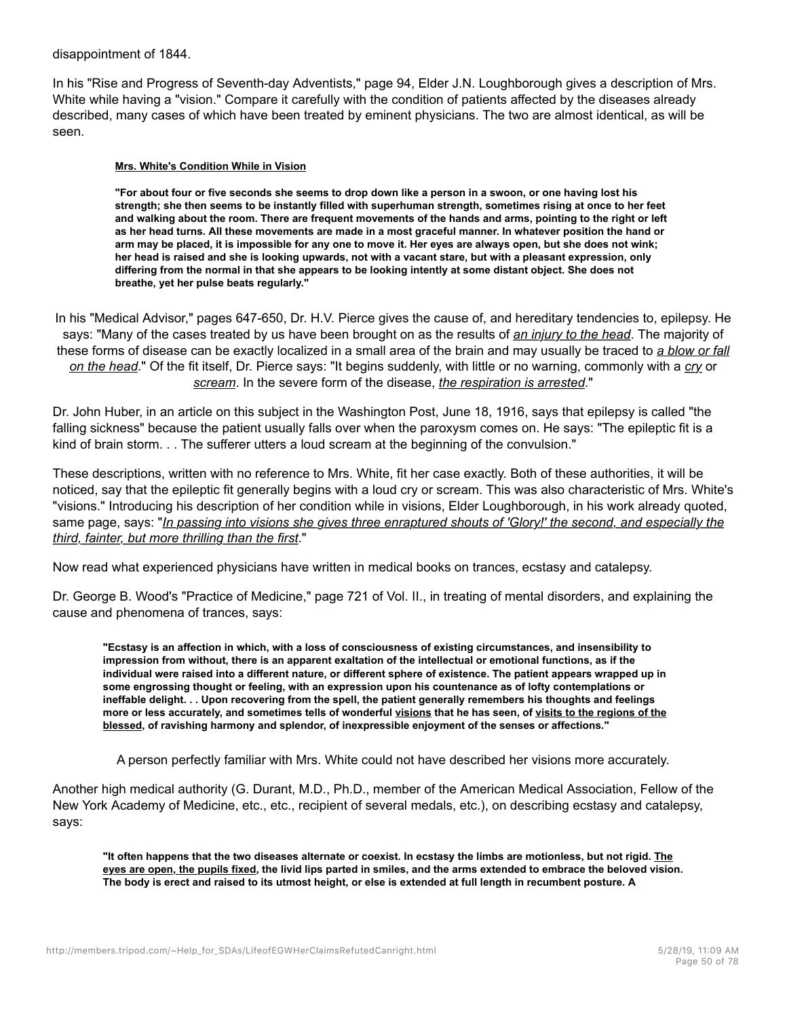disappointment of 1844.

In his "Rise and Progress of Seventh-day Adventists," page 94, Elder J.N. Loughborough gives a description of Mrs. White while having a "vision." Compare it carefully with the condition of patients affected by the diseases already described, many cases of which have been treated by eminent physicians. The two are almost identical, as will be seen.

#### **Mrs. White's Condition While in Vision**

**"For about four or five seconds she seems to drop down like a person in a swoon, or one having lost his strength; she then seems to be instantly filled with superhuman strength, sometimes rising at once to her feet and walking about the room. There are frequent movements of the hands and arms, pointing to the right or left as her head turns. All these movements are made in a most graceful manner. In whatever position the hand or arm may be placed, it is impossible for any one to move it. Her eyes are always open, but she does not wink; her head is raised and she is looking upwards, not with a vacant stare, but with a pleasant expression, only differing from the normal in that she appears to be looking intently at some distant object. She does not breathe, yet her pulse beats regularly."**

In his "Medical Advisor," pages 647-650, Dr. H.V. Pierce gives the cause of, and hereditary tendencies to, epilepsy. He says: "Many of the cases treated by us have been brought on as the results of *an injury to the head*. The majority of these forms of disease can be exactly localized in a small area of the brain and may usually be traced to *a blow or fall on the head*." Of the fit itself, Dr. Pierce says: "It begins suddenly, with little or no warning, commonly with a *cry* or *scream*. In the severe form of the disease, *the respiration is arrested*."

Dr. John Huber, in an article on this subject in the Washington Post, June 18, 1916, says that epilepsy is called "the falling sickness" because the patient usually falls over when the paroxysm comes on. He says: "The epileptic fit is a kind of brain storm. . . The sufferer utters a loud scream at the beginning of the convulsion."

These descriptions, written with no reference to Mrs. White, fit her case exactly. Both of these authorities, it will be noticed, say that the epileptic fit generally begins with a loud cry or scream. This was also characteristic of Mrs. White's "visions." Introducing his description of her condition while in visions, Elder Loughborough, in his work already quoted, same page, says: "*In passing into visions she gives three enraptured shouts of 'Glory!' the second, and especially the third, fainter, but more thrilling than the first*."

Now read what experienced physicians have written in medical books on trances, ecstasy and catalepsy.

Dr. George B. Wood's "Practice of Medicine," page 721 of Vol. II., in treating of mental disorders, and explaining the cause and phenomena of trances, says:

**"Ecstasy is an affection in which, with a loss of consciousness of existing circumstances, and insensibility to impression from without, there is an apparent exaltation of the intellectual or emotional functions, as if the individual were raised into a different nature, or different sphere of existence. The patient appears wrapped up in some engrossing thought or feeling, with an expression upon his countenance as of lofty contemplations or ineffable delight. . . Upon recovering from the spell, the patient generally remembers his thoughts and feelings more or less accurately, and sometimes tells of wonderful visions that he has seen, of visits to the regions of the blessed, of ravishing harmony and splendor, of inexpressible enjoyment of the senses or affections."**

A person perfectly familiar with Mrs. White could not have described her visions more accurately.

Another high medical authority (G. Durant, M.D., Ph.D., member of the American Medical Association, Fellow of the New York Academy of Medicine, etc., etc., recipient of several medals, etc.), on describing ecstasy and catalepsy, says:

**"It often happens that the two diseases alternate or coexist. In ecstasy the limbs are motionless, but not rigid. The eyes are open, the pupils fixed, the livid lips parted in smiles, and the arms extended to embrace the beloved vision. The body is erect and raised to its utmost height, or else is extended at full length in recumbent posture. A**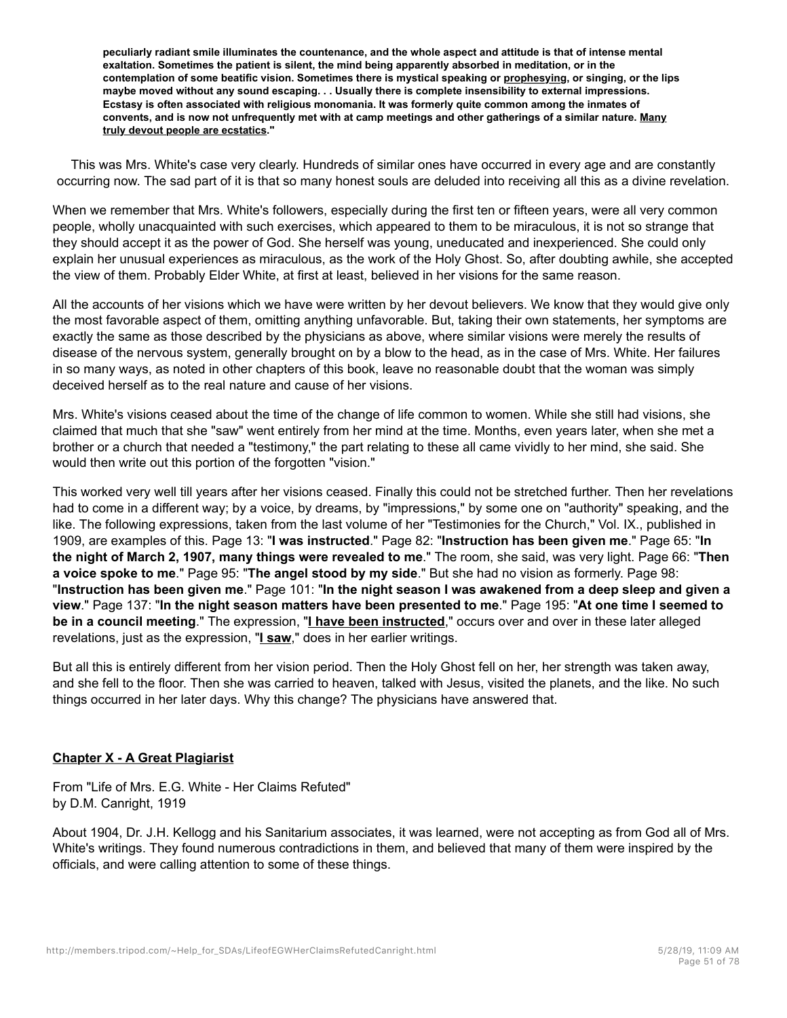**peculiarly radiant smile illuminates the countenance, and the whole aspect and attitude is that of intense mental exaltation. Sometimes the patient is silent, the mind being apparently absorbed in meditation, or in the contemplation of some beatific vision. Sometimes there is mystical speaking or prophesying, or singing, or the lips maybe moved without any sound escaping. . . Usually there is complete insensibility to external impressions. Ecstasy is often associated with religious monomania. It was formerly quite common among the inmates of convents, and is now not unfrequently met with at camp meetings and other gatherings of a similar nature. Many truly devout people are ecstatics."**

This was Mrs. White's case very clearly. Hundreds of similar ones have occurred in every age and are constantly occurring now. The sad part of it is that so many honest souls are deluded into receiving all this as a divine revelation.

When we remember that Mrs. White's followers, especially during the first ten or fifteen years, were all very common people, wholly unacquainted with such exercises, which appeared to them to be miraculous, it is not so strange that they should accept it as the power of God. She herself was young, uneducated and inexperienced. She could only explain her unusual experiences as miraculous, as the work of the Holy Ghost. So, after doubting awhile, she accepted the view of them. Probably Elder White, at first at least, believed in her visions for the same reason.

All the accounts of her visions which we have were written by her devout believers. We know that they would give only the most favorable aspect of them, omitting anything unfavorable. But, taking their own statements, her symptoms are exactly the same as those described by the physicians as above, where similar visions were merely the results of disease of the nervous system, generally brought on by a blow to the head, as in the case of Mrs. White. Her failures in so many ways, as noted in other chapters of this book, leave no reasonable doubt that the woman was simply deceived herself as to the real nature and cause of her visions.

Mrs. White's visions ceased about the time of the change of life common to women. While she still had visions, she claimed that much that she "saw" went entirely from her mind at the time. Months, even years later, when she met a brother or a church that needed a "testimony," the part relating to these all came vividly to her mind, she said. She would then write out this portion of the forgotten "vision."

This worked very well till years after her visions ceased. Finally this could not be stretched further. Then her revelations had to come in a different way; by a voice, by dreams, by "impressions," by some one on "authority" speaking, and the like. The following expressions, taken from the last volume of her "Testimonies for the Church," Vol. IX., published in 1909, are examples of this. Page 13: "**I was instructed**." Page 82: "**Instruction has been given me**." Page 65: "**In the night of March 2, 1907, many things were revealed to me**." The room, she said, was very light. Page 66: "**Then a voice spoke to me**." Page 95: "**The angel stood by my side**." But she had no vision as formerly. Page 98: "**Instruction has been given me**." Page 101: "**In the night season I was awakened from a deep sleep and given a view**." Page 137: "**In the night season matters have been presented to me**." Page 195: "**At one time I seemed to be in a council meeting**." The expression, "**I have been instructed**," occurs over and over in these later alleged revelations, just as the expression, "**I saw**," does in her earlier writings.

But all this is entirely different from her vision period. Then the Holy Ghost fell on her, her strength was taken away, and she fell to the floor. Then she was carried to heaven, talked with Jesus, visited the planets, and the like. No such things occurred in her later days. Why this change? The physicians have answered that.

# **Chapter X - A Great Plagiarist**

From "Life of Mrs. E.G. White - Her Claims Refuted" by D.M. Canright, 1919

About 1904, Dr. J.H. Kellogg and his Sanitarium associates, it was learned, were not accepting as from God all of Mrs. White's writings. They found numerous contradictions in them, and believed that many of them were inspired by the officials, and were calling attention to some of these things.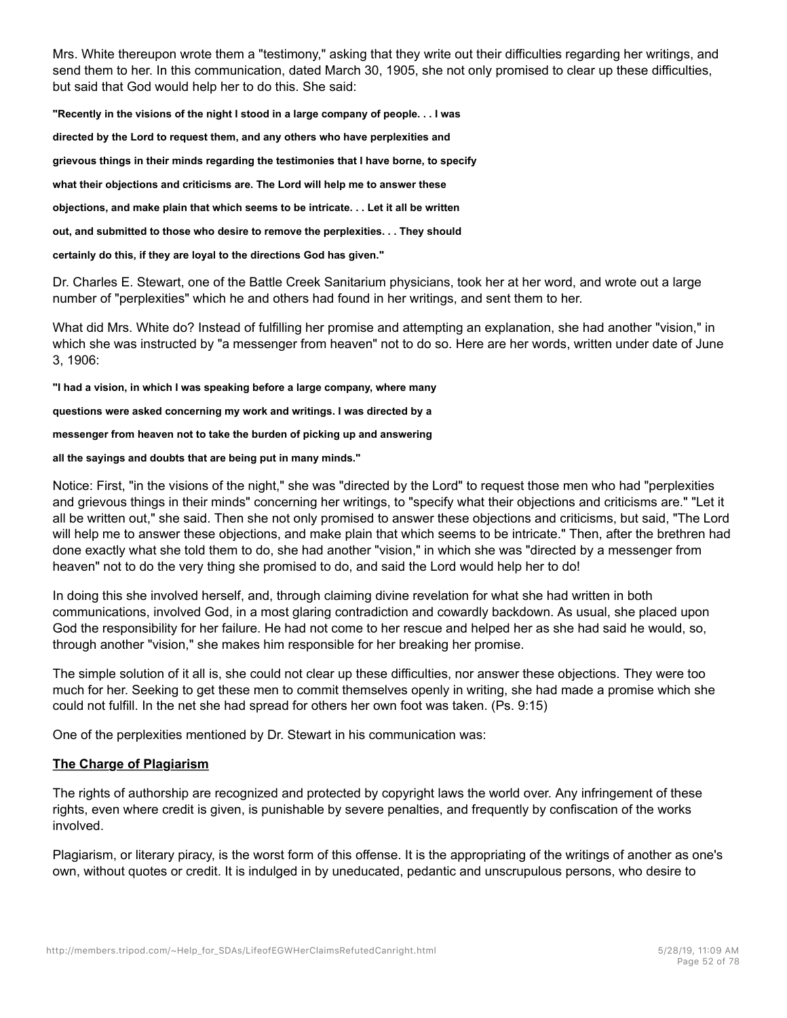Mrs. White thereupon wrote them a "testimony," asking that they write out their difficulties regarding her writings, and send them to her. In this communication, dated March 30, 1905, she not only promised to clear up these difficulties, but said that God would help her to do this. She said:

**"Recently in the visions of the night I stood in a large company of people. . . I was**

**directed by the Lord to request them, and any others who have perplexities and**

**grievous things in their minds regarding the testimonies that I have borne, to specify**

**what their objections and criticisms are. The Lord will help me to answer these**

**objections, and make plain that which seems to be intricate. . . Let it all be written**

**out, and submitted to those who desire to remove the perplexities. . . They should**

**certainly do this, if they are loyal to the directions God has given."**

Dr. Charles E. Stewart, one of the Battle Creek Sanitarium physicians, took her at her word, and wrote out a large number of "perplexities" which he and others had found in her writings, and sent them to her.

What did Mrs. White do? Instead of fulfilling her promise and attempting an explanation, she had another "vision," in which she was instructed by "a messenger from heaven" not to do so. Here are her words, written under date of June 3, 1906:

**"I had a vision, in which I was speaking before a large company, where many**

**questions were asked concerning my work and writings. I was directed by a**

**messenger from heaven not to take the burden of picking up and answering**

**all the sayings and doubts that are being put in many minds."**

Notice: First, "in the visions of the night," she was "directed by the Lord" to request those men who had "perplexities and grievous things in their minds" concerning her writings, to "specify what their objections and criticisms are." "Let it all be written out," she said. Then she not only promised to answer these objections and criticisms, but said, "The Lord will help me to answer these objections, and make plain that which seems to be intricate." Then, after the brethren had done exactly what she told them to do, she had another "vision," in which she was "directed by a messenger from heaven" not to do the very thing she promised to do, and said the Lord would help her to do!

In doing this she involved herself, and, through claiming divine revelation for what she had written in both communications, involved God, in a most glaring contradiction and cowardly backdown. As usual, she placed upon God the responsibility for her failure. He had not come to her rescue and helped her as she had said he would, so, through another "vision," she makes him responsible for her breaking her promise.

The simple solution of it all is, she could not clear up these difficulties, nor answer these objections. They were too much for her. Seeking to get these men to commit themselves openly in writing, she had made a promise which she could not fulfill. In the net she had spread for others her own foot was taken. (Ps. 9:15)

One of the perplexities mentioned by Dr. Stewart in his communication was:

# **The Charge of Plagiarism**

The rights of authorship are recognized and protected by copyright laws the world over. Any infringement of these rights, even where credit is given, is punishable by severe penalties, and frequently by confiscation of the works involved.

Plagiarism, or literary piracy, is the worst form of this offense. It is the appropriating of the writings of another as one's own, without quotes or credit. It is indulged in by uneducated, pedantic and unscrupulous persons, who desire to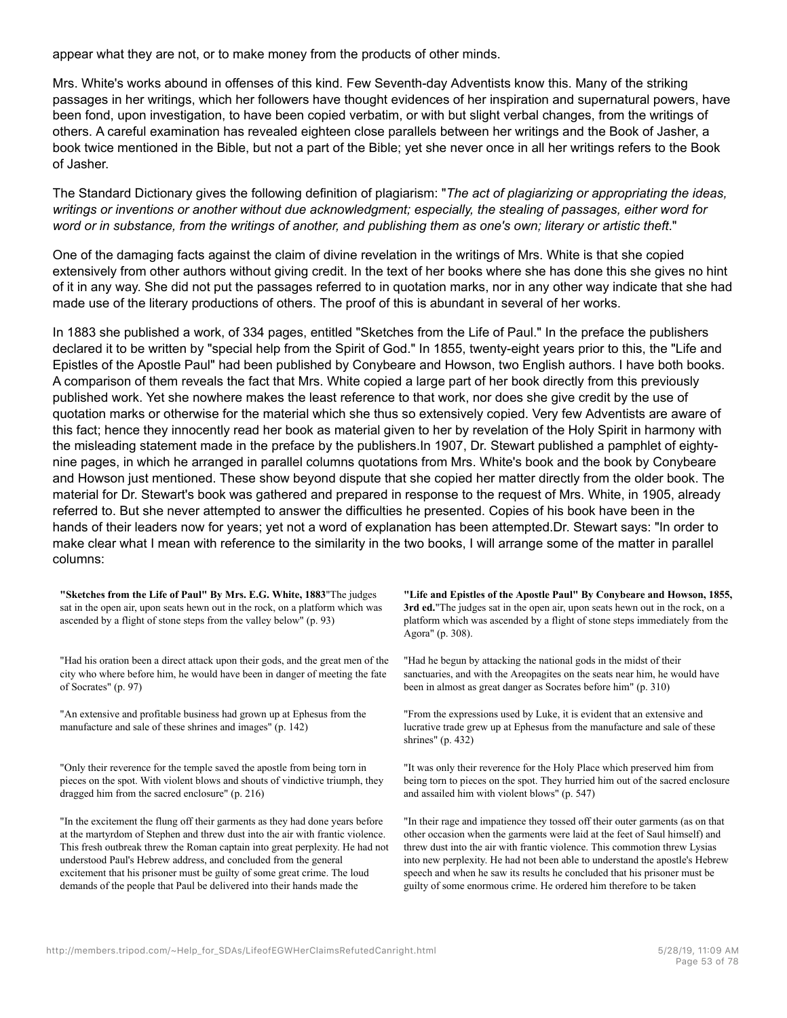appear what they are not, or to make money from the products of other minds.

Mrs. White's works abound in offenses of this kind. Few Seventh-day Adventists know this. Many of the striking passages in her writings, which her followers have thought evidences of her inspiration and supernatural powers, have been fond, upon investigation, to have been copied verbatim, or with but slight verbal changes, from the writings of others. A careful examination has revealed eighteen close parallels between her writings and the Book of Jasher, a book twice mentioned in the Bible, but not a part of the Bible; yet she never once in all her writings refers to the Book of Jasher.

The Standard Dictionary gives the following definition of plagiarism: "*The act of plagiarizing or appropriating the ideas, writings or inventions or another without due acknowledgment; especially, the stealing of passages, either word for* word or in substance, from the writings of another, and publishing them as one's own; literary or artistic theft."

One of the damaging facts against the claim of divine revelation in the writings of Mrs. White is that she copied extensively from other authors without giving credit. In the text of her books where she has done this she gives no hint of it in any way. She did not put the passages referred to in quotation marks, nor in any other way indicate that she had made use of the literary productions of others. The proof of this is abundant in several of her works.

In 1883 she published a work, of 334 pages, entitled "Sketches from the Life of Paul." In the preface the publishers declared it to be written by "special help from the Spirit of God." In 1855, twenty-eight years prior to this, the "Life and Epistles of the Apostle Paul" had been published by Conybeare and Howson, two English authors. I have both books. A comparison of them reveals the fact that Mrs. White copied a large part of her book directly from this previously published work. Yet she nowhere makes the least reference to that work, nor does she give credit by the use of quotation marks or otherwise for the material which she thus so extensively copied. Very few Adventists are aware of this fact; hence they innocently read her book as material given to her by revelation of the Holy Spirit in harmony with the misleading statement made in the preface by the publishers.In 1907, Dr. Stewart published a pamphlet of eightynine pages, in which he arranged in parallel columns quotations from Mrs. White's book and the book by Conybeare and Howson just mentioned. These show beyond dispute that she copied her matter directly from the older book. The material for Dr. Stewart's book was gathered and prepared in response to the request of Mrs. White, in 1905, already referred to. But she never attempted to answer the difficulties he presented. Copies of his book have been in the hands of their leaders now for years; yet not a word of explanation has been attempted.Dr. Stewart says: "In order to make clear what I mean with reference to the similarity in the two books, I will arrange some of the matter in parallel columns:

**"Sketches from the Life of Paul" By Mrs. E.G. White, 1883**"The judges sat in the open air, upon seats hewn out in the rock, on a platform which was ascended by a flight of stone steps from the valley below" (p. 93)

"Had his oration been a direct attack upon their gods, and the great men of the city who where before him, he would have been in danger of meeting the fate of Socrates" (p. 97)

"An extensive and profitable business had grown up at Ephesus from the manufacture and sale of these shrines and images" (p. 142)

"Only their reverence for the temple saved the apostle from being torn in pieces on the spot. With violent blows and shouts of vindictive triumph, they dragged him from the sacred enclosure" (p. 216)

"In the excitement the flung off their garments as they had done years before at the martyrdom of Stephen and threw dust into the air with frantic violence. This fresh outbreak threw the Roman captain into great perplexity. He had not understood Paul's Hebrew address, and concluded from the general excitement that his prisoner must be guilty of some great crime. The loud demands of the people that Paul be delivered into their hands made the

**"Life and Epistles of the Apostle Paul" By Conybeare and Howson, 1855, 3rd ed.**"The judges sat in the open air, upon seats hewn out in the rock, on a platform which was ascended by a flight of stone steps immediately from the Agora" (p. 308).

"Had he begun by attacking the national gods in the midst of their sanctuaries, and with the Areopagites on the seats near him, he would have been in almost as great danger as Socrates before him" (p. 310)

"From the expressions used by Luke, it is evident that an extensive and lucrative trade grew up at Ephesus from the manufacture and sale of these shrines" (p. 432)

"It was only their reverence for the Holy Place which preserved him from being torn to pieces on the spot. They hurried him out of the sacred enclosure and assailed him with violent blows" (p. 547)

"In their rage and impatience they tossed off their outer garments (as on that other occasion when the garments were laid at the feet of Saul himself) and threw dust into the air with frantic violence. This commotion threw Lysias into new perplexity. He had not been able to understand the apostle's Hebrew speech and when he saw its results he concluded that his prisoner must be guilty of some enormous crime. He ordered him therefore to be taken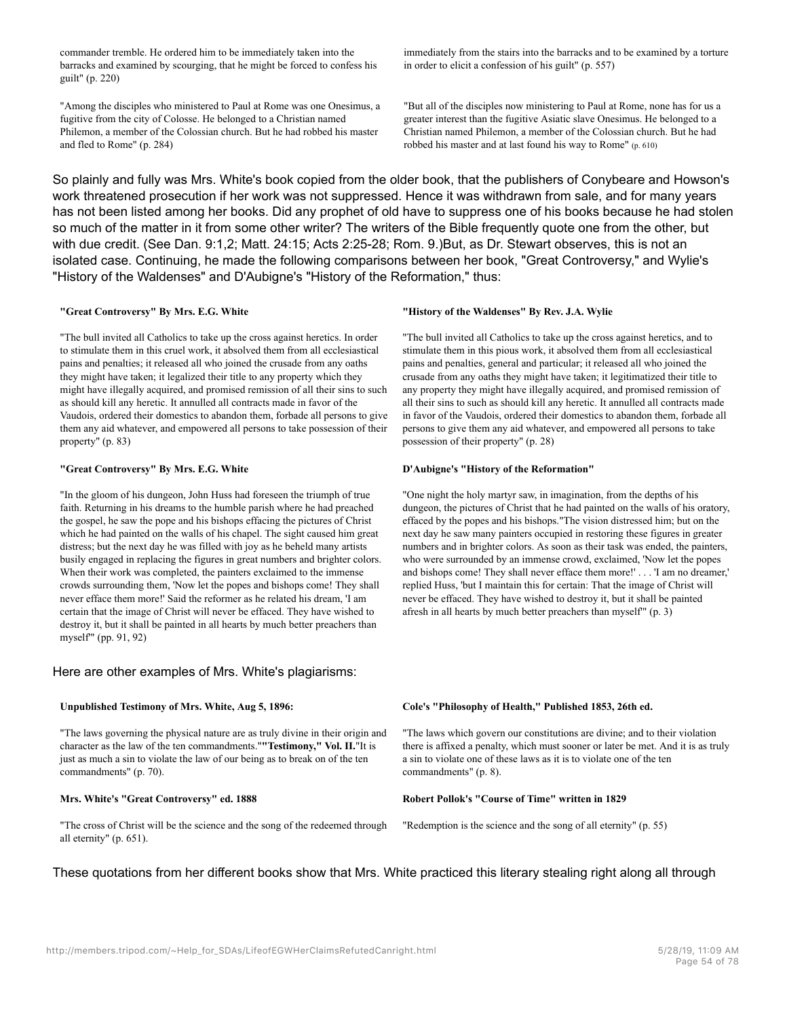commander tremble. He ordered him to be immediately taken into the barracks and examined by scourging, that he might be forced to confess his guilt" (p. 220)

"Among the disciples who ministered to Paul at Rome was one Onesimus, a fugitive from the city of Colosse. He belonged to a Christian named Philemon, a member of the Colossian church. But he had robbed his master and fled to Rome" (p. 284)

immediately from the stairs into the barracks and to be examined by a torture in order to elicit a confession of his guilt" (p. 557)

"But all of the disciples now ministering to Paul at Rome, none has for us a greater interest than the fugitive Asiatic slave Onesimus. He belonged to a Christian named Philemon, a member of the Colossian church. But he had robbed his master and at last found his way to Rome" (p. 610)

So plainly and fully was Mrs. White's book copied from the older book, that the publishers of Conybeare and Howson's work threatened prosecution if her work was not suppressed. Hence it was withdrawn from sale, and for many years has not been listed among her books. Did any prophet of old have to suppress one of his books because he had stolen so much of the matter in it from some other writer? The writers of the Bible frequently quote one from the other, but with due credit. (See Dan. 9:1,2; Matt. 24:15; Acts 2:25-28; Rom. 9.)But, as Dr. Stewart observes, this is not an isolated case. Continuing, he made the following comparisons between her book, "Great Controversy," and Wylie's "History of the Waldenses" and D'Aubigne's "History of the Reformation," thus:

#### **"Great Controversy" By Mrs. E.G. White**

"The bull invited all Catholics to take up the cross against heretics. In order to stimulate them in this cruel work, it absolved them from all ecclesiastical pains and penalties; it released all who joined the crusade from any oaths they might have taken; it legalized their title to any property which they might have illegally acquired, and promised remission of all their sins to such as should kill any heretic. It annulled all contracts made in favor of the Vaudois, ordered their domestics to abandon them, forbade all persons to give them any aid whatever, and empowered all persons to take possession of their property" (p. 83)

#### **"Great Controversy" By Mrs. E.G. White**

"In the gloom of his dungeon, John Huss had foreseen the triumph of true faith. Returning in his dreams to the humble parish where he had preached the gospel, he saw the pope and his bishops effacing the pictures of Christ which he had painted on the walls of his chapel. The sight caused him great distress; but the next day he was filled with joy as he beheld many artists busily engaged in replacing the figures in great numbers and brighter colors. When their work was completed, the painters exclaimed to the immense crowds surrounding them, 'Now let the popes and bishops come! They shall never efface them more!' Said the reformer as he related his dream, 'I am certain that the image of Christ will never be effaced. They have wished to destroy it, but it shall be painted in all hearts by much better preachers than myself'" (pp. 91, 92)

### Here are other examples of Mrs. White's plagiarisms:

#### **Unpublished Testimony of Mrs. White, Aug 5, 1896:**

"The laws governing the physical nature are as truly divine in their origin and character as the law of the ten commandments."**"Testimony," Vol. II.**"It is just as much a sin to violate the law of our being as to break on of the ten commandments" (p. 70).

#### **Mrs. White's "Great Controversy" ed. 1888**

"The cross of Christ will be the science and the song of the redeemed through all eternity" (p. 651).

#### **"History of the Waldenses" By Rev. J.A. Wylie**

"The bull invited all Catholics to take up the cross against heretics, and to stimulate them in this pious work, it absolved them from all ecclesiastical pains and penalties, general and particular; it released all who joined the crusade from any oaths they might have taken; it legitimatized their title to any property they might have illegally acquired, and promised remission of all their sins to such as should kill any heretic. It annulled all contracts made in favor of the Vaudois, ordered their domestics to abandon them, forbade all persons to give them any aid whatever, and empowered all persons to take possession of their property" (p. 28)

#### **D'Aubigne's "History of the Reformation"**

"One night the holy martyr saw, in imagination, from the depths of his dungeon, the pictures of Christ that he had painted on the walls of his oratory, effaced by the popes and his bishops."The vision distressed him; but on the next day he saw many painters occupied in restoring these figures in greater numbers and in brighter colors. As soon as their task was ended, the painters, who were surrounded by an immense crowd, exclaimed, 'Now let the popes and bishops come! They shall never efface them more!' . . . 'I am no dreamer,' replied Huss, 'but I maintain this for certain: That the image of Christ will never be effaced. They have wished to destroy it, but it shall be painted afresh in all hearts by much better preachers than myself'" (p. 3)

#### **Cole's "Philosophy of Health," Published 1853, 26th ed.**

"The laws which govern our constitutions are divine; and to their violation there is affixed a penalty, which must sooner or later be met. And it is as truly a sin to violate one of these laws as it is to violate one of the ten commandments" (p. 8).

#### **Robert Pollok's "Course of Time" written in 1829**

"Redemption is the science and the song of all eternity" (p. 55)

### These quotations from her different books show that Mrs. White practiced this literary stealing right along all through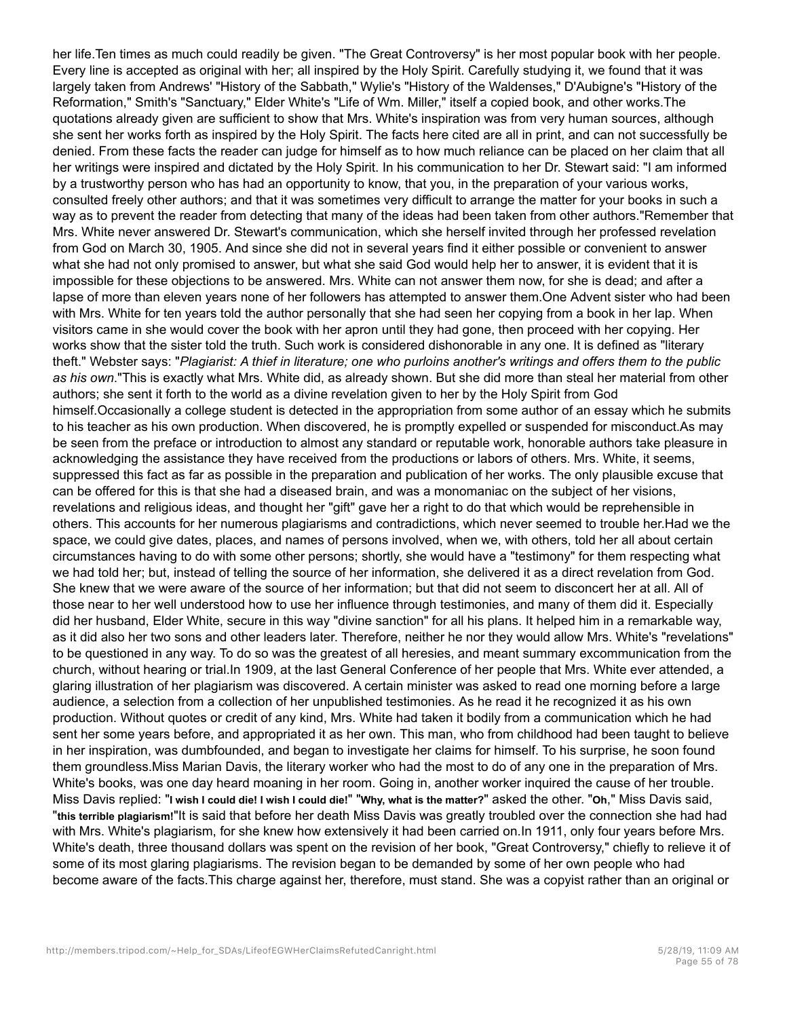her life.Ten times as much could readily be given. "The Great Controversy" is her most popular book with her people. Every line is accepted as original with her; all inspired by the Holy Spirit. Carefully studying it, we found that it was largely taken from Andrews' "History of the Sabbath," Wylie's "History of the Waldenses," D'Aubigne's "History of the Reformation," Smith's "Sanctuary," Elder White's "Life of Wm. Miller," itself a copied book, and other works.The quotations already given are sufficient to show that Mrs. White's inspiration was from very human sources, although she sent her works forth as inspired by the Holy Spirit. The facts here cited are all in print, and can not successfully be denied. From these facts the reader can judge for himself as to how much reliance can be placed on her claim that all her writings were inspired and dictated by the Holy Spirit. In his communication to her Dr. Stewart said: "I am informed by a trustworthy person who has had an opportunity to know, that you, in the preparation of your various works, consulted freely other authors; and that it was sometimes very difficult to arrange the matter for your books in such a way as to prevent the reader from detecting that many of the ideas had been taken from other authors."Remember that Mrs. White never answered Dr. Stewart's communication, which she herself invited through her professed revelation from God on March 30, 1905. And since she did not in several years find it either possible or convenient to answer what she had not only promised to answer, but what she said God would help her to answer, it is evident that it is impossible for these objections to be answered. Mrs. White can not answer them now, for she is dead; and after a lapse of more than eleven years none of her followers has attempted to answer them.One Advent sister who had been with Mrs. White for ten years told the author personally that she had seen her copying from a book in her lap. When visitors came in she would cover the book with her apron until they had gone, then proceed with her copying. Her works show that the sister told the truth. Such work is considered dishonorable in any one. It is defined as "literary theft." Webster says: "*Plagiarist: A thief in literature; one who purloins another's writings and offers them to the public as his own*."This is exactly what Mrs. White did, as already shown. But she did more than steal her material from other authors; she sent it forth to the world as a divine revelation given to her by the Holy Spirit from God himself.Occasionally a college student is detected in the appropriation from some author of an essay which he submits to his teacher as his own production. When discovered, he is promptly expelled or suspended for misconduct.As may be seen from the preface or introduction to almost any standard or reputable work, honorable authors take pleasure in acknowledging the assistance they have received from the productions or labors of others. Mrs. White, it seems, suppressed this fact as far as possible in the preparation and publication of her works. The only plausible excuse that can be offered for this is that she had a diseased brain, and was a monomaniac on the subject of her visions, revelations and religious ideas, and thought her "gift" gave her a right to do that which would be reprehensible in others. This accounts for her numerous plagiarisms and contradictions, which never seemed to trouble her.Had we the space, we could give dates, places, and names of persons involved, when we, with others, told her all about certain circumstances having to do with some other persons; shortly, she would have a "testimony" for them respecting what we had told her; but, instead of telling the source of her information, she delivered it as a direct revelation from God. She knew that we were aware of the source of her information; but that did not seem to disconcert her at all. All of those near to her well understood how to use her influence through testimonies, and many of them did it. Especially did her husband, Elder White, secure in this way "divine sanction" for all his plans. It helped him in a remarkable way, as it did also her two sons and other leaders later. Therefore, neither he nor they would allow Mrs. White's "revelations" to be questioned in any way. To do so was the greatest of all heresies, and meant summary excommunication from the church, without hearing or trial.In 1909, at the last General Conference of her people that Mrs. White ever attended, a glaring illustration of her plagiarism was discovered. A certain minister was asked to read one morning before a large audience, a selection from a collection of her unpublished testimonies. As he read it he recognized it as his own production. Without quotes or credit of any kind, Mrs. White had taken it bodily from a communication which he had sent her some years before, and appropriated it as her own. This man, who from childhood had been taught to believe in her inspiration, was dumbfounded, and began to investigate her claims for himself. To his surprise, he soon found them groundless.Miss Marian Davis, the literary worker who had the most to do of any one in the preparation of Mrs. White's books, was one day heard moaning in her room. Going in, another worker inquired the cause of her trouble. Miss Davis replied: "**I wish I could die! I wish I could die!**" "**Why, what is the matter?**" asked the other. "**Oh**," Miss Davis said, "**this terrible plagiarism!**"It is said that before her death Miss Davis was greatly troubled over the connection she had had with Mrs. White's plagiarism, for she knew how extensively it had been carried on.In 1911, only four years before Mrs. White's death, three thousand dollars was spent on the revision of her book, "Great Controversy," chiefly to relieve it of some of its most glaring plagiarisms. The revision began to be demanded by some of her own people who had become aware of the facts.This charge against her, therefore, must stand. She was a copyist rather than an original or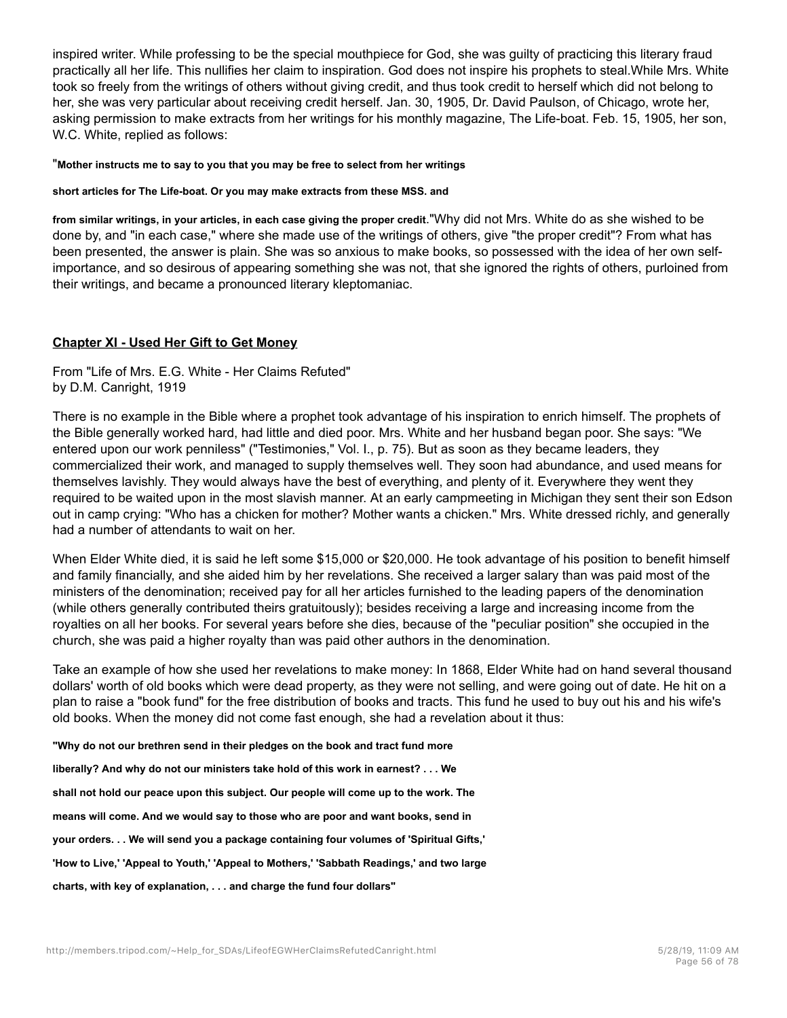inspired writer. While professing to be the special mouthpiece for God, she was guilty of practicing this literary fraud practically all her life. This nullifies her claim to inspiration. God does not inspire his prophets to steal.While Mrs. White took so freely from the writings of others without giving credit, and thus took credit to herself which did not belong to her, she was very particular about receiving credit herself. Jan. 30, 1905, Dr. David Paulson, of Chicago, wrote her, asking permission to make extracts from her writings for his monthly magazine, The Life-boat. Feb. 15, 1905, her son, W.C. White, replied as follows:

### "**Mother instructs me to say to you that you may be free to select from her writings**

### **short articles for The Life-boat. Or you may make extracts from these MSS. and**

**from similar writings, in your articles, in each case giving the proper credit**."Why did not Mrs. White do as she wished to be done by, and "in each case," where she made use of the writings of others, give "the proper credit"? From what has been presented, the answer is plain. She was so anxious to make books, so possessed with the idea of her own selfimportance, and so desirous of appearing something she was not, that she ignored the rights of others, purloined from their writings, and became a pronounced literary kleptomaniac.

# **Chapter XI - Used Her Gift to Get Money**

From "Life of Mrs. E.G. White - Her Claims Refuted" by D.M. Canright, 1919

There is no example in the Bible where a prophet took advantage of his inspiration to enrich himself. The prophets of the Bible generally worked hard, had little and died poor. Mrs. White and her husband began poor. She says: "We entered upon our work penniless" ("Testimonies," Vol. I., p. 75). But as soon as they became leaders, they commercialized their work, and managed to supply themselves well. They soon had abundance, and used means for themselves lavishly. They would always have the best of everything, and plenty of it. Everywhere they went they required to be waited upon in the most slavish manner. At an early campmeeting in Michigan they sent their son Edson out in camp crying: "Who has a chicken for mother? Mother wants a chicken." Mrs. White dressed richly, and generally had a number of attendants to wait on her.

When Elder White died, it is said he left some \$15,000 or \$20,000. He took advantage of his position to benefit himself and family financially, and she aided him by her revelations. She received a larger salary than was paid most of the ministers of the denomination; received pay for all her articles furnished to the leading papers of the denomination (while others generally contributed theirs gratuitously); besides receiving a large and increasing income from the royalties on all her books. For several years before she dies, because of the "peculiar position" she occupied in the church, she was paid a higher royalty than was paid other authors in the denomination.

Take an example of how she used her revelations to make money: In 1868, Elder White had on hand several thousand dollars' worth of old books which were dead property, as they were not selling, and were going out of date. He hit on a plan to raise a "book fund" for the free distribution of books and tracts. This fund he used to buy out his and his wife's old books. When the money did not come fast enough, she had a revelation about it thus:

**"Why do not our brethren send in their pledges on the book and tract fund more**

**liberally? And why do not our ministers take hold of this work in earnest? . . . We**

**shall not hold our peace upon this subject. Our people will come up to the work. The**

**means will come. And we would say to those who are poor and want books, send in**

**your orders. . . We will send you a package containing four volumes of 'Spiritual Gifts,'**

**'How to Live,' 'Appeal to Youth,' 'Appeal to Mothers,' 'Sabbath Readings,' and two large**

**charts, with key of explanation, . . . and charge the fund four dollars"**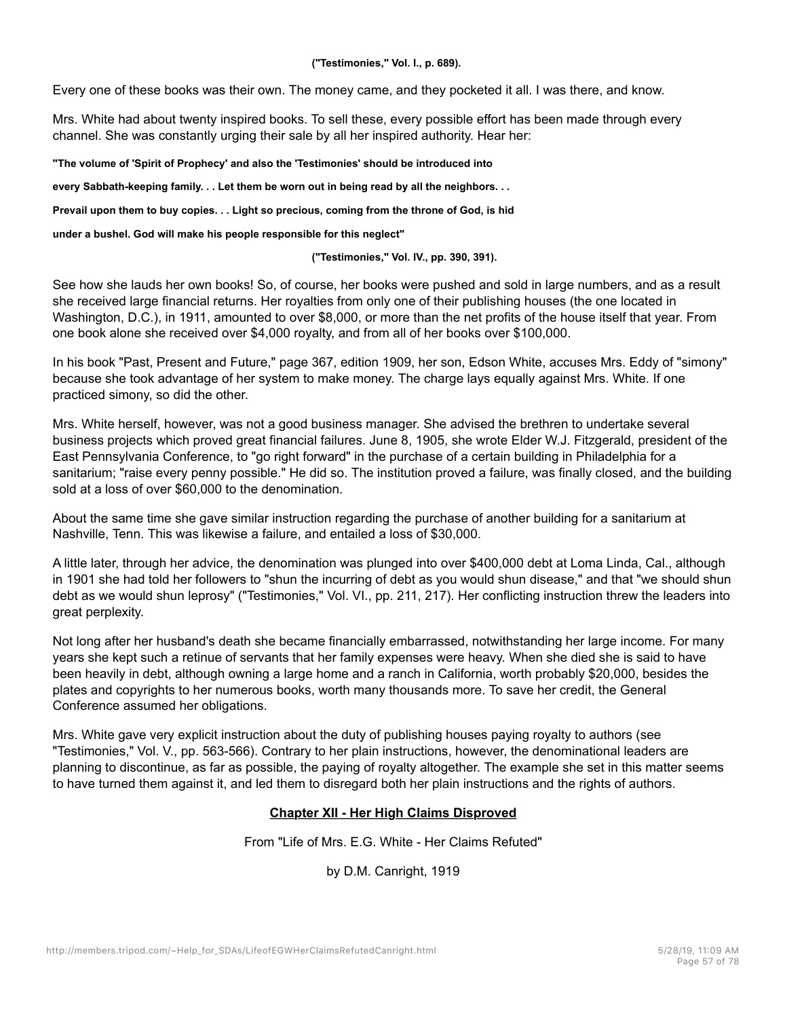**("Testimonies," Vol. I., p. 689).**

Every one of these books was their own. The money came, and they pocketed it all. I was there, and know.

Mrs. White had about twenty inspired books. To sell these, every possible effort has been made through every channel. She was constantly urging their sale by all her inspired authority. Hear her:

**"The volume of 'Spirit of Prophecy' and also the 'Testimonies' should be introduced into**

**every Sabbath-keeping family. . . Let them be worn out in being read by all the neighbors. . .**

**Prevail upon them to buy copies. . . Light so precious, coming from the throne of God, is hid**

**under a bushel. God will make his people responsible for this neglect"**

**("Testimonies," Vol. IV., pp. 390, 391).**

See how she lauds her own books! So, of course, her books were pushed and sold in large numbers, and as a result she received large financial returns. Her royalties from only one of their publishing houses (the one located in Washington, D.C.), in 1911, amounted to over \$8,000, or more than the net profits of the house itself that year. From one book alone she received over \$4,000 royalty, and from all of her books over \$100,000.

In his book "Past, Present and Future," page 367, edition 1909, her son, Edson White, accuses Mrs. Eddy of "simony" because she took advantage of her system to make money. The charge lays equally against Mrs. White. If one practiced simony, so did the other.

Mrs. White herself, however, was not a good business manager. She advised the brethren to undertake several business projects which proved great financial failures. June 8, 1905, she wrote Elder W.J. Fitzgerald, president of the East Pennsylvania Conference, to "go right forward" in the purchase of a certain building in Philadelphia for a sanitarium; "raise every penny possible." He did so. The institution proved a failure, was finally closed, and the building sold at a loss of over \$60,000 to the denomination.

About the same time she gave similar instruction regarding the purchase of another building for a sanitarium at Nashville, Tenn. This was likewise a failure, and entailed a loss of \$30,000.

A little later, through her advice, the denomination was plunged into over \$400,000 debt at Loma Linda, Cal., although in 1901 she had told her followers to "shun the incurring of debt as you would shun disease," and that "we should shun debt as we would shun leprosy" ("Testimonies," Vol. VI., pp. 211, 217). Her conflicting instruction threw the leaders into great perplexity.

Not long after her husband's death she became financially embarrassed, notwithstanding her large income. For many years she kept such a retinue of servants that her family expenses were heavy. When she died she is said to have been heavily in debt, although owning a large home and a ranch in California, worth probably \$20,000, besides the plates and copyrights to her numerous books, worth many thousands more. To save her credit, the General Conference assumed her obligations.

Mrs. White gave very explicit instruction about the duty of publishing houses paying royalty to authors (see "Testimonies," Vol. V., pp. 563-566). Contrary to her plain instructions, however, the denominational leaders are planning to discontinue, as far as possible, the paying of royalty altogether. The example she set in this matter seems to have turned them against it, and led them to disregard both her plain instructions and the rights of authors.

# **Chapter XII - Her High Claims Disproved**

From "Life of Mrs. E.G. White - Her Claims Refuted"

by D.M. Canright, 1919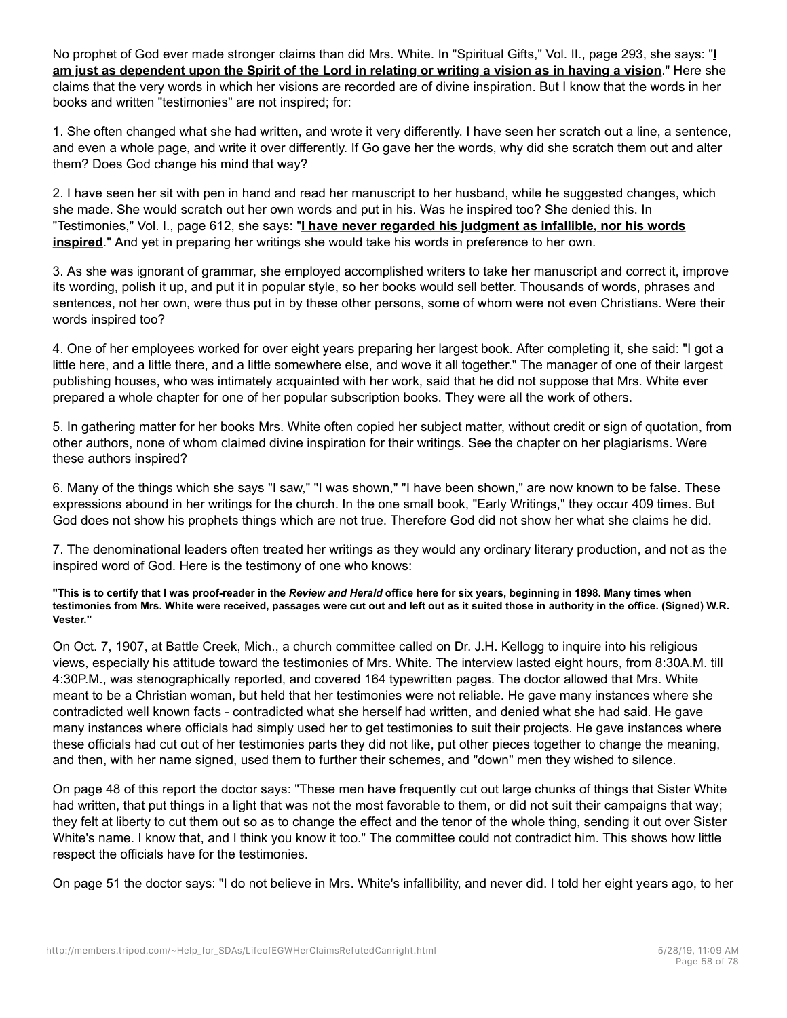No prophet of God ever made stronger claims than did Mrs. White. In "Spiritual Gifts," Vol. II., page 293, she says: "**I am just as dependent upon the Spirit of the Lord in relating or writing a vision as in having a vision**." Here she claims that the very words in which her visions are recorded are of divine inspiration. But I know that the words in her books and written "testimonies" are not inspired; for:

1. She often changed what she had written, and wrote it very differently. I have seen her scratch out a line, a sentence, and even a whole page, and write it over differently. If Go gave her the words, why did she scratch them out and alter them? Does God change his mind that way?

2. I have seen her sit with pen in hand and read her manuscript to her husband, while he suggested changes, which she made. She would scratch out her own words and put in his. Was he inspired too? She denied this. In "Testimonies," Vol. I., page 612, she says: "**I have never regarded his judgment as infallible, nor his words inspired**." And yet in preparing her writings she would take his words in preference to her own.

3. As she was ignorant of grammar, she employed accomplished writers to take her manuscript and correct it, improve its wording, polish it up, and put it in popular style, so her books would sell better. Thousands of words, phrases and sentences, not her own, were thus put in by these other persons, some of whom were not even Christians. Were their words inspired too?

4. One of her employees worked for over eight years preparing her largest book. After completing it, she said: "I got a little here, and a little there, and a little somewhere else, and wove it all together." The manager of one of their largest publishing houses, who was intimately acquainted with her work, said that he did not suppose that Mrs. White ever prepared a whole chapter for one of her popular subscription books. They were all the work of others.

5. In gathering matter for her books Mrs. White often copied her subject matter, without credit or sign of quotation, from other authors, none of whom claimed divine inspiration for their writings. See the chapter on her plagiarisms. Were these authors inspired?

6. Many of the things which she says "I saw," "I was shown," "I have been shown," are now known to be false. These expressions abound in her writings for the church. In the one small book, "Early Writings," they occur 409 times. But God does not show his prophets things which are not true. Therefore God did not show her what she claims he did.

7. The denominational leaders often treated her writings as they would any ordinary literary production, and not as the inspired word of God. Here is the testimony of one who knows:

**"This is to certify that I was proof-reader in the** *Review and Herald* **office here for six years, beginning in 1898. Many times when testimonies from Mrs. White were received, passages were cut out and left out as it suited those in authority in the office. (Signed) W.R. Vester."**

On Oct. 7, 1907, at Battle Creek, Mich., a church committee called on Dr. J.H. Kellogg to inquire into his religious views, especially his attitude toward the testimonies of Mrs. White. The interview lasted eight hours, from 8:30A.M. till 4:30P.M., was stenographically reported, and covered 164 typewritten pages. The doctor allowed that Mrs. White meant to be a Christian woman, but held that her testimonies were not reliable. He gave many instances where she contradicted well known facts - contradicted what she herself had written, and denied what she had said. He gave many instances where officials had simply used her to get testimonies to suit their projects. He gave instances where these officials had cut out of her testimonies parts they did not like, put other pieces together to change the meaning, and then, with her name signed, used them to further their schemes, and "down" men they wished to silence.

On page 48 of this report the doctor says: "These men have frequently cut out large chunks of things that Sister White had written, that put things in a light that was not the most favorable to them, or did not suit their campaigns that way; they felt at liberty to cut them out so as to change the effect and the tenor of the whole thing, sending it out over Sister White's name. I know that, and I think you know it too." The committee could not contradict him. This shows how little respect the officials have for the testimonies.

On page 51 the doctor says: "I do not believe in Mrs. White's infallibility, and never did. I told her eight years ago, to her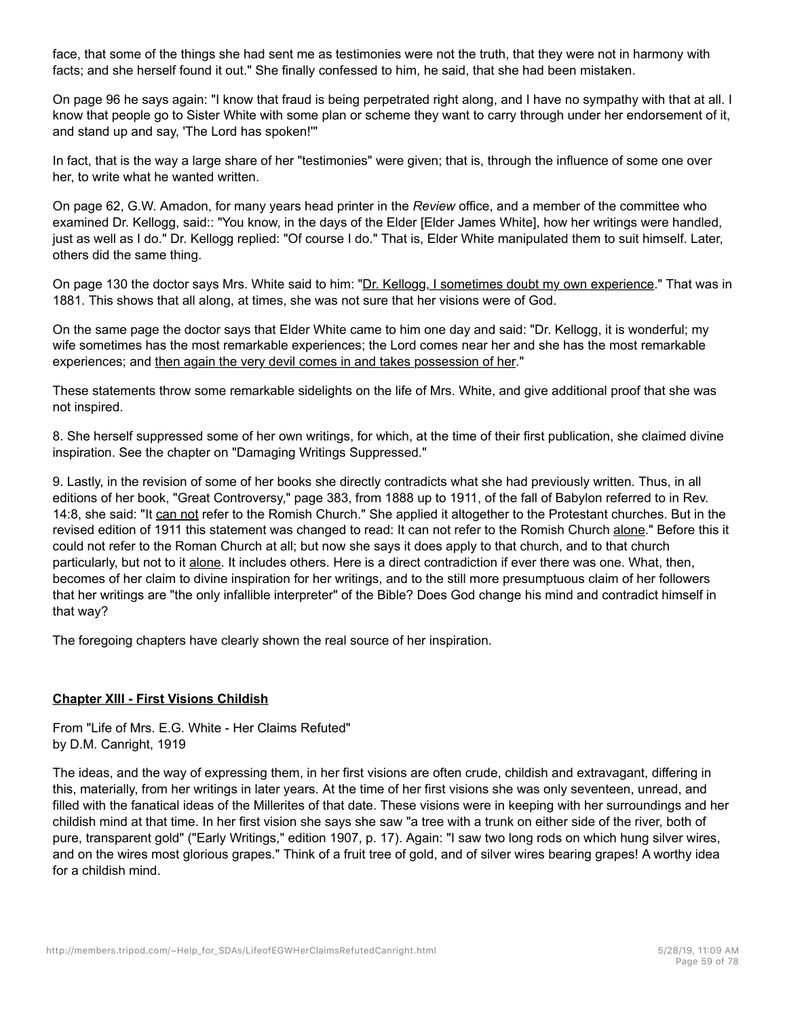face, that some of the things she had sent me as testimonies were not the truth, that they were not in harmony with facts; and she herself found it out." She finally confessed to him, he said, that she had been mistaken.

On page 96 he says again: "I know that fraud is being perpetrated right along, and I have no sympathy with that at all. I know that people go to Sister White with some plan or scheme they want to carry through under her endorsement of it, and stand up and say, 'The Lord has spoken!'"

In fact, that is the way a large share of her "testimonies" were given; that is, through the influence of some one over her, to write what he wanted written.

On page 62, G.W. Amadon, for many years head printer in the *Review* office, and a member of the committee who examined Dr. Kellogg, said:: "You know, in the days of the Elder [Elder James White], how her writings were handled, just as well as I do." Dr. Kellogg replied: "Of course I do." That is, Elder White manipulated them to suit himself. Later, others did the same thing.

On page 130 the doctor says Mrs. White said to him: "Dr. Kellogg, I sometimes doubt my own experience." That was in 1881. This shows that all along, at times, she was not sure that her visions were of God.

On the same page the doctor says that Elder White came to him one day and said: "Dr. Kellogg, it is wonderful; my wife sometimes has the most remarkable experiences; the Lord comes near her and she has the most remarkable experiences; and then again the very devil comes in and takes possession of her."

These statements throw some remarkable sidelights on the life of Mrs. White, and give additional proof that she was not inspired.

8. She herself suppressed some of her own writings, for which, at the time of their first publication, she claimed divine inspiration. See the chapter on "Damaging Writings Suppressed."

9. Lastly, in the revision of some of her books she directly contradicts what she had previously written. Thus, in all editions of her book, "Great Controversy," page 383, from 1888 up to 1911, of the fall of Babylon referred to in Rev. 14:8, she said: "It can not refer to the Romish Church." She applied it altogether to the Protestant churches. But in the revised edition of 1911 this statement was changed to read: It can not refer to the Romish Church alone." Before this it could not refer to the Roman Church at all; but now she says it does apply to that church, and to that church particularly, but not to it alone. It includes others. Here is a direct contradiction if ever there was one. What, then, becomes of her claim to divine inspiration for her writings, and to the still more presumptuous claim of her followers that her writings are "the only infallible interpreter" of the Bible? Does God change his mind and contradict himself in that way?

The foregoing chapters have clearly shown the real source of her inspiration.

# **Chapter XIII - First Visions Childish**

From "Life of Mrs. E.G. White - Her Claims Refuted" by D.M. Canright, 1919

The ideas, and the way of expressing them, in her first visions are often crude, childish and extravagant, differing in this, materially, from her writings in later years. At the time of her first visions she was only seventeen, unread, and filled with the fanatical ideas of the Millerites of that date. These visions were in keeping with her surroundings and her childish mind at that time. In her first vision she says she saw "a tree with a trunk on either side of the river, both of pure, transparent gold" ("Early Writings," edition 1907, p. 17). Again: "I saw two long rods on which hung silver wires, and on the wires most glorious grapes." Think of a fruit tree of gold, and of silver wires bearing grapes! A worthy idea for a childish mind.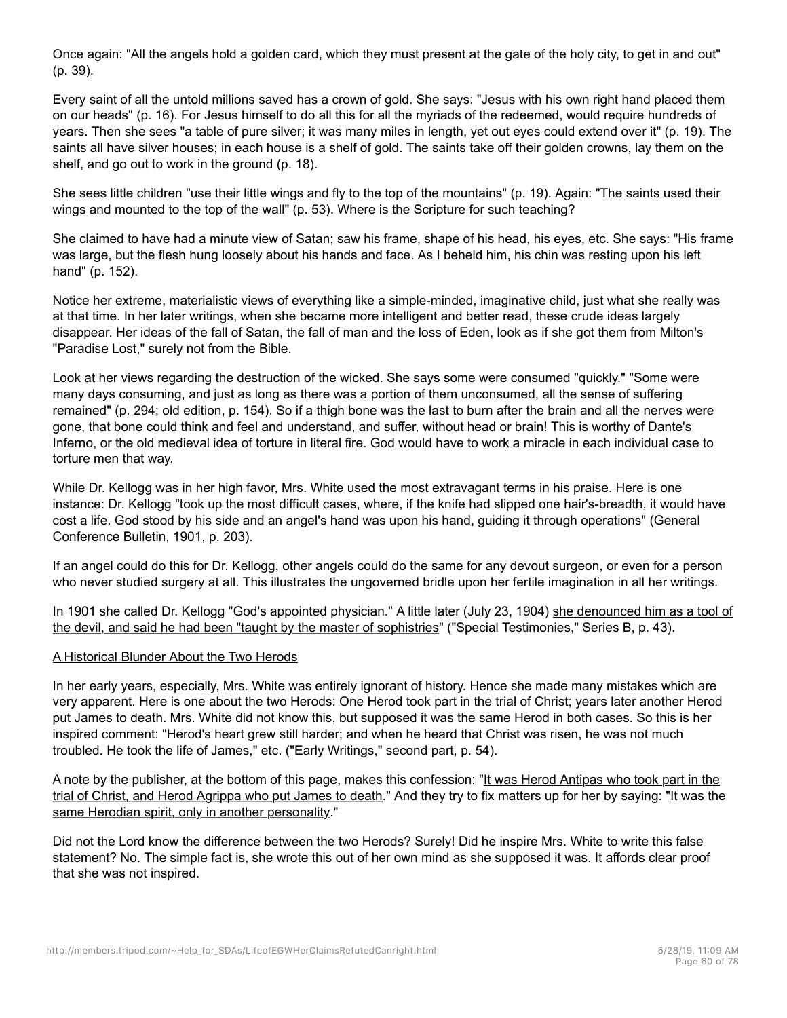Once again: "All the angels hold a golden card, which they must present at the gate of the holy city, to get in and out" (p. 39).

Every saint of all the untold millions saved has a crown of gold. She says: "Jesus with his own right hand placed them on our heads" (p. 16). For Jesus himself to do all this for all the myriads of the redeemed, would require hundreds of years. Then she sees "a table of pure silver; it was many miles in length, yet out eyes could extend over it" (p. 19). The saints all have silver houses; in each house is a shelf of gold. The saints take off their golden crowns, lay them on the shelf, and go out to work in the ground (p. 18).

She sees little children "use their little wings and fly to the top of the mountains" (p. 19). Again: "The saints used their wings and mounted to the top of the wall" (p. 53). Where is the Scripture for such teaching?

She claimed to have had a minute view of Satan; saw his frame, shape of his head, his eyes, etc. She says: "His frame was large, but the flesh hung loosely about his hands and face. As I beheld him, his chin was resting upon his left hand" (p. 152).

Notice her extreme, materialistic views of everything like a simple-minded, imaginative child, just what she really was at that time. In her later writings, when she became more intelligent and better read, these crude ideas largely disappear. Her ideas of the fall of Satan, the fall of man and the loss of Eden, look as if she got them from Milton's "Paradise Lost," surely not from the Bible.

Look at her views regarding the destruction of the wicked. She says some were consumed "quickly." "Some were many days consuming, and just as long as there was a portion of them unconsumed, all the sense of suffering remained" (p. 294; old edition, p. 154). So if a thigh bone was the last to burn after the brain and all the nerves were gone, that bone could think and feel and understand, and suffer, without head or brain! This is worthy of Dante's Inferno, or the old medieval idea of torture in literal fire. God would have to work a miracle in each individual case to torture men that way.

While Dr. Kellogg was in her high favor, Mrs. White used the most extravagant terms in his praise. Here is one instance: Dr. Kellogg "took up the most difficult cases, where, if the knife had slipped one hair's-breadth, it would have cost a life. God stood by his side and an angel's hand was upon his hand, guiding it through operations" (General Conference Bulletin, 1901, p. 203).

If an angel could do this for Dr. Kellogg, other angels could do the same for any devout surgeon, or even for a person who never studied surgery at all. This illustrates the ungoverned bridle upon her fertile imagination in all her writings.

In 1901 she called Dr. Kellogg "God's appointed physician." A little later (July 23, 1904) she denounced him as a tool of the devil, and said he had been "taught by the master of sophistries" ("Special Testimonies," Series B, p. 43).

# A Historical Blunder About the Two Herods

In her early years, especially, Mrs. White was entirely ignorant of history. Hence she made many mistakes which are very apparent. Here is one about the two Herods: One Herod took part in the trial of Christ; years later another Herod put James to death. Mrs. White did not know this, but supposed it was the same Herod in both cases. So this is her inspired comment: "Herod's heart grew still harder; and when he heard that Christ was risen, he was not much troubled. He took the life of James," etc. ("Early Writings," second part, p. 54).

A note by the publisher, at the bottom of this page, makes this confession: "It was Herod Antipas who took part in the trial of Christ, and Herod Agrippa who put James to death." And they try to fix matters up for her by saying: "It was the same Herodian spirit, only in another personality."

Did not the Lord know the difference between the two Herods? Surely! Did he inspire Mrs. White to write this false statement? No. The simple fact is, she wrote this out of her own mind as she supposed it was. It affords clear proof that she was not inspired.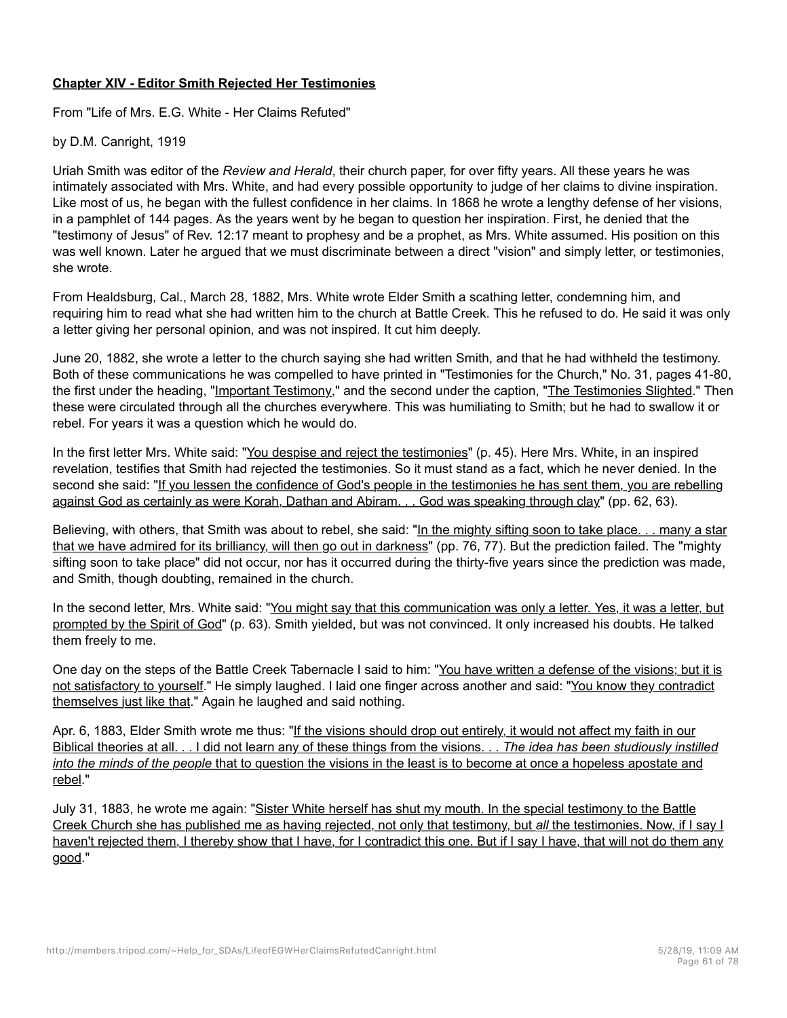# **Chapter XIV - Editor Smith Rejected Her Testimonies**

From "Life of Mrs. E.G. White - Her Claims Refuted"

by D.M. Canright, 1919

Uriah Smith was editor of the *Review and Herald*, their church paper, for over fifty years. All these years he was intimately associated with Mrs. White, and had every possible opportunity to judge of her claims to divine inspiration. Like most of us, he began with the fullest confidence in her claims. In 1868 he wrote a lengthy defense of her visions, in a pamphlet of 144 pages. As the years went by he began to question her inspiration. First, he denied that the "testimony of Jesus" of Rev. 12:17 meant to prophesy and be a prophet, as Mrs. White assumed. His position on this was well known. Later he argued that we must discriminate between a direct "vision" and simply letter, or testimonies, she wrote.

From Healdsburg, Cal., March 28, 1882, Mrs. White wrote Elder Smith a scathing letter, condemning him, and requiring him to read what she had written him to the church at Battle Creek. This he refused to do. He said it was only a letter giving her personal opinion, and was not inspired. It cut him deeply.

June 20, 1882, she wrote a letter to the church saying she had written Smith, and that he had withheld the testimony. Both of these communications he was compelled to have printed in "Testimonies for the Church," No. 31, pages 41-80, the first under the heading, "Important Testimony," and the second under the caption, "The Testimonies Slighted." Then these were circulated through all the churches everywhere. This was humiliating to Smith; but he had to swallow it or rebel. For years it was a question which he would do.

In the first letter Mrs. White said: "You despise and reject the testimonies" (p. 45). Here Mrs. White, in an inspired revelation, testifies that Smith had rejected the testimonies. So it must stand as a fact, which he never denied. In the second she said: "If you lessen the confidence of God's people in the testimonies he has sent them, you are rebelling against God as certainly as were Korah, Dathan and Abiram. . . God was speaking through clay" (pp. 62, 63).

Believing, with others, that Smith was about to rebel, she said: "In the mighty sifting soon to take place. . . many a star that we have admired for its brilliancy, will then go out in darkness" (pp. 76, 77). But the prediction failed. The "mighty sifting soon to take place" did not occur, nor has it occurred during the thirty-five years since the prediction was made, and Smith, though doubting, remained in the church.

In the second letter, Mrs. White said: "You might say that this communication was only a letter. Yes, it was a letter, but prompted by the Spirit of God" (p. 63). Smith yielded, but was not convinced. It only increased his doubts. He talked them freely to me.

One day on the steps of the Battle Creek Tabernacle I said to him: "You have written a defense of the visions; but it is not satisfactory to yourself." He simply laughed. I laid one finger across another and said: "You know they contradict themselves just like that." Again he laughed and said nothing.

Apr. 6, 1883, Elder Smith wrote me thus: "If the visions should drop out entirely, it would not affect my faith in our Biblical theories at all. . . I did not learn any of these things from the visions. . . *The idea has been studiously instilled into the minds of the people* that to question the visions in the least is to become at once a hopeless apostate and rebel."

July 31, 1883, he wrote me again: "Sister White herself has shut my mouth. In the special testimony to the Battle Creek Church she has published me as having rejected, not only that testimony, but *all* the testimonies. Now, if I say I haven't rejected them, I thereby show that I have, for I contradict this one. But if I say I have, that will not do them any good."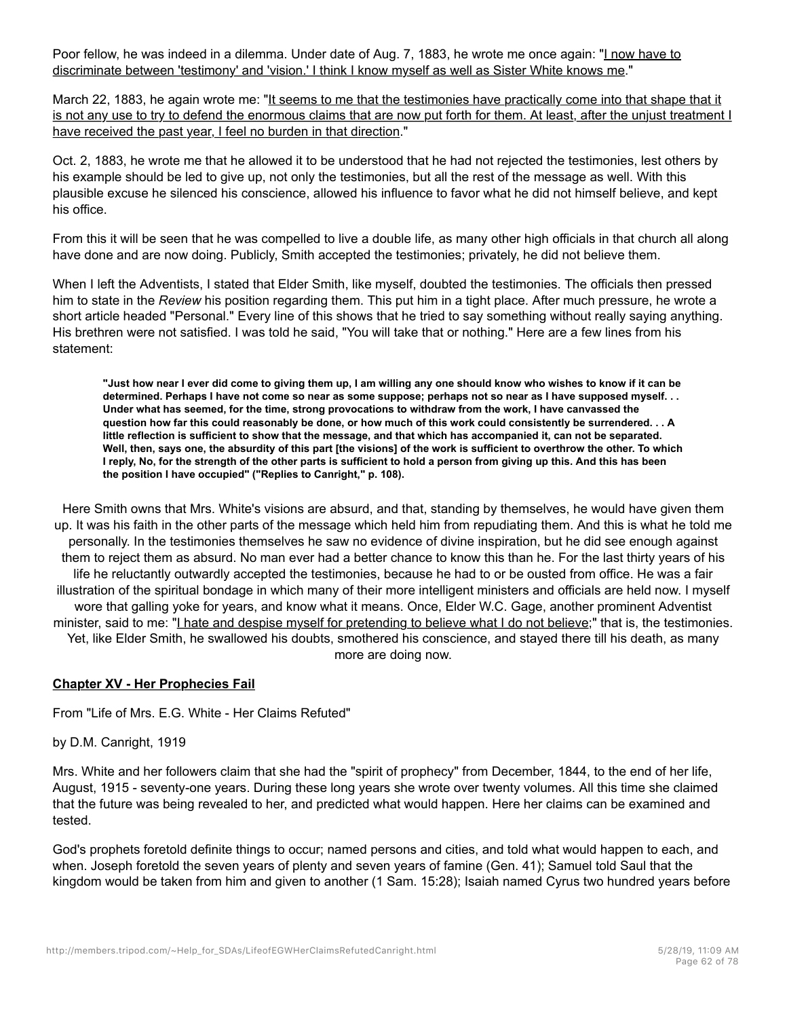Poor fellow, he was indeed in a dilemma. Under date of Aug. 7, 1883, he wrote me once again: "I now have to discriminate between 'testimony' and 'vision.' I think I know myself as well as Sister White knows me."

March 22, 1883, he again wrote me: "It seems to me that the testimonies have practically come into that shape that it is not any use to try to defend the enormous claims that are now put forth for them. At least, after the unjust treatment I have received the past year, I feel no burden in that direction."

Oct. 2, 1883, he wrote me that he allowed it to be understood that he had not rejected the testimonies, lest others by his example should be led to give up, not only the testimonies, but all the rest of the message as well. With this plausible excuse he silenced his conscience, allowed his influence to favor what he did not himself believe, and kept his office.

From this it will be seen that he was compelled to live a double life, as many other high officials in that church all along have done and are now doing. Publicly, Smith accepted the testimonies; privately, he did not believe them.

When I left the Adventists, I stated that Elder Smith, like myself, doubted the testimonies. The officials then pressed him to state in the *Review* his position regarding them. This put him in a tight place. After much pressure, he wrote a short article headed "Personal." Every line of this shows that he tried to say something without really saying anything. His brethren were not satisfied. I was told he said, "You will take that or nothing." Here are a few lines from his statement:

**"Just how near I ever did come to giving them up, I am willing any one should know who wishes to know if it can be determined. Perhaps I have not come so near as some suppose; perhaps not so near as I have supposed myself. . . Under what has seemed, for the time, strong provocations to withdraw from the work, I have canvassed the question how far this could reasonably be done, or how much of this work could consistently be surrendered. . . A little reflection is sufficient to show that the message, and that which has accompanied it, can not be separated. Well, then, says one, the absurdity of this part [the visions] of the work is sufficient to overthrow the other. To which I reply, No, for the strength of the other parts is sufficient to hold a person from giving up this. And this has been the position I have occupied" ("Replies to Canright," p. 108).**

Here Smith owns that Mrs. White's visions are absurd, and that, standing by themselves, he would have given them up. It was his faith in the other parts of the message which held him from repudiating them. And this is what he told me personally. In the testimonies themselves he saw no evidence of divine inspiration, but he did see enough against them to reject them as absurd. No man ever had a better chance to know this than he. For the last thirty years of his life he reluctantly outwardly accepted the testimonies, because he had to or be ousted from office. He was a fair illustration of the spiritual bondage in which many of their more intelligent ministers and officials are held now. I myself wore that galling yoke for years, and know what it means. Once, Elder W.C. Gage, another prominent Adventist minister, said to me: "I hate and despise myself for pretending to believe what I do not believe;" that is, the testimonies. Yet, like Elder Smith, he swallowed his doubts, smothered his conscience, and stayed there till his death, as many more are doing now.

# **Chapter XV - Her Prophecies Fail**

From "Life of Mrs. E.G. White - Her Claims Refuted"

by D.M. Canright, 1919

Mrs. White and her followers claim that she had the "spirit of prophecy" from December, 1844, to the end of her life, August, 1915 - seventy-one years. During these long years she wrote over twenty volumes. All this time she claimed that the future was being revealed to her, and predicted what would happen. Here her claims can be examined and tested.

God's prophets foretold definite things to occur; named persons and cities, and told what would happen to each, and when. Joseph foretold the seven years of plenty and seven years of famine (Gen. 41); Samuel told Saul that the kingdom would be taken from him and given to another (1 Sam. 15:28); Isaiah named Cyrus two hundred years before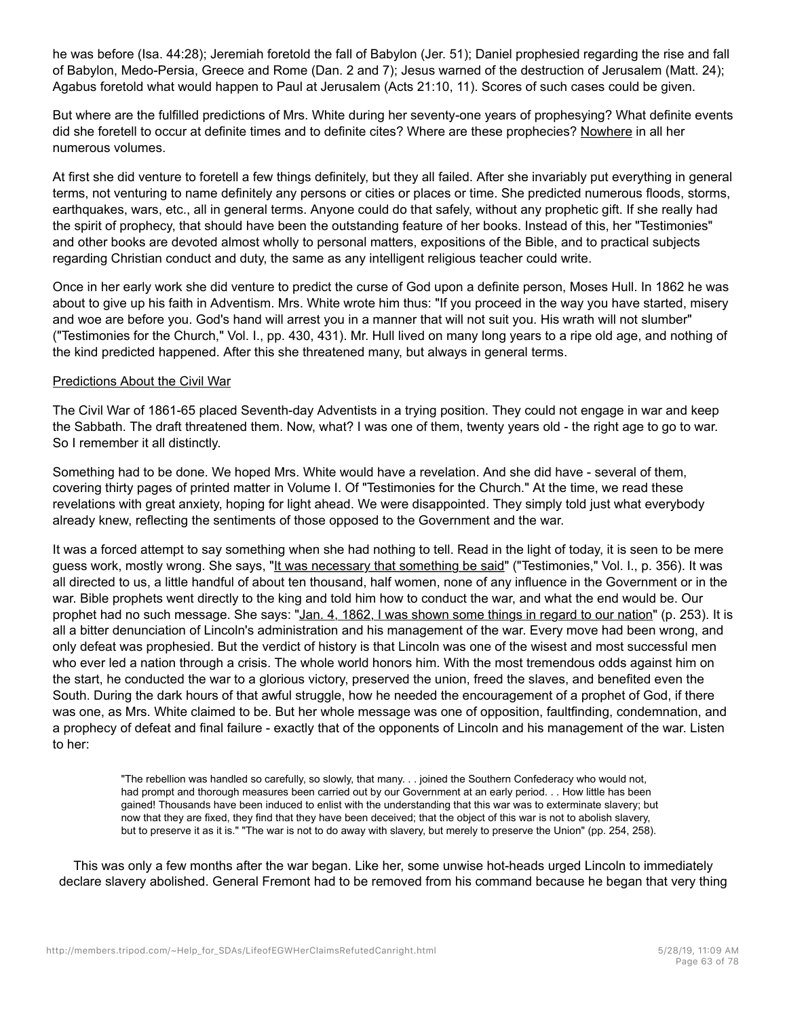he was before (Isa. 44:28); Jeremiah foretold the fall of Babylon (Jer. 51); Daniel prophesied regarding the rise and fall of Babylon, Medo-Persia, Greece and Rome (Dan. 2 and 7); Jesus warned of the destruction of Jerusalem (Matt. 24); Agabus foretold what would happen to Paul at Jerusalem (Acts 21:10, 11). Scores of such cases could be given.

But where are the fulfilled predictions of Mrs. White during her seventy-one years of prophesying? What definite events did she foretell to occur at definite times and to definite cites? Where are these prophecies? Nowhere in all her numerous volumes.

At first she did venture to foretell a few things definitely, but they all failed. After she invariably put everything in general terms, not venturing to name definitely any persons or cities or places or time. She predicted numerous floods, storms, earthquakes, wars, etc., all in general terms. Anyone could do that safely, without any prophetic gift. If she really had the spirit of prophecy, that should have been the outstanding feature of her books. Instead of this, her "Testimonies" and other books are devoted almost wholly to personal matters, expositions of the Bible, and to practical subjects regarding Christian conduct and duty, the same as any intelligent religious teacher could write.

Once in her early work she did venture to predict the curse of God upon a definite person, Moses Hull. In 1862 he was about to give up his faith in Adventism. Mrs. White wrote him thus: "If you proceed in the way you have started, misery and woe are before you. God's hand will arrest you in a manner that will not suit you. His wrath will not slumber" ("Testimonies for the Church," Vol. I., pp. 430, 431). Mr. Hull lived on many long years to a ripe old age, and nothing of the kind predicted happened. After this she threatened many, but always in general terms.

### Predictions About the Civil War

The Civil War of 1861-65 placed Seventh-day Adventists in a trying position. They could not engage in war and keep the Sabbath. The draft threatened them. Now, what? I was one of them, twenty years old - the right age to go to war. So I remember it all distinctly.

Something had to be done. We hoped Mrs. White would have a revelation. And she did have - several of them, covering thirty pages of printed matter in Volume I. Of "Testimonies for the Church." At the time, we read these revelations with great anxiety, hoping for light ahead. We were disappointed. They simply told just what everybody already knew, reflecting the sentiments of those opposed to the Government and the war.

It was a forced attempt to say something when she had nothing to tell. Read in the light of today, it is seen to be mere guess work, mostly wrong. She says, "It was necessary that something be said" ("Testimonies," Vol. I., p. 356). It was all directed to us, a little handful of about ten thousand, half women, none of any influence in the Government or in the war. Bible prophets went directly to the king and told him how to conduct the war, and what the end would be. Our prophet had no such message. She says: "Jan. 4, 1862, I was shown some things in regard to our nation" (p. 253). It is all a bitter denunciation of Lincoln's administration and his management of the war. Every move had been wrong, and only defeat was prophesied. But the verdict of history is that Lincoln was one of the wisest and most successful men who ever led a nation through a crisis. The whole world honors him. With the most tremendous odds against him on the start, he conducted the war to a glorious victory, preserved the union, freed the slaves, and benefited even the South. During the dark hours of that awful struggle, how he needed the encouragement of a prophet of God, if there was one, as Mrs. White claimed to be. But her whole message was one of opposition, faultfinding, condemnation, and a prophecy of defeat and final failure - exactly that of the opponents of Lincoln and his management of the war. Listen to her:

"The rebellion was handled so carefully, so slowly, that many. . . joined the Southern Confederacy who would not, had prompt and thorough measures been carried out by our Government at an early period. . . How little has been gained! Thousands have been induced to enlist with the understanding that this war was to exterminate slavery; but now that they are fixed, they find that they have been deceived; that the object of this war is not to abolish slavery, but to preserve it as it is." "The war is not to do away with slavery, but merely to preserve the Union" (pp. 254, 258).

This was only a few months after the war began. Like her, some unwise hot-heads urged Lincoln to immediately declare slavery abolished. General Fremont had to be removed from his command because he began that very thing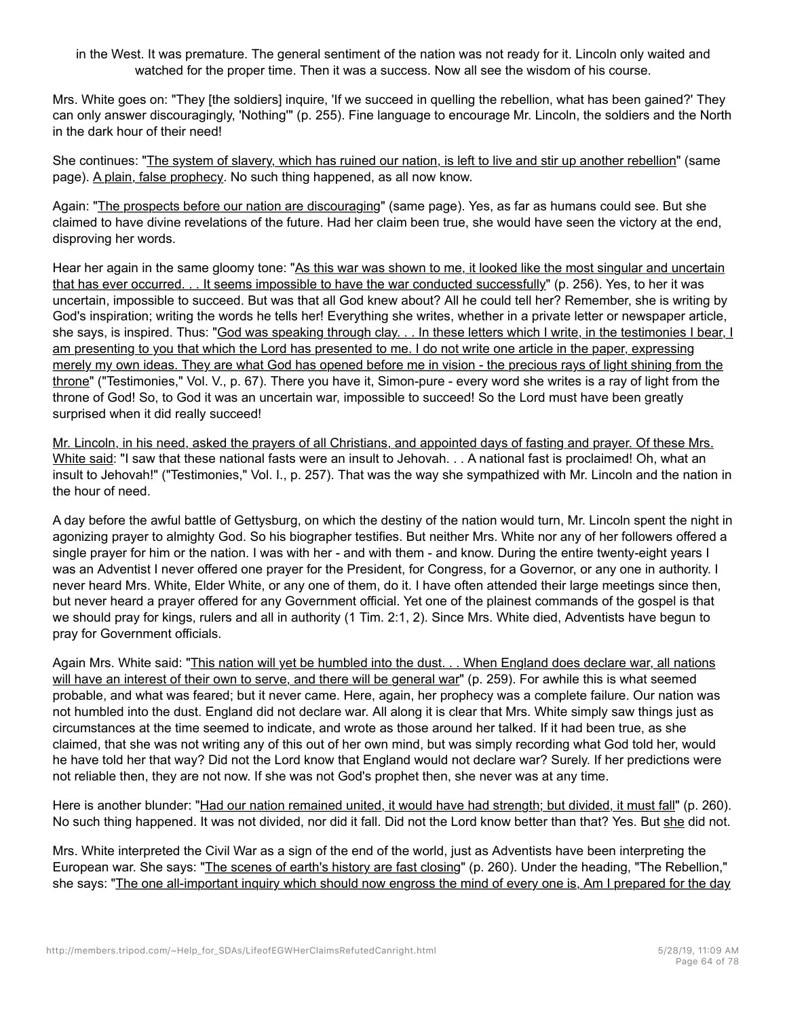in the West. It was premature. The general sentiment of the nation was not ready for it. Lincoln only waited and watched for the proper time. Then it was a success. Now all see the wisdom of his course.

Mrs. White goes on: "They [the soldiers] inquire, 'If we succeed in quelling the rebellion, what has been gained?' They can only answer discouragingly, 'Nothing'" (p. 255). Fine language to encourage Mr. Lincoln, the soldiers and the North in the dark hour of their need!

She continues: "The system of slavery, which has ruined our nation, is left to live and stir up another rebellion" (same page). A plain, false prophecy. No such thing happened, as all now know.

Again: "The prospects before our nation are discouraging" (same page). Yes, as far as humans could see. But she claimed to have divine revelations of the future. Had her claim been true, she would have seen the victory at the end, disproving her words.

Hear her again in the same gloomy tone: "As this war was shown to me, it looked like the most singular and uncertain that has ever occurred. . . It seems impossible to have the war conducted successfully" (p. 256). Yes, to her it was uncertain, impossible to succeed. But was that all God knew about? All he could tell her? Remember, she is writing by God's inspiration; writing the words he tells her! Everything she writes, whether in a private letter or newspaper article, she says, is inspired. Thus: "God was speaking through clay. . . In these letters which I write, in the testimonies I bear, I am presenting to you that which the Lord has presented to me. I do not write one article in the paper, expressing merely my own ideas. They are what God has opened before me in vision - the precious rays of light shining from the throne" ("Testimonies," Vol. V., p. 67). There you have it, Simon-pure - every word she writes is a ray of light from the throne of God! So, to God it was an uncertain war, impossible to succeed! So the Lord must have been greatly surprised when it did really succeed!

Mr. Lincoln, in his need, asked the prayers of all Christians, and appointed days of fasting and prayer. Of these Mrs. White said: "I saw that these national fasts were an insult to Jehovah. . . A national fast is proclaimed! Oh, what an insult to Jehovah!" ("Testimonies," Vol. I., p. 257). That was the way she sympathized with Mr. Lincoln and the nation in the hour of need.

A day before the awful battle of Gettysburg, on which the destiny of the nation would turn, Mr. Lincoln spent the night in agonizing prayer to almighty God. So his biographer testifies. But neither Mrs. White nor any of her followers offered a single prayer for him or the nation. I was with her - and with them - and know. During the entire twenty-eight years I was an Adventist I never offered one prayer for the President, for Congress, for a Governor, or any one in authority. I never heard Mrs. White, Elder White, or any one of them, do it. I have often attended their large meetings since then, but never heard a prayer offered for any Government official. Yet one of the plainest commands of the gospel is that we should pray for kings, rulers and all in authority (1 Tim. 2:1, 2). Since Mrs. White died, Adventists have begun to pray for Government officials.

Again Mrs. White said: "This nation will yet be humbled into the dust. . . When England does declare war, all nations will have an interest of their own to serve, and there will be general war" (p. 259). For awhile this is what seemed probable, and what was feared; but it never came. Here, again, her prophecy was a complete failure. Our nation was not humbled into the dust. England did not declare war. All along it is clear that Mrs. White simply saw things just as circumstances at the time seemed to indicate, and wrote as those around her talked. If it had been true, as she claimed, that she was not writing any of this out of her own mind, but was simply recording what God told her, would he have told her that way? Did not the Lord know that England would not declare war? Surely. If her predictions were not reliable then, they are not now. If she was not God's prophet then, she never was at any time.

Here is another blunder: "Had our nation remained united, it would have had strength; but divided, it must fall" (p. 260). No such thing happened. It was not divided, nor did it fall. Did not the Lord know better than that? Yes. But she did not.

Mrs. White interpreted the Civil War as a sign of the end of the world, just as Adventists have been interpreting the European war. She says: "The scenes of earth's history are fast closing" (p. 260). Under the heading, "The Rebellion," she says: "The one all-important inquiry which should now engross the mind of every one is, Am I prepared for the day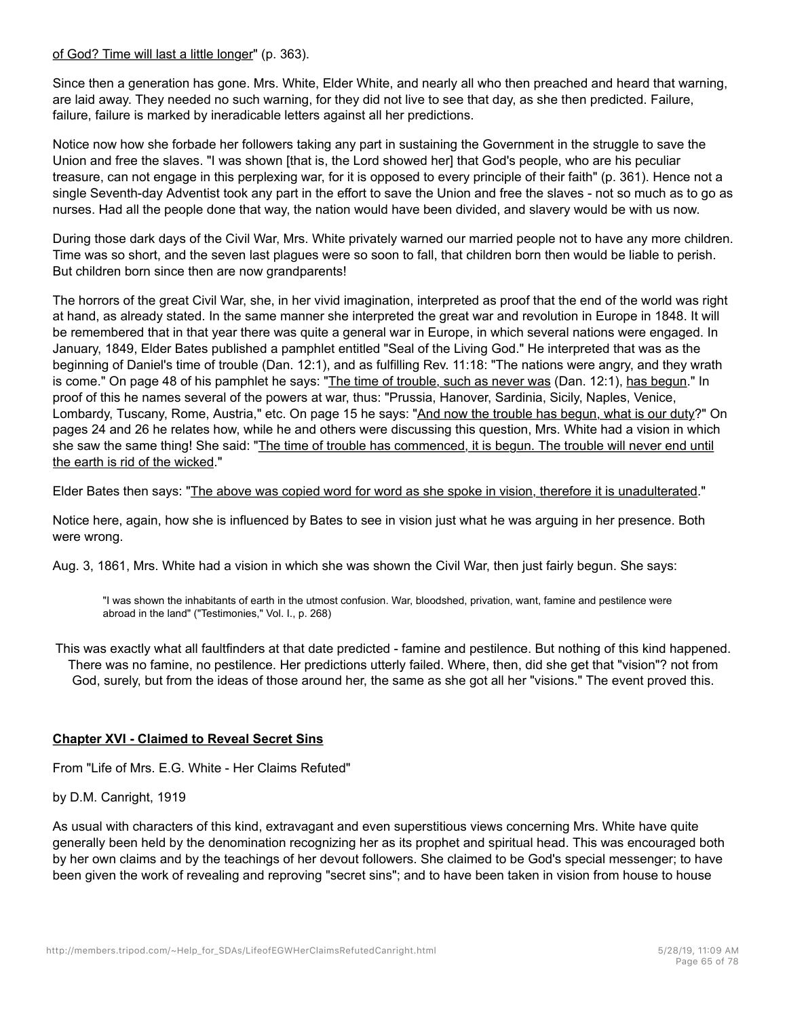### of God? Time will last a little longer" (p. 363).

Since then a generation has gone. Mrs. White, Elder White, and nearly all who then preached and heard that warning, are laid away. They needed no such warning, for they did not live to see that day, as she then predicted. Failure, failure, failure is marked by ineradicable letters against all her predictions.

Notice now how she forbade her followers taking any part in sustaining the Government in the struggle to save the Union and free the slaves. "I was shown [that is, the Lord showed her] that God's people, who are his peculiar treasure, can not engage in this perplexing war, for it is opposed to every principle of their faith" (p. 361). Hence not a single Seventh-day Adventist took any part in the effort to save the Union and free the slaves - not so much as to go as nurses. Had all the people done that way, the nation would have been divided, and slavery would be with us now.

During those dark days of the Civil War, Mrs. White privately warned our married people not to have any more children. Time was so short, and the seven last plagues were so soon to fall, that children born then would be liable to perish. But children born since then are now grandparents!

The horrors of the great Civil War, she, in her vivid imagination, interpreted as proof that the end of the world was right at hand, as already stated. In the same manner she interpreted the great war and revolution in Europe in 1848. It will be remembered that in that year there was quite a general war in Europe, in which several nations were engaged. In January, 1849, Elder Bates published a pamphlet entitled "Seal of the Living God." He interpreted that was as the beginning of Daniel's time of trouble (Dan. 12:1), and as fulfilling Rev. 11:18: "The nations were angry, and they wrath is come." On page 48 of his pamphlet he says: "The time of trouble, such as never was (Dan. 12:1), has begun." In proof of this he names several of the powers at war, thus: "Prussia, Hanover, Sardinia, Sicily, Naples, Venice, Lombardy, Tuscany, Rome, Austria," etc. On page 15 he says: "And now the trouble has begun, what is our duty?" On pages 24 and 26 he relates how, while he and others were discussing this question, Mrs. White had a vision in which she saw the same thing! She said: "The time of trouble has commenced, it is begun. The trouble will never end until the earth is rid of the wicked."

Elder Bates then says: "The above was copied word for word as she spoke in vision, therefore it is unadulterated."

Notice here, again, how she is influenced by Bates to see in vision just what he was arguing in her presence. Both were wrong.

Aug. 3, 1861, Mrs. White had a vision in which she was shown the Civil War, then just fairly begun. She says:

"I was shown the inhabitants of earth in the utmost confusion. War, bloodshed, privation, want, famine and pestilence were abroad in the land" ("Testimonies," Vol. I., p. 268)

This was exactly what all faultfinders at that date predicted - famine and pestilence. But nothing of this kind happened. There was no famine, no pestilence. Her predictions utterly failed. Where, then, did she get that "vision"? not from God, surely, but from the ideas of those around her, the same as she got all her "visions." The event proved this.

# **Chapter XVI - Claimed to Reveal Secret Sins**

From "Life of Mrs. E.G. White - Her Claims Refuted"

by D.M. Canright, 1919

As usual with characters of this kind, extravagant and even superstitious views concerning Mrs. White have quite generally been held by the denomination recognizing her as its prophet and spiritual head. This was encouraged both by her own claims and by the teachings of her devout followers. She claimed to be God's special messenger; to have been given the work of revealing and reproving "secret sins"; and to have been taken in vision from house to house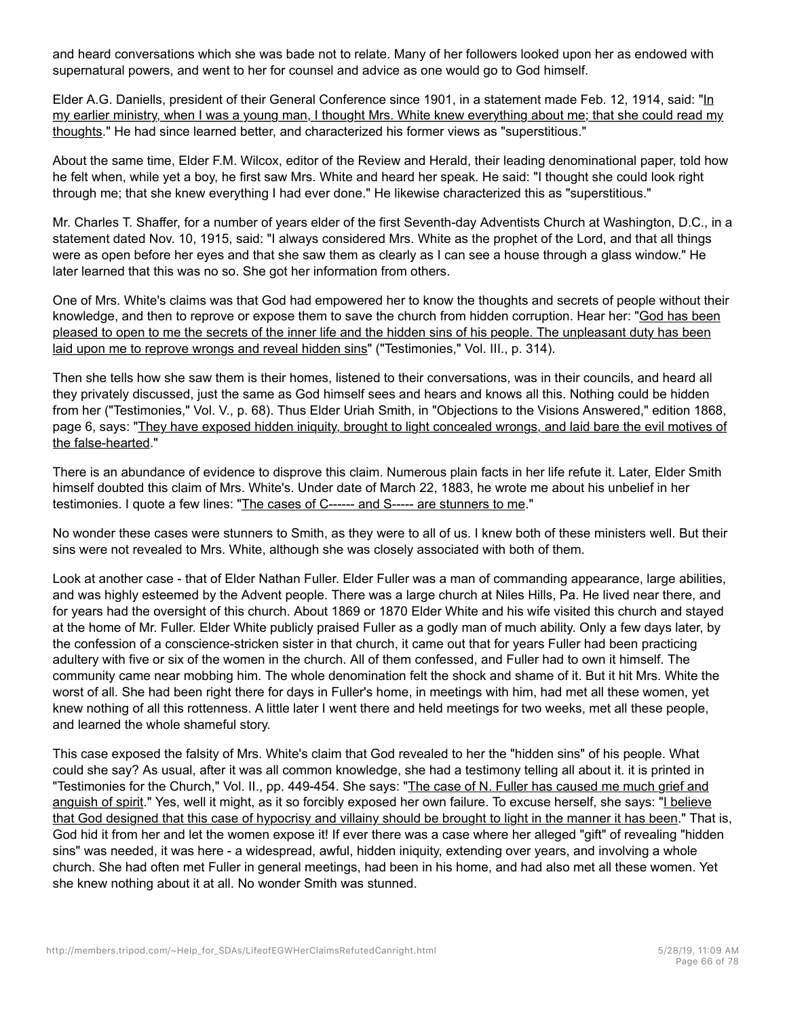and heard conversations which she was bade not to relate. Many of her followers looked upon her as endowed with supernatural powers, and went to her for counsel and advice as one would go to God himself.

Elder A.G. Daniells, president of their General Conference since 1901, in a statement made Feb. 12, 1914, said: "In my earlier ministry, when I was a young man, I thought Mrs. White knew everything about me; that she could read my thoughts." He had since learned better, and characterized his former views as "superstitious."

About the same time, Elder F.M. Wilcox, editor of the Review and Herald, their leading denominational paper, told how he felt when, while yet a boy, he first saw Mrs. White and heard her speak. He said: "I thought she could look right through me; that she knew everything I had ever done." He likewise characterized this as "superstitious."

Mr. Charles T. Shaffer, for a number of years elder of the first Seventh-day Adventists Church at Washington, D.C., in a statement dated Nov. 10, 1915, said: "I always considered Mrs. White as the prophet of the Lord, and that all things were as open before her eyes and that she saw them as clearly as I can see a house through a glass window." He later learned that this was no so. She got her information from others.

One of Mrs. White's claims was that God had empowered her to know the thoughts and secrets of people without their knowledge, and then to reprove or expose them to save the church from hidden corruption. Hear her: "God has been pleased to open to me the secrets of the inner life and the hidden sins of his people. The unpleasant duty has been laid upon me to reprove wrongs and reveal hidden sins" ("Testimonies," Vol. III., p. 314).

Then she tells how she saw them is their homes, listened to their conversations, was in their councils, and heard all they privately discussed, just the same as God himself sees and hears and knows all this. Nothing could be hidden from her ("Testimonies," Vol. V., p. 68). Thus Elder Uriah Smith, in "Objections to the Visions Answered," edition 1868, page 6, says: "They have exposed hidden iniquity, brought to light concealed wrongs, and laid bare the evil motives of the false-hearted."

There is an abundance of evidence to disprove this claim. Numerous plain facts in her life refute it. Later, Elder Smith himself doubted this claim of Mrs. White's. Under date of March 22, 1883, he wrote me about his unbelief in her testimonies. I quote a few lines: "The cases of C------ and S----- are stunners to me."

No wonder these cases were stunners to Smith, as they were to all of us. I knew both of these ministers well. But their sins were not revealed to Mrs. White, although she was closely associated with both of them.

Look at another case - that of Elder Nathan Fuller. Elder Fuller was a man of commanding appearance, large abilities, and was highly esteemed by the Advent people. There was a large church at Niles Hills, Pa. He lived near there, and for years had the oversight of this church. About 1869 or 1870 Elder White and his wife visited this church and stayed at the home of Mr. Fuller. Elder White publicly praised Fuller as a godly man of much ability. Only a few days later, by the confession of a conscience-stricken sister in that church, it came out that for years Fuller had been practicing adultery with five or six of the women in the church. All of them confessed, and Fuller had to own it himself. The community came near mobbing him. The whole denomination felt the shock and shame of it. But it hit Mrs. White the worst of all. She had been right there for days in Fuller's home, in meetings with him, had met all these women, yet knew nothing of all this rottenness. A little later I went there and held meetings for two weeks, met all these people, and learned the whole shameful story.

This case exposed the falsity of Mrs. White's claim that God revealed to her the "hidden sins" of his people. What could she say? As usual, after it was all common knowledge, she had a testimony telling all about it. it is printed in "Testimonies for the Church," Vol. II., pp. 449-454. She says: "The case of N. Fuller has caused me much grief and anguish of spirit." Yes, well it might, as it so forcibly exposed her own failure. To excuse herself, she says: "I believe that God designed that this case of hypocrisy and villainy should be brought to light in the manner it has been." That is, God hid it from her and let the women expose it! If ever there was a case where her alleged "gift" of revealing "hidden sins" was needed, it was here - a widespread, awful, hidden iniquity, extending over years, and involving a whole church. She had often met Fuller in general meetings, had been in his home, and had also met all these women. Yet she knew nothing about it at all. No wonder Smith was stunned.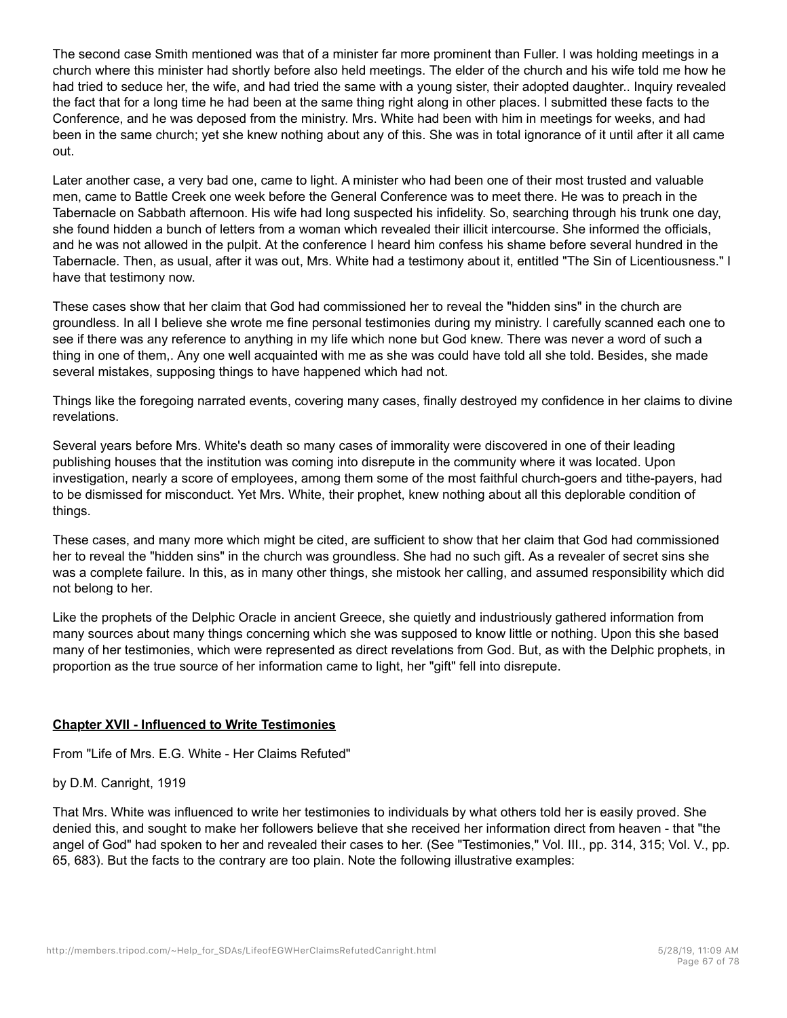The second case Smith mentioned was that of a minister far more prominent than Fuller. I was holding meetings in a church where this minister had shortly before also held meetings. The elder of the church and his wife told me how he had tried to seduce her, the wife, and had tried the same with a young sister, their adopted daughter.. Inquiry revealed the fact that for a long time he had been at the same thing right along in other places. I submitted these facts to the Conference, and he was deposed from the ministry. Mrs. White had been with him in meetings for weeks, and had been in the same church; yet she knew nothing about any of this. She was in total ignorance of it until after it all came out.

Later another case, a very bad one, came to light. A minister who had been one of their most trusted and valuable men, came to Battle Creek one week before the General Conference was to meet there. He was to preach in the Tabernacle on Sabbath afternoon. His wife had long suspected his infidelity. So, searching through his trunk one day, she found hidden a bunch of letters from a woman which revealed their illicit intercourse. She informed the officials, and he was not allowed in the pulpit. At the conference I heard him confess his shame before several hundred in the Tabernacle. Then, as usual, after it was out, Mrs. White had a testimony about it, entitled "The Sin of Licentiousness." I have that testimony now.

These cases show that her claim that God had commissioned her to reveal the "hidden sins" in the church are groundless. In all I believe she wrote me fine personal testimonies during my ministry. I carefully scanned each one to see if there was any reference to anything in my life which none but God knew. There was never a word of such a thing in one of them,. Any one well acquainted with me as she was could have told all she told. Besides, she made several mistakes, supposing things to have happened which had not.

Things like the foregoing narrated events, covering many cases, finally destroyed my confidence in her claims to divine revelations.

Several years before Mrs. White's death so many cases of immorality were discovered in one of their leading publishing houses that the institution was coming into disrepute in the community where it was located. Upon investigation, nearly a score of employees, among them some of the most faithful church-goers and tithe-payers, had to be dismissed for misconduct. Yet Mrs. White, their prophet, knew nothing about all this deplorable condition of things.

These cases, and many more which might be cited, are sufficient to show that her claim that God had commissioned her to reveal the "hidden sins" in the church was groundless. She had no such gift. As a revealer of secret sins she was a complete failure. In this, as in many other things, she mistook her calling, and assumed responsibility which did not belong to her.

Like the prophets of the Delphic Oracle in ancient Greece, she quietly and industriously gathered information from many sources about many things concerning which she was supposed to know little or nothing. Upon this she based many of her testimonies, which were represented as direct revelations from God. But, as with the Delphic prophets, in proportion as the true source of her information came to light, her "gift" fell into disrepute.

# **Chapter XVII - Influenced to Write Testimonies**

From "Life of Mrs. E.G. White - Her Claims Refuted"

# by D.M. Canright, 1919

That Mrs. White was influenced to write her testimonies to individuals by what others told her is easily proved. She denied this, and sought to make her followers believe that she received her information direct from heaven - that "the angel of God" had spoken to her and revealed their cases to her. (See "Testimonies," Vol. III., pp. 314, 315; Vol. V., pp. 65, 683). But the facts to the contrary are too plain. Note the following illustrative examples: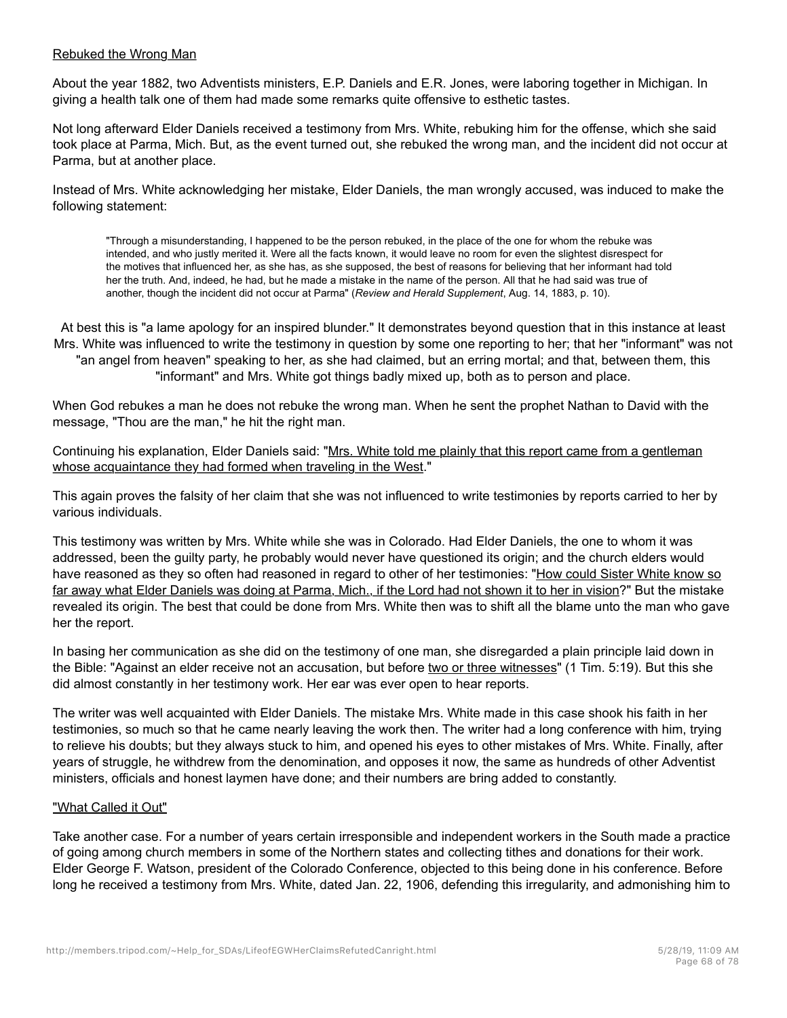### Rebuked the Wrong Man

About the year 1882, two Adventists ministers, E.P. Daniels and E.R. Jones, were laboring together in Michigan. In giving a health talk one of them had made some remarks quite offensive to esthetic tastes.

Not long afterward Elder Daniels received a testimony from Mrs. White, rebuking him for the offense, which she said took place at Parma, Mich. But, as the event turned out, she rebuked the wrong man, and the incident did not occur at Parma, but at another place.

Instead of Mrs. White acknowledging her mistake, Elder Daniels, the man wrongly accused, was induced to make the following statement:

"Through a misunderstanding, I happened to be the person rebuked, in the place of the one for whom the rebuke was intended, and who justly merited it. Were all the facts known, it would leave no room for even the slightest disrespect for the motives that influenced her, as she has, as she supposed, the best of reasons for believing that her informant had told her the truth. And, indeed, he had, but he made a mistake in the name of the person. All that he had said was true of another, though the incident did not occur at Parma" (*Review and Herald Supplement*, Aug. 14, 1883, p. 10).

At best this is "a lame apology for an inspired blunder." It demonstrates beyond question that in this instance at least Mrs. White was influenced to write the testimony in question by some one reporting to her; that her "informant" was not "an angel from heaven" speaking to her, as she had claimed, but an erring mortal; and that, between them, this "informant" and Mrs. White got things badly mixed up, both as to person and place.

When God rebukes a man he does not rebuke the wrong man. When he sent the prophet Nathan to David with the message, "Thou are the man," he hit the right man.

Continuing his explanation, Elder Daniels said: "Mrs. White told me plainly that this report came from a gentleman whose acquaintance they had formed when traveling in the West."

This again proves the falsity of her claim that she was not influenced to write testimonies by reports carried to her by various individuals.

This testimony was written by Mrs. White while she was in Colorado. Had Elder Daniels, the one to whom it was addressed, been the guilty party, he probably would never have questioned its origin; and the church elders would have reasoned as they so often had reasoned in regard to other of her testimonies: "How could Sister White know so far away what Elder Daniels was doing at Parma, Mich., if the Lord had not shown it to her in vision?" But the mistake revealed its origin. The best that could be done from Mrs. White then was to shift all the blame unto the man who gave her the report.

In basing her communication as she did on the testimony of one man, she disregarded a plain principle laid down in the Bible: "Against an elder receive not an accusation, but before two or three witnesses" (1 Tim. 5:19). But this she did almost constantly in her testimony work. Her ear was ever open to hear reports.

The writer was well acquainted with Elder Daniels. The mistake Mrs. White made in this case shook his faith in her testimonies, so much so that he came nearly leaving the work then. The writer had a long conference with him, trying to relieve his doubts; but they always stuck to him, and opened his eyes to other mistakes of Mrs. White. Finally, after years of struggle, he withdrew from the denomination, and opposes it now, the same as hundreds of other Adventist ministers, officials and honest laymen have done; and their numbers are bring added to constantly.

### "What Called it Out"

Take another case. For a number of years certain irresponsible and independent workers in the South made a practice of going among church members in some of the Northern states and collecting tithes and donations for their work. Elder George F. Watson, president of the Colorado Conference, objected to this being done in his conference. Before long he received a testimony from Mrs. White, dated Jan. 22, 1906, defending this irregularity, and admonishing him to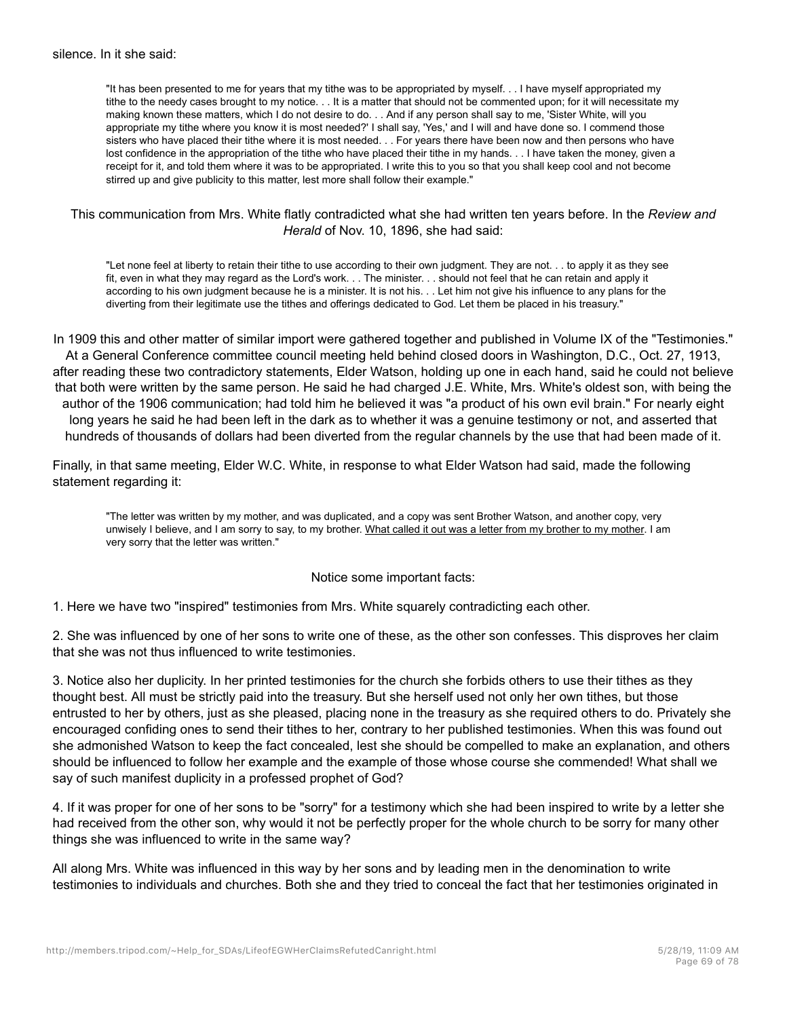"It has been presented to me for years that my tithe was to be appropriated by myself. . . I have myself appropriated my tithe to the needy cases brought to my notice. . . It is a matter that should not be commented upon; for it will necessitate my making known these matters, which I do not desire to do. . . And if any person shall say to me, 'Sister White, will you appropriate my tithe where you know it is most needed?' I shall say, 'Yes,' and I will and have done so. I commend those sisters who have placed their tithe where it is most needed. . . For years there have been now and then persons who have lost confidence in the appropriation of the tithe who have placed their tithe in my hands. . . I have taken the money, given a receipt for it, and told them where it was to be appropriated. I write this to you so that you shall keep cool and not become stirred up and give publicity to this matter, lest more shall follow their example."

### This communication from Mrs. White flatly contradicted what she had written ten years before. In the *Review and Herald* of Nov. 10, 1896, she had said:

"Let none feel at liberty to retain their tithe to use according to their own judgment. They are not. . . to apply it as they see fit, even in what they may regard as the Lord's work. . . The minister. . . should not feel that he can retain and apply it according to his own judgment because he is a minister. It is not his. . . Let him not give his influence to any plans for the diverting from their legitimate use the tithes and offerings dedicated to God. Let them be placed in his treasury."

In 1909 this and other matter of similar import were gathered together and published in Volume IX of the "Testimonies." At a General Conference committee council meeting held behind closed doors in Washington, D.C., Oct. 27, 1913, after reading these two contradictory statements, Elder Watson, holding up one in each hand, said he could not believe that both were written by the same person. He said he had charged J.E. White, Mrs. White's oldest son, with being the author of the 1906 communication; had told him he believed it was "a product of his own evil brain." For nearly eight long years he said he had been left in the dark as to whether it was a genuine testimony or not, and asserted that hundreds of thousands of dollars had been diverted from the regular channels by the use that had been made of it.

Finally, in that same meeting, Elder W.C. White, in response to what Elder Watson had said, made the following statement regarding it:

"The letter was written by my mother, and was duplicated, and a copy was sent Brother Watson, and another copy, very unwisely I believe, and I am sorry to say, to my brother. What called it out was a letter from my brother to my mother. I am very sorry that the letter was written."

### Notice some important facts:

1. Here we have two "inspired" testimonies from Mrs. White squarely contradicting each other.

2. She was influenced by one of her sons to write one of these, as the other son confesses. This disproves her claim that she was not thus influenced to write testimonies.

3. Notice also her duplicity. In her printed testimonies for the church she forbids others to use their tithes as they thought best. All must be strictly paid into the treasury. But she herself used not only her own tithes, but those entrusted to her by others, just as she pleased, placing none in the treasury as she required others to do. Privately she encouraged confiding ones to send their tithes to her, contrary to her published testimonies. When this was found out she admonished Watson to keep the fact concealed, lest she should be compelled to make an explanation, and others should be influenced to follow her example and the example of those whose course she commended! What shall we say of such manifest duplicity in a professed prophet of God?

4. If it was proper for one of her sons to be "sorry" for a testimony which she had been inspired to write by a letter she had received from the other son, why would it not be perfectly proper for the whole church to be sorry for many other things she was influenced to write in the same way?

All along Mrs. White was influenced in this way by her sons and by leading men in the denomination to write testimonies to individuals and churches. Both she and they tried to conceal the fact that her testimonies originated in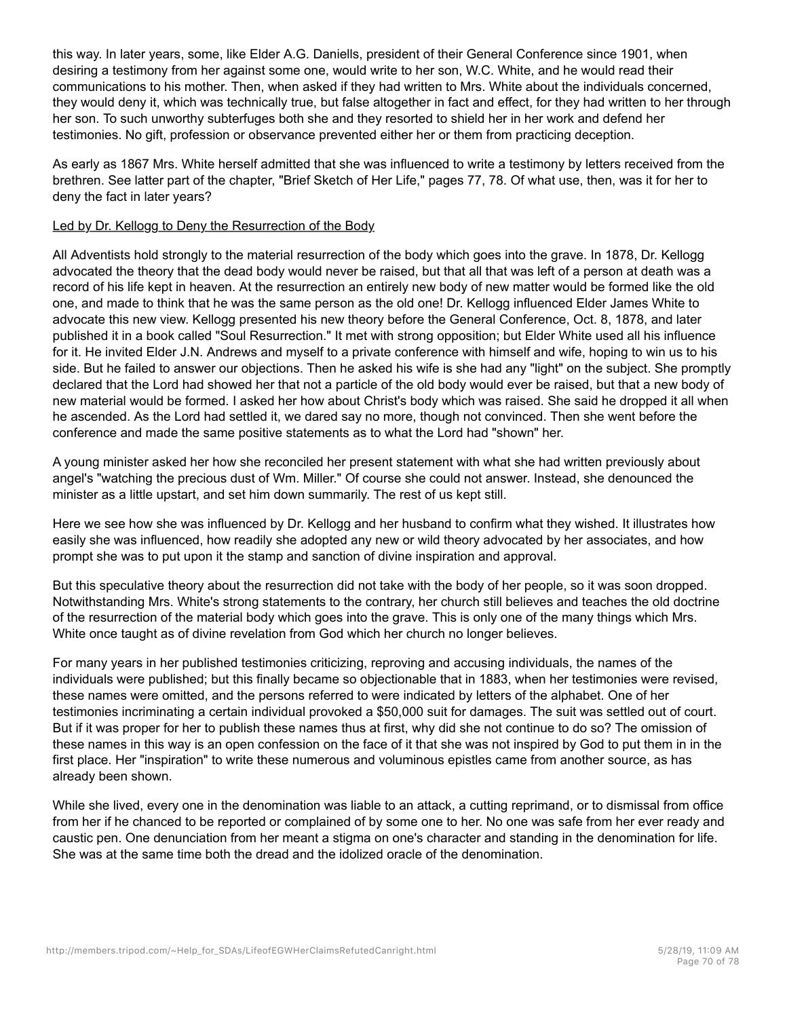this way. In later years, some, like Elder A.G. Daniells, president of their General Conference since 1901, when desiring a testimony from her against some one, would write to her son, W.C. White, and he would read their communications to his mother. Then, when asked if they had written to Mrs. White about the individuals concerned, they would deny it, which was technically true, but false altogether in fact and effect, for they had written to her through her son. To such unworthy subterfuges both she and they resorted to shield her in her work and defend her testimonies. No gift, profession or observance prevented either her or them from practicing deception.

As early as 1867 Mrs. White herself admitted that she was influenced to write a testimony by letters received from the brethren. See latter part of the chapter, "Brief Sketch of Her Life," pages 77, 78. Of what use, then, was it for her to deny the fact in later years?

# Led by Dr. Kellogg to Deny the Resurrection of the Body

All Adventists hold strongly to the material resurrection of the body which goes into the grave. In 1878, Dr. Kellogg advocated the theory that the dead body would never be raised, but that all that was left of a person at death was a record of his life kept in heaven. At the resurrection an entirely new body of new matter would be formed like the old one, and made to think that he was the same person as the old one! Dr. Kellogg influenced Elder James White to advocate this new view. Kellogg presented his new theory before the General Conference, Oct. 8, 1878, and later published it in a book called "Soul Resurrection." It met with strong opposition; but Elder White used all his influence for it. He invited Elder J.N. Andrews and myself to a private conference with himself and wife, hoping to win us to his side. But he failed to answer our objections. Then he asked his wife is she had any "light" on the subject. She promptly declared that the Lord had showed her that not a particle of the old body would ever be raised, but that a new body of new material would be formed. I asked her how about Christ's body which was raised. She said he dropped it all when he ascended. As the Lord had settled it, we dared say no more, though not convinced. Then she went before the conference and made the same positive statements as to what the Lord had "shown" her.

A young minister asked her how she reconciled her present statement with what she had written previously about angel's "watching the precious dust of Wm. Miller." Of course she could not answer. Instead, she denounced the minister as a little upstart, and set him down summarily. The rest of us kept still.

Here we see how she was influenced by Dr. Kellogg and her husband to confirm what they wished. It illustrates how easily she was influenced, how readily she adopted any new or wild theory advocated by her associates, and how prompt she was to put upon it the stamp and sanction of divine inspiration and approval.

But this speculative theory about the resurrection did not take with the body of her people, so it was soon dropped. Notwithstanding Mrs. White's strong statements to the contrary, her church still believes and teaches the old doctrine of the resurrection of the material body which goes into the grave. This is only one of the many things which Mrs. White once taught as of divine revelation from God which her church no longer believes.

For many years in her published testimonies criticizing, reproving and accusing individuals, the names of the individuals were published; but this finally became so objectionable that in 1883, when her testimonies were revised, these names were omitted, and the persons referred to were indicated by letters of the alphabet. One of her testimonies incriminating a certain individual provoked a \$50,000 suit for damages. The suit was settled out of court. But if it was proper for her to publish these names thus at first, why did she not continue to do so? The omission of these names in this way is an open confession on the face of it that she was not inspired by God to put them in in the first place. Her "inspiration" to write these numerous and voluminous epistles came from another source, as has already been shown.

While she lived, every one in the denomination was liable to an attack, a cutting reprimand, or to dismissal from office from her if he chanced to be reported or complained of by some one to her. No one was safe from her ever ready and caustic pen. One denunciation from her meant a stigma on one's character and standing in the denomination for life. She was at the same time both the dread and the idolized oracle of the denomination.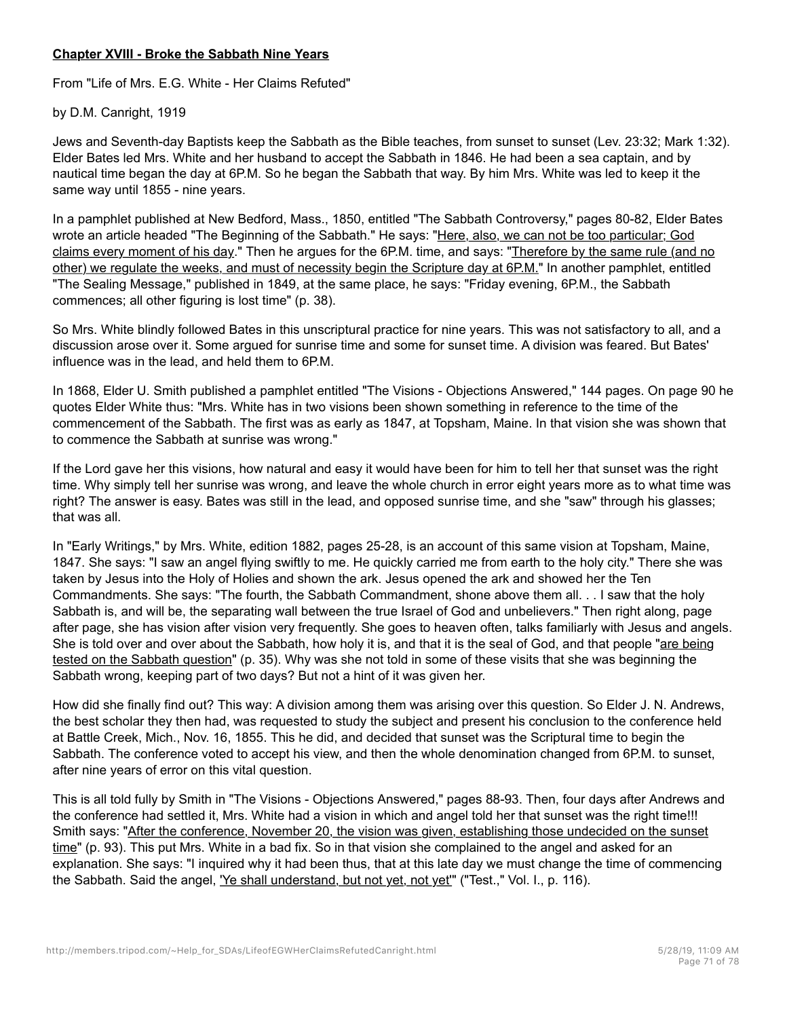# **Chapter XVIII - Broke the Sabbath Nine Years**

From "Life of Mrs. E.G. White - Her Claims Refuted"

by D.M. Canright, 1919

Jews and Seventh-day Baptists keep the Sabbath as the Bible teaches, from sunset to sunset (Lev. 23:32; Mark 1:32). Elder Bates led Mrs. White and her husband to accept the Sabbath in 1846. He had been a sea captain, and by nautical time began the day at 6P.M. So he began the Sabbath that way. By him Mrs. White was led to keep it the same way until 1855 - nine years.

In a pamphlet published at New Bedford, Mass., 1850, entitled "The Sabbath Controversy," pages 80-82, Elder Bates wrote an article headed "The Beginning of the Sabbath." He says: "Here, also, we can not be too particular; God claims every moment of his day." Then he argues for the 6P.M. time, and says: "Therefore by the same rule (and no other) we regulate the weeks, and must of necessity begin the Scripture day at 6P.M." In another pamphlet, entitled "The Sealing Message," published in 1849, at the same place, he says: "Friday evening, 6P.M., the Sabbath commences; all other figuring is lost time" (p. 38).

So Mrs. White blindly followed Bates in this unscriptural practice for nine years. This was not satisfactory to all, and a discussion arose over it. Some argued for sunrise time and some for sunset time. A division was feared. But Bates' influence was in the lead, and held them to 6P.M.

In 1868, Elder U. Smith published a pamphlet entitled "The Visions - Objections Answered," 144 pages. On page 90 he quotes Elder White thus: "Mrs. White has in two visions been shown something in reference to the time of the commencement of the Sabbath. The first was as early as 1847, at Topsham, Maine. In that vision she was shown that to commence the Sabbath at sunrise was wrong."

If the Lord gave her this visions, how natural and easy it would have been for him to tell her that sunset was the right time. Why simply tell her sunrise was wrong, and leave the whole church in error eight years more as to what time was right? The answer is easy. Bates was still in the lead, and opposed sunrise time, and she "saw" through his glasses; that was all.

In "Early Writings," by Mrs. White, edition 1882, pages 25-28, is an account of this same vision at Topsham, Maine, 1847. She says: "I saw an angel flying swiftly to me. He quickly carried me from earth to the holy city." There she was taken by Jesus into the Holy of Holies and shown the ark. Jesus opened the ark and showed her the Ten Commandments. She says: "The fourth, the Sabbath Commandment, shone above them all. . . I saw that the holy Sabbath is, and will be, the separating wall between the true Israel of God and unbelievers." Then right along, page after page, she has vision after vision very frequently. She goes to heaven often, talks familiarly with Jesus and angels. She is told over and over about the Sabbath, how holy it is, and that it is the seal of God, and that people "are being tested on the Sabbath question" (p. 35). Why was she not told in some of these visits that she was beginning the Sabbath wrong, keeping part of two days? But not a hint of it was given her.

How did she finally find out? This way: A division among them was arising over this question. So Elder J. N. Andrews, the best scholar they then had, was requested to study the subject and present his conclusion to the conference held at Battle Creek, Mich., Nov. 16, 1855. This he did, and decided that sunset was the Scriptural time to begin the Sabbath. The conference voted to accept his view, and then the whole denomination changed from 6P.M. to sunset, after nine years of error on this vital question.

This is all told fully by Smith in "The Visions - Objections Answered," pages 88-93. Then, four days after Andrews and the conference had settled it, Mrs. White had a vision in which and angel told her that sunset was the right time!!! Smith says: "After the conference, November 20, the vision was given, establishing those undecided on the sunset time" (p. 93). This put Mrs. White in a bad fix. So in that vision she complained to the angel and asked for an explanation. She says: "I inquired why it had been thus, that at this late day we must change the time of commencing the Sabbath. Said the angel, 'Ye shall understand, but not yet, not yet'" ("Test.," Vol. I., p. 116).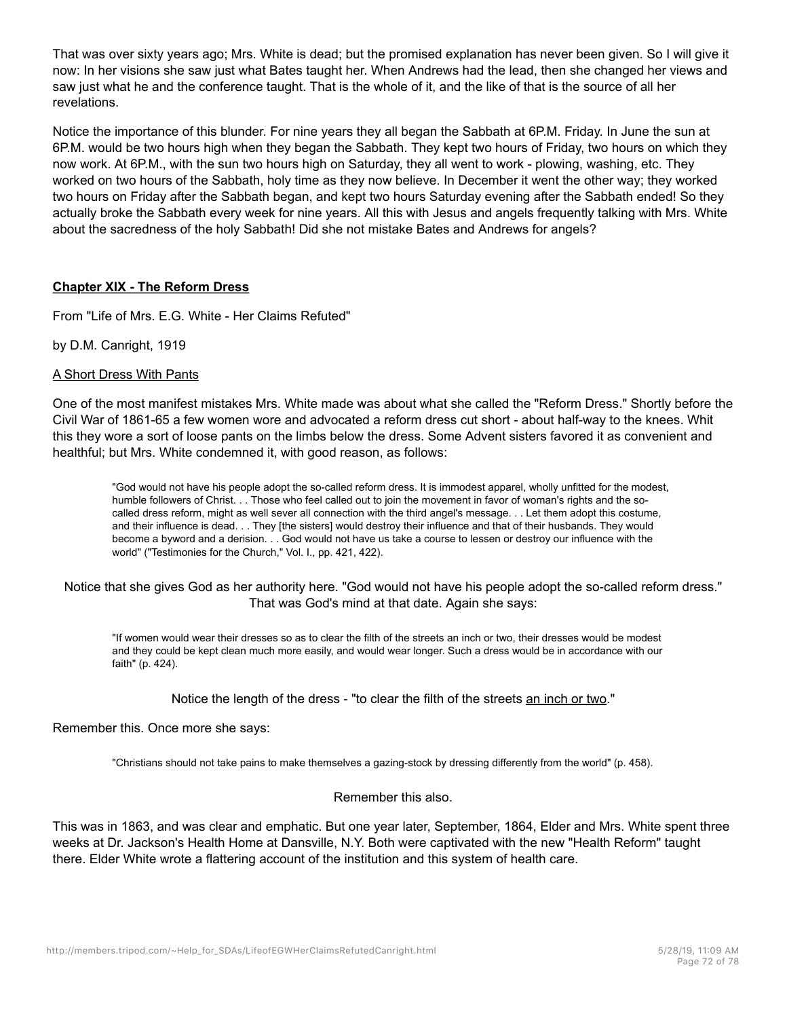That was over sixty years ago; Mrs. White is dead; but the promised explanation has never been given. So I will give it now: In her visions she saw just what Bates taught her. When Andrews had the lead, then she changed her views and saw just what he and the conference taught. That is the whole of it, and the like of that is the source of all her revelations.

Notice the importance of this blunder. For nine years they all began the Sabbath at 6P.M. Friday. In June the sun at 6P.M. would be two hours high when they began the Sabbath. They kept two hours of Friday, two hours on which they now work. At 6P.M., with the sun two hours high on Saturday, they all went to work - plowing, washing, etc. They worked on two hours of the Sabbath, holy time as they now believe. In December it went the other way; they worked two hours on Friday after the Sabbath began, and kept two hours Saturday evening after the Sabbath ended! So they actually broke the Sabbath every week for nine years. All this with Jesus and angels frequently talking with Mrs. White about the sacredness of the holy Sabbath! Did she not mistake Bates and Andrews for angels?

# **Chapter XIX - The Reform Dress**

From "Life of Mrs. E.G. White - Her Claims Refuted"

by D.M. Canright, 1919

### A Short Dress With Pants

One of the most manifest mistakes Mrs. White made was about what she called the "Reform Dress." Shortly before the Civil War of 1861-65 a few women wore and advocated a reform dress cut short - about half-way to the knees. Whit this they wore a sort of loose pants on the limbs below the dress. Some Advent sisters favored it as convenient and healthful; but Mrs. White condemned it, with good reason, as follows:

"God would not have his people adopt the so-called reform dress. It is immodest apparel, wholly unfitted for the modest, humble followers of Christ. . . Those who feel called out to join the movement in favor of woman's rights and the socalled dress reform, might as well sever all connection with the third angel's message. . . Let them adopt this costume, and their influence is dead. . . They [the sisters] would destroy their influence and that of their husbands. They would become a byword and a derision. . . God would not have us take a course to lessen or destroy our influence with the world" ("Testimonies for the Church," Vol. I., pp. 421, 422).

### Notice that she gives God as her authority here. "God would not have his people adopt the so-called reform dress." That was God's mind at that date. Again she says:

"If women would wear their dresses so as to clear the filth of the streets an inch or two, their dresses would be modest and they could be kept clean much more easily, and would wear longer. Such a dress would be in accordance with our faith" (p. 424).

Notice the length of the dress - "to clear the filth of the streets an inch or two."

### Remember this. Once more she says:

"Christians should not take pains to make themselves a gazing-stock by dressing differently from the world" (p. 458).

### Remember this also.

This was in 1863, and was clear and emphatic. But one year later, September, 1864, Elder and Mrs. White spent three weeks at Dr. Jackson's Health Home at Dansville, N.Y. Both were captivated with the new "Health Reform" taught there. Elder White wrote a flattering account of the institution and this system of health care.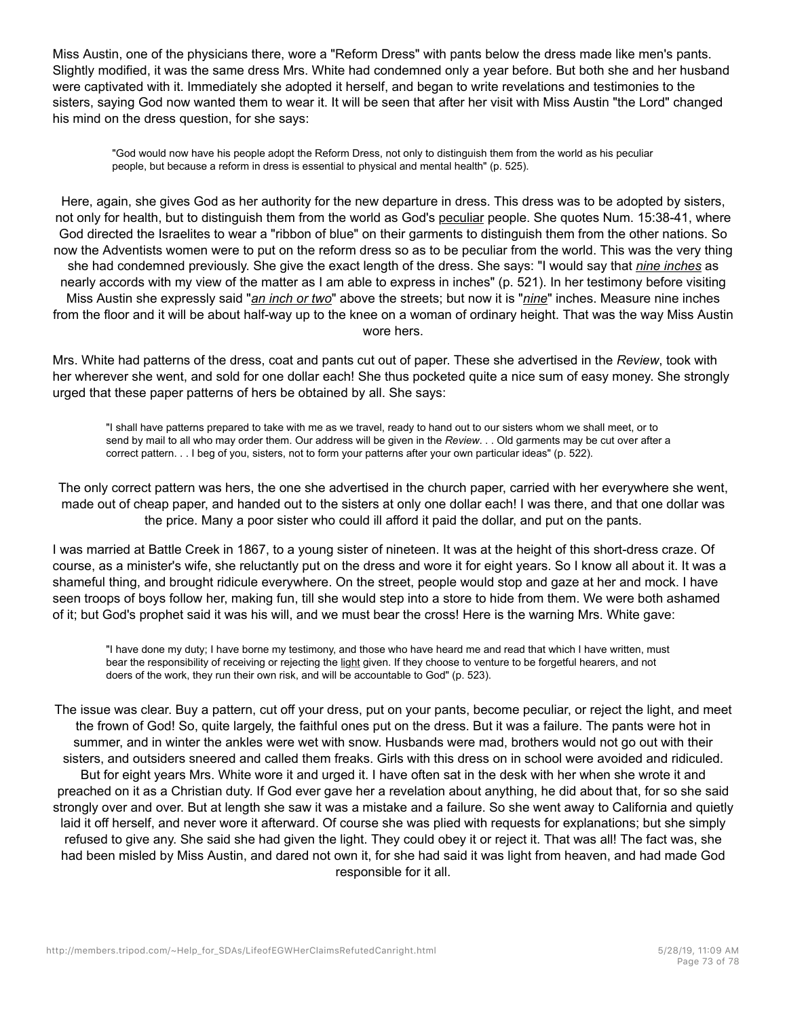Miss Austin, one of the physicians there, wore a "Reform Dress" with pants below the dress made like men's pants. Slightly modified, it was the same dress Mrs. White had condemned only a year before. But both she and her husband were captivated with it. Immediately she adopted it herself, and began to write revelations and testimonies to the sisters, saying God now wanted them to wear it. It will be seen that after her visit with Miss Austin "the Lord" changed his mind on the dress question, for she says:

"God would now have his people adopt the Reform Dress, not only to distinguish them from the world as his peculiar people, but because a reform in dress is essential to physical and mental health" (p. 525).

Here, again, she gives God as her authority for the new departure in dress. This dress was to be adopted by sisters, not only for health, but to distinguish them from the world as God's peculiar people. She quotes Num. 15:38-41, where God directed the Israelites to wear a "ribbon of blue" on their garments to distinguish them from the other nations. So now the Adventists women were to put on the reform dress so as to be peculiar from the world. This was the very thing she had condemned previously. She give the exact length of the dress. She says: "I would say that *nine inches* as nearly accords with my view of the matter as I am able to express in inches" (p. 521). In her testimony before visiting Miss Austin she expressly said "*an inch or two*" above the streets; but now it is "*nine*" inches. Measure nine inches from the floor and it will be about half-way up to the knee on a woman of ordinary height. That was the way Miss Austin wore hers.

Mrs. White had patterns of the dress, coat and pants cut out of paper. These she advertised in the *Review*, took with her wherever she went, and sold for one dollar each! She thus pocketed quite a nice sum of easy money. She strongly urged that these paper patterns of hers be obtained by all. She says:

"I shall have patterns prepared to take with me as we travel, ready to hand out to our sisters whom we shall meet, or to send by mail to all who may order them. Our address will be given in the *Review*. . . Old garments may be cut over after a correct pattern. . . I beg of you, sisters, not to form your patterns after your own particular ideas" (p. 522).

The only correct pattern was hers, the one she advertised in the church paper, carried with her everywhere she went, made out of cheap paper, and handed out to the sisters at only one dollar each! I was there, and that one dollar was the price. Many a poor sister who could ill afford it paid the dollar, and put on the pants.

I was married at Battle Creek in 1867, to a young sister of nineteen. It was at the height of this short-dress craze. Of course, as a minister's wife, she reluctantly put on the dress and wore it for eight years. So I know all about it. It was a shameful thing, and brought ridicule everywhere. On the street, people would stop and gaze at her and mock. I have seen troops of boys follow her, making fun, till she would step into a store to hide from them. We were both ashamed of it; but God's prophet said it was his will, and we must bear the cross! Here is the warning Mrs. White gave:

"I have done my duty; I have borne my testimony, and those who have heard me and read that which I have written, must bear the responsibility of receiving or rejecting the light given. If they choose to venture to be forgetful hearers, and not doers of the work, they run their own risk, and will be accountable to God" (p. 523).

The issue was clear. Buy a pattern, cut off your dress, put on your pants, become peculiar, or reject the light, and meet the frown of God! So, quite largely, the faithful ones put on the dress. But it was a failure. The pants were hot in summer, and in winter the ankles were wet with snow. Husbands were mad, brothers would not go out with their sisters, and outsiders sneered and called them freaks. Girls with this dress on in school were avoided and ridiculed. But for eight years Mrs. White wore it and urged it. I have often sat in the desk with her when she wrote it and preached on it as a Christian duty. If God ever gave her a revelation about anything, he did about that, for so she said strongly over and over. But at length she saw it was a mistake and a failure. So she went away to California and quietly laid it off herself, and never wore it afterward. Of course she was plied with requests for explanations; but she simply refused to give any. She said she had given the light. They could obey it or reject it. That was all! The fact was, she had been misled by Miss Austin, and dared not own it, for she had said it was light from heaven, and had made God responsible for it all.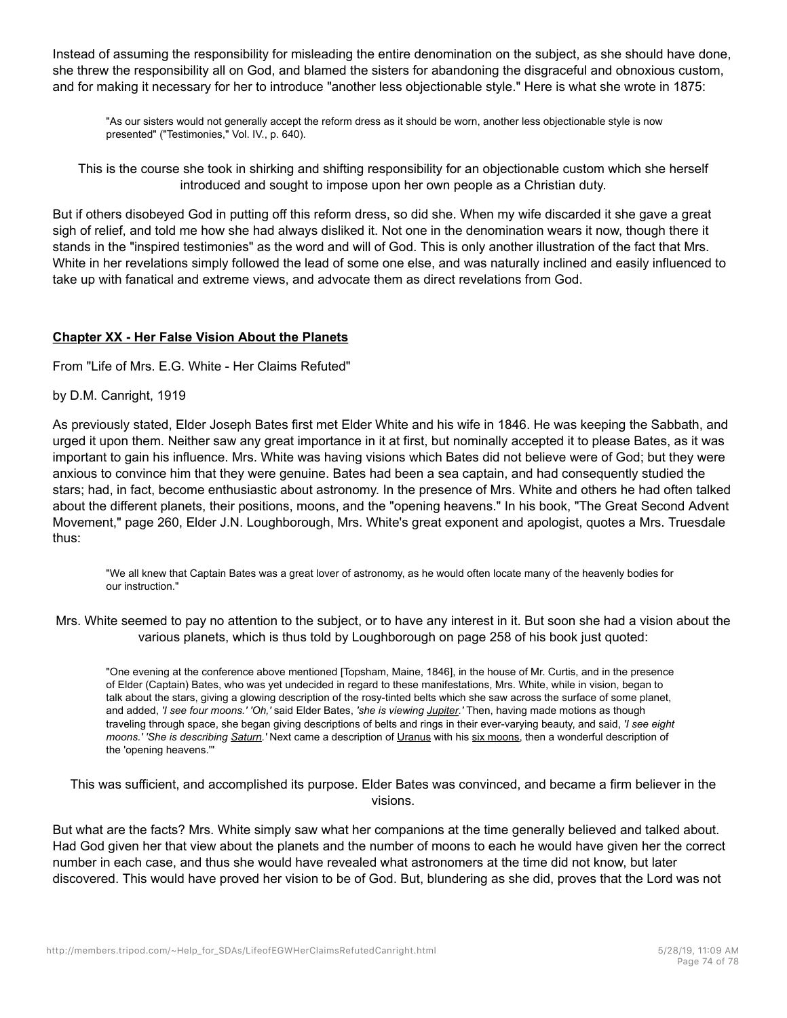Instead of assuming the responsibility for misleading the entire denomination on the subject, as she should have done, she threw the responsibility all on God, and blamed the sisters for abandoning the disgraceful and obnoxious custom, and for making it necessary for her to introduce "another less objectionable style." Here is what she wrote in 1875:

"As our sisters would not generally accept the reform dress as it should be worn, another less objectionable style is now presented" ("Testimonies," Vol. IV., p. 640).

This is the course she took in shirking and shifting responsibility for an objectionable custom which she herself introduced and sought to impose upon her own people as a Christian duty.

But if others disobeyed God in putting off this reform dress, so did she. When my wife discarded it she gave a great sigh of relief, and told me how she had always disliked it. Not one in the denomination wears it now, though there it stands in the "inspired testimonies" as the word and will of God. This is only another illustration of the fact that Mrs. White in her revelations simply followed the lead of some one else, and was naturally inclined and easily influenced to take up with fanatical and extreme views, and advocate them as direct revelations from God.

## **Chapter XX - Her False Vision About the Planets**

From "Life of Mrs. E.G. White - Her Claims Refuted"

by D.M. Canright, 1919

As previously stated, Elder Joseph Bates first met Elder White and his wife in 1846. He was keeping the Sabbath, and urged it upon them. Neither saw any great importance in it at first, but nominally accepted it to please Bates, as it was important to gain his influence. Mrs. White was having visions which Bates did not believe were of God; but they were anxious to convince him that they were genuine. Bates had been a sea captain, and had consequently studied the stars; had, in fact, become enthusiastic about astronomy. In the presence of Mrs. White and others he had often talked about the different planets, their positions, moons, and the "opening heavens." In his book, "The Great Second Advent Movement," page 260, Elder J.N. Loughborough, Mrs. White's great exponent and apologist, quotes a Mrs. Truesdale thus:

"We all knew that Captain Bates was a great lover of astronomy, as he would often locate many of the heavenly bodies for our instruction."

Mrs. White seemed to pay no attention to the subject, or to have any interest in it. But soon she had a vision about the various planets, which is thus told by Loughborough on page 258 of his book just quoted:

"One evening at the conference above mentioned [Topsham, Maine, 1846], in the house of Mr. Curtis, and in the presence of Elder (Captain) Bates, who was yet undecided in regard to these manifestations, Mrs. White, while in vision, began to talk about the stars, giving a glowing description of the rosy-tinted belts which she saw across the surface of some planet, and added, *'I see four moons.' 'Oh,'* said Elder Bates, *'she is viewing Jupiter.'* Then, having made motions as though traveling through space, she began giving descriptions of belts and rings in their ever-varying beauty, and said, *'I see eight moons.' 'She is describing Saturn.'* Next came a description of Uranus with his six moons, then a wonderful description of the 'opening heavens.'"

This was sufficient, and accomplished its purpose. Elder Bates was convinced, and became a firm believer in the visions.

But what are the facts? Mrs. White simply saw what her companions at the time generally believed and talked about. Had God given her that view about the planets and the number of moons to each he would have given her the correct number in each case, and thus she would have revealed what astronomers at the time did not know, but later discovered. This would have proved her vision to be of God. But, blundering as she did, proves that the Lord was not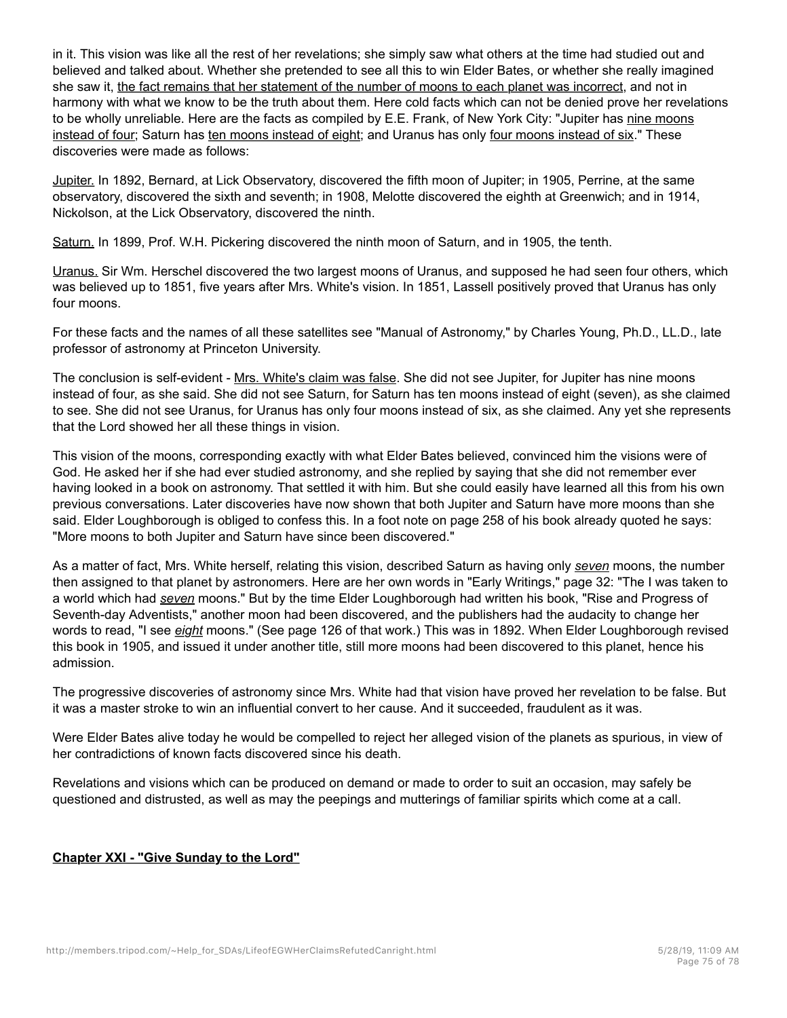in it. This vision was like all the rest of her revelations; she simply saw what others at the time had studied out and believed and talked about. Whether she pretended to see all this to win Elder Bates, or whether she really imagined she saw it, the fact remains that her statement of the number of moons to each planet was incorrect, and not in harmony with what we know to be the truth about them. Here cold facts which can not be denied prove her revelations to be wholly unreliable. Here are the facts as compiled by E.E. Frank, of New York City: "Jupiter has nine moons instead of four; Saturn has ten moons instead of eight; and Uranus has only four moons instead of six." These discoveries were made as follows:

Jupiter. In 1892, Bernard, at Lick Observatory, discovered the fifth moon of Jupiter; in 1905, Perrine, at the same observatory, discovered the sixth and seventh; in 1908, Melotte discovered the eighth at Greenwich; and in 1914, Nickolson, at the Lick Observatory, discovered the ninth.

Saturn. In 1899, Prof. W.H. Pickering discovered the ninth moon of Saturn, and in 1905, the tenth.

Uranus. Sir Wm. Herschel discovered the two largest moons of Uranus, and supposed he had seen four others, which was believed up to 1851, five years after Mrs. White's vision. In 1851, Lassell positively proved that Uranus has only four moons.

For these facts and the names of all these satellites see "Manual of Astronomy," by Charles Young, Ph.D., LL.D., late professor of astronomy at Princeton University.

The conclusion is self-evident - Mrs. White's claim was false. She did not see Jupiter, for Jupiter has nine moons instead of four, as she said. She did not see Saturn, for Saturn has ten moons instead of eight (seven), as she claimed to see. She did not see Uranus, for Uranus has only four moons instead of six, as she claimed. Any yet she represents that the Lord showed her all these things in vision.

This vision of the moons, corresponding exactly with what Elder Bates believed, convinced him the visions were of God. He asked her if she had ever studied astronomy, and she replied by saying that she did not remember ever having looked in a book on astronomy. That settled it with him. But she could easily have learned all this from his own previous conversations. Later discoveries have now shown that both Jupiter and Saturn have more moons than she said. Elder Loughborough is obliged to confess this. In a foot note on page 258 of his book already quoted he says: "More moons to both Jupiter and Saturn have since been discovered."

As a matter of fact, Mrs. White herself, relating this vision, described Saturn as having only *seven* moons, the number then assigned to that planet by astronomers. Here are her own words in "Early Writings," page 32: "The I was taken to a world which had *seven* moons." But by the time Elder Loughborough had written his book, "Rise and Progress of Seventh-day Adventists," another moon had been discovered, and the publishers had the audacity to change her words to read, "I see *eight* moons." (See page 126 of that work.) This was in 1892. When Elder Loughborough revised this book in 1905, and issued it under another title, still more moons had been discovered to this planet, hence his admission.

The progressive discoveries of astronomy since Mrs. White had that vision have proved her revelation to be false. But it was a master stroke to win an influential convert to her cause. And it succeeded, fraudulent as it was.

Were Elder Bates alive today he would be compelled to reject her alleged vision of the planets as spurious, in view of her contradictions of known facts discovered since his death.

Revelations and visions which can be produced on demand or made to order to suit an occasion, may safely be questioned and distrusted, as well as may the peepings and mutterings of familiar spirits which come at a call.

## **Chapter XXI - "Give Sunday to the Lord"**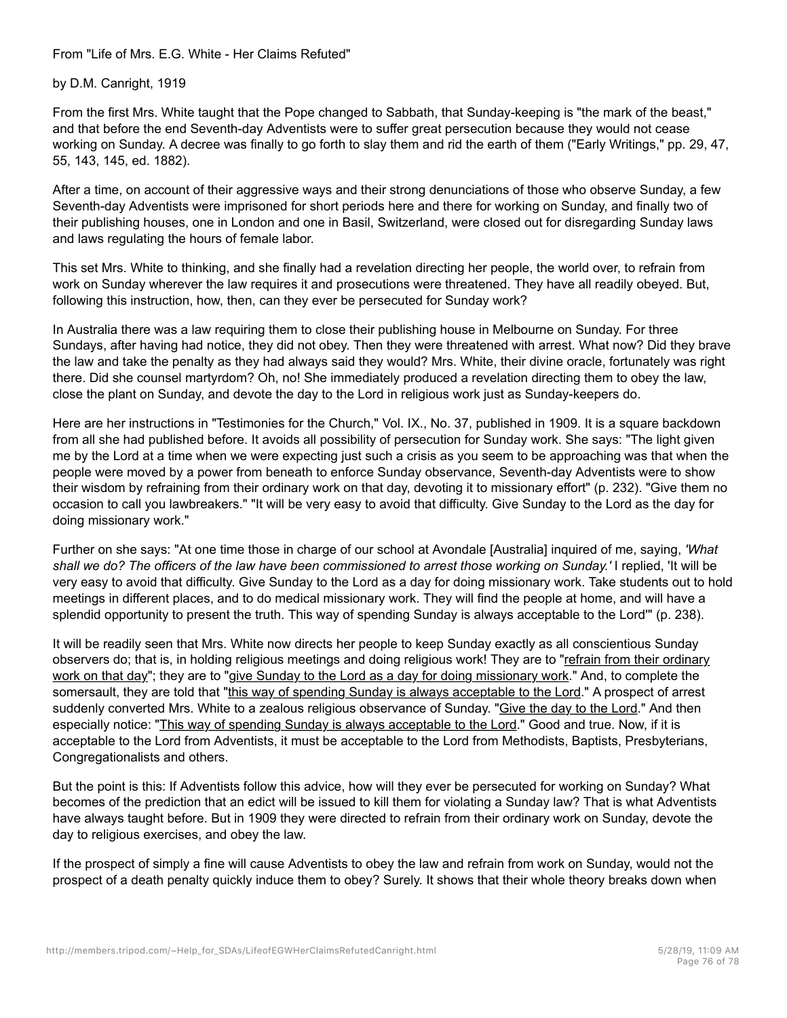From "Life of Mrs. E.G. White - Her Claims Refuted"

by D.M. Canright, 1919

From the first Mrs. White taught that the Pope changed to Sabbath, that Sunday-keeping is "the mark of the beast," and that before the end Seventh-day Adventists were to suffer great persecution because they would not cease working on Sunday. A decree was finally to go forth to slay them and rid the earth of them ("Early Writings," pp. 29, 47, 55, 143, 145, ed. 1882).

After a time, on account of their aggressive ways and their strong denunciations of those who observe Sunday, a few Seventh-day Adventists were imprisoned for short periods here and there for working on Sunday, and finally two of their publishing houses, one in London and one in Basil, Switzerland, were closed out for disregarding Sunday laws and laws regulating the hours of female labor.

This set Mrs. White to thinking, and she finally had a revelation directing her people, the world over, to refrain from work on Sunday wherever the law requires it and prosecutions were threatened. They have all readily obeyed. But, following this instruction, how, then, can they ever be persecuted for Sunday work?

In Australia there was a law requiring them to close their publishing house in Melbourne on Sunday. For three Sundays, after having had notice, they did not obey. Then they were threatened with arrest. What now? Did they brave the law and take the penalty as they had always said they would? Mrs. White, their divine oracle, fortunately was right there. Did she counsel martyrdom? Oh, no! She immediately produced a revelation directing them to obey the law, close the plant on Sunday, and devote the day to the Lord in religious work just as Sunday-keepers do.

Here are her instructions in "Testimonies for the Church," Vol. IX., No. 37, published in 1909. It is a square backdown from all she had published before. It avoids all possibility of persecution for Sunday work. She says: "The light given me by the Lord at a time when we were expecting just such a crisis as you seem to be approaching was that when the people were moved by a power from beneath to enforce Sunday observance, Seventh-day Adventists were to show their wisdom by refraining from their ordinary work on that day, devoting it to missionary effort" (p. 232). "Give them no occasion to call you lawbreakers." "It will be very easy to avoid that difficulty. Give Sunday to the Lord as the day for doing missionary work."

Further on she says: "At one time those in charge of our school at Avondale [Australia] inquired of me, saying, *'What shall we do? The officers of the law have been commissioned to arrest those working on Sunday.'* I replied, 'It will be very easy to avoid that difficulty. Give Sunday to the Lord as a day for doing missionary work. Take students out to hold meetings in different places, and to do medical missionary work. They will find the people at home, and will have a splendid opportunity to present the truth. This way of spending Sunday is always acceptable to the Lord'" (p. 238).

It will be readily seen that Mrs. White now directs her people to keep Sunday exactly as all conscientious Sunday observers do; that is, in holding religious meetings and doing religious work! They are to "refrain from their ordinary work on that day"; they are to "give Sunday to the Lord as a day for doing missionary work." And, to complete the somersault, they are told that "this way of spending Sunday is always acceptable to the Lord." A prospect of arrest suddenly converted Mrs. White to a zealous religious observance of Sunday. "Give the day to the Lord." And then especially notice: "This way of spending Sunday is always acceptable to the Lord." Good and true. Now, if it is acceptable to the Lord from Adventists, it must be acceptable to the Lord from Methodists, Baptists, Presbyterians, Congregationalists and others.

But the point is this: If Adventists follow this advice, how will they ever be persecuted for working on Sunday? What becomes of the prediction that an edict will be issued to kill them for violating a Sunday law? That is what Adventists have always taught before. But in 1909 they were directed to refrain from their ordinary work on Sunday, devote the day to religious exercises, and obey the law.

If the prospect of simply a fine will cause Adventists to obey the law and refrain from work on Sunday, would not the prospect of a death penalty quickly induce them to obey? Surely. It shows that their whole theory breaks down when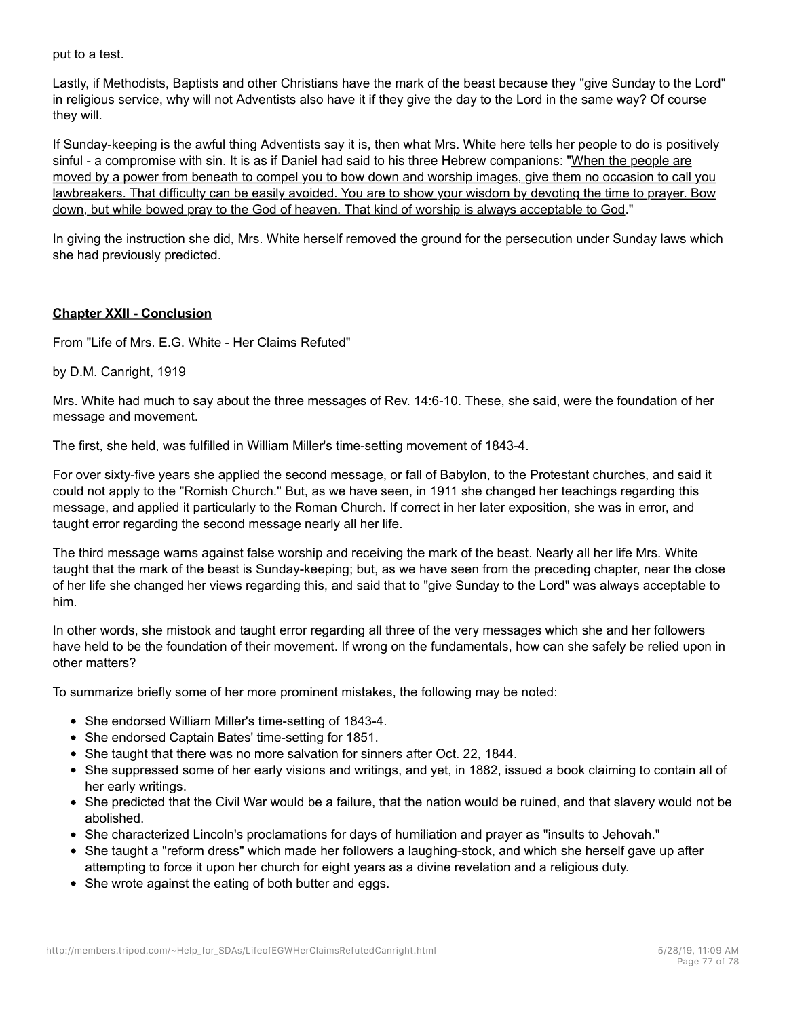put to a test.

Lastly, if Methodists, Baptists and other Christians have the mark of the beast because they "give Sunday to the Lord" in religious service, why will not Adventists also have it if they give the day to the Lord in the same way? Of course they will.

If Sunday-keeping is the awful thing Adventists say it is, then what Mrs. White here tells her people to do is positively sinful - a compromise with sin. It is as if Daniel had said to his three Hebrew companions: "When the people are moved by a power from beneath to compel you to bow down and worship images, give them no occasion to call you lawbreakers. That difficulty can be easily avoided. You are to show your wisdom by devoting the time to prayer. Bow down, but while bowed pray to the God of heaven. That kind of worship is always acceptable to God."

In giving the instruction she did, Mrs. White herself removed the ground for the persecution under Sunday laws which she had previously predicted.

## **Chapter XXII - Conclusion**

From "Life of Mrs. E.G. White - Her Claims Refuted"

by D.M. Canright, 1919

Mrs. White had much to say about the three messages of Rev. 14:6-10. These, she said, were the foundation of her message and movement.

The first, she held, was fulfilled in William Miller's time-setting movement of 1843-4.

For over sixty-five years she applied the second message, or fall of Babylon, to the Protestant churches, and said it could not apply to the "Romish Church." But, as we have seen, in 1911 she changed her teachings regarding this message, and applied it particularly to the Roman Church. If correct in her later exposition, she was in error, and taught error regarding the second message nearly all her life.

The third message warns against false worship and receiving the mark of the beast. Nearly all her life Mrs. White taught that the mark of the beast is Sunday-keeping; but, as we have seen from the preceding chapter, near the close of her life she changed her views regarding this, and said that to "give Sunday to the Lord" was always acceptable to him.

In other words, she mistook and taught error regarding all three of the very messages which she and her followers have held to be the foundation of their movement. If wrong on the fundamentals, how can she safely be relied upon in other matters?

To summarize briefly some of her more prominent mistakes, the following may be noted:

- She endorsed William Miller's time-setting of 1843-4.
- She endorsed Captain Bates' time-setting for 1851.
- She taught that there was no more salvation for sinners after Oct. 22, 1844.
- She suppressed some of her early visions and writings, and yet, in 1882, issued a book claiming to contain all of her early writings.
- She predicted that the Civil War would be a failure, that the nation would be ruined, and that slavery would not be abolished.
- She characterized Lincoln's proclamations for days of humiliation and prayer as "insults to Jehovah."
- She taught a "reform dress" which made her followers a laughing-stock, and which she herself gave up after attempting to force it upon her church for eight years as a divine revelation and a religious duty.
- She wrote against the eating of both butter and eggs.